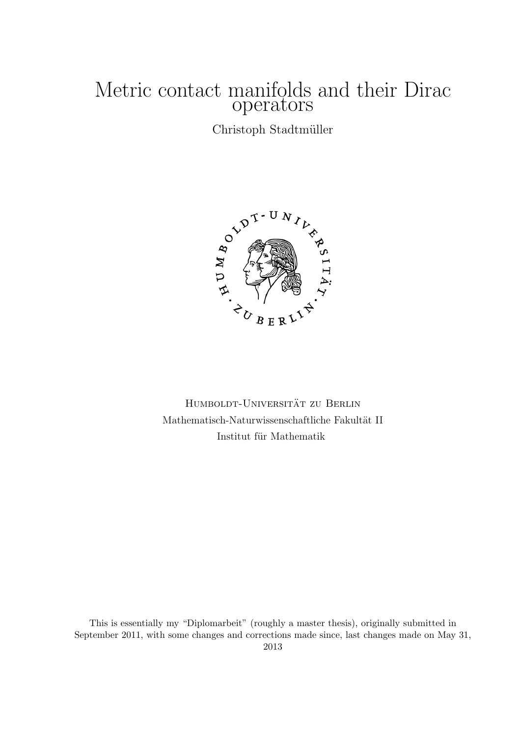# Metric contact manifolds and their Dirac operators

Christoph Stadtmüller



HUMBOLDT-UNIVERSITÄT ZU BERLIN Mathematisch-Naturwissenschaftliche Fakultät II Institut für Mathematik

This is essentially my "Diplomarbeit" (roughly a master thesis), originally submitted in September 2011, with some changes and corrections made since, last changes made on May 31, 2013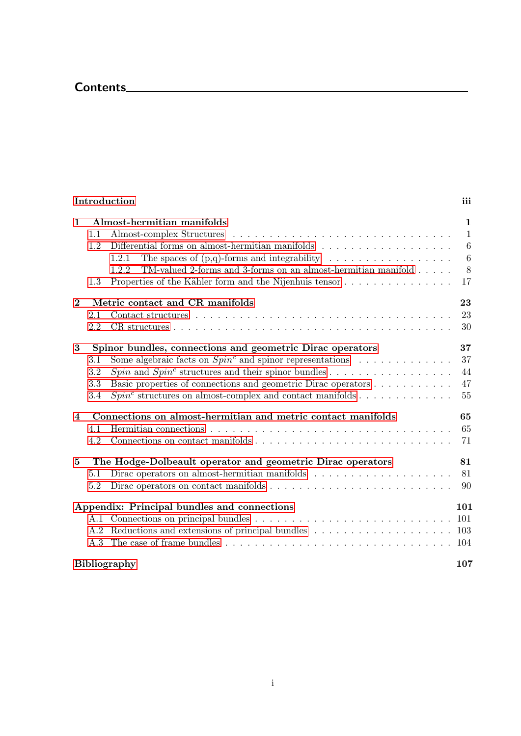# Contents

## [Introduction](#page-4-0) iii

| $\mathbf{1}$        | 1.1<br>1.2<br>1.3        | Almost-hermitian manifolds<br>1.2.1<br>TM-valued 2-forms and 3-forms on an almost-hermitian manifold $.\;.\;.\;.\;.\;$<br>1.2.2<br>Properties of the Kähler form and the Nijenhuis tensor                                                                                                                                                                                          | $\mathbf{1}$<br>$\mathbf{1}$<br>6<br>$6\phantom{.}6$<br>8<br>17 |
|---------------------|--------------------------|------------------------------------------------------------------------------------------------------------------------------------------------------------------------------------------------------------------------------------------------------------------------------------------------------------------------------------------------------------------------------------|-----------------------------------------------------------------|
| $\bf{2}$            | 2.1<br>2.2               | Metric contact and CR manifolds                                                                                                                                                                                                                                                                                                                                                    | 23<br>23<br>30                                                  |
| 3<br>$\overline{4}$ | 3.1<br>3.2<br>3.3<br>3.4 | Spinor bundles, connections and geometric Dirac operators<br>Some algebraic facts on $Spin^c$ and spinor representations<br>$Spin$ and $Spin^c$ structures and their spinor bundles<br>Basic properties of connections and geometric Dirac operators<br>$Spinc$ structures on almost-complex and contact manifolds<br>Connections on almost-hermitian and metric contact manifolds | 37<br>37<br>44<br>47<br>55<br>65                                |
|                     | 4.1<br>4.2               | Hermitian connections $\ldots \ldots \ldots \ldots \ldots \ldots \ldots \ldots \ldots \ldots \ldots \ldots$                                                                                                                                                                                                                                                                        | 65<br>71                                                        |
| $\bf{5}$            | 5.1<br>5.2               | The Hodge-Dolbeault operator and geometric Dirac operators<br>Dirac operators on almost-hermitian manifolds                                                                                                                                                                                                                                                                        | 81<br>81<br>90                                                  |
|                     | A.2<br>A.3               | Appendix: Principal bundles and connections<br>Reductions and extensions of principal bundles $\ldots \ldots \ldots \ldots \ldots \ldots$<br><b>Bibliography</b>                                                                                                                                                                                                                   | 101<br>101<br>103<br>104<br>107                                 |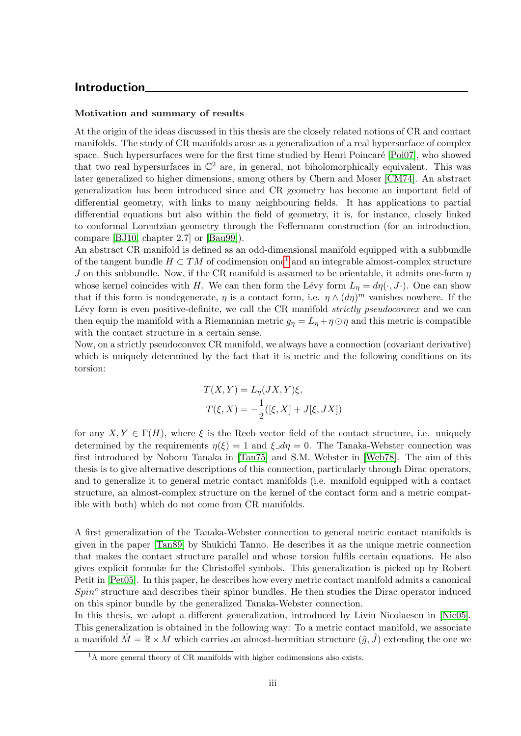### <span id="page-4-0"></span>Introduction

#### Motivation and summary of results

At the origin of the ideas discussed in this thesis are the closely related notions of CR and contact manifolds. The study of CR manifolds arose as a generalization of a real hypersurface of complex space. Such hypersurfaces were for the first time studied by Henri Poincaré [\[Poi07\]](#page-117-0), who showed that two real hypersurfaces in  $\mathbb{C}^2$  are, in general, not biholomorphically equivalent. This was later generalized to higher dimensions, among others by Chern and Moser [\[CM74\]](#page-116-1). An abstract generalization has been introduced since and CR geometry has become an important field of differential geometry, with links to many neighbouring fields. It has applications to partial differential equations but also within the field of geometry, it is, for instance, closely linked to conformal Lorentzian geometry through the Feffermann construction (for an introduction, compare [\[BJ10,](#page-116-2) chapter 2.7] or [\[Bau99\]](#page-116-3)).

An abstract CR manifold is defined as an odd-dimensional manifold equipped with a subbundle of the tangent bundle  $H \subset TM$  of codimension one<sup>[1](#page-4-1)</sup> and an integrable almost-complex structure J on this subbundle. Now, if the CR manifold is assumed to be orientable, it admits one-form  $\eta$ whose kernel coincides with H. We can then form the Lévy form  $L_n = d\eta(\cdot, J\cdot)$ . One can show that if this form is nondegenerate,  $\eta$  is a contact form, i.e.  $\eta \wedge (d\eta)^m$  vanishes nowhere. If the Lévy form is even positive-definite, we call the CR manifold *strictly pseudoconvex* and we can then equip the manifold with a Riemannian metric  $g_{\eta} = L_{\eta} + \eta \odot \eta$  and this metric is compatible with the contact structure in a certain sense.

Now, on a strictly pseudoconvex CR manifold, we always have a connection (covariant derivative) which is uniquely determined by the fact that it is metric and the following conditions on its torsion:

$$
T(X,Y) = L_{\eta}(JX,Y)\xi,
$$
  
\n
$$
T(\xi, X) = -\frac{1}{2}([\xi, X] + J[\xi, JX])
$$

for any  $X, Y \in \Gamma(H)$ , where  $\xi$  is the Reeb vector field of the contact structure, i.e. uniquely determined by the requirements  $\eta(\xi) = 1$  and  $\xi \lrcorner d\eta = 0$ . The Tanaka-Webster connection was first introduced by Noboru Tanaka in [\[Tan75\]](#page-117-1) and S.M. Webster in [\[Web78\]](#page-117-2). The aim of this thesis is to give alternative descriptions of this connection, particularly through Dirac operators, and to generalize it to general metric contact manifolds (i.e. manifold equipped with a contact structure, an almost-complex structure on the kernel of the contact form and a metric compatible with both) which do not come from CR manifolds.

A first generalization of the Tanaka-Webster connection to general metric contact manifolds is given in the paper [\[Tan89\]](#page-117-3) by Shukichi Tanno. He describes it as the unique metric connection that makes the contact structure parallel and whose torsion fulfils certain equations. He also gives explicit formulæ for the Christoffel symbols. This generalization is picked up by Robert Petit in [\[Pet05\]](#page-117-4). In this paper, he describes how every metric contact manifold admits a canonical  $Spin<sup>c</sup>$  structure and describes their spinor bundles. He then studies the Dirac operator induced on this spinor bundle by the generalized Tanaka-Webster connection.

In this thesis, we adopt a different generalization, introduced by Liviu Nicolaescu in [\[Nic05\]](#page-117-5). This generalization is obtained in the following way: To a metric contact manifold, we associate a manifold  $\hat{M} = \mathbb{R} \times M$  which carries an almost-hermitian structure  $(\hat{q}, \hat{J})$  extending the one we

<span id="page-4-1"></span><sup>&</sup>lt;sup>1</sup>A more general theory of CR manifolds with higher codimensions also exists.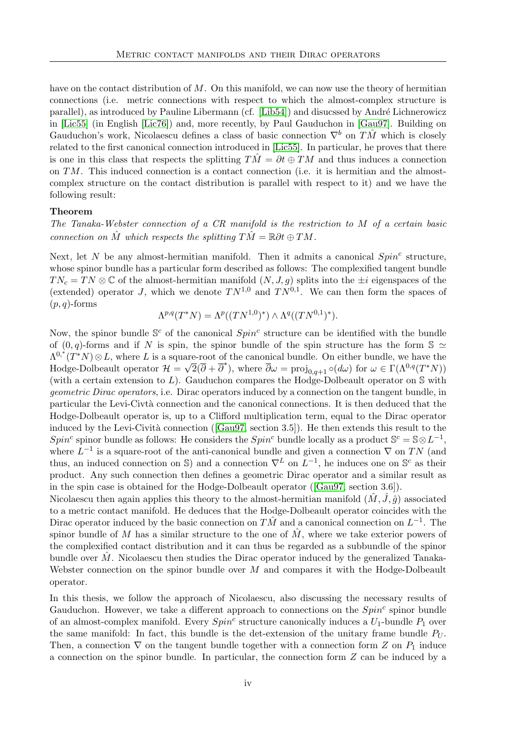have on the contact distribution of  $M$ . On this manifold, we can now use the theory of hermitian connections (i.e. metric connections with respect to which the almost-complex structure is parallel), as introduced by Pauline Libermann (cf. [\[Lib54\]](#page-116-4)) and disucssed by André Lichnerowicz in [\[Lic55\]](#page-116-5) (in English [\[Lic76\]](#page-116-6)) and, more recently, by Paul Gauduchon in [\[Gau97\]](#page-116-7). Building on Gauduchon's work, Nicolaescu defines a class of basic connection  $\nabla^b$  on  $T\hat{M}$  which is closely related to the first canonical connection introduced in [\[Lic55\]](#page-116-5). In particular, he proves that there is one in this class that respects the splitting  $T\dot{M} = \partial t \oplus TM$  and thus induces a connection on  $TM$ . This induced connection is a contact connection (i.e. it is hermitian and the almostcomplex structure on the contact distribution is parallel with respect to it) and we have the following result:

#### Theorem

The Tanaka-Webster connection of a CR manifold is the restriction to M of a certain basic connection on  $\hat{M}$  which respects the splitting  $T\hat{M} = \mathbb{R}\partial t \oplus TM$ .

Next, let N be any almost-hermitian manifold. Then it admits a canonical  $Spin<sup>c</sup>$  structure, whose spinor bundle has a particular form described as follows: The complexified tangent bundle  $TN_c = TN \otimes \mathbb{C}$  of the almost-hermitian manifold  $(N, J, g)$  splits into the  $\pm i$  eigenspaces of the (extended) operator J, which we denote  $TN^{1,0}$  and  $TN^{0,1}$ . We can then form the spaces of  $(p, q)$ -forms

$$
\Lambda^{p,q}(T^*N) = \Lambda^p((TN^{1,0})^*) \wedge \Lambda^q((TN^{0,1})^*).
$$

Now, the spinor bundle  $\mathbb{S}^c$  of the canonical  $Spin^c$  structure can be identified with the bundle of  $(0, q)$ -forms and if N is spin, the spinor bundle of the spin structure has the form S  $\simeq$  $\Lambda^{0,*}(T^*N)\otimes L$ , where L is a square-root of the canonical bundle. On either bundle, we have the Hodge-Dolbeault operator  $\mathcal{H} = \sqrt{2}(\overline{\partial} + \overline{\partial}^*)$ , where  $\overline{\partial}\omega = \text{proj}_{0,q+1} \circ (d\omega)$  for  $\omega \in \Gamma(\Lambda^{0,q}(T^*N))$ (with a certain extension to  $L$ ). Gauduchon compares the Hodge-Dolbeault operator on  $S$  with geometric Dirac operators, i.e. Dirac operators induced by a connection on the tangent bundle, in particular the Levi-Civtà connection and the canonical connections. It is then deduced that the Hodge-Dolbeault operator is, up to a Clifford multiplication term, equal to the Dirac operator inducedby the Levi-Cività connection ( $[Gau97, \text{ section } 3.5]$  $[Gau97, \text{ section } 3.5]$ ). He then extends this result to the Spin<sup>c</sup> spinor bundle as follows: He considers the Spin<sup>c</sup> bundle locally as a product  $\mathbb{S}^c = \mathbb{S} \otimes L^{-1}$ , where  $L^{-1}$  is a square-root of the anti-canonical bundle and given a connection  $\nabla$  on TN (and thus, an induced connection on S) and a connection  $\nabla^L$  on  $L^{-1}$ , he induces one on S<sup>c</sup> as their product. Any such connection then defines a geometric Dirac operator and a similar result as in the spin case is obtained for the Hodge-Dolbeault operator([\[Gau97,](#page-116-7) section 3.6]).

Nicolaescu then again applies this theory to the almost-hermitian manifold  $(M, \tilde{J}, \hat{q})$  associated to a metric contact manifold. He deduces that the Hodge-Dolbeault operator coincides with the Dirac operator induced by the basic connection on  $T\hat{M}$  and a canonical connection on  $L^{-1}$ . The spinor bundle of M has a similar structure to the one of  $\hat{M}$ , where we take exterior powers of the complexified contact distribution and it can thus be regarded as a subbundle of the spinor bundle over  $\hat{M}$ . Nicolaescu then studies the Dirac operator induced by the generalized Tanaka-Webster connection on the spinor bundle over M and compares it with the Hodge-Dolbeault operator.

In this thesis, we follow the approach of Nicolaescu, also discussing the necessary results of Gauduchon. However, we take a different approach to connections on the  $Spin<sup>c</sup>$  spinor bundle of an almost-complex manifold. Every  $Spin<sup>c</sup>$  structure canonically induces a  $U_1$ -bundle  $P_1$  over the same manifold: In fact, this bundle is the det-extension of the unitary frame bundle  $P_U$ . Then, a connection  $\nabla$  on the tangent bundle together with a connection form Z on  $P_1$  induce a connection on the spinor bundle. In particular, the connection form Z can be induced by a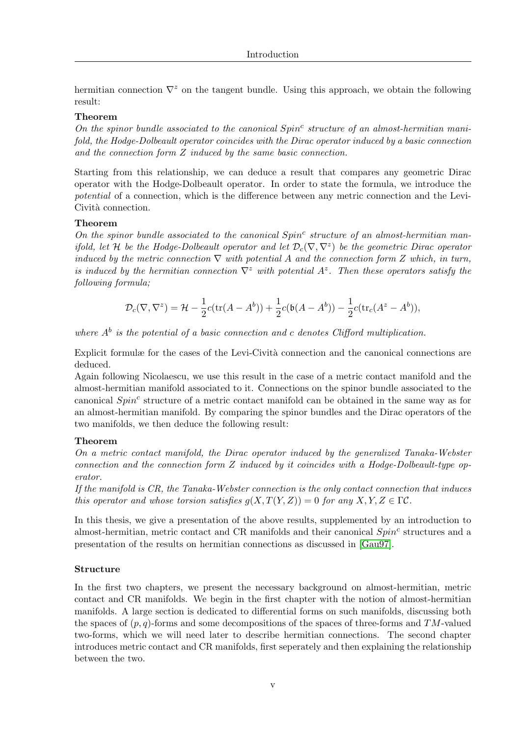hermitian connection  $\nabla^z$  on the tangent bundle. Using this approach, we obtain the following result:

#### Theorem

On the spinor bundle associated to the canonical  $Spin<sup>c</sup>$  structure of an almost-hermitian manifold, the Hodge-Dolbeault operator coincides with the Dirac operator induced by a basic connection and the connection form Z induced by the same basic connection.

Starting from this relationship, we can deduce a result that compares any geometric Dirac operator with the Hodge-Dolbeault operator. In order to state the formula, we introduce the potential of a connection, which is the difference between any metric connection and the Levi-Cività connection.

#### Theorem

On the spinor bundle associated to the canonical  $Spin<sup>c</sup>$  structure of an almost-hermitian manifold, let H be the Hodge-Dolbeault operator and let  $\mathcal{D}_c(\nabla,\nabla^z)$  be the geometric Dirac operator induced by the metric connection  $\nabla$  with potential A and the connection form Z which, in turn, is induced by the hermitian connection  $\nabla^z$  with potential  $A^z$ . Then these operators satisfy the following formula;

$$
\mathcal{D}_c(\nabla,\nabla^z)=\mathcal{H}-\frac{1}{2}c(\text{tr}(A-A^b))+\frac{1}{2}c(\mathfrak{b}(A-A^b))-\frac{1}{2}c(\text{tr}_c(A^z-A^b)),
$$

where  $A^b$  is the potential of a basic connection and c denotes Clifford multiplication.

Explicit formulæ for the cases of the Levi-Cività connection and the canonical connections are deduced.

Again following Nicolaescu, we use this result in the case of a metric contact manifold and the almost-hermitian manifold associated to it. Connections on the spinor bundle associated to the canonical  $Spin<sup>c</sup>$  structure of a metric contact manifold can be obtained in the same way as for an almost-hermitian manifold. By comparing the spinor bundles and the Dirac operators of the two manifolds, we then deduce the following result:

#### Theorem

On a metric contact manifold, the Dirac operator induced by the generalized Tanaka-Webster connection and the connection form Z induced by it coincides with a Hodge-Dolbeault-type operator.

If the manifold is CR, the Tanaka-Webster connection is the only contact connection that induces this operator and whose torsion satisfies  $q(X,T(Y,Z)) = 0$  for any  $X, Y, Z \in \Gamma \mathcal{C}$ .

In this thesis, we give a presentation of the above results, supplemented by an introduction to almost-hermitian, metric contact and CR manifolds and their canonical  $Spin<sup>c</sup>$  structures and a presentation of the results on hermitian connections as discussed in [\[Gau97\]](#page-116-7).

#### Structure

In the first two chapters, we present the necessary background on almost-hermitian, metric contact and CR manifolds. We begin in the first chapter with the notion of almost-hermitian manifolds. A large section is dedicated to differential forms on such manifolds, discussing both the spaces of  $(p, q)$ -forms and some decompositions of the spaces of three-forms and TM-valued two-forms, which we will need later to describe hermitian connections. The second chapter introduces metric contact and CR manifolds, first seperately and then explaining the relationship between the two.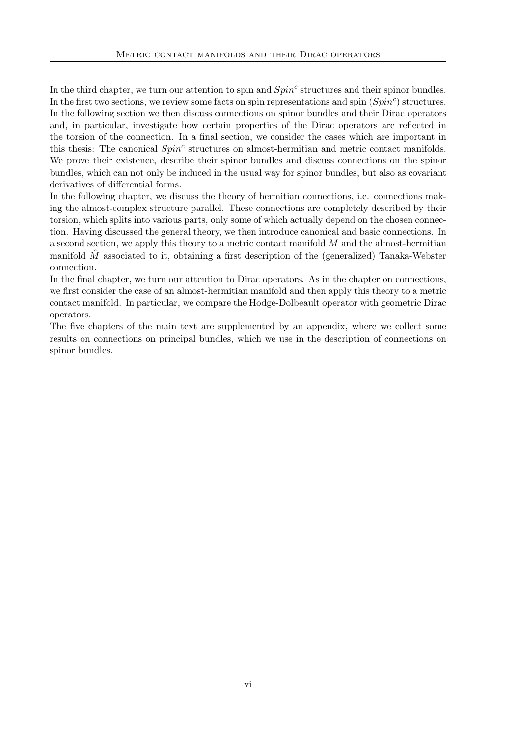In the third chapter, we turn our attention to spin and  $Spin<sup>c</sup>$  structures and their spinor bundles. In the first two sections, we review some facts on spin representations and spin  $(Spin^c)$  structures. In the following section we then discuss connections on spinor bundles and their Dirac operators and, in particular, investigate how certain properties of the Dirac operators are reflected in the torsion of the connection. In a final section, we consider the cases which are important in this thesis: The canonical  $Spin<sup>c</sup>$  structures on almost-hermitian and metric contact manifolds. We prove their existence, describe their spinor bundles and discuss connections on the spinor bundles, which can not only be induced in the usual way for spinor bundles, but also as covariant derivatives of differential forms.

In the following chapter, we discuss the theory of hermitian connections, i.e. connections making the almost-complex structure parallel. These connections are completely described by their torsion, which splits into various parts, only some of which actually depend on the chosen connection. Having discussed the general theory, we then introduce canonical and basic connections. In a second section, we apply this theory to a metric contact manifold M and the almost-hermitian manifold  $\tilde{M}$  associated to it, obtaining a first description of the (generalized) Tanaka-Webster connection.

In the final chapter, we turn our attention to Dirac operators. As in the chapter on connections, we first consider the case of an almost-hermitian manifold and then apply this theory to a metric contact manifold. In particular, we compare the Hodge-Dolbeault operator with geometric Dirac operators.

The five chapters of the main text are supplemented by an appendix, where we collect some results on connections on principal bundles, which we use in the description of connections on spinor bundles.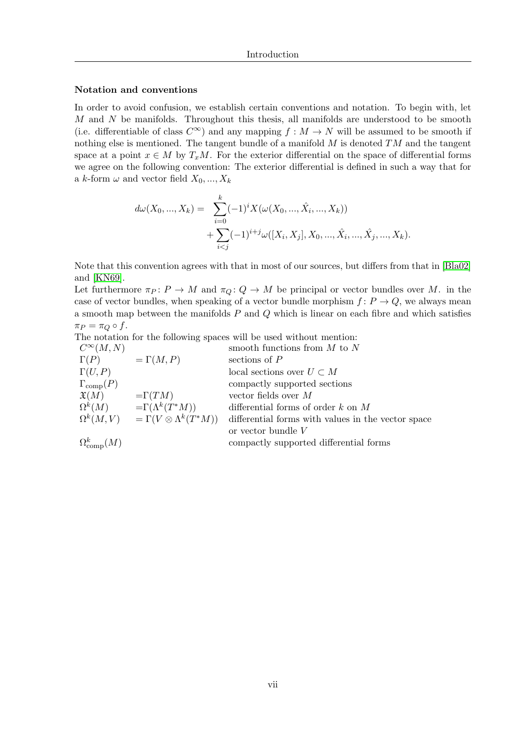#### Notation and conventions

In order to avoid confusion, we establish certain conventions and notation. To begin with, let  $M$  and  $N$  be manifolds. Throughout this thesis, all manifolds are understood to be smooth (i.e. differentiable of class  $C^{\infty}$ ) and any mapping  $f : M \to N$  will be assumed to be smooth if nothing else is mentioned. The tangent bundle of a manifold  $M$  is denoted  $TM$  and the tangent space at a point  $x \in M$  by  $T_xM$ . For the exterior differential on the space of differential forms we agree on the following convention: The exterior differential is defined in such a way that for a k-form  $\omega$  and vector field  $X_0, ..., X_k$ 

$$
d\omega(X_0, ..., X_k) = \sum_{i=0}^k (-1)^i X(\omega(X_0, ..., \hat{X}_i, ..., X_k))
$$
  
+ 
$$
\sum_{i < j} (-1)^{i+j} \omega([X_i, X_j], X_0, ..., \hat{X}_i, ..., \hat{X}_j, ..., X_k).
$$

Note that this convention agrees with that in most of our sources, but differs from that in [\[Bla02\]](#page-116-8) and [\[KN69\]](#page-116-9).

Let furthermore  $\pi_P : P \to M$  and  $\pi_Q : Q \to M$  be principal or vector bundles over M. in the case of vector bundles, when speaking of a vector bundle morphism  $f: P \to Q$ , we always mean a smooth map between the manifolds  $P$  and  $Q$  which is linear on each fibre and which satisfies  $\pi_P = \pi_Q \circ f$ .

The notation for the following spaces will be used without mention:

| $C^{\infty}(M,N)$         |                                                     | smooth functions from $M$ to $N$                   |
|---------------------------|-----------------------------------------------------|----------------------------------------------------|
| $\Gamma(P)$               | $=\Gamma(M,P)$                                      | sections of $P$                                    |
| $\Gamma(U,P)$             |                                                     | local sections over $U \subset M$                  |
| $\Gamma_{\text{comp}}(P)$ |                                                     | compactly supported sections                       |
| $\mathfrak{X}(M)$         | $=\Gamma(TM)$                                       | vector fields over $M$                             |
| $\Omega^k(M)$             | $=\Gamma(\Lambda^k(T^*M))$                          | differential forms of order $k$ on $M$             |
|                           | $\Omega^k(M,V) = \Gamma(V \otimes \Lambda^k(T^*M))$ | differential forms with values in the vector space |
|                           |                                                     | or vector bundle $V$                               |
| $\Omega_{\rm{comp}}^k(M)$ |                                                     | compactly supported differential forms             |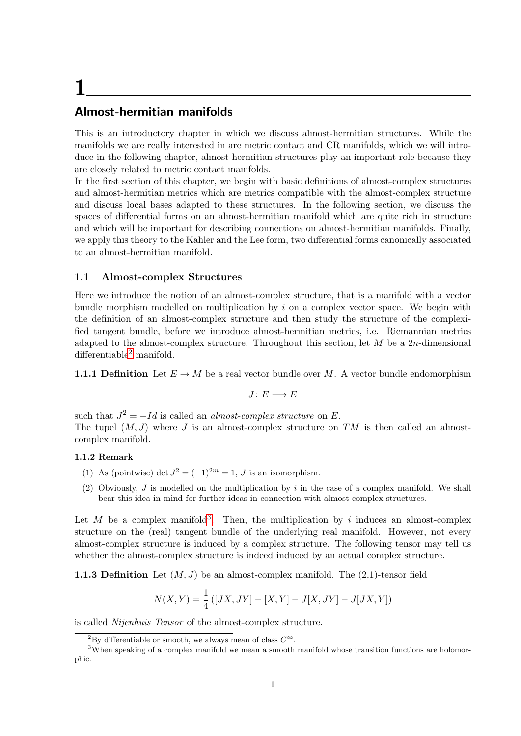# <span id="page-10-0"></span>1

## Almost-hermitian manifolds

This is an introductory chapter in which we discuss almost-hermitian structures. While the manifolds we are really interested in are metric contact and CR manifolds, which we will introduce in the following chapter, almost-hermitian structures play an important role because they are closely related to metric contact manifolds.

In the first section of this chapter, we begin with basic definitions of almost-complex structures and almost-hermitian metrics which are metrics compatible with the almost-complex structure and discuss local bases adapted to these structures. In the following section, we discuss the spaces of differential forms on an almost-hermitian manifold which are quite rich in structure and which will be important for describing connections on almost-hermitian manifolds. Finally, we apply this theory to the Kähler and the Lee form, two differential forms canonically associated to an almost-hermitian manifold.

#### <span id="page-10-1"></span>1.1 Almost-complex Structures

Here we introduce the notion of an almost-complex structure, that is a manifold with a vector bundle morphism modelled on multiplication by  $i$  on a complex vector space. We begin with the definition of an almost-complex structure and then study the structure of the complexified tangent bundle, before we introduce almost-hermitian metrics, i.e. Riemannian metrics adapted to the almost-complex structure. Throughout this section, let  $M$  be a 2n-dimensional  $differential be<sup>2</sup> manifold.$  $differential be<sup>2</sup> manifold.$  $differential be<sup>2</sup> manifold.$ 

**1.1.1 Definition** Let  $E \to M$  be a real vector bundle over M. A vector bundle endomorphism

<span id="page-10-4"></span>
$$
J\colon E\longrightarrow E
$$

such that  $J^2 = -Id$  is called an *almost-complex structure* on E. The tupel  $(M, J)$  where J is an almost-complex structure on TM is then called an almostcomplex manifold.

#### 1.1.2 Remark

- (1) As (pointwise) det  $J^2 = (-1)^{2m} = 1$ , J is an isomorphism.
- (2) Obviously, J is modelled on the multiplication by i in the case of a complex manifold. We shall bear this idea in mind for further ideas in connection with almost-complex structures.

Let M be a complex manifold<sup>[3](#page-10-3)</sup>. Then, the multiplication by i induces an almost-complex structure on the (real) tangent bundle of the underlying real manifold. However, not every almost-complex structure is induced by a complex structure. The following tensor may tell us whether the almost-complex structure is indeed induced by an actual complex structure.

**1.1.3 Definition** Let  $(M, J)$  be an almost-complex manifold. The  $(2,1)$ -tensor field

$$
N(X,Y) = \frac{1}{4} ([JX, JY] - [X, Y] - J[X, JY] - J[JX, Y])
$$

is called Nijenhuis Tensor of the almost-complex structure.

<span id="page-10-3"></span><span id="page-10-2"></span><sup>&</sup>lt;sup>2</sup>By differentiable or smooth, we always mean of class  $C^{\infty}$ .

<sup>&</sup>lt;sup>3</sup>When speaking of a complex manifold we mean a smooth manifold whose transition functions are holomorphic.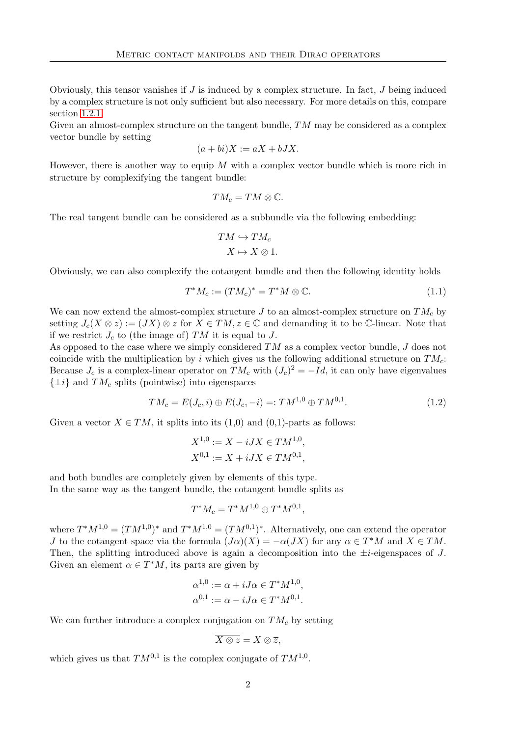Obviously, this tensor vanishes if  $J$  is induced by a complex structure. In fact,  $J$  being induced by a complex structure is not only sufficient but also necessary. For more details on this, compare section [1.2.1.](#page-15-1)

Given an almost-complex structure on the tangent bundle,  $TM$  may be considered as a complex vector bundle by setting

$$
(a+bi)X := aX + bJX.
$$

However, there is another way to equip  $M$  with a complex vector bundle which is more rich in structure by complexifying the tangent bundle:

$$
TM_c=TM\otimes\mathbb{C}.
$$

The real tangent bundle can be considered as a subbundle via the following embedding:

$$
TM \hookrightarrow TM_c
$$

$$
X \mapsto X \otimes 1.
$$

Obviously, we can also complexify the cotangent bundle and then the following identity holds

$$
T^*M_c := (TM_c)^* = T^*M \otimes \mathbb{C}.\tag{1.1}
$$

We can now extend the almost-complex structure J to an almost-complex structure on  $TM_c$  by setting  $J_c(X \otimes z) := (JX) \otimes z$  for  $X \in TM$ ,  $z \in \mathbb{C}$  and demanding it to be  $\mathbb{C}$ -linear. Note that if we restrict  $J_c$  to (the image of) TM it is equal to J.

As opposed to the case where we simply considered TM as a complex vector bundle, J does not coincide with the multiplication by i which gives us the following additional structure on  $TM_c$ : Because  $J_c$  is a complex-linear operator on  $TM_c$  with  $(J_c)^2 = -Id$ , it can only have eigenvalues  $\{\pm i\}$  and  $TM_c$  splits (pointwise) into eigenspaces

$$
TM_c = E(J_c, i) \oplus E(J_c, -i) =: TM^{1,0} \oplus TM^{0,1}.
$$
\n(1.2)

Given a vector  $X \in TM$ , it splits into its (1,0) and (0,1)-parts as follows:

$$
X^{1,0} := X - iJX \in TM^{1,0},
$$
  

$$
X^{0,1} := X + iJX \in TM^{0,1},
$$

and both bundles are completely given by elements of this type. In the same way as the tangent bundle, the cotangent bundle splits as

$$
T^*M_c = T^*M^{1,0} \oplus T^*M^{0,1},
$$

where  $T^*M^{1,0} = (TM^{1,0})^*$  and  $T^*M^{1,0} = (TM^{0,1})^*$ . Alternatively, one can extend the operator *J* to the cotangent space via the formula  $(J\alpha)(X) = -\alpha(JX)$  for any  $\alpha \in T^*M$  and  $X \in TM$ . Then, the splitting introduced above is again a decomposition into the  $\pm i$ -eigenspaces of J. Given an element  $\alpha \in T^*M$ , its parts are given by

$$
\alpha^{1,0} := \alpha + iJ\alpha \in T^*M^{1,0},
$$
  

$$
\alpha^{0,1} := \alpha - iJ\alpha \in T^*M^{0,1}.
$$

We can further introduce a complex conjugation on  $TM_c$  by setting

$$
\overline{X\otimes z}=X\otimes \overline{z},
$$

which gives us that  $TM^{0,1}$  is the complex conjugate of  $TM^{1,0}$ .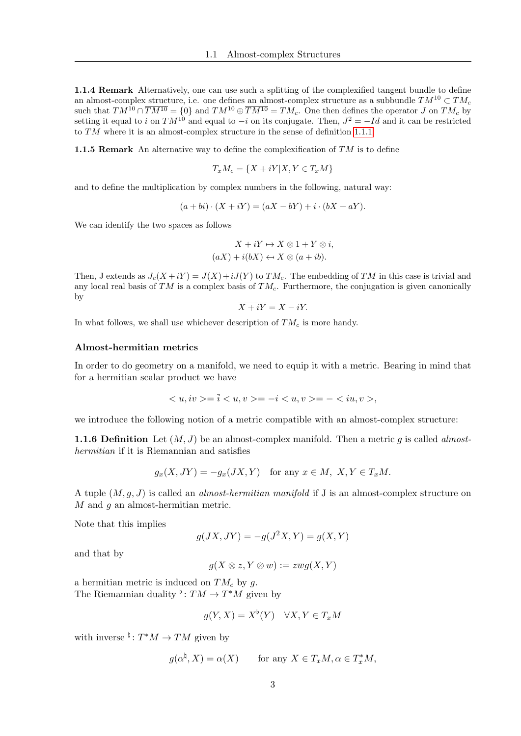1.1.4 Remark Alternatively, one can use such a splitting of the complexified tangent bundle to define an almost-complex structure, i.e. one defines an almost-complex structure as a subbundle  $TM^{10} \subset TM_c$ such that  $TM^{10} \cap \overline{TM^{10}} = \{0\}$  and  $TM^{10} \oplus \overline{TM^{10}} = TM_c$ . One then defines the operator J on  $TM_c$  by setting it equal to i on  $TM^{10}$  and equal to  $-i$  on its conjugate. Then,  $J^2 = -Id$  and it can be restricted to TM where it is an almost-complex structure in the sense of definition [1.1.1.](#page-10-4)

**1.1.5 Remark** An alternative way to define the complexification of  $TM$  is to define

$$
T_x M_c = \{ X + iY | X, Y \in T_x M \}
$$

and to define the multiplication by complex numbers in the following, natural way:

$$
(a+bi)\cdot (X+iY) = (aX-bY) + i\cdot (bX+aY).
$$

We can identify the two spaces as follows

$$
X + iY \mapsto X \otimes 1 + Y \otimes i,
$$
  

$$
(aX) + i(bX) \leftrightarrow X \otimes (a + ib).
$$

Then, J extends as  $J_c(X+iY) = J(X)+iJ(Y)$  to  $TM_c$ . The embedding of TM in this case is trivial and any local real basis of TM is a complex basis of  $TM_c$ . Furthermore, the conjugation is given canonically by

$$
\overline{X+iY} = X-iY.
$$

In what follows, we shall use whichever description of  $TM_c$  is more handy.

#### Almost-hermitian metrics

In order to do geometry on a manifold, we need to equip it with a metric. Bearing in mind that for a hermitian scalar product we have

$$
\langle u, iv \rangle = \overline{i} \langle u, v \rangle = -i \langle u, v \rangle = -\langle iu, v \rangle,
$$

we introduce the following notion of a metric compatible with an almost-complex structure:

**1.1.6 Definition** Let  $(M, J)$  be an almost-complex manifold. Then a metric g is called almosthermitian if it is Riemannian and satisfies

$$
g_x(X, JY) = -g_x(JX, Y) \quad \text{for any } x \in M, \ X, Y \in T_xM.
$$

A tuple  $(M, g, J)$  is called an *almost-hermitian manifold* if J is an almost-complex structure on M and q an almost-hermitian metric.

Note that this implies

$$
g(JX, JY) = -g(J^2X, Y) = g(X, Y)
$$

and that by

$$
g(X \otimes z, Y \otimes w) := z \overline{w} g(X, Y)
$$

a hermitian metric is induced on  $TM_c$  by g. The Riemannian duality  $\flat: TM \to T^*M$  given by

$$
g(Y, X) = X^{\flat}(Y) \quad \forall X, Y \in T_x M
$$

with inverse  $\frac{4}{7}$ :  $T^*M \to TM$  given by

$$
g(\alpha^{\natural},X)=\alpha(X)\qquad\text{for any }X\in T_xM, \alpha\in T_x^*M,
$$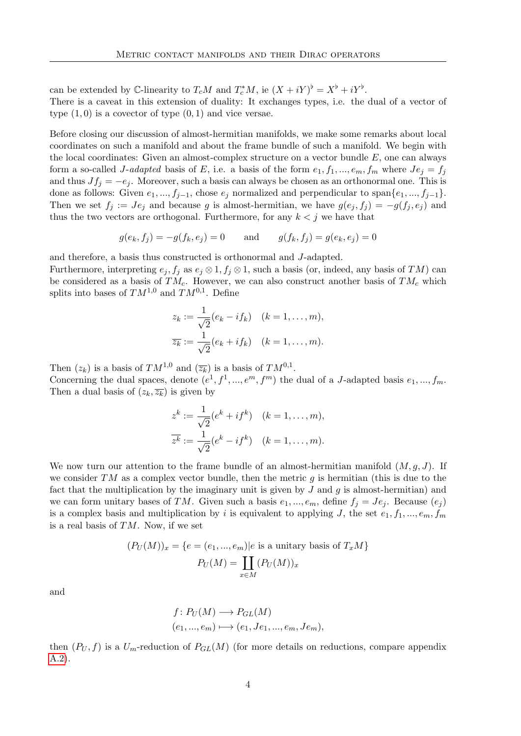can be extended by  $\mathbb{C}\text{-linearity}$  to  $T_cM$  and  $T_c^*M$ , ie  $(X+iY)^{\flat} = X^{\flat} + iY^{\flat}$ . There is a caveat in this extension of duality: It exchanges types, i.e. the dual of a vector of type  $(1,0)$  is a covector of type  $(0,1)$  and vice versae.

Before closing our discussion of almost-hermitian manifolds, we make some remarks about local coordinates on such a manifold and about the frame bundle of such a manifold. We begin with the local coordinates: Given an almost-complex structure on a vector bundle  $E$ , one can always form a so-called J-adapted basis of E, i.e. a basis of the form  $e_1, f_1, ..., e_m, f_m$  where  $Je_j = f_j$ and thus  $Jf_j = -e_j$ . Moreover, such a basis can always be chosen as an orthonormal one. This is done as follows: Given  $e_1, ..., f_{j-1}$ , chose  $e_j$  normalized and perpendicular to span $\{e_1, ..., f_{j-1}\}.$ Then we set  $f_i := Je_i$  and because g is almost-hermitian, we have  $g(e_j, f_j) = -g(f_j, e_j)$  and thus the two vectors are orthogonal. Furthermore, for any  $k < j$  we have that

$$
g(e_k, f_j) = -g(f_k, e_j) = 0
$$
 and  $g(f_k, f_j) = g(e_k, e_j) = 0$ 

and therefore, a basis thus constructed is orthonormal and J-adapted.

Furthermore, interpreting  $e_j, f_j$  as  $e_j \otimes 1, f_j \otimes 1$ , such a basis (or, indeed, any basis of TM) can be considered as a basis of  $TM_c$ . However, we can also construct another basis of  $TM_c$  which splits into bases of  $TM^{1,0}$  and  $TM^{0,1}$ . Define

$$
z_k := \frac{1}{\sqrt{2}}(e_k - if_k) \quad (k = 1, \dots, m),
$$
  

$$
\overline{z_k} := \frac{1}{\sqrt{2}}(e_k + if_k) \quad (k = 1, \dots, m).
$$

Then  $(z_k)$  is a basis of  $TM^{1,0}$  and  $(\overline{z_k})$  is a basis of  $TM^{0,1}$ .

Concerning the dual spaces, denote  $(e^1, f^1, ..., e^m, f^m)$  the dual of a J-adapted basis  $e_1, ..., f_m$ . Then a dual basis of  $(z_k, \overline{z_k})$  is given by

$$
z^{k} := \frac{1}{\sqrt{2}}(e^{k} + if^{k}) \quad (k = 1, \dots, m),
$$

$$
\overline{z^{k}} := \frac{1}{\sqrt{2}}(e^{k} - if^{k}) \quad (k = 1, \dots, m).
$$

We now turn our attention to the frame bundle of an almost-hermitian manifold  $(M, g, J)$ . If we consider TM as a complex vector bundle, then the metric q is hermitian (this is due to the fact that the multiplication by the imaginary unit is given by  $J$  and  $g$  is almost-hermitian) and we can form unitary bases of TM. Given such a basis  $e_1, ..., e_m$ , define  $f_i = Je_i$ . Because  $(e_i)$ is a complex basis and multiplication by i is equivalent to applying J, the set  $e_1, f_1, ..., e_m, f_m$ is a real basis of  $TM$ . Now, if we set

$$
(P_U(M))_x = \{e = (e_1, ..., e_m)|e \text{ is a unitary basis of } T_xM\}
$$

$$
P_U(M) = \coprod_{x \in M} (P_U(M))_x
$$

and

$$
f: P_U(M) \longrightarrow P_{GL}(M)
$$
  

$$
(e_1, ..., e_m) \longmapsto (e_1, Je_1, ..., e_m, Je_m),
$$

then  $(P_U, f)$  is a  $U_m$ -reduction of  $P_{GL}(M)$  (for more details on reductions, compare appendix [A.2\)](#page-112-0).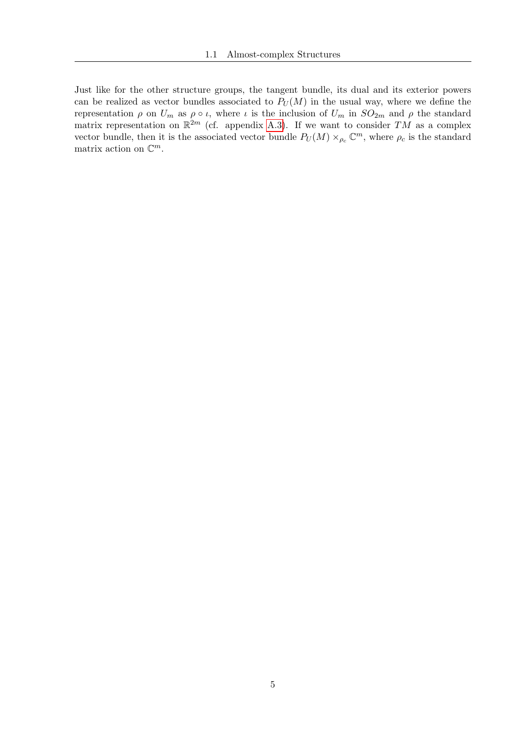Just like for the other structure groups, the tangent bundle, its dual and its exterior powers can be realized as vector bundles associated to  $P_U(M)$  in the usual way, where we define the representation  $\rho$  on  $U_m$  as  $\rho \circ \iota$ , where  $\iota$  is the inclusion of  $U_m$  in  $SO_{2m}$  and  $\rho$  the standard matrix representation on  $\mathbb{R}^{2m}$  (cf. appendix [A.3\)](#page-113-0). If we want to consider TM as a complex vector bundle, then it is the associated vector bundle  $P_U(M) \times_{\rho_c} \mathbb{C}^m$ , where  $\rho_c$  is the standard matrix action on  $\mathbb{C}^m$ .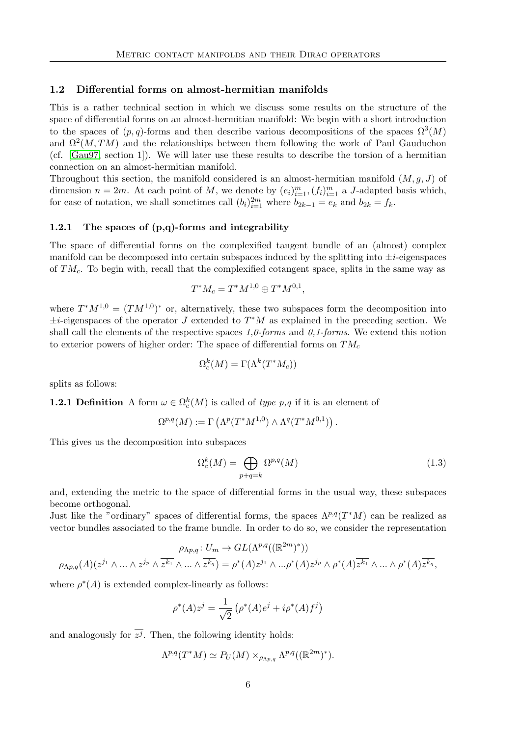#### <span id="page-15-0"></span>1.2 Differential forms on almost-hermitian manifolds

This is a rather technical section in which we discuss some results on the structure of the space of differential forms on an almost-hermitian manifold: We begin with a short introduction to the spaces of  $(p, q)$ -forms and then describe various decompositions of the spaces  $\Omega^3(M)$ and  $\Omega^2(M, TM)$  and the relationships between them following the work of Paul Gauduchon (cf. [\[Gau97,](#page-116-7) section 1]). We will later use these results to describe the torsion of a hermitian connection on an almost-hermitian manifold.

Throughout this section, the manifold considered is an almost-hermitian manifold  $(M, q, J)$  of dimension  $n = 2m$ . At each point of M, we denote by  $(e_i)_{i=1}^m$ ,  $(f_i)_{i=1}^m$  a J-adapted basis which, for ease of notation, we shall sometimes call  $(b_i)_{i=1}^{2m}$  where  $b_{2k-1} = e_k$  and  $b_{2k} = f_k$ .

#### <span id="page-15-1"></span>1.2.1 The spaces of  $(p,q)$ -forms and integrability

The space of differential forms on the complexified tangent bundle of an (almost) complex manifold can be decomposed into certain subspaces induced by the splitting into  $\pm i$ -eigenspaces of  $TM_c$ . To begin with, recall that the complexified cotangent space, splits in the same way as

$$
T^*M_c = T^*M^{1,0} \oplus T^*M^{0,1},
$$

where  $T^*M^{1,0} = (TM^{1,0})^*$  or, alternatively, these two subspaces form the decomposition into  $\pm i$ -eigenspaces of the operator J extended to  $T^*M$  as explained in the preceding section. We shall call the elements of the respective spaces  $1,0-forms$  and  $0,1-forms$ . We extend this notion to exterior powers of higher order: The space of differential forms on  $TM_c$ 

$$
\Omega_c^k(M) = \Gamma(\Lambda^k(T^*M_c))
$$

splits as follows:

**1.2.1 Definition** A form  $\omega \in \Omega_c^k(M)$  is called of type p,q if it is an element of

$$
\Omega^{p,q}(M) := \Gamma\left(\Lambda^p(T^*M^{1,0}) \wedge \Lambda^q(T^*M^{0,1})\right).
$$

This gives us the decomposition into subspaces

$$
\Omega_c^k(M) = \bigoplus_{p+q=k} \Omega^{p,q}(M) \tag{1.3}
$$

and, extending the metric to the space of differential forms in the usual way, these subspaces become orthogonal.

Just like the "ordinary" spaces of differential forms, the spaces  $\Lambda^{p,q}(T^*M)$  can be realized as vector bundles associated to the frame bundle. In order to do so, we consider the representation

$$
\rho_{\Lambda p,q}: U_m \to GL(\Lambda^{p,q}((\mathbb{R}^{2m})^*))
$$
  

$$
\rho_{\Lambda p,q}(A)(z^{j_1} \wedge \ldots \wedge z^{j_p} \wedge \overline{z^{k_1}} \wedge \ldots \wedge \overline{z^{k_q}}) = \rho^*(A)z^{j_1} \wedge \ldots \rho^*(A)z^{j_p} \wedge \rho^*(A)\overline{z^{k_1}} \wedge \ldots \wedge \rho^*(A)\overline{z^{k_q}},
$$

where  $\rho^*(A)$  is extended complex-linearly as follows:

$$
\rho^*(A)z^j = \frac{1}{\sqrt{2}} (\rho^*(A)e^j + i\rho^*(A)f^j)
$$

and analogously for  $z^j$ . Then, the following identity holds:

$$
\Lambda^{p,q}(T^*M)\simeq P_U(M)\times_{\rho_{\Lambda p,q}}\Lambda^{p,q}((\mathbb{R}^{2m})^*).
$$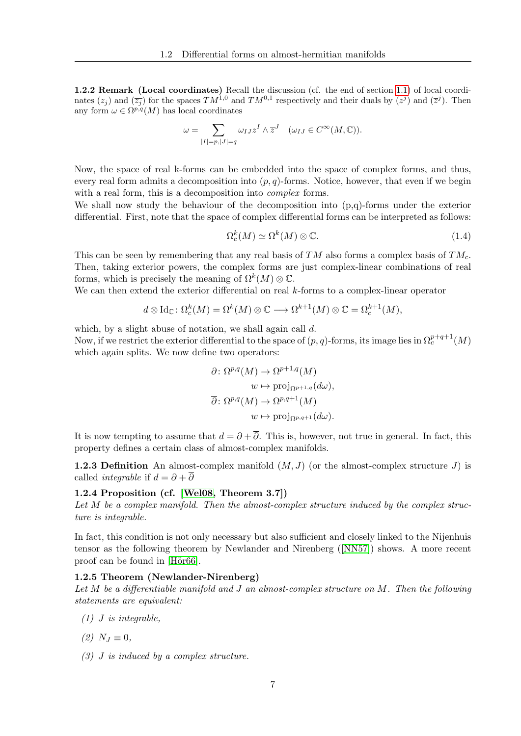1.2.2 Remark (Local coordinates) Recall the discussion (cf. the end of section [1.1\)](#page-10-1) of local coordinates  $(z_j)$  and  $(\overline{z_j})$  for the spaces  $TM^{1,0}$  and  $TM^{0,1}$  respectively and their duals by  $(z^j)$  and  $(\overline{z}^j)$ . Then any form  $\omega \in \Omega^{p,q}(M)$  has local coordinates

$$
\omega = \sum_{|I|=p,|J|=q} \omega_{IJ} z^I \wedge \overline{z}^J \quad (\omega_{IJ} \in C^{\infty}(M, \mathbb{C})).
$$

Now, the space of real k-forms can be embedded into the space of complex forms, and thus, every real form admits a decomposition into  $(p, q)$ -forms. Notice, however, that even if we begin with a real form, this is a decomposition into *complex* forms.

We shall now study the behaviour of the decomposition into (p,q)-forms under the exterior differential. First, note that the space of complex differential forms can be interpreted as follows:

$$
\Omega_c^k(M) \simeq \Omega^k(M) \otimes \mathbb{C}.\tag{1.4}
$$

This can be seen by remembering that any real basis of  $TM$  also forms a complex basis of  $TM<sub>c</sub>$ . Then, taking exterior powers, the complex forms are just complex-linear combinations of real forms, which is precisely the meaning of  $\Omega^k(M) \otimes \mathbb{C}$ .

We can then extend the exterior differential on real  $k$ -forms to a complex-linear operator

$$
d \otimes \text{Id}_{\mathbb{C}} \colon \Omega_c^k(M) = \Omega^k(M) \otimes \mathbb{C} \longrightarrow \Omega^{k+1}(M) \otimes \mathbb{C} = \Omega_c^{k+1}(M),
$$

which, by a slight abuse of notation, we shall again call  $d$ . Now, if we restrict the exterior differential to the space of  $(p, q)$ -forms, its image lies in  $\Omega_c^{p+q+1}(M)$ which again splits. We now define two operators:

$$
\partial \colon \Omega^{p,q}(M) \to \Omega^{p+1,q}(M)
$$

$$
w \mapsto \text{proj}_{\Omega^{p+1,q}}(d\omega),
$$

$$
\overline{\partial} \colon \Omega^{p,q}(M) \to \Omega^{p,q+1}(M)
$$

$$
w \mapsto \text{proj}_{\Omega^{p,q+1}}(d\omega).
$$

It is now tempting to assume that  $d = \partial + \overline{\partial}$ . This is, however, not true in general. In fact, this property defines a certain class of almost-complex manifolds.

**1.2.3 Definition** An almost-complex manifold  $(M, J)$  (or the almost-complex structure J) is called *integrable* if  $d = \partial + \overline{\partial}$ 

#### 1.2.4 Proposition (cf. [\[Wel08,](#page-117-6) Theorem 3.7])

Let  $M$  be a complex manifold. Then the almost-complex structure induced by the complex structure is integrable.

In fact, this condition is not only necessary but also sufficient and closely linked to the Nijenhuis tensor as the following theorem by Newlander and Nirenberg([\[NN57\]](#page-117-7)) shows. A more recent proof can be found in [Hör66].

#### 1.2.5 Theorem (Newlander-Nirenberg)

Let M be a differentiable manifold and J an almost-complex structure on M. Then the following statements are equivalent:

- $(1)$  *J* is integrable.
- (2)  $N_I \equiv 0$ ,
- (3) J is induced by a complex structure.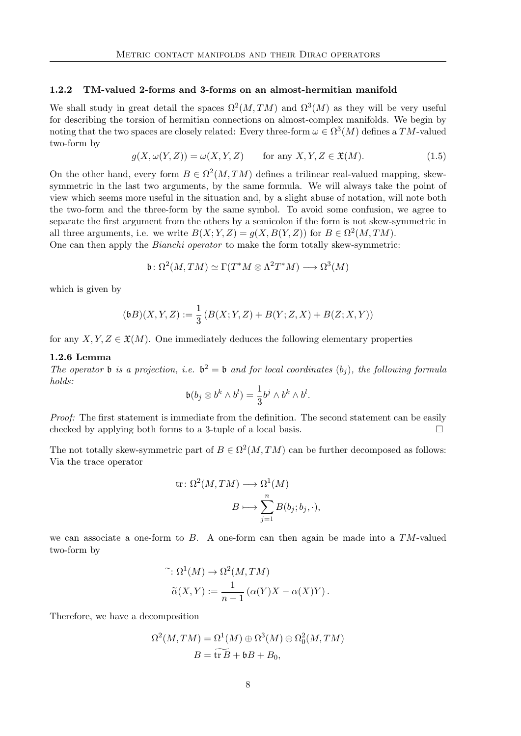#### <span id="page-17-0"></span>1.2.2 TM-valued 2-forms and 3-forms on an almost-hermitian manifold

We shall study in great detail the spaces  $\Omega^2(M, TM)$  and  $\Omega^3(M)$  as they will be very useful for describing the torsion of hermitian connections on almost-complex manifolds. We begin by noting that the two spaces are closely related: Every three-form  $\omega \in \Omega^3(M)$  defines a  $TM$ -valued two-form by

<span id="page-17-1"></span>
$$
g(X, \omega(Y, Z)) = \omega(X, Y, Z) \quad \text{for any } X, Y, Z \in \mathfrak{X}(M). \tag{1.5}
$$

On the other hand, every form  $B \in \Omega^2(M, TM)$  defines a trilinear real-valued mapping, skewsymmetric in the last two arguments, by the same formula. We will always take the point of view which seems more useful in the situation and, by a slight abuse of notation, will note both the two-form and the three-form by the same symbol. To avoid some confusion, we agree to separate the first argument from the others by a semicolon if the form is not skew-symmetric in all three arguments, i.e. we write  $B(X; Y, Z) = g(X, B(Y, Z))$  for  $B \in \Omega^2(M, TM)$ .

One can then apply the Bianchi operator to make the form totally skew-symmetric:

$$
\mathfrak{b} \colon \Omega^2(M, TM) \simeq \Gamma(T^*M \otimes \Lambda^2 T^*M) \longrightarrow \Omega^3(M)
$$

which is given by

$$
(\mathfrak{b} B)(X,Y,Z) := \frac{1}{3} \left( B(X;Y,Z) + B(Y;Z,X) + B(Z;X,Y) \right)
$$

for any  $X, Y, Z \in \mathfrak{X}(M)$ . One immediately deduces the following elementary properties

#### 1.2.6 Lemma

The operator **b** is a projection, i.e.  $b^2 = b$  and for local coordinates  $(b_j)$ , the following formula holds:

$$
\mathfrak{b}(b_j \otimes b^k \wedge b^l) = \frac{1}{3}b^j \wedge b^k \wedge b^l.
$$

Proof: The first statement is immediate from the definition. The second statement can be easily checked by applying both forms to a 3-tuple of a local basis.  $\Box$ 

The not totally skew-symmetric part of  $B \in \Omega^2(M,TM)$  can be further decomposed as follows: Via the trace operator

tr: 
$$
\Omega^2(M, TM) \longrightarrow \Omega^1(M)
$$
  
\n
$$
B \longmapsto \sum_{j=1}^n B(b_j; b_j, \cdot),
$$

we can associate a one-form to  $B$ . A one-form can then again be made into a  $TM$ -valued two-form by

$$
\tilde{\alpha}(X,Y) := \frac{1}{n-1} (\alpha(Y)X - \alpha(X)Y).
$$
  

$$
\tilde{\alpha}(X,Y) := \frac{1}{n-1} (\alpha(Y)X - \alpha(X)Y).
$$

Therefore, we have a decomposition

$$
\Omega^2(M, TM) = \Omega^1(M) \oplus \Omega^3(M) \oplus \Omega^2_0(M, TM)
$$
  

$$
B = \widetilde{\text{tr }B} + \mathfrak{b}B + B_0,
$$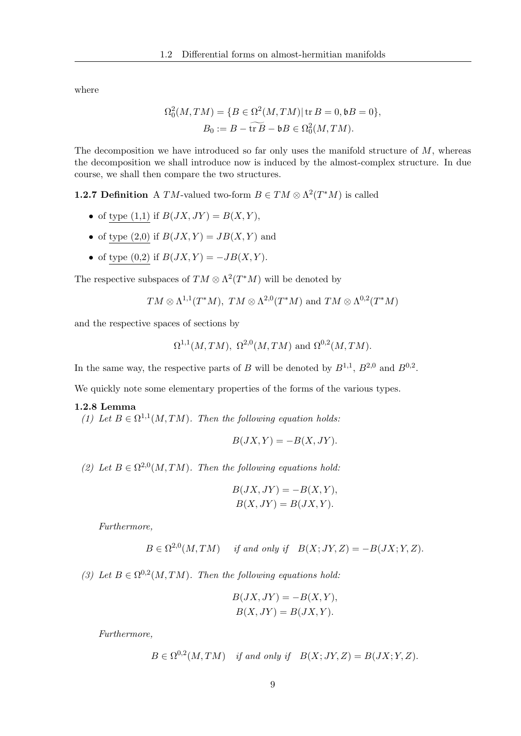where

$$
\Omega_0^2(M, TM) = \{ B \in \Omega^2(M, TM) | \operatorname{tr} B = 0, \mathfrak{b}B = 0 \},
$$
  

$$
B_0 := B - \widetilde{\operatorname{tr} B} - \mathfrak{b}B \in \Omega_0^2(M, TM).
$$

The decomposition we have introduced so far only uses the manifold structure of  $M$ , whereas the decomposition we shall introduce now is induced by the almost-complex structure. In due course, we shall then compare the two structures.

**1.2.7 Definition** A TM-valued two-form  $B \in TM \otimes \Lambda^2(T^*M)$  is called

- of type  $(1,1)$  if  $B(JX, JY) = B(X, Y)$ ,
- of type  $(2,0)$  if  $B(JX, Y) = JB(X, Y)$  and
- of type  $(0,2)$  if  $B(JX, Y) = -JB(X, Y)$ .

The respective subspaces of  $TM \otimes \Lambda^2(T^*M)$  will be denoted by

$$
TM \otimes \Lambda^{1,1}(T^*M), TM \otimes \Lambda^{2,0}(T^*M)
$$
 and  $TM \otimes \Lambda^{0,2}(T^*M)$ 

and the respective spaces of sections by

$$
\Omega^{1,1}(M, TM)
$$
,  $\Omega^{2,0}(M, TM)$  and  $\Omega^{0,2}(M, TM)$ .

In the same way, the respective parts of B will be denoted by  $B^{1,1}$ ,  $B^{2,0}$  and  $B^{0,2}$ .

We quickly note some elementary properties of the forms of the various types.

#### 1.2.8 Lemma

(1) Let  $B \in \Omega^{1,1}(M, TM)$ . Then the following equation holds:

<span id="page-18-0"></span>
$$
B(JX,Y) = -B(X,JY).
$$

(2) Let  $B \in \Omega^{2,0}(M,TM)$ . Then the following equations hold:

$$
B(JX, JY) = -B(X, Y),
$$
  

$$
B(X, JY) = B(JX, Y).
$$

Furthermore,

$$
B \in \Omega^{2,0}(M,TM) \quad \text{ if and only if} \quad B(X;JY,Z) = -B(JX;Y,Z).
$$

(3) Let  $B \in \Omega^{0,2}(M, TM)$ . Then the following equations hold:

$$
B(JX, JY) = -B(X, Y),
$$
  

$$
B(X, JY) = B(JX, Y).
$$

Furthermore,

 $B \in \Omega^{0,2}(M,TM)$  if and only if  $B(X;JY,Z) = B(JX;Y,Z)$ .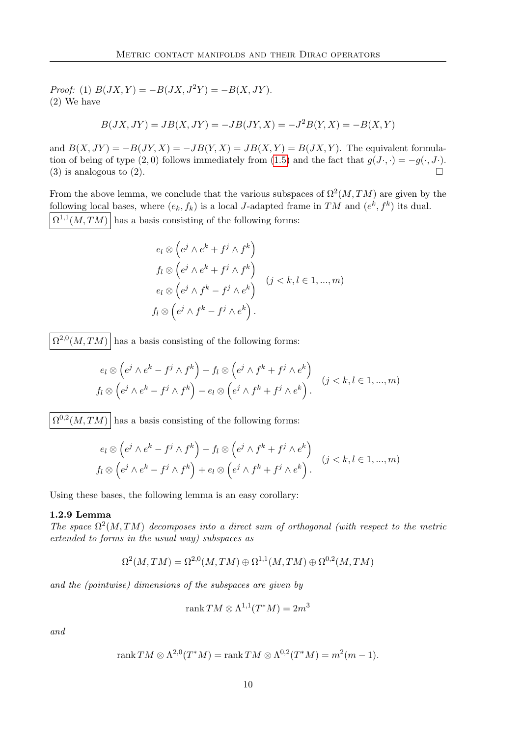Proof: (1)  $B(JX, Y) = -B(JX, J^2Y) = -B(X, JY)$ . (2) We have

$$
B(JX, JY) = JB(X, JY) = -JB(JY, X) = -J^{2}B(Y, X) = -B(X, Y)
$$

and  $B(X, JY) = -B(JY, X) = -JB(Y, X) = JB(X, Y) = B(JX, Y)$ . The equivalent formula-tion of being of type (2,0) follows immediately from [\(1.5\)](#page-17-1) and the fact that  $g(J \cdot, \cdot) = -g(\cdot, J \cdot)$ . (3) is analogous to (2).

From the above lemma, we conclude that the various subspaces of  $\Omega^2(M, TM)$  are given by the following local bases, where  $(e_k, f_k)$  is a local *J*-adapted frame in TM and  $(e^k, f^k)$  its dual.  $\Omega^{1,1}(M, TM)$  has a basis consisting of the following forms:

$$
e_l \otimes \left(e^j \wedge e^k + f^j \wedge f^k\right)
$$
  
\n
$$
f_l \otimes \left(e^j \wedge e^k + f^j \wedge f^k\right)
$$
  
\n
$$
e_l \otimes \left(e^j \wedge f^k - f^j \wedge e^k\right)
$$
  
\n
$$
f_l \otimes \left(e^j \wedge f^k - f^j \wedge e^k\right).
$$
  
\n
$$
(j < k, l \in 1, ..., m)
$$

 $\Omega^{2,0}(M,TM)$  has a basis consisting of the following forms:

$$
e_l \otimes \left(e^j \wedge e^k - f^j \wedge f^k\right) + f_l \otimes \left(e^j \wedge f^k + f^j \wedge e^k\right)
$$
  

$$
f_l \otimes \left(e^j \wedge e^k - f^j \wedge f^k\right) - e_l \otimes \left(e^j \wedge f^k + f^j \wedge e^k\right).
$$
  $(j < k, l \in 1, ..., m)$ 

 $\Omega^{0,2}(M, TM)$  has a basis consisting of the following forms:

$$
e_l \otimes \left(e^{j} \wedge e^{k} - f^{j} \wedge f^{k}\right) - f_l \otimes \left(e^{j} \wedge f^{k} + f^{j} \wedge e^{k}\right)
$$
  

$$
f_l \otimes \left(e^{j} \wedge e^{k} - f^{j} \wedge f^{k}\right) + e_l \otimes \left(e^{j} \wedge f^{k} + f^{j} \wedge e^{k}\right).
$$
  $(j < k, l \in 1, ..., m)$ 

Using these bases, the following lemma is an easy corollary:

#### 1.2.9 Lemma

The space  $\Omega^2(M, TM)$  decomposes into a direct sum of orthogonal (with respect to the metric extended to forms in the usual way) subspaces as

$$
\Omega^2(M,TM)=\Omega^{2,0}(M,TM)\oplus \Omega^{1,1}(M,TM)\oplus \Omega^{0,2}(M,TM)
$$

and the (pointwise) dimensions of the subspaces are given by

$$
\operatorname{rank} TM \otimes \Lambda^{1,1}(T^*M) = 2m^3
$$

and

$$
rank TM \otimes \Lambda^{2,0}(T^*M) = rank TM \otimes \Lambda^{0,2}(T^*M) = m^2(m-1).
$$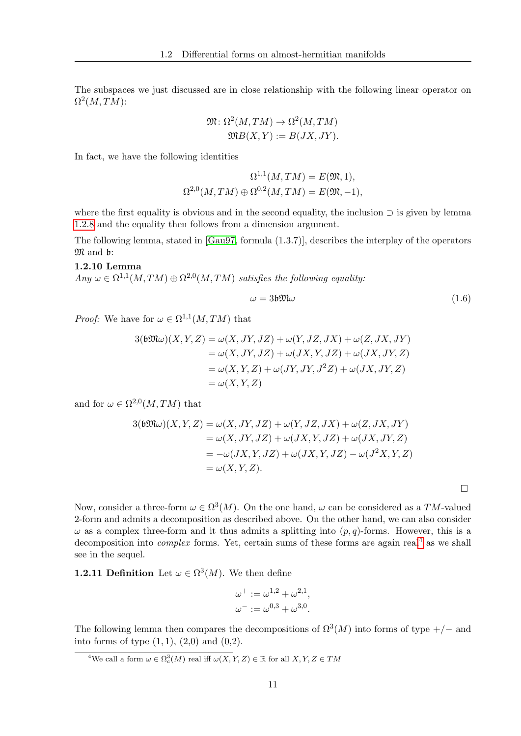The subspaces we just discussed are in close relationship with the following linear operator on  $\Omega^2(M,TM)$ :

$$
\mathfrak{M}\colon \Omega^2(M, TM) \to \Omega^2(M, TM)
$$
  

$$
\mathfrak{M}B(X, Y) := B(JX, JY).
$$

In fact, we have the following identities

$$
\Omega^{1,1}(M, TM) = E(\mathfrak{M}, 1),
$$
  

$$
\Omega^{2,0}(M, TM) \oplus \Omega^{0,2}(M, TM) = E(\mathfrak{M}, -1),
$$

where the first equality is obvious and in the second equality, the inclusion  $\supset$  is given by lemma [1.2.8](#page-18-0) and the equality then follows from a dimension argument.

<span id="page-20-1"></span>The following lemma, stated in [\[Gau97,](#page-116-7) formula (1.3.7)], describes the interplay of the operators M and b:

#### 1.2.10 Lemma

 $Any \omega \in \Omega^{1,1}(M, TM) \oplus \Omega^{2,0}(M, TM)$  satisfies the following equality:

$$
\omega = 3b \mathfrak{M} \omega \tag{1.6}
$$

*Proof:* We have for  $\omega \in \Omega^{1,1}(M, TM)$  that

$$
3(\text{b}\mathfrak{M}\omega)(X,Y,Z) = \omega(X,JY,JZ) + \omega(Y,JZ,JX) + \omega(Z,JX,JY)
$$
  
=  $\omega(X,JY,JZ) + \omega(JX,Y,JZ) + \omega(JX,JY,Z)$   
=  $\omega(X,Y,Z) + \omega(JY,JY,J^2Z) + \omega(JX,JY,Z)$   
=  $\omega(X,Y,Z)$ 

and for  $\omega \in \Omega^{2,0}(M,TM)$  that

$$
3(\mathfrak{b}\mathfrak{M}\omega)(X,Y,Z) = \omega(X,JY,JZ) + \omega(Y,JZ,JX) + \omega(Z,JX,JY)
$$
  
=  $\omega(X,JY,JZ) + \omega(JX,Y,JZ) + \omega(JX,JY,Z)$   
=  $-\omega(JX,Y,JZ) + \omega(JX,Y,JZ) - \omega(J^2X,Y,Z)$   
=  $\omega(X,Y,Z).$ 

 $\Box$ 

Now, consider a three-form  $\omega \in \Omega^3(M)$ . On the one hand,  $\omega$  can be considered as a TM-valued 2-form and admits a decomposition as described above. On the other hand, we can also consider  $\omega$  as a complex three-form and it thus admits a splitting into  $(p, q)$ -forms. However, this is a decomposition into *complex* forms. Yet, certain sums of these forms are again real<sup>[4](#page-20-0)</sup> as we shall see in the sequel.

**1.2.11 Definition** Let  $\omega \in \Omega^3(M)$ . We then define

$$
\omega^{+} := \omega^{1,2} + \omega^{2,1}, \n\omega^{-} := \omega^{0,3} + \omega^{3,0}.
$$

The following lemma then compares the decompositions of  $\Omega^3(M)$  into forms of type +/− and into forms of type  $(1, 1)$ ,  $(2, 0)$  and  $(0, 2)$ .

<span id="page-20-0"></span><sup>&</sup>lt;sup>4</sup>We call a form  $\omega \in \Omega_c^3(M)$  real iff  $\omega(X, Y, Z) \in \mathbb{R}$  for all  $X, Y, Z \in TM$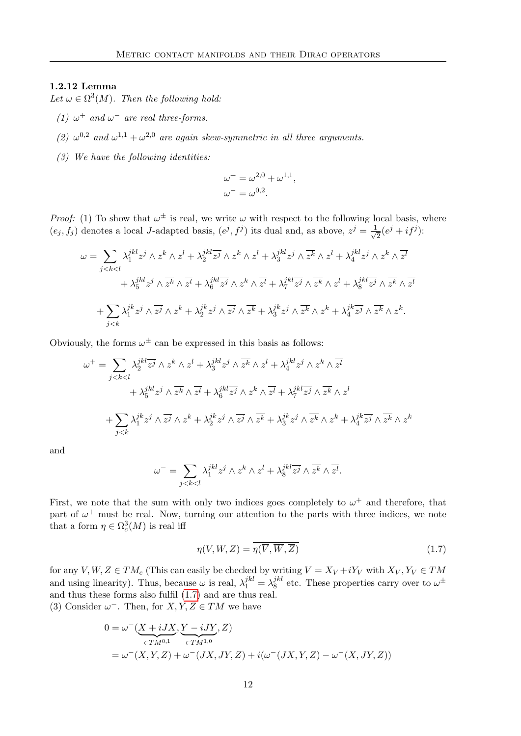#### 1.2.12 Lemma

Let  $\omega \in \Omega^3(M)$ . Then the following hold:

- (1)  $\omega^+$  and  $\omega^-$  are real three-forms.
- (2)  $\omega^{0,2}$  and  $\omega^{1,1} + \omega^{2,0}$  are again skew-symmetric in all three arguments.
- (3) We have the following identities:

$$
\omega^+ = \omega^{2,0} + \omega^{1,1},
$$
  

$$
\omega^- = \omega^{0,2}.
$$

*Proof:* (1) To show that  $\omega^{\pm}$  is real, we write  $\omega$  with respect to the following local basis, where  $(e_j, f_j)$  denotes a local J-adapted basis,  $(e^j, f^j)$  its dual and, as above,  $z^j = \frac{1}{\sqrt{2}}$  $\frac{1}{2}(e^j + if^j)$ :

$$
\omega = \sum_{j < k < l} \lambda_1^{jkl} z^j \wedge z^k \wedge z^l + \lambda_2^{jkl} \overline{z^j} \wedge z^k \wedge z^l + \lambda_3^{jkl} z^j \wedge \overline{z^k} \wedge z^l + \lambda_4^{jkl} z^j \wedge z^k \wedge \overline{z^l} + \lambda_5^{jkl} z^j \wedge \overline{z^k} \wedge \overline{z^l} + \lambda_6^{jkl} \overline{z^j} \wedge z^k \wedge \overline{z^l} + \lambda_7^{jkl} \overline{z^j} \wedge \overline{z^k} \wedge z^l + \lambda_8^{jkl} \overline{z^j} \wedge \overline{z^k} \wedge \overline{z^l} + \sum_{j < k} \lambda_1^{jk} z^j \wedge \overline{z^j} \wedge z^k + \lambda_2^{jk} z^j \wedge \overline{z^j} \wedge \overline{z^k} + \lambda_3^{jk} z^j \wedge \overline{z^k} \wedge z^k + \lambda_4^{jk} \overline{z^j} \wedge \overline{z^k} \wedge z^k.
$$

Obviously, the forms  $\omega^{\pm}$  can be expressed in this basis as follows:

$$
\omega^{+} = \sum_{j < k < l} \lambda_{2}^{jkl} \overline{z^{j}} \wedge z^{k} \wedge z^{l} + \lambda_{3}^{jkl} z^{j} \wedge \overline{z^{k}} \wedge z^{l} + \lambda_{4}^{jkl} z^{j} \wedge z^{k} \wedge \overline{z^{l}}
$$
\n
$$
+ \lambda_{5}^{jkl} z^{j} \wedge \overline{z^{k}} \wedge \overline{z^{l}} + \lambda_{6}^{jkl} \overline{z^{j}} \wedge z^{k} \wedge \overline{z^{l}} + \lambda_{7}^{jkl} \overline{z^{j}} \wedge \overline{z^{k}} \wedge z^{l}
$$
\n
$$
+ \sum_{j < k} \lambda_{1}^{jk} z^{j} \wedge \overline{z^{j}} \wedge z^{k} + \lambda_{2}^{jk} z^{j} \wedge \overline{z^{j}} \wedge \overline{z^{k}} + \lambda_{3}^{jk} z^{j} \wedge \overline{z^{k}} \wedge z^{k} + \lambda_{4}^{jk} \overline{z^{j}} \wedge \overline{z^{k}} \wedge z^{k}
$$

and

$$
\omega^{-} = \sum_{j < k < l} \lambda_1^{jkl} z^j \wedge z^k \wedge z^l + \lambda_8^{jkl} \overline{z^j} \wedge \overline{z^k} \wedge \overline{z^l}.
$$

First, we note that the sum with only two indices goes completely to  $\omega^+$  and therefore, that part of  $\omega^+$  must be real. Now, turning our attention to the parts with three indices, we note that a form  $\eta \in \Omega_c^3(M)$  is real iff

<span id="page-21-0"></span>
$$
\eta(V, W, Z) = \overline{\eta(\overline{V}, \overline{W}, \overline{Z})}
$$
\n(1.7)

for any V,  $W, Z \in TM_c$  (This can easily be checked by writing  $V = X_V + iY_V$  with  $X_V, Y_V \in TM_c$ and using linearity). Thus, because  $\omega$  is real,  $\lambda_1^{jkl} = \lambda_8^{jkl}$  $s^{jkl}$  etc. These properties carry over to  $\omega^{\pm}$ and thus these forms also fulfil [\(1.7\)](#page-21-0) and are thus real. (3) Consider  $\omega^-$ . Then, for  $X, Y, Z \in TM$  we have

$$
0 = \omega^{-}(\underbrace{X + iJX}_{\in TM^{0,1}}, \underbrace{Y - iJY}_{\in TM^{1,0}}, Z)
$$
  
=  $\omega^{-}(X, Y, Z) + \omega^{-}(JX, JY, Z) + i(\omega^{-}(JX, Y, Z) - \omega^{-}(X, JY, Z))$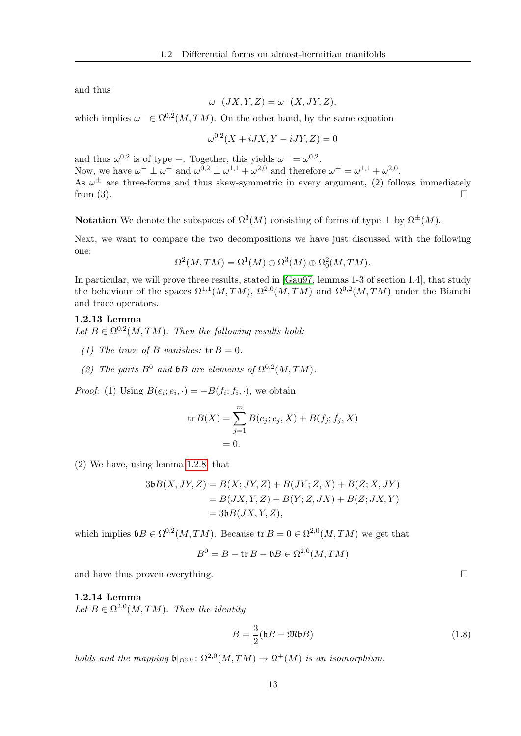and thus

$$
\omega^{-}(JX, Y, Z) = \omega^{-}(X, JY, Z),
$$

which implies  $\omega^- \in \Omega^{0,2}(M, TM)$ . On the other hand, by the same equation

$$
\omega^{0,2}(X+iJX, Y-iJY, Z) = 0
$$

and thus  $\omega^{0,2}$  is of type –. Together, this yields  $\omega^{-} = \omega^{0,2}$ . Now, we have  $\omega^- \perp \omega^+$  and  $\omega^{0,2} \perp \omega^{1,1} + \omega^{2,0}$  and therefore  $\omega^+ = \omega^{1,1} + \omega^{2,0}$ . As  $\omega^{\pm}$  are three-forms and thus skew-symmetric in every argument, (2) follows immediately from  $(3)$ .

**Notation** We denote the subspaces of  $\Omega^3(M)$  consisting of forms of type  $\pm$  by  $\Omega^{\pm}(M)$ .

Next, we want to compare the two decompositions we have just discussed with the following one:

$$
\Omega^2(M,TM) = \Omega^1(M) \oplus \Omega^3(M) \oplus \Omega^2_0(M,TM).
$$

In particular, we will prove three results, stated in [\[Gau97,](#page-116-7) lemmas 1-3 of section 1.4], that study the behaviour of the spaces  $\Omega^{1,1}(M, TM)$ ,  $\Omega^{2,0}(M, TM)$  and  $\Omega^{0,2}(M, TM)$  under the Bianchi and trace operators.

#### <span id="page-22-2"></span>1.2.13 Lemma

Let  $B \in \Omega^{0,2}(M, TM)$ . Then the following results hold:

- (1) The trace of B vanishes:  $tr B = 0$ .
- (2) The parts  $B^0$  and  $\mathfrak{b}B$  are elements of  $\Omega^{0,2}(M, TM)$ .

*Proof:* (1) Using  $B(e_i; e_i, \cdot) = -B(f_i; f_i, \cdot)$ , we obtain

$$
\text{tr } B(X) = \sum_{j=1}^{m} B(e_j; e_j, X) + B(f_j; f_j, X) = 0.
$$

(2) We have, using lemma [1.2.8,](#page-18-0) that

$$
3\mathfrak{b}B(X,JY,Z) = B(X;JY,Z) + B(JY;Z,X) + B(Z;X,JY)
$$
  
= B(JX,Y,Z) + B(Y;Z,JX) + B(Z;JX,Y)  
= 3\mathfrak{b}B(JX,Y,Z),

which implies  $\mathfrak{b}B \in \Omega^{0,2}(M, TM)$ . Because tr  $B = 0 \in \Omega^{2,0}(M, TM)$  we get that

$$
B^0 = B - \operatorname{tr} B - \mathfrak{b}B \in \Omega^{2,0}(M, TM)
$$

and have thus proven everything.  $\Box$ 

#### <span id="page-22-1"></span>1.2.14 Lemma

Let  $B \in \Omega^{2,0}(M,TM)$ . Then the identity

<span id="page-22-0"></span>
$$
B = \frac{3}{2}(\mathfrak{b}B - \mathfrak{M}\mathfrak{b}B) \tag{1.8}
$$

holds and the mapping  $\mathfrak{b}|_{\Omega^{2,0}} \colon \Omega^{2,0}(M,TM) \to \Omega^+(M)$  is an isomorphism.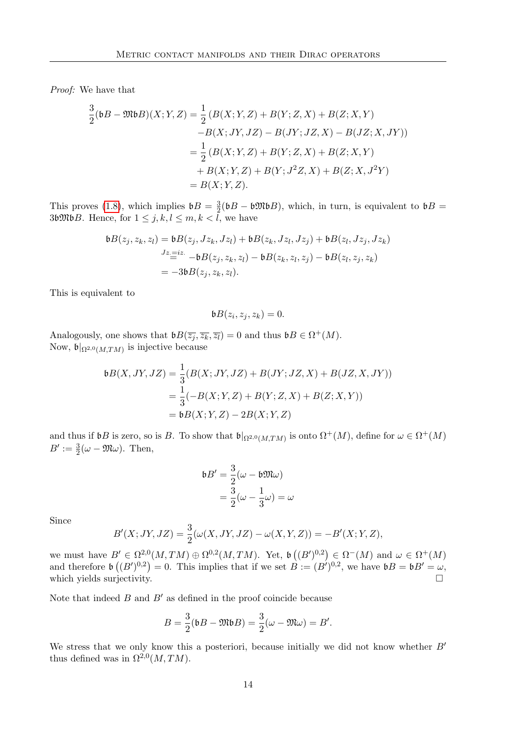Proof: We have that

$$
\frac{3}{2}(\mathfrak{b}B - \mathfrak{M}\mathfrak{b}B)(X;Y,Z) = \frac{1}{2}(B(X;Y,Z) + B(Y;Z,X) + B(Z;X,Y) \n-B(X;JY,JZ) - B(JY;JZ,X) - B(JZ;X,JY)) \n= \frac{1}{2}(B(X;Y,Z) + B(Y;Z,X) + B(Z;X,Y) \n+ B(X;Y,Z) + B(Y;J^2Z,X) + B(Z;X,J^2Y) \n= B(X;Y,Z).
$$

This proves [\(1.8\)](#page-22-0), which implies  $\mathfrak{b}B = \frac{3}{2}$  $\frac{3}{2}$ (bB – b $M$ bB), which, in turn, is equivalent to bB = 36 $\mathfrak{M}\mathfrak{b}B$ . Hence, for  $1 \leq j, k, l \leq m, k < l$ , we have

$$
\mathfrak{b}B(z_j, z_k, z_l) = \mathfrak{b}B(z_j, Jz_k, Jz_l) + \mathfrak{b}B(z_k, Jz_l, Jz_j) + \mathfrak{b}B(z_l, Jz_j, Jz_k)
$$
  
\n
$$
Jz = iz - \mathfrak{b}B(z_j, z_k, z_l) - \mathfrak{b}B(z_k, z_l, z_j) - \mathfrak{b}B(z_l, z_j, z_k)
$$
  
\n
$$
= -3\mathfrak{b}B(z_j, z_k, z_l).
$$

This is equivalent to

$$
\mathfrak{b} B(z_i,z_j,z_k)=0.
$$

Analogously, one shows that  $\mathfrak{b}B(\overline{z_j}, \overline{z_k}, \overline{z_l}) = 0$  and thus  $\mathfrak{b}B \in \Omega^+(M)$ . Now,  $\mathfrak{b}|_{\Omega^{2,0}(M,TM)}$  is injective because

$$
\begin{aligned} \mathfrak{b}B(X,JY,JZ) &= \frac{1}{3}(B(X;JY,JZ) + B(JY;JZ,X) + B(JZ,X,JY)) \\ &= \frac{1}{3}(-B(X;Y,Z) + B(Y;Z,X) + B(Z;X,Y)) \\ &= \mathfrak{b}B(X;Y,Z) - 2B(X;Y,Z) \end{aligned}
$$

and thus if  $\mathfrak{b}B$  is zero, so is B. To show that  $\mathfrak{b}|_{\Omega^{2,0}(M,TM)}$  is onto  $\Omega^+(M)$ , define for  $\omega \in \Omega^+(M)$  $B' := \frac{3}{2}(\omega - \mathfrak{M}\omega)$ . Then,

$$
\begin{aligned} \mathfrak{b}B' &= \frac{3}{2}(\omega - \mathfrak{b}\mathfrak{M}\omega) \\ &= \frac{3}{2}(\omega - \frac{1}{3}\omega) = \omega \end{aligned}
$$

Since

$$
B'(X;JY,JZ) = \frac{3}{2}(\omega(X,JY,JZ) - \omega(X,Y,Z)) = -B'(X;Y,Z),
$$

we must have  $B' \in \Omega^{2,0}(M, TM) \oplus \Omega^{0,2}(M, TM)$ . Yet,  $\mathfrak{b}((B')^{0,2}) \in \Omega^-(M)$  and  $\omega \in \Omega^+(M)$ and therefore  $\mathfrak{b}((B')^{0,2})=0$ . This implies that if we set  $B := (B')^{0,2}$ , we have  $\mathfrak{b}B = \mathfrak{b}B' = \omega$ , which yields surjectivity.

Note that indeed  $B$  and  $B'$  as defined in the proof coincide because

$$
B = \frac{3}{2}(\mathfrak{b}B - \mathfrak{M}\mathfrak{b}B) = \frac{3}{2}(\omega - \mathfrak{M}\omega) = B'.
$$

We stress that we only know this a posteriori, because initially we did not know whether  $B'$ thus defined was in  $\Omega^{2,0}(M,TM)$ .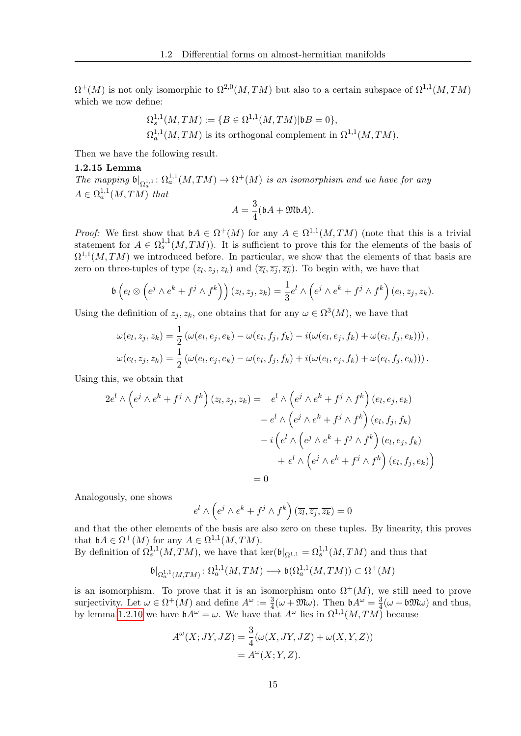$\Omega^+(M)$  is not only isomorphic to  $\Omega^{2,0}(M, TM)$  but also to a certain subspace of  $\Omega^{1,1}(M, TM)$ which we now define:

$$
\Omega_s^{1,1}(M,TM) := \{ B \in \Omega^{1,1}(M,TM) | \mathfrak{b}B = 0 \},
$$
  

$$
\Omega_a^{1,1}(M,TM)
$$
 is its orthogonal complement in  $\Omega^{1,1}(M,TM)$ .

Then we have the following result.

#### <span id="page-24-0"></span>1.2.15 Lemma

The mapping  $\mathfrak{b}|_{\Omega^{1,1}_\alpha} : \Omega^{1,1}_a(M, TM) \to \Omega^+(M)$  is an isomorphism and we have for any  $A \in \Omega_a^{1,1}(M,TM)$  that

$$
A = \frac{3}{4}(\mathfrak{b}A + \mathfrak{M}\mathfrak{b}A).
$$

*Proof:* We first show that  $\mathfrak{b}A \in \Omega^+(M)$  for any  $A \in \Omega^{1,1}(M, TM)$  (note that this is a trivial statement for  $A \in \Omega_s^{1,1}(M, TM)$ ). It is sufficient to prove this for the elements of the basis of  $\Omega^{1,1}(M, TM)$  we introduced before. In particular, we show that the elements of that basis are zero on three-tuples of type  $(z_l, z_j, z_k)$  and  $(\overline{z_l}, \overline{z_j}, \overline{z_k})$ . To begin with, we have that

$$
\mathfrak{b}\left(e_l\otimes\left(e^j\wedge e^k+f^j\wedge f^k\right)\right)(z_l,z_j,z_k)=\frac{1}{3}e^l\wedge\left(e^j\wedge e^k+f^j\wedge f^k\right)(e_l,z_j,z_k).
$$

Using the definition of  $z_j, z_k$ , one obtains that for any  $\omega \in \Omega^3(M)$ , we have that

$$
\omega(e_l, z_j, z_k) = \frac{1}{2} (\omega(e_l, e_j, e_k) - \omega(e_l, f_j, f_k) - i(\omega(e_l, e_j, f_k) + \omega(e_l, f_j, e_k))),
$$
  

$$
\omega(e_l, \overline{z_j}, \overline{z_k}) = \frac{1}{2} (\omega(e_l, e_j, e_k) - \omega(e_l, f_j, f_k) + i(\omega(e_l, e_j, f_k) + \omega(e_l, f_j, e_k))).
$$

Using this, we obtain that

$$
2e^{l} \wedge (e^{j} \wedge e^{k} + f^{j} \wedge f^{k}) (z_{l}, z_{j}, z_{k}) = e^{l} \wedge (e^{j} \wedge e^{k} + f^{j} \wedge f^{k}) (e_{l}, e_{j}, e_{k})
$$

$$
- e^{l} \wedge (e^{j} \wedge e^{k} + f^{j} \wedge f^{k}) (e_{l}, f_{j}, f_{k})
$$

$$
- i (e^{l} \wedge (e^{j} \wedge e^{k} + f^{j} \wedge f^{k}) (e_{l}, e_{j}, f_{k})
$$

$$
+ e^{l} \wedge (e^{j} \wedge e^{k} + f^{j} \wedge f^{k}) (e_{l}, f_{j}, e_{k})
$$

$$
= 0
$$

Analogously, one shows

$$
e^l \wedge \left(e^j \wedge e^k + f^j \wedge f^k\right) \left(\overline{z_l}, \overline{z_j}, \overline{z_k}\right) = 0
$$

and that the other elements of the basis are also zero on these tuples. By linearity, this proves that  $\mathfrak{b}A \in \Omega^+(M)$  for any  $A \in \Omega^{1,1}(M, TM)$ .

By definition of  $\Omega_s^{1,1}(M, TM)$ , we have that ker( $\mathfrak{b}|_{\Omega^{1,1}} = \Omega_s^{1,1}(M, TM)$  and thus that

$$
\mathfrak{b}|_{\Omega^{1,1}_a(M,TM)}\colon \Omega^{1,1}_a(M,TM)\longrightarrow \mathfrak{b}(\Omega^{1,1}_a(M,TM))\subset \Omega^+(M)
$$

is an isomorphism. To prove that it is an isomorphism onto  $\Omega^+(M)$ , we still need to prove surjectivity. Let  $\omega \in \Omega^+(M)$  and define  $A^{\omega} := \frac{3}{4}(\omega + \mathfrak{M}\omega)$ . Then  $\mathfrak{b}A^{\omega} = \frac{3}{4}$  $\frac{3}{4}(\omega + \mathfrak{b} \mathfrak{M} \omega)$  and thus, by lemma [1.2.10](#page-20-1) we have  $\mathfrak{b}A^{\omega} = \omega$ . We have that  $A^{\omega}$  lies in  $\Omega^{1,1}(M, TM)$  because

$$
A^{\omega}(X; JY, JZ) = \frac{3}{4}(\omega(X, JY, JZ) + \omega(X, Y, Z))
$$
  
= 
$$
A^{\omega}(X; Y, Z).
$$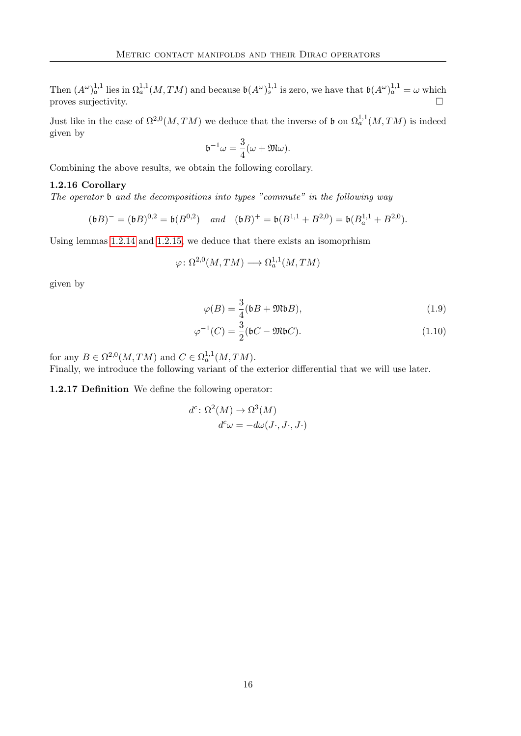Then  $(A^{\omega})_a^{1,1}$  lies in  $\Omega_a^{1,1}(M, TM)$  and because  $\mathfrak{b}(A^{\omega})_s^{1,1}$  is zero, we have that  $\mathfrak{b}(A^{\omega})_a^{1,1} = \omega$  which proves surjectivity.

Just like in the case of  $\Omega^{2,0}(M,TM)$  we deduce that the inverse of b on  $\Omega^{1,1}_a(M,TM)$  is indeed given by

<span id="page-25-0"></span>
$$
\mathfrak{b}^{-1}\omega = \frac{3}{4}(\omega + \mathfrak{M}\omega).
$$

Combining the above results, we obtain the following corollary.

#### 1.2.16 Corollary

The operator  $\mathfrak b$  and the decompositions into types "commute" in the following way

$$
(\mathfrak{b}B)^{-} = (\mathfrak{b}B)^{0,2} = \mathfrak{b}(B^{0,2})
$$
 and  $(\mathfrak{b}B)^{+} = \mathfrak{b}(B^{1,1} + B^{2,0}) = \mathfrak{b}(B^{1,1}_a + B^{2,0}).$ 

Using lemmas [1.2.14](#page-22-1) and [1.2.15,](#page-24-0) we deduce that there exists an isomoprhism

$$
\varphi \colon \Omega^{2,0}(M,TM) \longrightarrow \Omega^{1,1}_a(M,TM)
$$

given by

$$
\varphi(B) = \frac{3}{4}(\mathfrak{b}B + \mathfrak{M}\mathfrak{b}B),\tag{1.9}
$$

$$
\varphi^{-1}(C) = \frac{3}{2}(\mathfrak{b}C - \mathfrak{M}\mathfrak{b}C). \tag{1.10}
$$

for any  $B \in \Omega^{2,0}(M, TM)$  and  $C \in \Omega_a^{1,1}(M, TM)$ .

Finally, we introduce the following variant of the exterior differential that we will use later.

1.2.17 Definition We define the following operator:

$$
d^c \colon \Omega^2(M) \to \Omega^3(M)
$$
  

$$
d^c \omega = -d\omega(J \cdot, J \cdot, J \cdot)
$$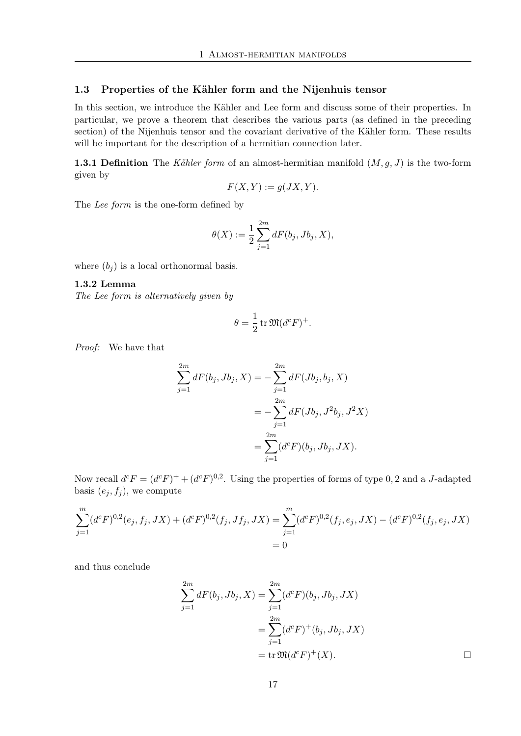#### <span id="page-26-0"></span>1.3 Properties of the Kähler form and the Nijenhuis tensor

In this section, we introduce the Kähler and Lee form and discuss some of their properties. In particular, we prove a theorem that describes the various parts (as defined in the preceding section) of the Nijenhuis tensor and the covariant derivative of the Kähler form. These results will be important for the description of a hermitian connection later.

**1.3.1 Definition** The Kähler form of an almost-hermitian manifold  $(M, g, J)$  is the two-form given by

$$
F(X, Y) := g(JX, Y).
$$

The Lee form is the one-form defined by

$$
\theta(X) := \frac{1}{2} \sum_{j=1}^{2m} dF(b_j, Jb_j, X),
$$

where  $(b_i)$  is a local orthonormal basis.

#### 1.3.2 Lemma

The Lee form is alternatively given by

$$
\theta = \frac{1}{2} \operatorname{tr} \mathfrak{M} (d^c F)^+.
$$

Proof: We have that

$$
\sum_{j=1}^{2m} dF(b_j, Jb_j, X) = -\sum_{j=1}^{2m} dF(Jb_j, b_j, X)
$$
  
= 
$$
-\sum_{j=1}^{2m} dF(Jb_j, J^2b_j, J^2X)
$$
  
= 
$$
\sum_{j=1}^{2m} (d^cF)(b_j, Jb_j, JX).
$$

Now recall  $d^c F = (d^c F)^+ + (d^c F)^{0,2}$ . Using the properties of forms of type 0, 2 and a J-adapted basis  $(e_j, f_j)$ , we compute

$$
\sum_{j=1}^{m} (d^{c}F)^{0,2}(e_{j},f_{j},JX) + (d^{c}F)^{0,2}(f_{j},Jf_{j},JX) = \sum_{j=1}^{m} (d^{c}F)^{0,2}(f_{j},e_{j},JX) - (d^{c}F)^{0,2}(f_{j},e_{j},JX) = 0
$$

and thus conclude

$$
\sum_{j=1}^{2m} dF(b_j, Jb_j, X) = \sum_{j=1}^{2m} (d^c F)(b_j, Jb_j, JX)
$$
  
= 
$$
\sum_{j=1}^{2m} (d^c F)^+(b_j, Jb_j, JX)
$$
  
= 
$$
\text{tr } \mathfrak{M}(d^c F)^+(X).
$$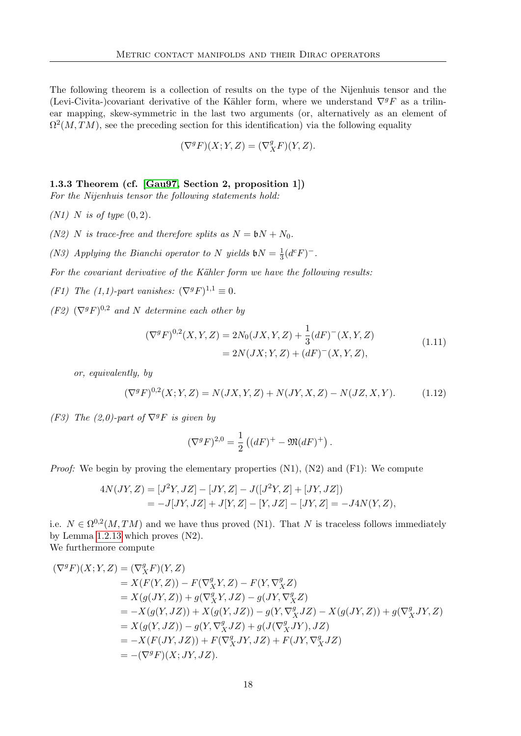The following theorem is a collection of results on the type of the Nijenhuis tensor and the (Levi-Civita-)covariant derivative of the Kähler form, where we understand  $\nabla^g F$  as a trilinear mapping, skew-symmetric in the last two arguments (or, alternatively as an element of  $\Omega^2(M, TM)$ , see the preceding section for this identification) via the following equality

$$
(\nabla^g F)(X;Y,Z)=(\nabla^g_X F)(Y,Z).
$$

1.3.3 Theorem (cf. [\[Gau97,](#page-116-7) Section 2, proposition 1])

For the Nijenhuis tensor the following statements hold:

(N1) N is of type  $(0, 2)$ .

(N2) N is trace-free and therefore splits as  $N = 6N + N_0$ .

(N3) Applying the Bianchi operator to N yields  $\mathfrak{b}N=\frac{1}{3}$  $\frac{1}{3}(d^cF)^-$ .

For the covariant derivative of the Kähler form we have the following results:

- (F1) The (1,1)-part vanishes:  $(\nabla^g F)^{1,1} \equiv 0$ .
- $(F2)$   $(\nabla^g F)^{0,2}$  and N determine each other by

$$
(\nabla^g F)^{0,2}(X,Y,Z) = 2N_0(JX,Y,Z) + \frac{1}{3}(dF)^{-}(X,Y,Z)
$$
  
= 2N(JX;Y,Z) + (dF)^{-}(X,Y,Z), (1.11)

<span id="page-27-1"></span>or, equivalently, by

<span id="page-27-0"></span>
$$
(\nabla^g F)^{0,2}(X;Y,Z) = N(JX,Y,Z) + N(JY,X,Z) - N(JZ,X,Y). \tag{1.12}
$$

(F3) The (2,0)-part of  $\nabla^g F$  is given by

$$
(\nabla^g F)^{2,0} = \frac{1}{2} ((dF)^+ - \mathfrak{M}(dF)^+).
$$

Proof: We begin by proving the elementary properties  $(N1)$ ,  $(N2)$  and  $(F1)$ : We compute

$$
4N(JY, Z) = [J2Y, JZ] - [JY, Z] - J([J2Y, Z] + [JY, JZ])
$$
  
= -J[JY, JZ] + J[Y, Z] - [Y, JZ] - [JY, Z] = -J4N(Y, Z),

i.e.  $N \in \Omega^{0,2}(M, TM)$  and we have thus proved (N1). That N is traceless follows immediately by Lemma [1.2.13](#page-22-2) which proves (N2).

We furthermore compute

$$
(\nabla^{g} F)(X;Y,Z) = (\nabla^{g}_{X} F)(Y,Z)
$$
  
\n
$$
= X(F(Y,Z)) - F(\nabla^{g}_{X} Y, Z) - F(Y, \nabla^{g}_{X} Z)
$$
  
\n
$$
= X(g(JY,Z)) + g(\nabla^{g}_{X} Y, JZ) - g(JY, \nabla^{g}_{X} Z)
$$
  
\n
$$
= -X(g(Y,JZ)) + X(g(Y,JZ)) - g(Y, \nabla^{g}_{X} JZ) - X(g(JY,Z)) + g(\nabla^{g}_{X} JY, Z)
$$
  
\n
$$
= X(g(Y,JZ)) - g(Y, \nabla^{g}_{X} JZ) + g(J(\nabla^{g}_{X} JY), JZ)
$$
  
\n
$$
= -X(F(JY,JZ)) + F(\nabla^{g}_{X} JY, JZ) + F(JY, \nabla^{g}_{X} JZ)
$$
  
\n
$$
= -(\nabla^{g} F)(X; JY, JZ).
$$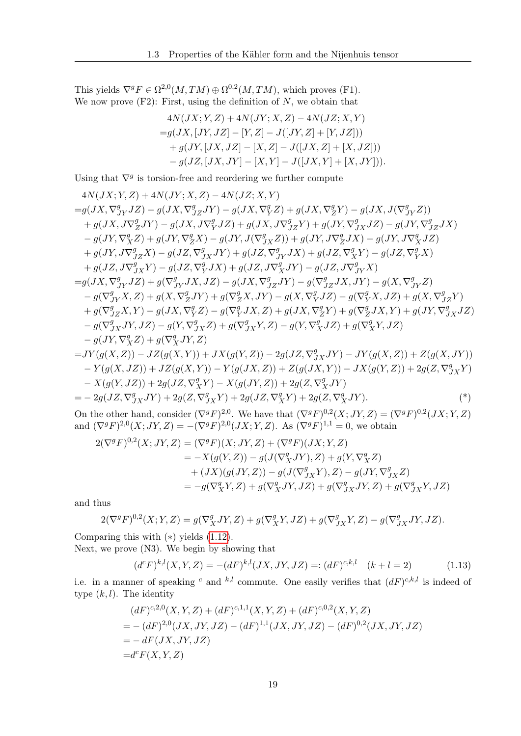This yields  $\nabla^g F \in \Omega^{2,0}(M,TM) \oplus \Omega^{0,2}(M,TM)$ , which proves (F1). We now prove  $(F2)$ : First, using the definition of N, we obtain that

$$
4N(JX; Y, Z) + 4N(JY; X, Z) - 4N(JZ; X, Y)
$$
  
=g(JX, [JY, JZ] - [Y, Z] - J([JY, Z] + [Y, JZ]))  
+g(JY, [JX, JZ] - [X, Z] - J([JX, Z] + [X, JZ]))  
-g(JZ, [JX, JY] - [X, Y] - J([JX, Y] + [X, JY])).

Using that  $\nabla^g$  is torsion-free and reordering we further compute

$$
4N(JX;Y,Z) + 4N(JY;X,Z) - 4N(JZ;X,Y)
$$
  
\n
$$
=g(JX,\nabla_{JY}^{g}JZ) - g(JX,\nabla_{JZ}^{g}JY) - g(JX,\nabla_{Y}^{g}Z) + g(JX,\nabla_{Z}^{g}Y) - g(JX,J(\nabla_{JY}^{g}Z))
$$
  
\n
$$
+ g(JX,J\nabla_{Z}^{g}JY) - g(JX,J\nabla_{Y}^{g}JZ) + g(JX,J\nabla_{JZ}^{g}Y) + g(JY,\nabla_{JX}^{g}JZ) - g(JY,\nabla_{JZ}^{g}JX)
$$
  
\n
$$
- g(JY,\nabla_{X}^{g}Z) + g(JY,\nabla_{Z}^{g}X) - g(JY,J(\nabla_{JX}^{g}Z)) + g(JY,J\nabla_{Z}^{g}JX) - g(JY,J\nabla_{X}^{g}JZ)
$$
  
\n
$$
+ g(JY,J\nabla_{JZ}^{g}X) - g(JZ,\nabla_{JX}^{g}JY) + g(JZ,\nabla_{JY}^{g}JX) + g(JZ,\nabla_{X}^{g}Y) - g(JZ,\nabla_{Y}^{g}X)
$$
  
\n
$$
+ g(JZ,J\nabla_{JX}^{g}Y) - g(JZ,\nabla_{Y}^{g}JX) + g(JZ,J\nabla_{X}^{g}JY) - g(JZ,J\nabla_{JY}^{g}X)
$$
  
\n
$$
= g(JX,\nabla_{JY}^{g}JZ) + g(\nabla_{JY}^{g}JX,JZ) - g(JX,\nabla_{JZ}^{g}JY) - g(\nabla_{JZ}^{g}JX,JY) - g(X,\nabla_{JY}^{g}Z)
$$
  
\n
$$
- g(\nabla_{JY}^{g}X,Z) + g(X,\nabla_{Z}^{g}JY) + g(\nabla_{Z}^{g}X,JY) - g(X,\nabla_{Y}^{g}JZ) - g(\nabla_{Y}^{g}X,JZ) + g(X,\nabla_{JZ}^{g}Y)
$$
  
\n
$$
+ g(\nabla_{JZ}^{g}X,Y) - g(JX,\nabla_{Y}^{g}Z) - g(\nabla_{Y}^{g}JX,Z)
$$

On the other hand, consider  $(\nabla^g F)^{2,0}$ . We have that  $(\nabla^g F)^{0,2}(X;JY,Z)=(\nabla^g F)^{0,2}(JX;Y,Z)$ and  $(\nabla^g F)^{2,0}(X; JY, Z) = -(\nabla^g F)^{2,0}(JX; Y, Z)$ . As  $(\nabla^g F)^{1,1} = 0$ , we obtain

$$
2(\nabla^g F)^{0,2}(X; JY, Z) = (\nabla^g F)(X; JY, Z) + (\nabla^g F)(JX; Y, Z)
$$
  
\n
$$
= -X(g(Y, Z)) - g(J(\nabla_X^g JY), Z) + g(Y, \nabla_X^g Z)
$$
  
\n
$$
+ (JX)(g(JY, Z)) - g(J(\nabla_{JX}^g Y), Z) - g(JY, \nabla_{JX}^g Z)
$$
  
\n
$$
= -g(\nabla_X^g Y, Z) + g(\nabla_X^g JY, JZ) + g(\nabla_{JX}^g JY, Z) + g(\nabla_{JX}^g Y, JZ)
$$

and thus

$$
2(\nabla^g F)^{0,2}(X;Y,Z)=g(\nabla^g_XJY,Z)+g(\nabla^g_XY,JZ)+g(\nabla^g_{JX}Y,Z)-g(\nabla^g_{JX}JY,JZ).
$$

Comparing this with  $(*)$  yields  $(1.12)$ .

Next, we prove (N3). We begin by showing that

<span id="page-28-0"></span>
$$
(d^{c}F)^{k,l}(X,Y,Z) = -(dF)^{k,l}(JX,JY,JZ) =: (dF)^{c,k,l} \quad (k+l=2)
$$
 (1.13)

i.e. in a manner of speaking <sup>c</sup> and <sup>k,l</sup> commute. One easily verifies that  $(dF)^{c,k,l}$  is indeed of type  $(k, l)$ . The identity

$$
(dF)^{c,2,0}(X,Y,Z) + (dF)^{c,1,1}(X,Y,Z) + (dF)^{c,0,2}(X,Y,Z)
$$
  
= -  $(dF)^{2,0}(JX,JY,JZ) - (dF)^{1,1}(JX,JY,JZ) - (dF)^{0,2}(JX,JY,JZ)$   
= -  $dF(JX,JY,JZ)$   
=  $d^cF(X,Y,Z)$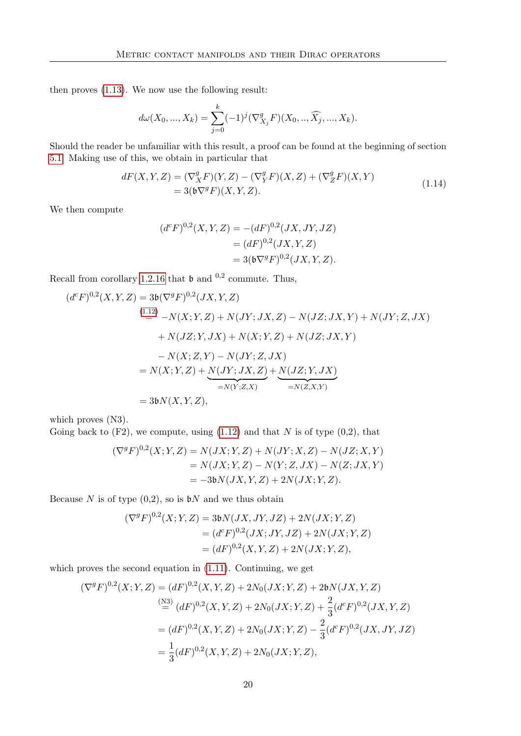then proves [\(1.13\)](#page-28-0). We now use the following result:

$$
d\omega(X_0, ..., X_k) = \sum_{j=0}^k (-1)^j (\nabla^g_{X_j} F)(X_0, ..., \widehat{X_j}, ..., X_k).
$$

Should the reader be unfamiliar with this result, a proof can be found at the beginning of section [5.1.](#page-90-1) Making use of this, we obtain in particular that

$$
dF(X,Y,Z) = (\nabla^g_X F)(Y,Z) - (\nabla^g_Y F)(X,Z) + (\nabla^g_Z F)(X,Y)
$$
  
= 3( $\mathfrak{b}\nabla^g F$ )(X,Y,Z). (1.14)

<span id="page-29-0"></span>We then compute

$$
(dcF)0,2(X, Y, Z) = -(dF)0,2(JX, JY, JZ)
$$
  
= 
$$
(dF)0,2(JX, Y, Z)
$$
  
= 
$$
3(6\nablagF)0,2(JX, Y, Z).
$$

Recall from corollary [1.2.16](#page-25-0) that  $\mathfrak b$  and  $^{0,2}$  commute. Thus,

$$
(d^{c}F)^{0,2}(X,Y,Z) = 3\mathfrak{b}(\nabla^{g}F)^{0,2}(JX,Y,Z)
$$
  
\n
$$
{}^{(1,12)}_{=} - N(X;Y,Z) + N(JY;JX,Z) - N(JZ;JX,Y) + N(JY;Z,JX)
$$
  
\n
$$
+ N(JZ;Y,JX) + N(X;Y,Z) + N(JZ;JX,Y)
$$
  
\n
$$
- N(X;Z,Y) - N(JY;Z,JX)
$$
  
\n
$$
= N(X;Y,Z) + N(JY;JX,Z) + N(JZ;Y,JX)
$$
  
\n
$$
= N(Y;Z,X)
$$
  
\n
$$
= N(Z,X,Y)
$$

which proves  $(N3)$ .

Going back to  $(F2)$ , we compute, using  $(1.12)$  and that N is of type  $(0,2)$ , that

$$
(\nabla^{g} F)^{0,2}(X;Y,Z) = N(JX;Y,Z) + N(JY;X,Z) - N(JZ;X,Y)
$$
  
= N(JX;Y,Z) - N(Y;Z,JX) - N(Z;JX,Y)  
= -3bN(JX,Y,Z) + 2N(JX;Y,Z).

Because N is of type  $(0,2)$ , so is  $\mathfrak{b}N$  and we thus obtain

$$
(\nabla^g F)^{0,2}(X;Y,Z) = 3\mathfrak{b}N(JX,JY,JZ) + 2N(JX;Y,Z)
$$
  
=  $(d^cF)^{0,2}(JX;JY,JZ) + 2N(JX;Y,Z)$   
=  $(dF)^{0,2}(X,Y,Z) + 2N(JX;Y,Z),$ 

which proves the second equation in [\(1.11\)](#page-27-1). Continuing, we get

$$
(\nabla^{g} F)^{0,2}(X;Y,Z) = (dF)^{0,2}(X,Y,Z) + 2N_{0}(JX;Y,Z) + 2bN(JX,Y,Z)
$$
  
\n
$$
\stackrel{\text{(N3)}}{=} (dF)^{0,2}(X,Y,Z) + 2N_{0}(JX;Y,Z) + \frac{2}{3}(d^{c}F)^{0,2}(JX,Y,Z)
$$
  
\n
$$
= (dF)^{0,2}(X,Y,Z) + 2N_{0}(JX;Y,Z) - \frac{2}{3}(d^{c}F)^{0,2}(JX,JY,JZ)
$$
  
\n
$$
= \frac{1}{3}(dF)^{0,2}(X,Y,Z) + 2N_{0}(JX;Y,Z),
$$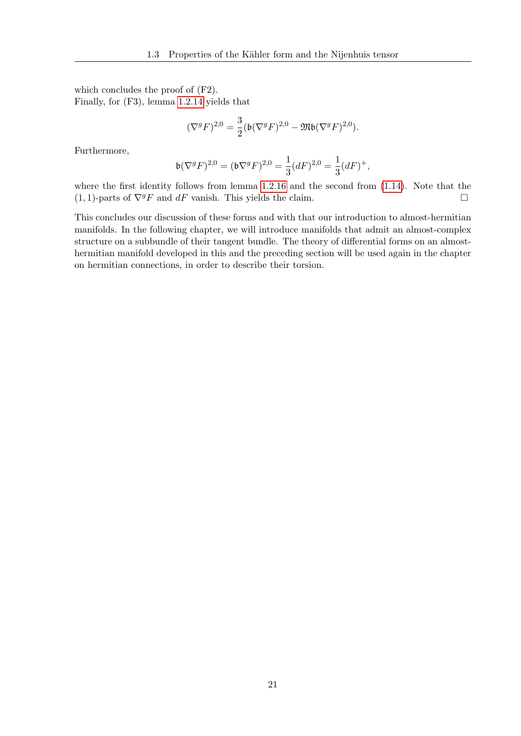which concludes the proof of (F2). Finally, for (F3), lemma [1.2.14](#page-22-1) yields that

$$
(\nabla^g F)^{2,0} = \frac{3}{2} (\mathfrak{b}(\nabla^g F)^{2,0} - \mathfrak{M} \mathfrak{b}(\nabla^g F)^{2,0}).
$$

Furthermore,

$$
\mathfrak{b}(\nabla^gF)^{2,0}=(\mathfrak{b}\nabla^gF)^{2,0}=\frac{1}{3}(dF)^{2,0}=\frac{1}{3}(dF)^+,
$$

where the first identity follows from lemma [1.2.16](#page-25-0) and the second from [\(1.14\)](#page-29-0). Note that the  $(1, 1)$ -parts of  $\nabla^g F$  and  $dF$  vanish. This yields the claim.

This concludes our discussion of these forms and with that our introduction to almost-hermitian manifolds. In the following chapter, we will introduce manifolds that admit an almost-complex structure on a subbundle of their tangent bundle. The theory of differential forms on an almosthermitian manifold developed in this and the preceding section will be used again in the chapter on hermitian connections, in order to describe their torsion.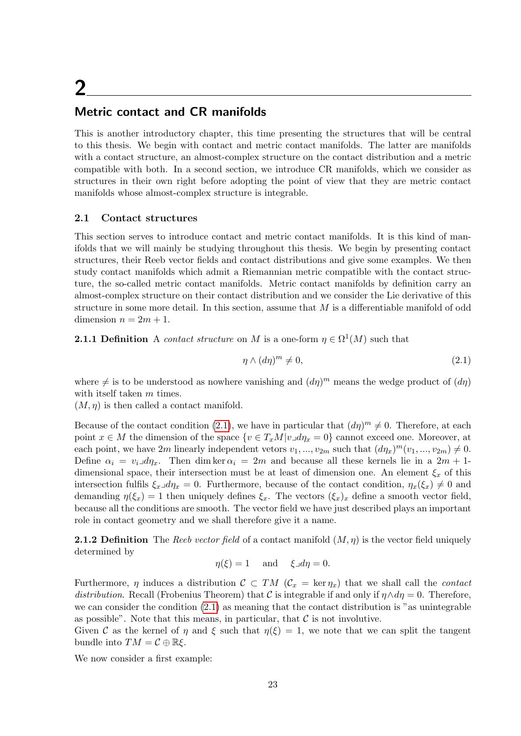# <span id="page-32-0"></span>2

## Metric contact and CR manifolds

This is another introductory chapter, this time presenting the structures that will be central to this thesis. We begin with contact and metric contact manifolds. The latter are manifolds with a contact structure, an almost-complex structure on the contact distribution and a metric compatible with both. In a second section, we introduce CR manifolds, which we consider as structures in their own right before adopting the point of view that they are metric contact manifolds whose almost-complex structure is integrable.

#### <span id="page-32-1"></span>2.1 Contact structures

This section serves to introduce contact and metric contact manifolds. It is this kind of manifolds that we will mainly be studying throughout this thesis. We begin by presenting contact structures, their Reeb vector fields and contact distributions and give some examples. We then study contact manifolds which admit a Riemannian metric compatible with the contact structure, the so-called metric contact manifolds. Metric contact manifolds by definition carry an almost-complex structure on their contact distribution and we consider the Lie derivative of this structure in some more detail. In this section, assume that  $M$  is a differentiable manifold of odd dimension  $n = 2m + 1$ .

**2.1.1 Definition** A *contact structure* on M is a one-form  $\eta \in \Omega^1(M)$  such that

<span id="page-32-2"></span>
$$
\eta \wedge (d\eta)^m \neq 0,\tag{2.1}
$$

where  $\neq$  is to be understood as nowhere vanishing and  $(d\eta)^m$  means the wedge product of  $(d\eta)$ with itself taken m times.

 $(M, \eta)$  is then called a contact manifold.

Because of the contact condition [\(2.1\)](#page-32-2), we have in particular that  $(d\eta)^m \neq 0$ . Therefore, at each point  $x \in M$  the dimension of the space  $\{v \in T_xM|v \lrcorner d\eta_x = 0\}$  cannot exceed one. Moreover, at each point, we have 2m linearly independent vetors  $v_1, ..., v_{2m}$  such that  $(d\eta_x)^m(v_1, ..., v_{2m}) \neq 0$ . Define  $\alpha_i = v_i \Box d\eta_x$ . Then dim ker  $\alpha_i = 2m$  and because all these kernels lie in a  $2m + 1$ dimensional space, their intersection must be at least of dimension one. An element  $\xi_x$  of this intersection fulfils  $\xi_x \Box d\eta_x = 0$ . Furthermore, because of the contact condition,  $\eta_x(\xi_x) \neq 0$  and demanding  $\eta(\xi_x) = 1$  then uniquely defines  $\xi_x$ . The vectors  $(\xi_x)_x$  define a smooth vector field, because all the conditions are smooth. The vector field we have just described plays an important role in contact geometry and we shall therefore give it a name.

**2.1.2 Definition** The Reeb vector field of a contact manifold  $(M, \eta)$  is the vector field uniquely determined by

$$
\eta(\xi) = 1
$$
 and  $\xi \Box d\eta = 0$ .

Furthermore,  $\eta$  induces a distribution  $\mathcal{C} \subset TM$  ( $\mathcal{C}_x = \text{ker } \eta_x$ ) that we shall call the *contact* distribution. Recall (Frobenius Theorem) that C is integrable if and only if  $\eta \wedge d\eta = 0$ . Therefore, we can consider the condition [\(2.1\)](#page-32-2) as meaning that the contact distribution is "as unintegrable as possible". Note that this means, in particular, that  $\mathcal C$  is not involutive.

Given C as the kernel of  $\eta$  and  $\xi$  such that  $\eta(\xi) = 1$ , we note that we can split the tangent bundle into  $TM = \mathcal{C} \oplus \mathbb{R}\xi$ .

We now consider a first example: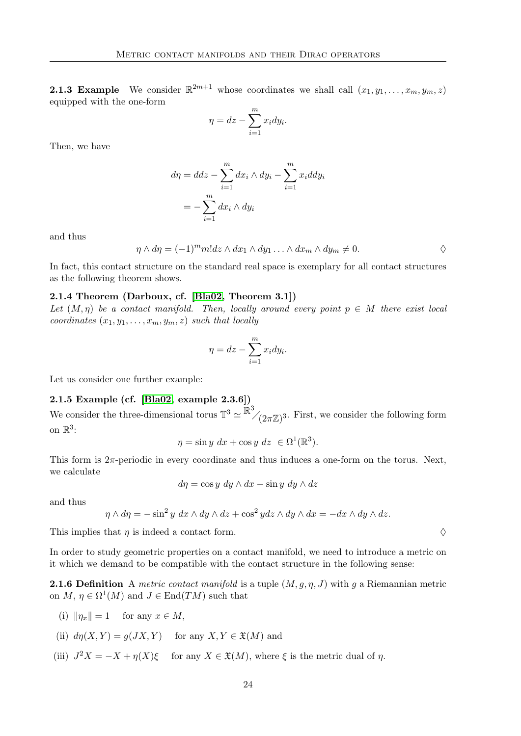**2.1.3 Example** We consider  $\mathbb{R}^{2m+1}$  whose coordinates we shall call  $(x_1, y_1, \ldots, x_m, y_m, z)$ equipped with the one-form

$$
\eta = dz - \sum_{i=1}^{m} x_i dy_i.
$$

Then, we have

$$
d\eta = ddz - \sum_{i=1}^{m} dx_i \wedge dy_i - \sum_{i=1}^{m} x_i ddy_i
$$

$$
= -\sum_{i=1}^{m} dx_i \wedge dy_i
$$

and thus

 $\eta \wedge d\eta = (-1)^m m! dz \wedge dx_1 \wedge dy_1 \ldots \wedge dx_m \wedge dy_m \neq 0.$ 

In fact, this contact structure on the standard real space is exemplary for all contact structures as the following theorem shows.

#### 2.1.4 Theorem (Darboux, cf. [\[Bla02,](#page-116-8) Theorem 3.1])

Let  $(M, \eta)$  be a contact manifold. Then, locally around every point  $p \in M$  there exist local coordinates  $(x_1, y_1, \ldots, x_m, y_m, z)$  such that locally

$$
\eta = dz - \sum_{i=1}^{m} x_i dy_i.
$$

Let us consider one further example:

#### 2.1.5 Example (cf. [\[Bla02,](#page-116-8) example 2.3.6])

We consider the three-dimensional torus  $\mathbb{T}^3 \simeq \mathbb{\bar{R}}^3/(\mathbb{2}\pi \mathbb{Z})^3$ . First, we consider the following form on  $\mathbb{R}^3$ :

$$
\eta = \sin y \, dx + \cos y \, dz \in \Omega^1(\mathbb{R}^3).
$$

This form is  $2\pi$ -periodic in every coordinate and thus induces a one-form on the torus. Next, we calculate

$$
d\eta = \cos y \, dy \wedge dx - \sin y \, dy \wedge dz
$$

and thus

$$
\eta \wedge d\eta = -\sin^2 y \, dx \wedge dy \wedge dz + \cos^2 y dz \wedge dy \wedge dx = -dx \wedge dy \wedge dz.
$$

This implies that  $\eta$  is indeed a contact form.

In order to study geometric properties on a contact manifold, we need to introduce a metric on it which we demand to be compatible with the contact structure in the following sense:

**2.1.6 Definition** A metric contact manifold is a tuple  $(M, g, \eta, J)$  with g a Riemannian metric on  $M, \eta \in \Omega^1(M)$  and  $J \in \text{End}(TM)$  such that

- (i)  $\|\eta_x\| = 1$  for any  $x \in M$ ,
- (ii)  $d\eta(X, Y) = q(JX, Y)$  for any  $X, Y \in \mathfrak{X}(M)$  and
- (iii)  $J^2X = -X + \eta(X)\xi$  for any  $X \in \mathfrak{X}(M)$ , where  $\xi$  is the metric dual of  $\eta$ .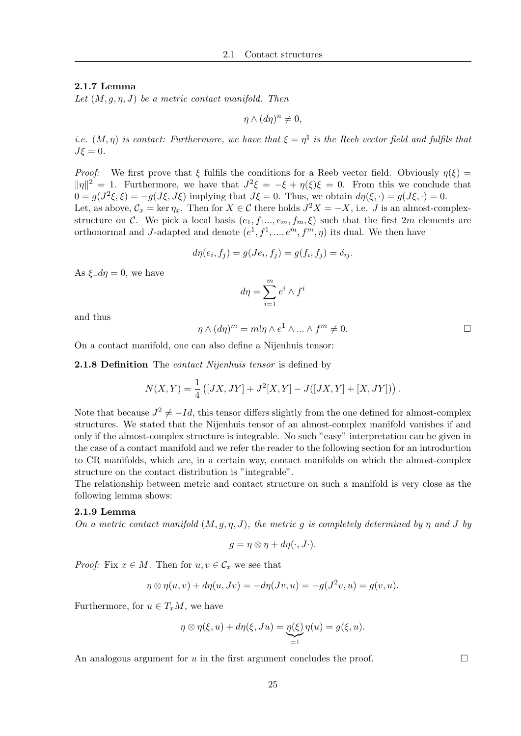#### 2.1.7 Lemma

Let  $(M, g, \eta, J)$  be a metric contact manifold. Then

 $\eta \wedge (d\eta)^n \neq 0,$ 

*i.e.*  $(M, \eta)$  is contact: Furthermore, we have that  $\xi = \eta^{\natural}$  is the Reeb vector field and fulfils that  $J\xi = 0.$ 

*Proof:* We first prove that  $\xi$  fulfils the conditions for a Reeb vector field. Obviously  $\eta(\xi)$  =  $\|\eta\|^2 = 1$ . Furthermore, we have that  $J^2\xi = -\xi + \eta(\xi)\xi = 0$ . From this we conclude that  $0 = g(J^2\xi, \xi) = -g(J\xi, J\xi)$  implying that  $J\xi = 0$ . Thus, we obtain  $d\eta(\xi, \cdot) = g(J\xi, \cdot) = 0$ . Let, as above,  $\mathcal{C}_x = \ker \eta_x$ . Then for  $X \in \mathcal{C}$  there holds  $J^2X = -X$ , i.e. J is an almost-complex-

structure on C. We pick a local basis  $(e_1, f_1, \ldots, e_m, f_m, \xi)$  such that the first  $2m$  elements are orthonormal and J-adapted and denote  $(e^1, f^1, ..., e^m, f^m, \eta)$  its dual. We then have

$$
d\eta(e_i, f_j) = g(Je_i, f_j) = g(f_i, f_j) = \delta_{ij}.
$$

As  $\xi \lrcorner d\eta = 0$ , we have

$$
d\eta = \sum_{i=1}^{m} e^i \wedge f^i
$$

and thus

$$
\eta \wedge (d\eta)^m = m! \eta \wedge e^1 \wedge \ldots \wedge f^m \neq 0.
$$

On a contact manifold, one can also define a Nijenhuis tensor:

**2.1.8 Definition** The *contact Nijenhuis tensor* is defined by

$$
N(X,Y) = \frac{1}{4} ([JX, JY] + J^{2}[X, Y] - J([JX, Y] + [X, JY]) ).
$$

Note that because  $J^2 \neq -Id$ , this tensor differs slightly from the one defined for almost-complex structures. We stated that the Nijenhuis tensor of an almost-complex manifold vanishes if and only if the almost-complex structure is integrable. No such "easy" interpretation can be given in the case of a contact manifold and we refer the reader to the following section for an introduction to CR manifolds, which are, in a certain way, contact manifolds on which the almost-complex structure on the contact distribution is "integrable".

The relationship between metric and contact structure on such a manifold is very close as the following lemma shows:

#### 2.1.9 Lemma

On a metric contact manifold  $(M, q, \eta, J)$ , the metric q is completely determined by  $\eta$  and J by

$$
g = \eta \otimes \eta + d\eta(\cdot, J\cdot).
$$

*Proof:* Fix  $x \in M$ . Then for  $u, v \in C_x$  we see that

$$
\eta \otimes \eta(u, v) + d\eta(u, Jv) = -d\eta(Jv, u) = -g(J^2v, u) = g(v, u).
$$

Furthermore, for  $u \in T_xM$ , we have

$$
\eta \otimes \eta(\xi, u) + d\eta(\xi, Ju) = \underbrace{\eta(\xi)}_{=1} \eta(u) = g(\xi, u).
$$

An analogous argument for u in the first argument concludes the proof.  $\Box$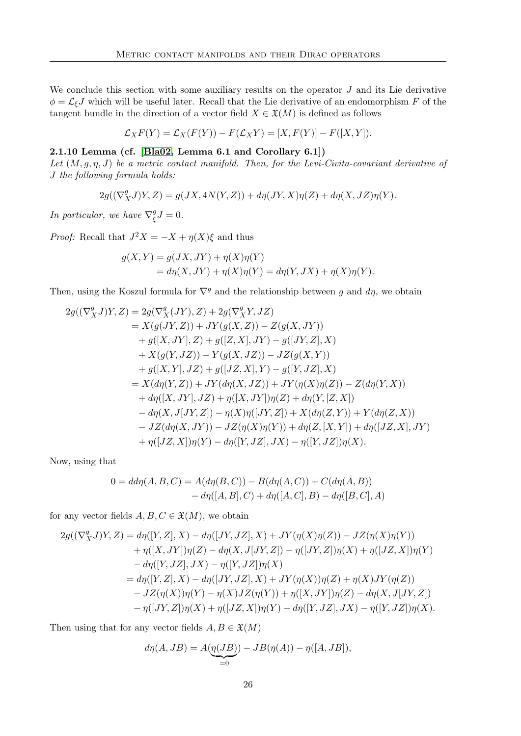We conclude this section with some auxiliary results on the operator  $J$  and its Lie derivative  $\phi = \mathcal{L}_{\xi}J$  which will be useful later. Recall that the Lie derivative of an endomorphism F of the tangent bundle in the direction of a vector field  $X \in \mathfrak{X}(M)$  is defined as follows

$$
\mathcal{L}_X F(Y) = \mathcal{L}_X(F(Y)) - F(\mathcal{L}_X Y) = [X, F(Y)] - F([X, Y]).
$$

#### 2.1.10 Lemma (cf. [\[Bla02,](#page-116-8) Lemma 6.1 and Corollary  $6.1$ ])

Let  $(M, q, \eta, J)$  be a metric contact manifold. Then, for the Levi-Civita-covariant derivative of J the following formula holds:

$$
2g((\nabla_X^g J)Y,Z)=g(JX,4N(Y,Z))+d\eta(JY,X)\eta(Z)+d\eta(X,JZ)\eta(Y).
$$

In particular, we have  $\nabla^g_{\xi}$  ${}_{\xi}^{g}J=0.$ 

*Proof:* Recall that  $J^2X = -X + \eta(X)\xi$  and thus

$$
g(X,Y) = g(JX,JY) + \eta(X)\eta(Y)
$$
  
= 
$$
d\eta(X,JY) + \eta(X)\eta(Y) = d\eta(Y,JX) + \eta(X)\eta(Y).
$$

Then, using the Koszul formula for  $\nabla^g$  and the relationship between g and d $\eta$ , we obtain

$$
2g((\nabla_X^g J)Y, Z) = 2g(\nabla_X^g (JY), Z) + 2g(\nabla_X^g Y, JZ)
$$
  
\n
$$
= X(g(JY, Z)) + JY(g(X, Z)) - Z(g(X, JY))
$$
  
\n
$$
+ g([X, JY], Z) + g([Z, X], JY) - g([JY, Z], X)
$$
  
\n
$$
+ X(g(Y, JZ)) + Y(g(X, JZ)) - JZ(g(X, Y))
$$
  
\n
$$
+ g([X, Y], JZ) + g([JZ, X], Y) - g([Y, JZ], X)
$$
  
\n
$$
= X(d\eta(Y, Z)) + JY(d\eta(X, JZ)) + JY(\eta(X)\eta(Z)) - Z(d\eta(Y, X))
$$
  
\n
$$
+ d\eta([X, JY], JZ) + \eta([X, JY])\eta(Z) + d\eta(Y, [Z, X])
$$
  
\n
$$
- d\eta(X, J[JY, Z]) - \eta(X)\eta([JY, Z]) + X(d\eta(Z, Y)) + Y(d\eta(Z, X))
$$
  
\n
$$
- JZ(d\eta(X, JY)) - JZ(\eta(X)\eta(Y)) + d\eta(Z, [X, Y]) + d\eta([JZ, X], JY)
$$
  
\n
$$
+ \eta([JZ, X])\eta(Y) - d\eta([Y, JZ], JX) - \eta([Y, JZ])\eta(X).
$$

Now, using that

$$
0 = dd\eta(A, B, C) = A(d\eta(B, C)) - B(d\eta(A, C)) + C(d\eta(A, B))
$$
  
- 
$$
d\eta([A, B], C) + d\eta([A, C], B) - d\eta([B, C], A)
$$

for any vector fields  $A, B, C \in \mathfrak{X}(M)$ , we obtain

$$
2g((\nabla_X^g J)Y, Z) = d\eta([Y, Z], X) - d\eta([JY, JZ], X) + JY(\eta(X)\eta(Z)) - JZ(\eta(X)\eta(Y))
$$
  
+  $\eta([X, JY])\eta(Z) - d\eta(X, J[JY, Z]) - \eta([JY, Z])\eta(X) + \eta([JZ, X])\eta(Y)$   
-  $d\eta([Y, JZ], JX) - \eta([Y, JZ])\eta(X)$   
=  $d\eta([Y, Z], X) - d\eta([JY, JZ], X) + JY(\eta(X))\eta(Z) + \eta(X)JY(\eta(Z))$   
-  $JZ(\eta(X))\eta(Y) - \eta(X)JZ(\eta(Y)) + \eta([X, JY])\eta(Z) - d\eta(X, J[JY, Z])$   
-  $\eta([JY, Z])\eta(X) + \eta([JZ, X])\eta(Y) - d\eta([Y, JZ], JX) - \eta([Y, JZ])\eta(X).$ 

Then using that for any vector fields  $A, B \in \mathfrak{X}(M)$ 

$$
d\eta(A,JB) = A(\underbrace{\eta(JB)}_{=0}) - JB(\eta(A)) - \eta([A,JB]),
$$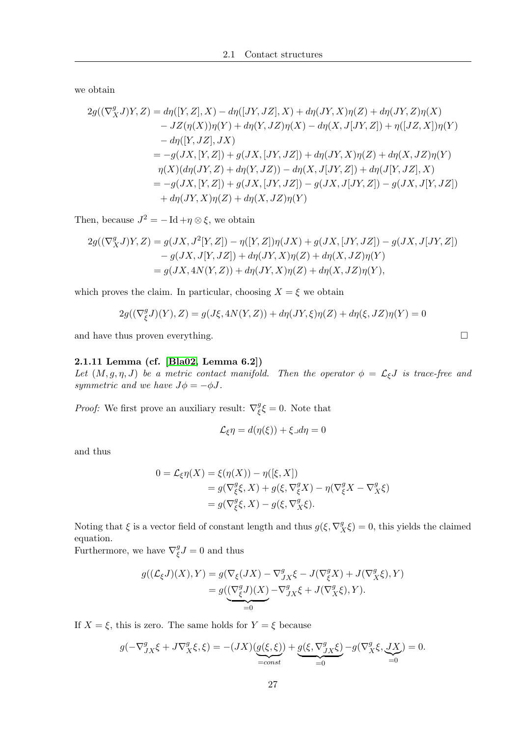we obtain

$$
2g((\nabla_X^g J)Y, Z) = d\eta([Y, Z], X) - d\eta([JY, JZ], X) + d\eta(JY, X)\eta(Z) + d\eta(JY, Z)\eta(X)
$$
  
\n
$$
- JZ(\eta(X))\eta(Y) + d\eta(Y, JZ)\eta(X) - d\eta(X, J[JY, Z]) + \eta([JZ, X])\eta(Y)
$$
  
\n
$$
- d\eta([Y, JZ], JX)
$$
  
\n
$$
= -g(JX, [Y, Z]) + g(JX, [JY, JZ]) + d\eta(JY, X)\eta(Z) + d\eta(X, JZ)\eta(Y)
$$
  
\n
$$
\eta(X)(d\eta(JY, Z) + d\eta(Y, JZ)) - d\eta(X, J[JY, Z]) + d\eta(J[Y, JZ], X)
$$
  
\n
$$
= -g(JX, [Y, Z]) + g(JX, [JY, JZ]) - g(JX, J[JY, Z]) - g(JX, J[Y, JZ])
$$
  
\n
$$
+ d\eta(JY, X)\eta(Z) + d\eta(X, JZ)\eta(Y)
$$

Then, because  $J^2 = - \mathrm{Id} + \eta \otimes \xi$ , we obtain

$$
2g((\nabla_X^g J)Y, Z) = g(JX, J^2[Y, Z]) - \eta([Y, Z])\eta(JX) + g(JX, [JY, JZ]) - g(JX, J[JY, Z])
$$
  

$$
- g(JX, J[Y, JZ]) + d\eta(JY, X)\eta(Z) + d\eta(X, JZ)\eta(Y)
$$
  

$$
= g(JX, 4N(Y, Z)) + d\eta(JY, X)\eta(Z) + d\eta(X, JZ)\eta(Y),
$$

which proves the claim. In particular, choosing  $X = \xi$  we obtain

$$
2g((\nabla^g_{\xi}J)(Y),Z) = g(J\xi,4N(Y,Z)) + d\eta(JY,\xi)\eta(Z) + d\eta(\xi,JZ)\eta(Y) = 0
$$

and have thus proven everything.  $\Box$ 

# 2.1.11 Lemma (cf. [\[Bla02,](#page-116-0) Lemma 6.2])

Let  $(M, g, \eta, J)$  be a metric contact manifold. Then the operator  $\phi = \mathcal{L}_{\xi}J$  is trace-free and symmetric and we have  $J\phi = -\phi J$ .

*Proof:* We first prove an auxiliary result:  $\nabla_{\xi}^{g}$  $\frac{g}{\xi}\xi = 0$ . Note that

$$
\mathcal{L}_{\xi}\eta = d(\eta(\xi)) + \xi \lrcorner d\eta = 0
$$

and thus

$$
0 = \mathcal{L}_{\xi} \eta(X) = \xi(\eta(X)) - \eta([\xi, X])
$$
  
=  $g(\nabla_{\xi}^g \xi, X) + g(\xi, \nabla_{\xi}^g X) - \eta(\nabla_{\xi}^g X - \nabla_{X}^g \xi)$   
=  $g(\nabla_{\xi}^g \xi, X) - g(\xi, \nabla_{X}^g \xi).$ 

Noting that  $\xi$  is a vector field of constant length and thus  $g(\xi, \nabla_X^g \xi) = 0$ , this yields the claimed equation.

Furthermore, we have  $\nabla^g_\xi$  $\frac{g}{\xi}J=0$  and thus

$$
\begin{aligned} g((\mathcal{L}_\xi J)(X), Y) &= g(\nabla_\xi (JX) - \nabla^g_{JX} \xi - J(\nabla^g_\xi X) + J(\nabla^g_X \xi), Y) \\ &= g(\underbrace{(\nabla^g_\xi J)(X)}_{=0} - \nabla^g_{JX} \xi + J(\nabla^g_X \xi), Y). \end{aligned}
$$

If  $X = \xi$ , this is zero. The same holds for  $Y = \xi$  because

$$
g(-\nabla^g_{JX}\xi+J\nabla^g_X\xi,\xi)=-\big(JX\big)\big(g(\xi,\xi)\big)+\underbrace{g(\xi,\nabla^g_{JX}\xi)}_{=const}-g(\nabla^g_X\xi,\underbrace{JX}_{=0})=0.
$$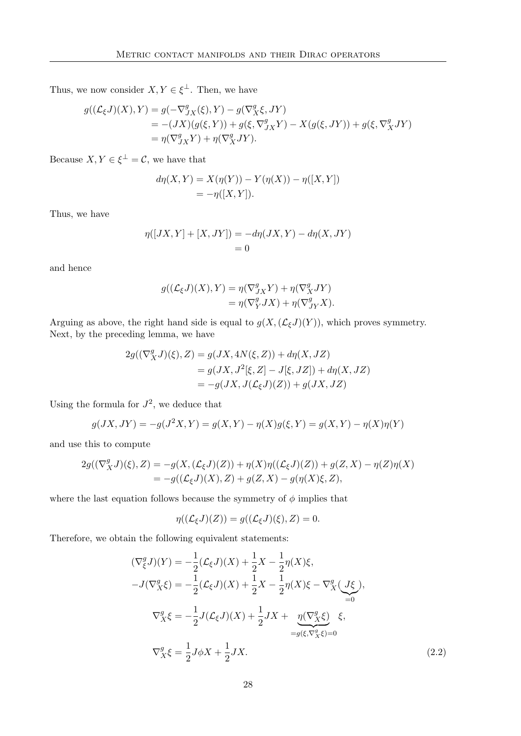Thus, we now consider  $X, Y \in \xi^{\perp}$ . Then, we have

$$
g((\mathcal{L}_{\xi}J)(X),Y) = g(-\nabla^g_{JX}(\xi),Y) - g(\nabla^g_X \xi, JY)
$$
  
= -(JX)(g(\xi,Y)) + g(\xi, \nabla^g\_{JX}Y) - X(g(\xi, JY)) + g(\xi, \nabla^g\_X JY)  
= \eta(\nabla^g\_{JX}Y) + \eta(\nabla^g\_X JY).

Because  $X, Y \in \xi^{\perp} = \mathcal{C}$ , we have that

$$
d\eta(X, Y) = X(\eta(Y)) - Y(\eta(X)) - \eta([X, Y])
$$
  
= -\eta([X, Y]).

Thus, we have

$$
\eta([JX,Y] + [X,JY]) = -d\eta(JX,Y) - d\eta(X,JY) = 0
$$

and hence

$$
g((\mathcal{L}_{\xi}J)(X), Y) = \eta(\nabla^g_{JX}Y) + \eta(\nabla^g_XJY)
$$
  
= 
$$
\eta(\nabla^g_YJX) + \eta(\nabla^g_{JY}X).
$$

Arguing as above, the right hand side is equal to  $g(X,(\mathcal{L}_{\xi}J)(Y))$ , which proves symmetry. Next, by the preceding lemma, we have

$$
2g((\nabla_X^g J)(\xi), Z) = g(JX, 4N(\xi, Z)) + d\eta(X, JZ)
$$
  
=  $g(JX, J^2[\xi, Z] - J[\xi, JZ]) + d\eta(X, JZ)$   
=  $-g(JX, J(\mathcal{L}_\xi J)(Z)) + g(JX, JZ)$ 

Using the formula for  $J^2$ , we deduce that

$$
g(JX, JY) = -g(J^{2}X, Y) = g(X, Y) - \eta(X)g(\xi, Y) = g(X, Y) - \eta(X)\eta(Y)
$$

and use this to compute

$$
2g((\nabla_X^g J)(\xi), Z) = -g(X, (\mathcal{L}_{\xi} J)(Z)) + \eta(X)\eta((\mathcal{L}_{\xi} J)(Z)) + g(Z, X) - \eta(Z)\eta(X)
$$
  
=  $-g((\mathcal{L}_{\xi} J)(X), Z) + g(Z, X) - g(\eta(X)\xi, Z),$ 

where the last equation follows because the symmetry of  $\phi$  implies that

<span id="page-37-0"></span>1

$$
\eta((\mathcal{L}_{\xi}J)(Z)) = g((\mathcal{L}_{\xi}J)(\xi), Z) = 0.
$$

Therefore, we obtain the following equivalent statements:

$$
(\nabla_{\xi}^{g} J)(Y) = -\frac{1}{2} (\mathcal{L}_{\xi} J)(X) + \frac{1}{2} X - \frac{1}{2} \eta(X) \xi,
$$
  
\n
$$
-J(\nabla_{X}^{g} \xi) = -\frac{1}{2} (\mathcal{L}_{\xi} J)(X) + \frac{1}{2} X - \frac{1}{2} \eta(X) \xi - \nabla_{X}^{g} (J \xi),
$$
  
\n
$$
\nabla_{X}^{g} \xi = -\frac{1}{2} J(\mathcal{L}_{\xi} J)(X) + \frac{1}{2} JX + \underbrace{\eta(\nabla_{X}^{g} \xi)}_{=g(\xi, \nabla_{X}^{g} \xi) = 0} \xi,
$$
  
\n
$$
\nabla_{X}^{g} \xi = \frac{1}{2} J \phi X + \frac{1}{2} JX.
$$
\n(2.2)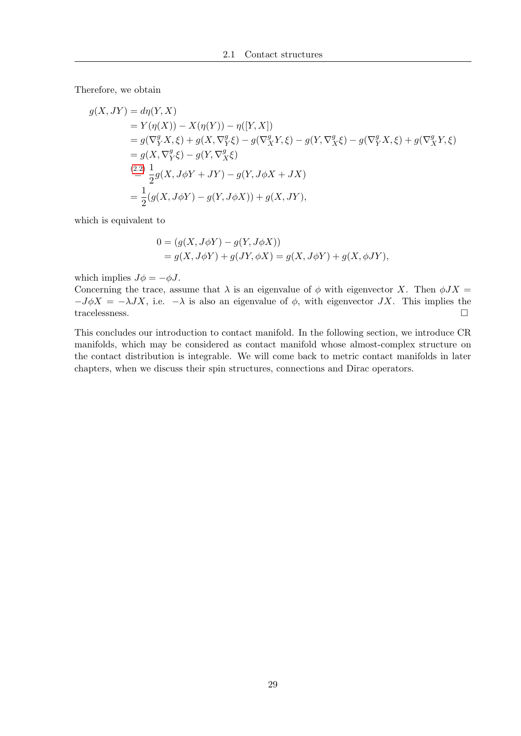Therefore, we obtain

$$
g(X, JY) = d\eta(Y, X)
$$
  
=  $Y(\eta(X)) - X(\eta(Y)) - \eta([Y, X])$   
=  $g(\nabla_Y^g X, \xi) + g(X, \nabla_Y^g \xi) - g(\nabla_X^g Y, \xi) - g(Y, \nabla_X^g \xi) - g(\nabla_Y^g X, \xi) + g(\nabla_X^g Y, \xi)$   
=  $g(X, \nabla_Y^g \xi) - g(Y, \nabla_X^g \xi)$   

$$
\stackrel{(2.2)}{=} \frac{1}{2}g(X, J\phi Y + JY) - g(Y, J\phi X + JX)
$$
  
=  $\frac{1}{2}(g(X, J\phi Y) - g(Y, J\phi X)) + g(X, JY),$ 

which is equivalent to

$$
0 = (g(X, J\phi Y) - g(Y, J\phi X))
$$
  
= g(X, J\phi Y) + g(JY, \phi X) = g(X, J\phi Y) + g(X, \phi JY),

which implies  $J\phi = -\phi J$ .

Concerning the trace, assume that  $\lambda$  is an eigenvalue of  $\phi$  with eigenvector X. Then  $\phi JX =$  $-J\phi X = -\lambda JX$ , i.e.  $-\lambda$  is also an eigenvalue of  $\phi$ , with eigenvector JX. This implies the tracelessness.  $\hfill \square$ 

This concludes our introduction to contact manifold. In the following section, we introduce CR manifolds, which may be considered as contact manifold whose almost-complex structure on the contact distribution is integrable. We will come back to metric contact manifolds in later chapters, when we discuss their spin structures, connections and Dirac operators.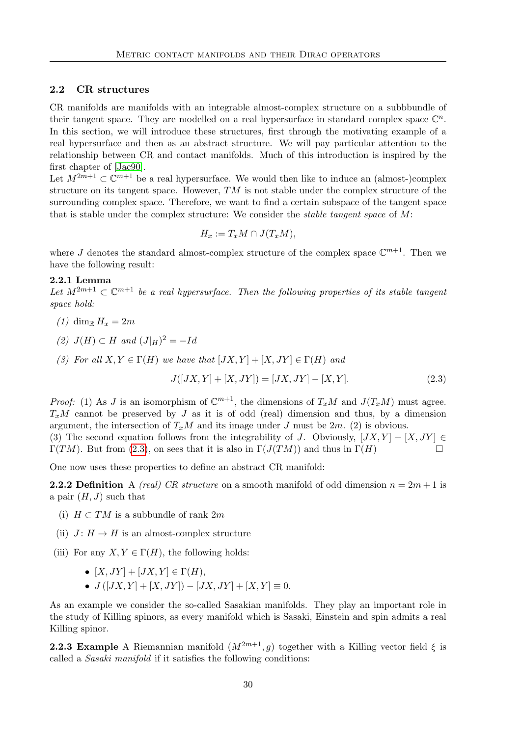## 2.2 CR structures

CR manifolds are manifolds with an integrable almost-complex structure on a subbbundle of their tangent space. They are modelled on a real hypersurface in standard complex space  $\mathbb{C}^n$ . In this section, we will introduce these structures, first through the motivating example of a real hypersurface and then as an abstract structure. We will pay particular attention to the relationship between CR and contact manifolds. Much of this introduction is inspired by the first chapter of [\[Jac90\]](#page-116-1).

Let  $M^{2m+1} \subset \mathbb{C}^{m+1}$  be a real hypersurface. We would then like to induce an (almost-)complex structure on its tangent space. However, TM is not stable under the complex structure of the surrounding complex space. Therefore, we want to find a certain subspace of the tangent space that is stable under the complex structure: We consider the stable tangent space of M:

$$
H_x := T_x M \cap J(T_x M),
$$

where J denotes the standard almost-complex structure of the complex space  $\mathbb{C}^{m+1}$ . Then we have the following result:

# 2.2.1 Lemma

Let  $M^{2m+1} \subset \mathbb{C}^{m+1}$  be a real hypersurface. Then the following properties of its stable tangent space hold:

- (1) dim<sub>R</sub>  $H_r = 2m$
- (2)  $J(H) \subset H$  and  $(J|_H)^2 = -Id$
- (3) For all  $X, Y \in \Gamma(H)$  we have that  $(JX, Y) + [X, JY] \in \Gamma(H)$  and

<span id="page-39-1"></span><span id="page-39-0"></span>
$$
J([JX, Y] + [X, JY]) = [JX, JY] - [X, Y].
$$
\n(2.3)

*Proof:* (1) As J is an isomorphism of  $\mathbb{C}^{m+1}$ , the dimensions of  $T_xM$  and  $J(T_xM)$  must agree.  $T_xM$  cannot be preserved by J as it is of odd (real) dimension and thus, by a dimension argument, the intersection of  $T_xM$  and its image under J must be  $2m$ . (2) is obvious. (3) The second equation follows from the integrability of J. Obviously,  $[JX, Y] + [X, JY] \in$  $\Gamma(TM)$ . But from [\(2.3\)](#page-39-0), on sees that it is also in  $\Gamma(J(TM))$  and thus in  $\Gamma(H)$ 

One now uses these properties to define an abstract CR manifold:

**2.2.2 Definition** A *(real)* CR structure on a smooth manifold of odd dimension  $n = 2m + 1$  is a pair  $(H, J)$  such that

- (i)  $H \subset TM$  is a subbundle of rank 2m
- (ii)  $J: H \to H$  is an almost-complex structure
- (iii) For any  $X, Y \in \Gamma(H)$ , the following holds:
	- $[X, JY] + [JX, Y] \in \Gamma(H)$ ,
	- $J([JX, Y] + [X, JY]) [JX, JY] + [X, Y] \equiv 0.$

As an example we consider the so-called Sasakian manifolds. They play an important role in the study of Killing spinors, as every manifold which is Sasaki, Einstein and spin admits a real Killing spinor.

**2.2.3 Example** A Riemannian manifold  $(M^{2m+1}, g)$  together with a Killing vector field  $\xi$  is called a Sasaki manifold if it satisfies the following conditions: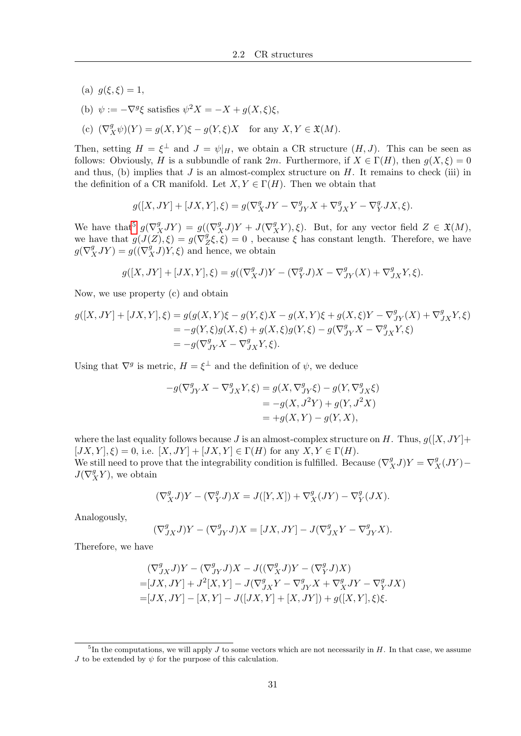- (a)  $g(\xi, \xi) = 1$ ,
- (b)  $\psi := -\nabla^g \xi$  satisfies  $\psi^2 X = -X + g(X, \xi)\xi$ ,
- (c)  $(\nabla_X^g \psi)(Y) = g(X, Y)\xi g(Y, \xi)X$  for any  $X, Y \in \mathfrak{X}(M)$ .

Then, setting  $H = \xi^{\perp}$  and  $J = \psi|_H$ , we obtain a CR structure  $(H, J)$ . This can be seen as follows: Obviously, H is a subbundle of rank 2m. Furthermore, if  $X \in \Gamma(H)$ , then  $g(X, \xi) = 0$ and thus, (b) implies that  $J$  is an almost-complex structure on  $H$ . It remains to check (iii) in the definition of a CR manifold. Let  $X, Y \in \Gamma(H)$ . Then we obtain that

$$
g([X, JY] + [JX, Y], \xi) = g(\nabla^g_X JY - \nabla^g_{JY} X + \nabla^g_{JX} Y - \nabla^g_Y JX, \xi).
$$

We have that<sup>[5](#page-40-0)</sup>  $g(\nabla_X^g JY) = g((\nabla_X^g J)Y + J(\nabla_X^g Y), \xi)$ . But, for any vector field  $Z \in \mathfrak{X}(M)$ , we have that  $g(J(Z), \xi) = g(\nabla_{\xi}^{g})$  $Z^g(\xi,\xi) = 0$ , because  $\xi$  has constant length. Therefore, we have  $g(\nabla_X^g JY) = g((\nabla_X^g J)Y, \xi)$  and hence, we obtain

$$
g([X, JY] + [JX, Y], \xi) = g((\nabla_X^g J)Y - (\nabla_Y^g J)X - \nabla_{JY}^g (X) + \nabla_{JX}^g Y, \xi).
$$

Now, we use property (c) and obtain

$$
g([X, JY] + [JX, Y], \xi) = g(g(X, Y)\xi - g(Y, \xi)X - g(X, Y)\xi + g(X, \xi)Y - \nabla_{JY}^{g}(X) + \nabla_{JX}^{g}Y, \xi)
$$
  
=  $-g(Y, \xi)g(X, \xi) + g(X, \xi)g(Y, \xi) - g(\nabla_{JY}^{g}X - \nabla_{JX}^{g}Y, \xi)$   
=  $-g(\nabla_{JY}^{g}X - \nabla_{JX}^{g}Y, \xi).$ 

Using that  $\nabla^g$  is metric,  $H = \xi^{\perp}$  and the definition of  $\psi$ , we deduce

$$
-g(\nabla^g_{JY}X - \nabla^g_{JX}Y, \xi) = g(X, \nabla^g_{JY}\xi) - g(Y, \nabla^g_{JX}\xi)
$$
  
= -g(X, J<sup>2</sup>Y) + g(Y, J<sup>2</sup>X)  
= +g(X, Y) - g(Y, X),

where the last equality follows because J is an almost-complex structure on H. Thus,  $g([X, JY] + g(Y)$  $[JX, Y], \xi) = 0$ , i.e.  $[X, JY] + [JX, Y] \in \Gamma(H)$  for any  $X, Y \in \Gamma(H)$ .

We still need to prove that the integrability condition is fulfilled. Because  $(\nabla_X^g J)Y = \nabla_X^g (JY) J(\nabla^g_X Y)$ , we obtain

$$
(\nabla_X^g J)Y - (\nabla_Y^g J)X = J([Y, X]) + \nabla_X^g (JY) - \nabla_Y^g (JX).
$$

Analogously,

$$
(\nabla^g_{JX}J)Y-(\nabla^g_{JY}J)X=[JX,JY]-J(\nabla^g_{JX}Y-\nabla^g_{JY}X).
$$

Therefore, we have

$$
\begin{aligned} &\left(\nabla^g_{JX}J\right)Y-\left(\nabla^g_{JY}J\right)X-J\left(\left(\nabla^g_{X}J\right)Y-\left(\nabla^g_{Y}J\right)X\right)\\ =&[JX,JY]+J^2[X,Y]-J\left(\nabla^g_{JX}Y-\nabla^g_{JY}X+\nabla^g_{X}JY-\nabla^g_{Y}JX\right)\\ =&[JX,JY]-[X,Y]-J\left([JX,Y]+[X,JY]\right)+g\left([X,Y],\xi\right)\xi. \end{aligned}
$$

<span id="page-40-0"></span> ${}^{5}$ In the computations, we will apply J to some vectors which are not necessarily in H. In that case, we assume J to be extended by  $\psi$  for the purpose of this calculation.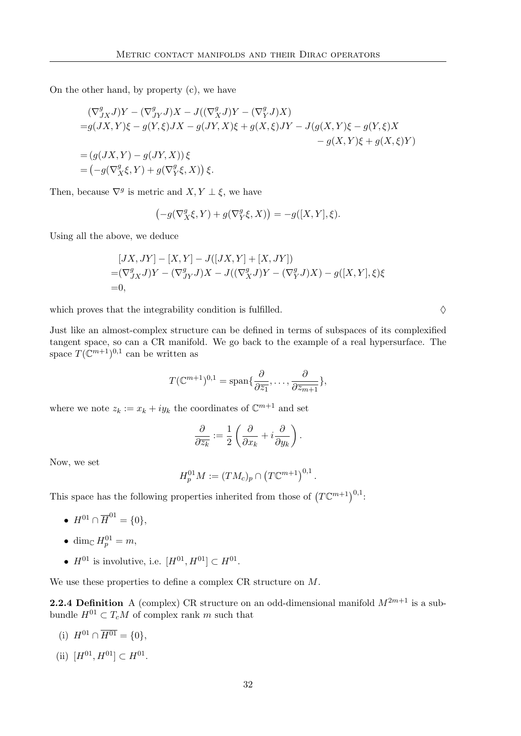On the other hand, by property (c), we have

$$
\begin{aligned} (\nabla^g_{JX} J)Y - (\nabla^g_{JY} J)X - J((\nabla^g_X J)Y - (\nabla^g_Y J)X) \\ = &g(JX, Y)\xi - g(Y, \xi)JX - g(JY, X)\xi + g(X, \xi)JY - J(g(X, Y)\xi - g(Y, \xi)X \\ &- g(X, Y)\xi + g(X, \xi)Y) \\ = &\left(g(JX, Y) - g(JY, X)\right)\xi \\ = &\left(-g(\nabla^g_X \xi, Y) + g(\nabla^g_Y \xi, X)\right)\xi. \end{aligned}
$$

Then, because  $\nabla^g$  is metric and  $X, Y \perp \xi$ , we have

$$
\left(-g(\nabla^g_X\xi,Y)+g(\nabla^g_Y\xi,X)\right)=-g([X,Y],\xi).
$$

Using all the above, we deduce

$$
[JX, JY] - [X, Y] - J([JX, Y] + [X, JY])
$$
  
=  $(\nabla_{JX}^g J)Y - (\nabla_{JY}^g J)X - J((\nabla_X^g J)Y - (\nabla_Y^g J)X) - g([X, Y], \xi)\xi$   
= 0,

which proves that the integrability condition is fulfilled.  $\Diamond$ 

Just like an almost-complex structure can be defined in terms of subspaces of its complexified tangent space, so can a CR manifold. We go back to the example of a real hypersurface. The space  $T(\mathbb{C}^{m+1})^{0,1}$  can be written as

$$
T(\mathbb{C}^{m+1})^{0,1} = \text{span}\{\frac{\partial}{\partial \overline{z_1}},\ldots,\frac{\partial}{\partial \overline{z_{m+1}}}\},\,
$$

where we note  $z_k := x_k + iy_k$  the coordinates of  $\mathbb{C}^{m+1}$  and set

$$
\frac{\partial}{\partial \overline{z_k}} := \frac{1}{2} \left( \frac{\partial}{\partial x_k} + i \frac{\partial}{\partial y_k} \right).
$$

Now, we set

<span id="page-41-0"></span>
$$
H_p^{01}M := (TM_c)_p \cap (T\mathbb{C}^{m+1})^{0,1}.
$$

This space has the following properties inherited from those of  $(T\mathbb{C}^{m+1})^{0,1}$ :

• 
$$
H^{01} \cap \overline{H}^{01} = \{0\},
$$

- $\bullet$  dim<sub>C</sub>  $H_p^{01} = m$ ,
- $H^{01}$  is involutive, i.e.  $[H^{01}, H^{01}] \subset H^{01}$ .

We use these properties to define a complex CR structure on  $M$ .

**2.2.4 Definition** A (complex) CR structure on an odd-dimensional manifold  $M^{2m+1}$  is a subbundle  $H^{01} \subset T_cM$  of complex rank m such that

- (i)  $H^{01} \cap \overline{H^{01}} = \{0\},\$
- (ii)  $[H^{01}, H^{01}] \subset H^{01}$ .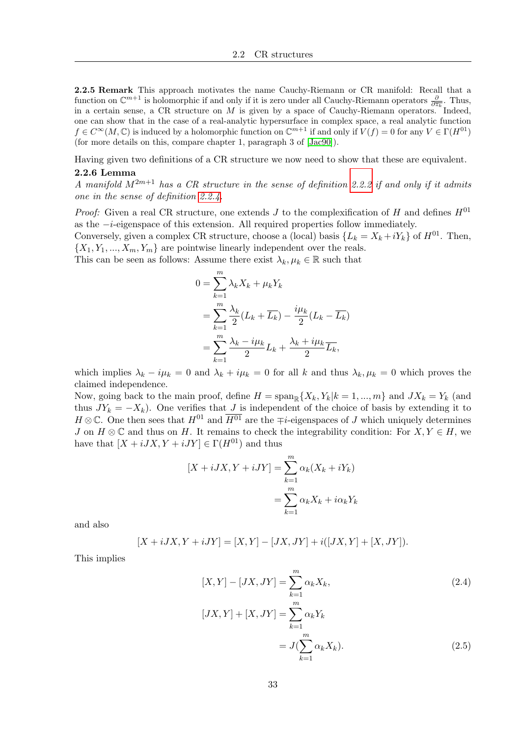2.2.5 Remark This approach motivates the name Cauchy-Riemann or CR manifold: Recall that a function on  $\mathbb{C}^{m+1}$  is holomorphic if and only if it is zero under all Cauchy-Riemann operators  $\frac{\partial}{\partial \overline{z_k}}$ . Thus, in a certain sense, a CR structure on M is given by a space of Cauchy-Riemann operators. Indeed, one can show that in the case of a real-analytic hypersurface in complex space, a real analytic function  $f \in C^{\infty}(M, \mathbb{C})$  is induced by a holomorphic function on  $\mathbb{C}^{m+1}$  if and only if  $V(f) = 0$  for any  $V \in \Gamma(H^{01})$ (for more details on this, compare chapter 1, paragraph 3 of [\[Jac90\]](#page-116-1)).

Having given two definitions of a CR structure we now need to show that these are equivalent.

# 2.2.6 Lemma

A manifold  $M^{2m+1}$  has a CR structure in the sense of definition [2.2.2](#page-39-1) if and only if it admits one in the sense of definition [2.2.4.](#page-41-0)

*Proof:* Given a real CR structure, one extends J to the complexification of H and defines  $H^{01}$ as the −i-eigenspace of this extension. All required properties follow immediately.

Conversely, given a complex CR structure, choose a (local) basis  $\{L_k = X_k + iY_k\}$  of  $H^{01}$ . Then,  $\{X_1, Y_1, ..., X_m, Y_m\}$  are pointwise linearly independent over the reals.

This can be seen as follows: Assume there exist  $\lambda_k, \mu_k \in \mathbb{R}$  such that

$$
0 = \sum_{k=1}^{m} \lambda_k X_k + \mu_k Y_k
$$
  
= 
$$
\sum_{k=1}^{m} \frac{\lambda_k}{2} (L_k + \overline{L_k}) - \frac{i\mu_k}{2} (L_k - \overline{L_k})
$$
  
= 
$$
\sum_{k=1}^{m} \frac{\lambda_k - i\mu_k}{2} L_k + \frac{\lambda_k + i\mu_k}{2} \overline{L_k},
$$

which implies  $\lambda_k - i\mu_k = 0$  and  $\lambda_k + i\mu_k = 0$  for all k and thus  $\lambda_k, \mu_k = 0$  which proves the claimed independence.

Now, going back to the main proof, define  $H = \text{span}_{\mathbb{R}} \{X_k, Y_k | k = 1, ..., m\}$  and  $JX_k = Y_k$  (and thus  $JY_k = -X_k$ ). One verifies that J is independent of the choice of basis by extending it to  $H \otimes \mathbb{C}$ . One then sees that  $H^{01}$  and  $\overline{H^{01}}$  are the  $\mp i$ -eigenspaces of J which uniquely determines J on  $H \otimes \mathbb{C}$  and thus on H. It remains to check the integrability condition: For  $X, Y \in H$ , we have that  $[X + iJX, Y + iJY] \in \Gamma(H^{01})$  and thus

$$
[X + iJX, Y + iJY] = \sum_{k=1}^{m} \alpha_k (X_k + iY_k)
$$

$$
= \sum_{k=1}^{m} \alpha_k X_k + i\alpha_k Y_k
$$

and also

$$
[X + iJX, Y + iJY] = [X, Y] - [JX, JY] + i([JX, Y] + [X, JY]).
$$

This implies

<span id="page-42-1"></span><span id="page-42-0"></span>
$$
[X,Y] - [JX,JY] = \sum_{k=1}^{m} \alpha_k X_k,
$$
\n
$$
[JX,Y] + [X,JY] = \sum_{k=1}^{m} \alpha_k Y_k
$$
\n
$$
= J(\sum_{k=1}^{m} \alpha_k X_k).
$$
\n(2.5)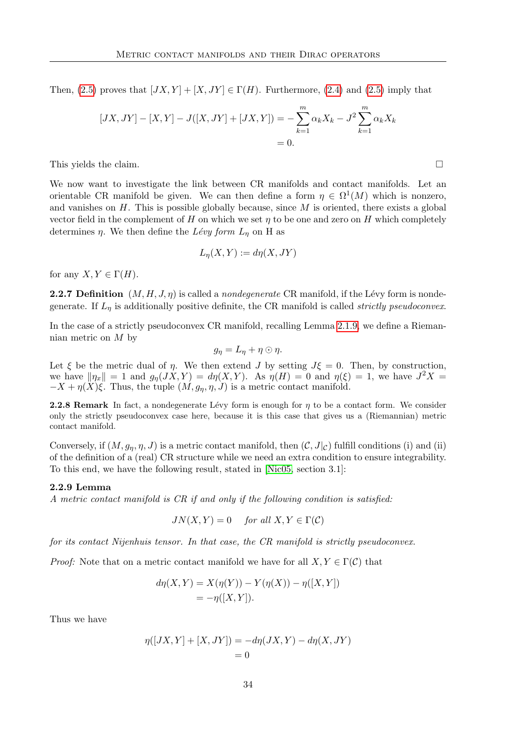Then,  $(2.5)$  proves that  $[JX, Y] + [X, JY] \in \Gamma(H)$ . Furthermore,  $(2.4)$  and  $(2.5)$  imply that

$$
[JX, JY] - [X, Y] - J([X, JY] + [JX, Y]) = -\sum_{k=1}^{m} \alpha_k X_k - J^2 \sum_{k=1}^{m} \alpha_k X_k
$$
  
= 0.

This yields the claim.

We now want to investigate the link between CR manifolds and contact manifolds. Let an orientable CR manifold be given. We can then define a form  $\eta \in \Omega^1(M)$  which is nonzero, and vanishes on  $H$ . This is possible globally because, since  $M$  is oriented, there exists a global vector field in the complement of H on which we set  $\eta$  to be one and zero on H which completely determines  $\eta$ . We then define the Lévy form  $L_{\eta}$  on H as

$$
L_{\eta}(X, Y) := d\eta(X, JY)
$$

for any  $X, Y \in \Gamma(H)$ .

**2.2.7 Definition**  $(M, H, J, \eta)$  is called a *nondegenerate* CR manifold, if the Lévy form is nondegenerate. If  $L_n$  is additionally positive definite, the CR manifold is called *strictly pseudoconvex*.

In the case of a strictly pseudoconvex CR manifold, recalling Lemma [2.1.9,](#page-34-0) we define a Riemannian metric on  $M$  by

$$
g_{\eta} = L_{\eta} + \eta \odot \eta.
$$

Let  $\xi$  be the metric dual of  $\eta$ . We then extend J by setting  $J\xi = 0$ . Then, by construction, we have  $\|\eta_x\| = 1$  and  $g_{\eta}(JX, Y) = d\eta(X, Y)$ . As  $\eta(H) = 0$  and  $\eta(\xi) = 1$ , we have  $J^2X =$  $-X + \eta(X)\xi$ . Thus, the tuple  $(M, g_{\eta}, \eta, J)$  is a metric contact manifold.

**2.2.8 Remark** In fact, a nondegenerate Lévy form is enough for  $\eta$  to be a contact form. We consider only the strictly pseudoconvex case here, because it is this case that gives us a (Riemannian) metric contact manifold.

Conversely, if  $(M, g_{\eta}, \eta, J)$  is a metric contact manifold, then  $(C, J|_{\mathcal{C}})$  fulfill conditions (i) and (ii) of the definition of a (real) CR structure while we need an extra condition to ensure integrability. To this end, we have the following result, stated in [\[Nic05,](#page-117-0) section 3.1]:

#### 2.2.9 Lemma

A metric contact manifold is CR if and only if the following condition is satisfied:

 $JN(X, Y) = 0$  for all  $X, Y \in \Gamma(\mathcal{C})$ 

for its contact Nijenhuis tensor. In that case, the CR manifold is strictly pseudoconvex.

*Proof:* Note that on a metric contact manifold we have for all  $X, Y \in \Gamma(\mathcal{C})$  that

$$
d\eta(X, Y) = X(\eta(Y)) - Y(\eta(X)) - \eta([X, Y])
$$
  
= -\eta([X, Y]).

Thus we have

$$
\eta([JX, Y] + [X, JY]) = -d\eta(JX, Y) - d\eta(X, JY)
$$
  
= 0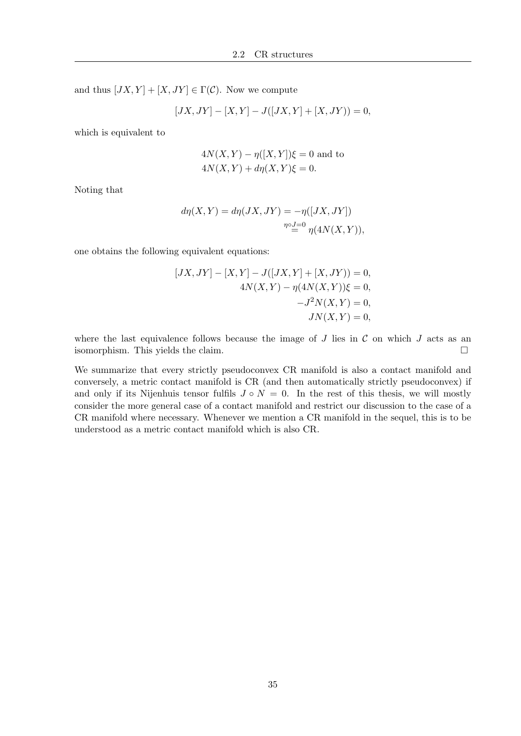and thus  $[JX, Y] + [X, JY] \in \Gamma(\mathcal{C})$ . Now we compute

$$
[JX, JY] - [X, Y] - J([JX, Y] + [X, JY]) = 0,
$$

which is equivalent to

$$
4N(X,Y) - \eta([X,Y])\xi = 0
$$
 and to  

$$
4N(X,Y) + d\eta(X,Y)\xi = 0.
$$

Noting that

$$
d\eta(X,Y) = d\eta(JX,JY) = -\eta([JX,JY])
$$
  

$$
\eta \circ J=0 \eta(4N(X,Y)),
$$

one obtains the following equivalent equations:

$$
[JX, JY] - [X, Y] - J([JX, Y] + [X, JY]) = 0,
$$
  
\n
$$
4N(X, Y) - \eta(4N(X, Y))\xi = 0,
$$
  
\n
$$
-J^2N(X, Y) = 0,
$$
  
\n
$$
JN(X, Y) = 0,
$$

where the last equivalence follows because the image of  $J$  lies in  $\mathcal C$  on which  $J$  acts as an isomorphism. This yields the claim.

We summarize that every strictly pseudoconvex CR manifold is also a contact manifold and conversely, a metric contact manifold is CR (and then automatically strictly pseudoconvex) if and only if its Nijenhuis tensor fulfils  $J \circ N = 0$ . In the rest of this thesis, we will mostly consider the more general case of a contact manifold and restrict our discussion to the case of a CR manifold where necessary. Whenever we mention a CR manifold in the sequel, this is to be understood as a metric contact manifold which is also CR.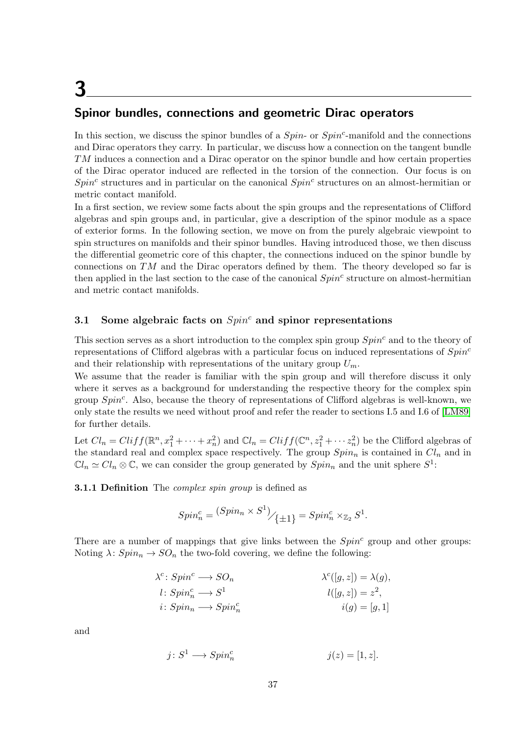# 3

# Spinor bundles, connections and geometric Dirac operators

In this section, we discuss the spinor bundles of a  $Spin$ - or  $Spin<sup>c</sup>$ -manifold and the connections and Dirac operators they carry. In particular, we discuss how a connection on the tangent bundle TM induces a connection and a Dirac operator on the spinor bundle and how certain properties of the Dirac operator induced are reflected in the torsion of the connection. Our focus is on  $Spin<sup>c</sup>$  structures and in particular on the canonical  $Spin<sup>c</sup>$  structures on an almost-hermitian or metric contact manifold.

In a first section, we review some facts about the spin groups and the representations of Clifford algebras and spin groups and, in particular, give a description of the spinor module as a space of exterior forms. In the following section, we move on from the purely algebraic viewpoint to spin structures on manifolds and their spinor bundles. Having introduced those, we then discuss the differential geometric core of this chapter, the connections induced on the spinor bundle by connections on  $TM$  and the Dirac operators defined by them. The theory developed so far is then applied in the last section to the case of the canonical  $Spin<sup>c</sup>$  structure on almost-hermitian and metric contact manifolds.

# 3.1 Some algebraic facts on  $Spin<sup>c</sup>$  and spinor representations

This section serves as a short introduction to the complex spin group  $Spin<sup>c</sup>$  and to the theory of representations of Clifford algebras with a particular focus on induced representations of  $Spin<sup>c</sup>$ and their relationship with representations of the unitary group  $U_m$ .

We assume that the reader is familiar with the spin group and will therefore discuss it only where it serves as a background for understanding the respective theory for the complex spin group  $Spin<sup>c</sup>$ . Also, because the theory of representations of Clifford algebras is well-known, we only state the results we need without proof and refer the reader to sections I.5 and I.6 of [\[LM89\]](#page-117-1) for further details.

Let  $Cl_n = Cliff(\mathbb{R}^n, x_1^2 + \cdots + x_n^2)$  and  $\mathbb{C}l_n = Cliff(\mathbb{C}^n, z_1^2 + \cdots z_n^2)$  be the Clifford algebras of the standard real and complex space respectively. The group  $Spin_n$  is contained in  $Cl_n$  and in  $\mathbb{C}l_n \simeq Cl_n \otimes \mathbb{C}$ , we can consider the group generated by  $Spin_n$  and the unit sphere  $S^1$ :

**3.1.1 Definition** The *complex spin group* is defined as

$$
Spin_n^c = \left( Spin_n \times S^1 \right)_{\textstyle \left\{ \pm 1 \right\}} = Spin_n^c \times_{\mathbb{Z}_2} S^1.
$$

There are a number of mappings that give links between the  $Spin<sup>c</sup>$  group and other groups: Noting  $\lambda$ :  $Spin_n \to SO_n$  the two-fold covering, we define the following:

$$
\lambda^{c}: Spin^{c} \longrightarrow SO_{n} \qquad \lambda^{c}([g,z]) = \lambda(g),
$$
  
\n
$$
l: Spin_{n}^{c} \longrightarrow S^{1} \qquad \qquad l([g,z]) = z^{2},
$$
  
\n
$$
i: Spin_{n} \longrightarrow Spin_{n}^{c} \qquad \qquad i(g) = [g,1]
$$

and

$$
j \colon S^1 \longrightarrow Spin_n^c \qquad \qquad j(z) = [1, z].
$$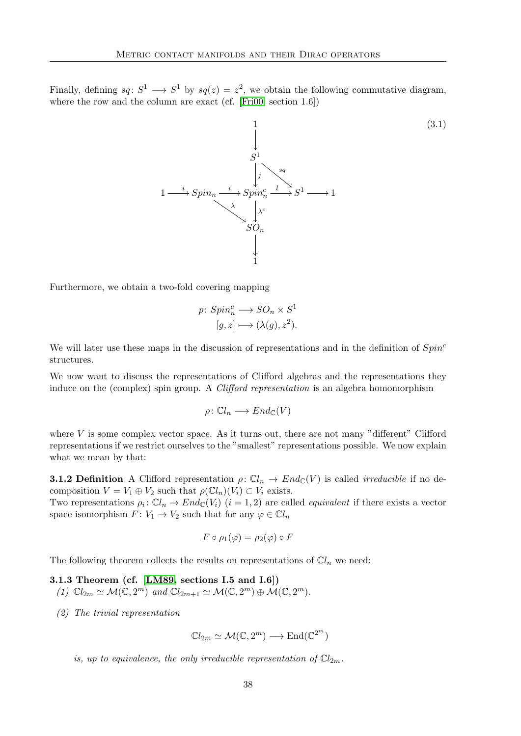Finally, defining  $sq: S^1 \longrightarrow S^1$  by  $sq(z) = z^2$ , we obtain the following commutative diagram, where the row and the column are exact (cf. [\[Fri00,](#page-116-2) section 1.6])

<span id="page-47-0"></span>

Furthermore, we obtain a two-fold covering mapping

$$
p\colon Spin_n^c \longrightarrow SO_n \times S^1
$$

$$
[g, z] \longmapsto (\lambda(g), z^2).
$$

We will later use these maps in the discussion of representations and in the definition of  $Spin<sup>c</sup>$ structures.

We now want to discuss the representations of Clifford algebras and the representations they induce on the (complex) spin group. A *Clifford representation* is an algebra homomorphism

$$
\rho\colon \mathbb{C}l_n\longrightarrow End_{\mathbb{C}}(V)
$$

where  $V$  is some complex vector space. As it turns out, there are not many "different" Clifford representations if we restrict ourselves to the "smallest" representations possible. We now explain what we mean by that:

**3.1.2 Definition** A Clifford representation  $\rho: \mathbb{C}l_n \to End_{\mathbb{C}}(V)$  is called *irreducible* if no decomposition  $V = V_1 \oplus V_2$  such that  $\rho(\mathbb{C}l_n)(V_i) \subset V_i$  exists.

Two representations  $\rho_i: \mathbb{C}l_n \to End_{\mathbb{C}}(V_i)$   $(i = 1, 2)$  are called *equivalent* if there exists a vector space isomorphism  $F: V_1 \to V_2$  such that for any  $\varphi \in \mathbb{C}l_n$ 

$$
F \circ \rho_1(\varphi) = \rho_2(\varphi) \circ F
$$

The following theorem collects the results on representations of  $\mathbb{C}l_n$  we need:

3.1.3 Theorem (cf. [\[LM89,](#page-117-1) sections I.5 and I.6])

(1)  $\mathbb{C}l_{2m} \simeq \mathcal{M}(\mathbb{C}, 2^m)$  and  $\mathbb{C}l_{2m+1} \simeq \mathcal{M}(\mathbb{C}, 2^m) \oplus \mathcal{M}(\mathbb{C}, 2^m)$ .

(2) The trivial representation

 $\mathbb{C}l_{2m} \simeq \mathcal{M}(\mathbb{C}, 2^m) \longrightarrow \text{End}(\mathbb{C}^{2^m})$ 

is, up to equivalence, the only irreducible representation of  $\mathbb{C}l_{2m}$ .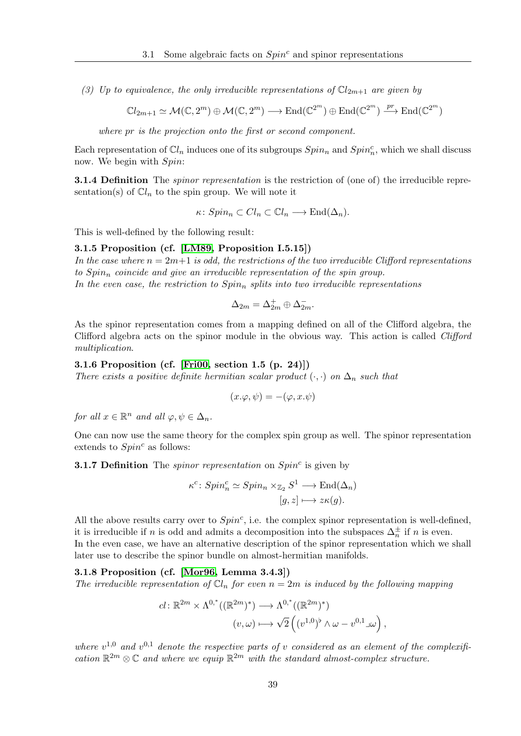(3) Up to equivalence, the only irreducible representations of  $\mathbb{C}l_{2m+1}$  are given by

$$
\mathbb{C}l_{2m+1}\simeq \mathcal{M}(\mathbb{C},2^m)\oplus \mathcal{M}(\mathbb{C},2^m)\longrightarrow \mathrm{End}(\mathbb{C}^{2^m})\oplus \mathrm{End}(\mathbb{C}^{2^m})\xrightarrow{pr} \mathrm{End}(\mathbb{C}^{2^m})
$$

where pr is the projection onto the first or second component.

Each representation of  $\mathbb{C}l_n$  induces one of its subgroups  $Spin_n$  and  $Spin_n^c$ , which we shall discuss now. We begin with  $Spin:$ 

**3.1.4 Definition** The *spinor representation* is the restriction of (one of) the irreducible representation(s) of  $\mathbb{C}l_n$  to the spin group. We will note it

 $\kappa: Spin_n \subset Cl_n \subset \mathbb{C}l_n \longrightarrow \text{End}(\Delta_n).$ 

This is well-defined by the following result:

# 3.1.5 Proposition (cf. [\[LM89,](#page-117-1) Proposition I.5.15])

In the case where  $n = 2m+1$  is odd, the restrictions of the two irreducible Clifford representations to  $Spin_n$  coincide and give an irreducible representation of the spin group. In the even case, the restriction to  $Spin<sub>n</sub>$  splits into two irreducible representations

$$
\Delta_{2m}=\Delta_{2m}^+\oplus \Delta_{2m}^-.
$$

As the spinor representation comes from a mapping defined on all of the Clifford algebra, the Clifford algebra acts on the spinor module in the obvious way. This action is called *Clifford* multiplication.

#### 3.1.6 Proposition (cf. [\[Fri00,](#page-116-2) section 1.5 (p. 24)])

There exists a positive definite hermitian scalar product  $(\cdot, \cdot)$  on  $\Delta_n$  such that

$$
(x.\varphi,\psi) = -(\varphi,x.\psi)
$$

for all  $x \in \mathbb{R}^n$  and all  $\varphi, \psi \in \Delta_n$ .

One can now use the same theory for the complex spin group as well. The spinor representation extends to  $Spin^c$  as follows:

**3.1.7 Definition** The *spinor representation* on  $Spin<sup>c</sup>$  is given by

<span id="page-48-0"></span>
$$
\kappa^c \colon Spin_n^c \simeq Spin_n \times_{\mathbb{Z}_2} S^1 \longrightarrow \text{End}(\Delta_n)
$$
  

$$
[g, z] \longmapsto z\kappa(g).
$$

All the above results carry over to  $Spin<sup>c</sup>$ , i.e. the complex spinor representation is well-defined, it is irreducible if n is odd and admits a decomposition into the subspaces  $\Delta_n^{\pm}$  if n is even. In the even case, we have an alternative description of the spinor representation which we shall later use to describe the spinor bundle on almost-hermitian manifolds.

#### 3.1.8 Proposition (cf. [\[Mor96,](#page-117-2) Lemma 3.4.3])

The irreducible representation of  $\mathbb{C}l_n$  for even  $n = 2m$  is induced by the following mapping

$$
cl: \mathbb{R}^{2m} \times \Lambda^{0,*}((\mathbb{R}^{2m})^*) \longrightarrow \Lambda^{0,*}((\mathbb{R}^{2m})^*)
$$

$$
(v,\omega) \longmapsto \sqrt{2} \left( (v^{1,0})^{\flat} \wedge \omega - v^{0,1} \Box \omega \right),
$$

where  $v^{1,0}$  and  $v^{0,1}$  denote the respective parts of v considered as an element of the complexification  $\mathbb{R}^{2m} \otimes \mathbb{C}$  and where we equip  $\mathbb{R}^{2m}$  with the standard almost-complex structure.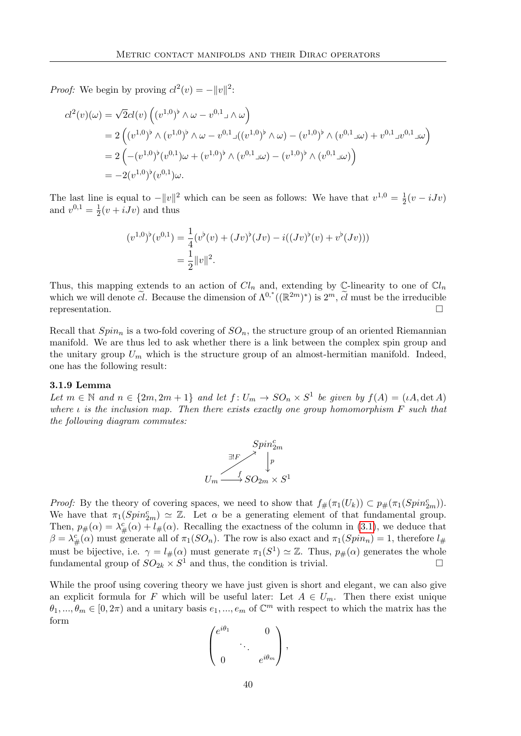*Proof:* We begin by proving  $cl^2(v) = -||v||^2$ :

$$
cl^{2}(v)(\omega) = \sqrt{2}cl(v)\left((v^{1,0})^{\flat} \wedge \omega - v^{0,1} \wedge \omega\right)
$$
  
=  $2\left((v^{1,0})^{\flat} \wedge (v^{1,0})^{\flat} \wedge \omega - v^{0,1} \wedge ((v^{1,0})^{\flat} \wedge \omega) - (v^{1,0})^{\flat} \wedge (v^{0,1} \wedge \omega) + v^{0,1} \wedge (v^{0,1} \wedge \omega)\right)$   
=  $2\left(-(v^{1,0})^{\flat} (v^{0,1}) \omega + (v^{1,0})^{\flat} \wedge (v^{0,1} \wedge \omega) - (v^{1,0})^{\flat} \wedge (v^{0,1} \wedge \omega)\right)$   
=  $-2(v^{1,0})^{\flat} (v^{0,1}) \omega.$ 

The last line is equal to  $-||v||^2$  which can be seen as follows: We have that  $v^{1,0} = \frac{1}{2}$  $rac{1}{2}(v-iJv)$ and  $v^{0,1} = \frac{1}{2}$  $\frac{1}{2}(v+iJv)$  and thus

$$
(v^{1,0})^{\flat}(v^{0,1}) = \frac{1}{4}(v^{\flat}(v) + (Jv)^{\flat}(Jv) - i((Jv)^{\flat}(v) + v^{\flat}(Jv)))
$$
  
=  $\frac{1}{2}||v||^2$ .

Thus, this mapping extends to an action of  $Cl_n$  and, extending by C-linearity to one of  $Cl_n$ which we will denote  $\tilde{c}\tilde{l}$ . Because the dimension of  $\Lambda^{0,*}((\mathbb{R}^{2m})^*)$  is  $2^m$ ,  $\tilde{c}\tilde{l}$  must be the irreducible representation.

Recall that  $Spin_n$  is a two-fold covering of  $SO_n$ , the structure group of an oriented Riemannian manifold. We are thus led to ask whether there is a link between the complex spin group and the unitary group  $U_m$  which is the structure group of an almost-hermitian manifold. Indeed, one has the following result:

#### 3.1.9 Lemma

Let  $m \in \mathbb{N}$  and  $n \in \{2m, 2m+1\}$  and let  $f: U_m \to SO_n \times S^1$  be given by  $f(A) = (\iota A, \det A)$ where  $\iota$  is the inclusion map. Then there exists exactly one group homomorphism F such that the following diagram commutes:

<span id="page-49-0"></span>
$$
\begin{array}{c}\nSpin_{2m}^c\\ \n\exists! F\quadstackrel{\simeq}{\longrightarrow}\! \big\downarrow^p\\ \nU_m \stackrel{f}{\longrightarrow} SO_{2m}\times S^1\n\end{array}
$$

*Proof:* By the theory of covering spaces, we need to show that  $f_{\#}(\pi_1(U_k)) \subset p_{\#}(\pi_1(Spin_{2m}^c))$ . We have that  $\pi_1(Spin_{2m}^c) \simeq \mathbb{Z}$ . Let  $\alpha$  be a generating element of that fundamental group. Then,  $p_{\#}(\alpha) = \lambda_{\#}^{c}(\alpha) + l_{\#}(\alpha)$ . Recalling the exactness of the column in [\(3.1\)](#page-47-0), we deduce that  $\beta = \lambda_{\#}^c(\alpha)$  must generate all of  $\pi_1(SO_n)$ . The row is also exact and  $\pi_1(Spin_n) = 1$ , therefore  $l_{\#}$ must be bijective, i.e.  $\gamma = l_{\#}(\alpha)$  must generate  $\pi_1(S^1) \simeq \mathbb{Z}$ . Thus,  $p_{\#}(\alpha)$  generates the whole fundamental group of  $SO_{2k} \times S^1$  and thus, the condition is trivial.

While the proof using covering theory we have just given is short and elegant, we can also give an explicit formula for F which will be useful later: Let  $A \in U_m$ . Then there exist unique  $\theta_1, ..., \theta_m \in [0, 2\pi)$  and a unitary basis  $e_1, ..., e_m$  of  $\mathbb{C}^m$  with respect to which the matrix has the form

$$
\begin{pmatrix} e^{i\theta_1} & 0 \\ \vdots & \ddots & \\ 0 & e^{i\theta_m} \end{pmatrix},
$$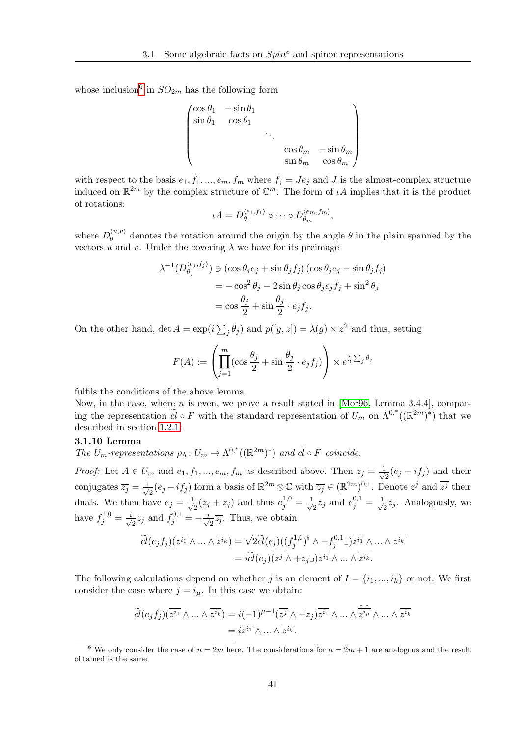whose inclusion<sup>[6](#page-50-0)</sup> in  $SO_{2m}$  has the following form

$$
\begin{pmatrix}\n\cos \theta_1 & -\sin \theta_1 \\
\sin \theta_1 & \cos \theta_1 \\
& \ddots & \ddots \\
& \cos \theta_m & -\sin \theta_m \\
& \sin \theta_m & \cos \theta_m\n\end{pmatrix}
$$

with respect to the basis  $e_1, f_1, ..., e_m, f_m$  where  $f_j = Je_j$  and J is the almost-complex structure induced on  $\mathbb{R}^{2m}$  by the complex structure of  $\mathbb{C}^m$ . The form of  $\iota A$  implies that it is the product of rotations:

$$
\iota A = D_{\theta_1}^{\langle e_1, f_1 \rangle} \circ \cdots \circ D_{\theta_m}^{\langle e_m, f_m \rangle},
$$

where  $D_{\theta}^{\langle u,v\rangle}$  $\theta_{\theta}^{(u,v)}$  denotes the rotation around the origin by the angle  $\theta$  in the plain spanned by the vectors  $\tilde{u}$  and  $v$ . Under the covering  $\lambda$  we have for its preimage

$$
\lambda^{-1}(D_{\theta_j}^{\langle e_j, f_j \rangle}) \ni (\cos \theta_j e_j + \sin \theta_j f_j) (\cos \theta_j e_j - \sin \theta_j f_j)
$$
  
=  $-\cos^2 \theta_j - 2 \sin \theta_j \cos \theta_j e_j f_j + \sin^2 \theta_j$   
=  $\cos \frac{\theta_j}{2} + \sin \frac{\theta_j}{2} \cdot e_j f_j.$ 

On the other hand,  $\det A = \exp(i\sum_j \theta_j)$  and  $p([g, z]) = \lambda(g) \times z^2$  and thus, setting

<span id="page-50-1"></span>
$$
F(A) := \left(\prod_{j=1}^{m} (\cos\frac{\theta_j}{2} + \sin\frac{\theta_j}{2} \cdot e_j f_j) \right) \times e^{\frac{i}{2} \sum_j \theta_j}
$$

fulfils the conditions of the above lemma.

Now, in the case, where  $n$  is even, we prove a result stated in [\[Mor96,](#page-117-2) Lemma 3.4.4], comparing the representation  $\tilde{cl} \circ F$  with the standard representation of  $U_m$  on  $\Lambda^{0,*}((\mathbb{R}^{2m})^*)$  that we described in section [1.2.1:](#page-15-0)

#### 3.1.10 Lemma

The  $U_m$ -representations  $\rho_{\Lambda}: U_m \to \Lambda^{0,*}((\mathbb{R}^{2m})^*)$  and  $\widetilde{cl} \circ F$  coincide.

*Proof:* Let  $A \in U_m$  and  $e_1, f_1, ..., e_m, f_m$  as described above. Then  $z_j = \frac{1}{\sqrt{2}}$  $\frac{1}{2}(e_j - if_j)$  and their conjugates  $\overline{z_j} = \frac{1}{\sqrt{2}}$  $\overline{z_2}(e_j - if_j)$  form a basis of  $\mathbb{R}^{2m} \otimes \mathbb{C}$  with  $\overline{z_j} \in (\mathbb{R}^{2m})^{0,1}$ . Denote  $z^j$  and  $\overline{z^j}$  their duals. We then have  $e_j = \frac{1}{\sqrt{2}}$  $\frac{1}{2}(z_j + \overline{z_j})$  and thus  $e_j^{1,0} = \frac{1}{\sqrt{2}}$  $\frac{1}{2}z_j$  and  $e_j^{0,1} = \frac{1}{\sqrt{2}}$  $\overline{z_2}\overline{z_j}$ . Analogously, we have  $f_j^{1,0} = \frac{i}{\sqrt{2}}$  $\frac{1}{2}z_j$  and  $f_j^{0,1} = -\frac{i}{\sqrt{2}}$  $\frac{1}{2}\overline{z_j}$ . Thus, we obtain

$$
\widetilde{cl}(e_j f_j)(\overline{z^{i_1}} \wedge \ldots \wedge \overline{z^{i_k}}) = \sqrt{2} \widetilde{cl}(e_j)((f_j^{1,0})^{\flat} \wedge -f_j^{0,1} \lrcorner) \overline{z^{i_1}} \wedge \ldots \wedge \overline{z^{i_k}}
$$

$$
= i \widetilde{cl}(e_j)(\overline{z^{j}} \wedge + \overline{z_j} \lrcorner) \overline{z^{i_1}} \wedge \ldots \wedge \overline{z^{i_k}}.
$$

The following calculations depend on whether j is an element of  $I = \{i_1, ..., i_k\}$  or not. We first consider the case where  $j = i_{\mu}$ . In this case we obtain:

$$
\widetilde{cl}(e_j f_j)(\overline{z^{i_1}} \wedge \dots \wedge \overline{z^{i_k}}) = i(-1)^{\mu-1}(\overline{z^{j}} \wedge -\overline{z_{j}})\overline{z^{i_1}} \wedge \dots \wedge \overline{z^{i_{\mu}}} \wedge \dots \wedge \overline{z^{i_k}}
$$

$$
= i\overline{z^{i_1}} \wedge \dots \wedge \overline{z^{i_k}}.
$$

<span id="page-50-0"></span><sup>&</sup>lt;sup>6</sup> We only consider the case of  $n = 2m$  here. The considerations for  $n = 2m + 1$  are analogous and the result obtained is the same.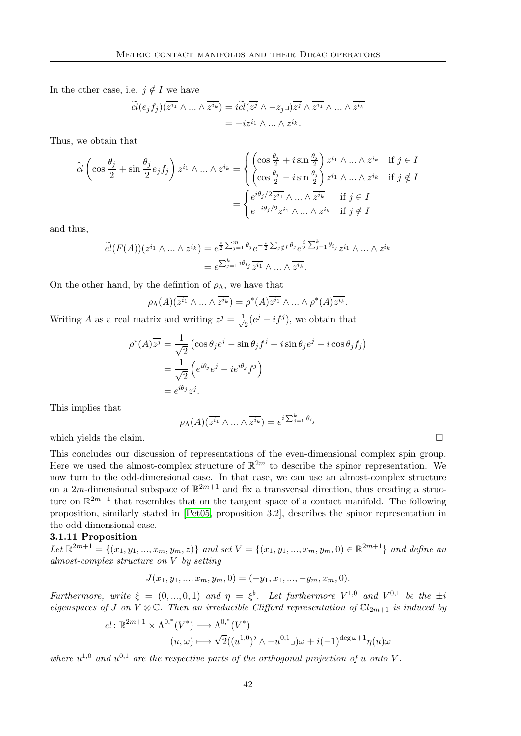In the other case, i.e.  $j \notin I$  we have

$$
\widetilde{cl}(e_j f_j)(\overline{z^{i_1}} \wedge \dots \wedge \overline{z^{i_k}}) = i \widetilde{cl}(\overline{z^{j}} \wedge -\overline{z_{j}} \square) \overline{z^{j}} \wedge \overline{z^{i_1}} \wedge \dots \wedge \overline{z^{i_k}}
$$

$$
= -i \overline{z^{i_1}} \wedge \dots \wedge \overline{z^{i_k}}.
$$

Thus, we obtain that

$$
\widetilde{cl}\left(\cos\frac{\theta_j}{2} + \sin\frac{\theta_j}{2}e_jf_j\right)\overline{z^{i_1}}\wedge\ldots\wedge\overline{z^{i_k}} = \begin{cases}\n\left(\cos\frac{\theta_j}{2} + i\sin\frac{\theta_j}{2}\right)\overline{z^{i_1}}\wedge\ldots\wedge\overline{z^{i_k}} & \text{if } j \in I \\
\left(\cos\frac{\theta_j}{2} - i\sin\frac{\theta_j}{2}\right)\overline{z^{i_1}}\wedge\ldots\wedge\overline{z^{i_k}} & \text{if } j \notin I\n\end{cases}
$$
\n
$$
= \begin{cases}\ne^{i\theta_j/2}\overline{z^{i_1}}\wedge\ldots\wedge\overline{z^{i_k}} & \text{if } j \in I \\
e^{-i\theta_j/2}\overline{z^{i_1}}\wedge\ldots\wedge\overline{z^{i_k}} & \text{if } j \notin I\n\end{cases}
$$

and thus,

$$
\widetilde{cl}(F(A))(\overline{z^{i_1}} \wedge \dots \wedge \overline{z^{i_k}}) = e^{\frac{i}{2} \sum_{j=1}^m \theta_j} e^{-\frac{i}{2} \sum_{j \notin I} \theta_j} e^{\frac{i}{2} \sum_{j=1}^k \theta_i} \overline{z^{i_1}} \wedge \dots \wedge \overline{z^{i_k}}
$$

$$
= e^{\sum_{j=1}^k i\theta_{i_j}} \overline{z^{i_1}} \wedge \dots \wedge \overline{z^{i_k}}.
$$

On the other hand, by the defintion of  $\rho_{\Lambda}$ , we have that

$$
\rho_{\Lambda}(A)(\overline{z^{i_1}} \wedge \ldots \wedge \overline{z^{i_k}}) = \rho^*(A)\overline{z^{i_1}} \wedge \ldots \wedge \rho^*(A)\overline{z^{i_k}}.
$$

Writing A as a real matrix and writing  $\overline{z^j} = \frac{1}{\sqrt{2}}$  $\frac{1}{2}(e^j - if^j)$ , we obtain that

$$
\rho^*(A)\overline{z^j} = \frac{1}{\sqrt{2}} \left( \cos \theta_j e^j - \sin \theta_j f^j + i \sin \theta_j e^j - i \cos \theta_j f_j \right)
$$
  
= 
$$
\frac{1}{\sqrt{2}} \left( e^{i\theta_j} e^j - i e^{i\theta_j} f^j \right)
$$
  
= 
$$
e^{i\theta_j} \overline{z^j}.
$$

This implies that

$$
\rho_{\Lambda}(A)(\overline{z^{i_1}} \wedge \dots \wedge \overline{z^{i_k}}) = e^{i \sum_{j=1}^k \theta_{i_j}}
$$

which yields the claim.

This concludes our discussion of representations of the even-dimensional complex spin group. Here we used the almost-complex structure of  $\mathbb{R}^{2m}$  to describe the spinor representation. We now turn to the odd-dimensional case. In that case, we can use an almost-complex structure on a 2m-dimensional subspace of  $\mathbb{R}^{2m+1}$  and fix a transversal direction, thus creating a structure on  $\mathbb{R}^{2m+1}$  that resembles that on the tangent space of a contact manifold. The following proposition, similarly stated in [\[Pet05,](#page-117-3) proposition 3.2], describes the spinor representation in the odd-dimensional case.

# 3.1.11 Proposition

Let  $\mathbb{R}^{2m+1} = \{(x_1, y_1, ..., x_m, y_m, z)\}$  and set  $V = \{(x_1, y_1, ..., x_m, y_m, 0) \in \mathbb{R}^{2m+1}\}$  and define an almost-complex structure on V by setting

<span id="page-51-0"></span>
$$
J(x_1, y_1, ..., x_m, y_m, 0) = (-y_1, x_1, ..., -y_m, x_m, 0).
$$

Furthermore, write  $\xi = (0, ..., 0, 1)$  and  $\eta = \xi^{\flat}$ . Let furthermore  $V^{1,0}$  and  $V^{0,1}$  be the  $\pm i$ eigenspaces of J on  $V \otimes \mathbb{C}$ . Then an irreducible Clifford representation of  $\mathbb{C}l_{2m+1}$  is induced by

$$
cl: \mathbb{R}^{2m+1} \times \Lambda^{0,*}(V^*) \longrightarrow \Lambda^{0,*}(V^*)
$$

$$
(u,\omega) \longmapsto \sqrt{2}((u^{1,0})^{\flat} \wedge -u^{0,1}\lrcorner)\omega + i(-1)^{\deg \omega+1}\eta(u)\omega
$$

where  $u^{1,0}$  and  $u^{0,1}$  are the respective parts of the orthogonal projection of u onto V.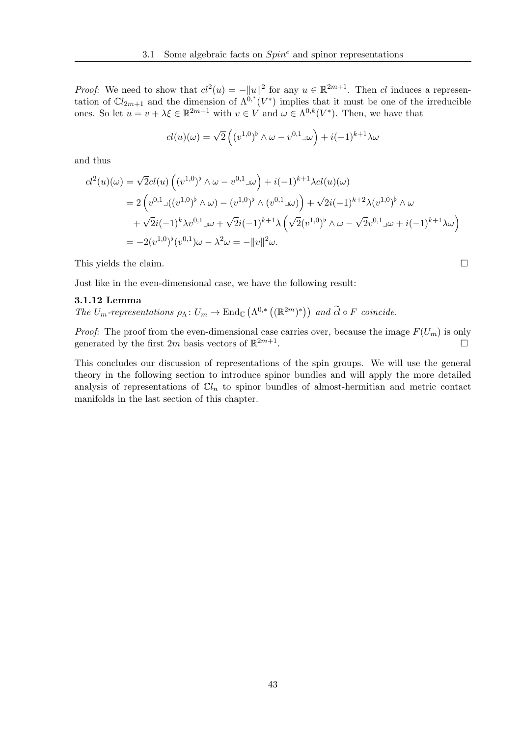*Proof:* We need to show that  $d^2(u) = -||u||^2$  for any  $u \in \mathbb{R}^{2m+1}$ . Then cl induces a representation of  $Cl_{2m+1}$  and the dimension of  $\Lambda^{0,*}(V^*)$  implies that it must be one of the irreducible ones. So let  $u = v + \lambda \xi \in \mathbb{R}^{2m+1}$  with  $v \in V$  and  $\omega \in \Lambda^{0,k}(V^*)$ . Then, we have that

$$
cl(u)(\omega)=\sqrt{2}\left((v^{1,0})^{\flat}\wedge\omega-v^{0,1}\lrcorner\omega\right)+i(-1)^{k+1}\lambda\omega
$$

and thus

$$
cl^{2}(u)(\omega) = \sqrt{2}cl(u)\left((v^{1,0})^{\flat} \wedge \omega - v^{0,1} \omega\right) + i(-1)^{k+1} \lambda cl(u)(\omega)
$$
  
=  $2\left(v^{0,1} \Box ((v^{1,0})^{\flat} \wedge \omega) - (v^{1,0})^{\flat} \wedge (v^{0,1} \Box \omega)\right) + \sqrt{2}i(-1)^{k+2} \lambda (v^{1,0})^{\flat} \wedge \omega$   
+  $\sqrt{2}i(-1)^{k} \lambda v^{0,1} \Box \omega + \sqrt{2}i(-1)^{k+1} \lambda \left(\sqrt{2}(v^{1,0})^{\flat} \wedge \omega - \sqrt{2}v^{0,1} \Box \omega + i(-1)^{k+1} \lambda \omega\right)$   
=  $-2(v^{1,0})^{\flat}(v^{0,1})\omega - \lambda^{2} \omega = -||v||^{2} \omega.$ 

This yields the claim.

Just like in the even-dimensional case, we have the following result:

#### 3.1.12 Lemma

The  $U_m$ -representations  $\rho_{\Lambda} : U_m \to \text{End}_{\mathbb{C}}(\Lambda^{0,*}((\mathbb{R}^{2m})^*))$  and  $\widetilde{cl} \circ F$  coincide.

*Proof:* The proof from the even-dimensional case carries over, because the image  $F(U_m)$  is only generated by the first  $2m$  basis vectors of  $\mathbb{R}^{2m+1}$ .

This concludes our discussion of representations of the spin groups. We will use the general theory in the following section to introduce spinor bundles and will apply the more detailed analysis of representations of  $\mathbb{C}l_n$  to spinor bundles of almost-hermitian and metric contact manifolds in the last section of this chapter.

<span id="page-52-0"></span>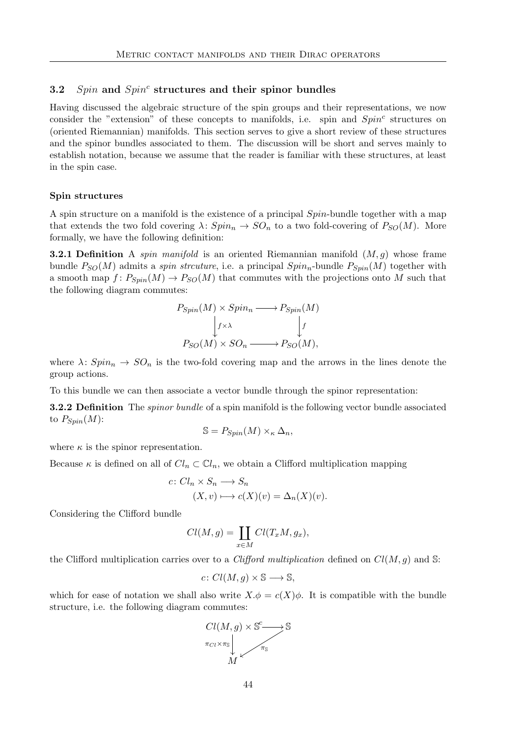# 3.2 Spin and  $Spin<sup>c</sup>$  structures and their spinor bundles

Having discussed the algebraic structure of the spin groups and their representations, we now consider the "extension" of these concepts to manifolds, i.e. spin and  $Spin<sup>c</sup>$  structures on (oriented Riemannian) manifolds. This section serves to give a short review of these structures and the spinor bundles associated to them. The discussion will be short and serves mainly to establish notation, because we assume that the reader is familiar with these structures, at least in the spin case.

# Spin structures

A spin structure on a manifold is the existence of a principal Spin-bundle together with a map that extends the two fold covering  $\lambda: Spin_n \to SO_n$  to a two fold-covering of  $P_{SO}(M)$ . More formally, we have the following definition:

**3.2.1 Definition** A *spin manifold* is an oriented Riemannian manifold  $(M, g)$  whose frame bundle  $P_{SO}(M)$  admits a *spin strcuture*, i.e. a principal  $Spin_n$ -bundle  $P_{Spin}(M)$  together with a smooth map  $f: P_{Spin}(M) \to P_{SO}(M)$  that commutes with the projections onto M such that the following diagram commutes:

$$
P_{Spin}(M) \times Spin_n \longrightarrow P_{Spin}(M)
$$

$$
\downarrow f \times \lambda \qquad \qquad \downarrow f
$$

$$
P_{SO}(M) \times SO_n \longrightarrow P_{SO}(M),
$$

where  $\lambda: Spin_n \to SO_n$  is the two-fold covering map and the arrows in the lines denote the group actions.

To this bundle we can then associate a vector bundle through the spinor representation:

**3.2.2 Definition** The *spinor bundle* of a spin manifold is the following vector bundle associated to  $P_{Spin}(M)$ :

$$
\mathbb{S} = P_{Spin}(M) \times_{\kappa} \Delta_n,
$$

where  $\kappa$  is the spinor representation.

Because  $\kappa$  is defined on all of  $Cl_n \subset \mathbb{C}l_n$ , we obtain a Clifford multiplication mapping

$$
c: Cl_n \times S_n \longrightarrow S_n
$$
  

$$
(X, v) \longmapsto c(X)(v) = \Delta_n(X)(v).
$$

Considering the Clifford bundle

$$
Cl(M, g) = \coprod_{x \in M} Cl(T_xM, g_x),
$$

the Clifford multiplication carries over to a *Clifford multiplication* defined on  $Cl(M, g)$  and S:

$$
c\colon Cl(M,g)\times\mathbb{S}\longrightarrow\mathbb{S},
$$

which for ease of notation we shall also write  $X \cdot \phi = c(X) \phi$ . It is compatible with the bundle structure, i.e. the following diagram commutes:

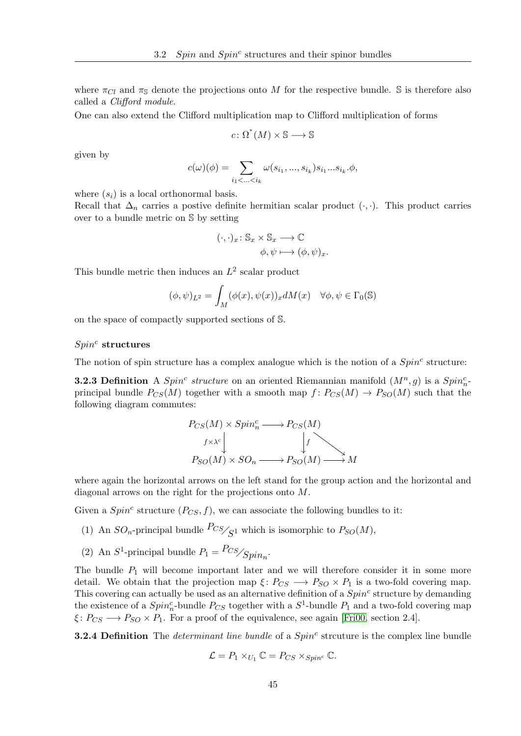where  $\pi_{Cl}$  and  $\pi_{\mathbb{S}}$  denote the projections onto M for the respective bundle. S is therefore also called a Clifford module.

One can also extend the Clifford multiplication map to Clifford multiplication of forms

$$
c \colon \Omega^*(M) \times \mathbb{S} \longrightarrow \mathbb{S}
$$

given by

$$
c(\omega)(\phi) = \sum_{i_1 < \ldots < i_k} \omega(s_{i_1}, \ldots, s_{i_k}) s_{i_1} \ldots s_{i_k} \phi,
$$

where  $(s_i)$  is a local orthonormal basis.

Recall that  $\Delta_n$  carries a postive definite hermitian scalar product ( $\cdot$ , $\cdot$ ). This product carries over to a bundle metric on S by setting

$$
(\cdot,\cdot)_x \colon \mathbb{S}_x \times \mathbb{S}_x \longrightarrow \mathbb{C}
$$

$$
\phi, \psi \longmapsto (\phi, \psi)_x.
$$

This bundle metric then induces an  $L^2$  scalar product

$$
(\phi, \psi)_{L^2} = \int_M (\phi(x), \psi(x))_x dM(x) \quad \forall \phi, \psi \in \Gamma_0(\mathbb{S})
$$

on the space of compactly supported sections of S.

# $Spin<sup>c</sup>$  structures

The notion of spin structure has a complex analogue which is the notion of a  $Spin<sup>c</sup>$  structure:

**3.2.3 Definition** A  $Spin<sup>c</sup> structure$  on an oriented Riemannian manifold  $(M<sup>n</sup>, g)$  is a  $Spin<sup>c</sup><sub>n</sub>$ principal bundle  $P_{CS}(M)$  together with a smooth map  $f: P_{CS}(M) \to P_{SO}(M)$  such that the following diagram commutes:

$$
P_{CS}(M) \times Spin_n^c \longrightarrow P_{CS}(M)
$$
  
\n $f \times \lambda^c$   
\n $f$   
\n $P_{SO}(M) \times SO_n \longrightarrow P_{SO}(M) \longrightarrow M$ 

where again the horizontal arrows on the left stand for the group action and the horizontal and diagonal arrows on the right for the projections onto M.

Given a  $Spin<sup>c</sup>$  structure  $(P_{CS}, f)$ , we can associate the following bundles to it:

- (1) An  $SO_n$ -principal bundle  $\frac{PCS}{\zeta^1}$  which is isomorphic to  $P_{SO}(M)$ ,
- (2) An  $S^1$ -principal bundle  $P_1 = \frac{Pcs}{Spin_n}$ .

The bundle  $P_1$  will become important later and we will therefore consider it in some more detail. We obtain that the projection map  $\xi: P_{CS} \longrightarrow P_{SO} \times P_1$  is a two-fold covering map. This covering can actually be used as an alternative definition of a  $Spin<sup>c</sup>$  structure by demanding the existence of a  $Spin<sub>n</sub><sup>c</sup>$ -bundle  $P_{CS}$  together with a  $S<sup>1</sup>$ -bundle  $P_1$  and a two-fold covering map  $\xi: P_{CS} \longrightarrow P_{SO} \times P_1$ . For a proof of the equivalence, see again [\[Fri00,](#page-116-2) section 2.4].

**3.2.4 Definition** The *determinant line bundle* of a  $Spin<sup>c</sup>$  strcuture is the complex line bundle

$$
\mathcal{L} = P_1 \times_{U_1} \mathbb{C} = P_{CS} \times_{Spin^c} \mathbb{C}.
$$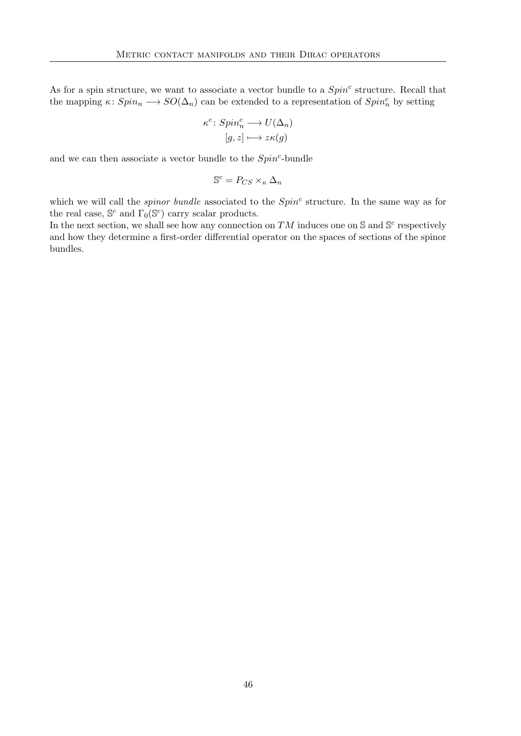As for a spin structure, we want to associate a vector bundle to a  $Spin<sup>c</sup>$  structure. Recall that the mapping  $\kappa: Spin_n \longrightarrow SO(\Delta_n)$  can be extended to a representation of  $Spin_n^c$  by setting

$$
\kappa^c \colon Spin_n^c \longrightarrow U(\Delta_n)
$$

$$
[g, z] \longmapsto z\kappa(g)
$$

and we can then associate a vector bundle to the  $Spin<sup>c</sup>$ -bundle

$$
\mathbb{S}^c = P_{CS} \times_{\kappa} \Delta_n
$$

which we will call the *spinor bundle* associated to the  $Spin<sup>c</sup>$  structure. In the same way as for the real case,  $\mathbb{S}^c$  and  $\Gamma_0(\mathbb{S}^c)$  carry scalar products.

In the next section, we shall see how any connection on TM induces one on S and S<sup>c</sup> respectively and how they determine a first-order differential operator on the spaces of sections of the spinor bundles.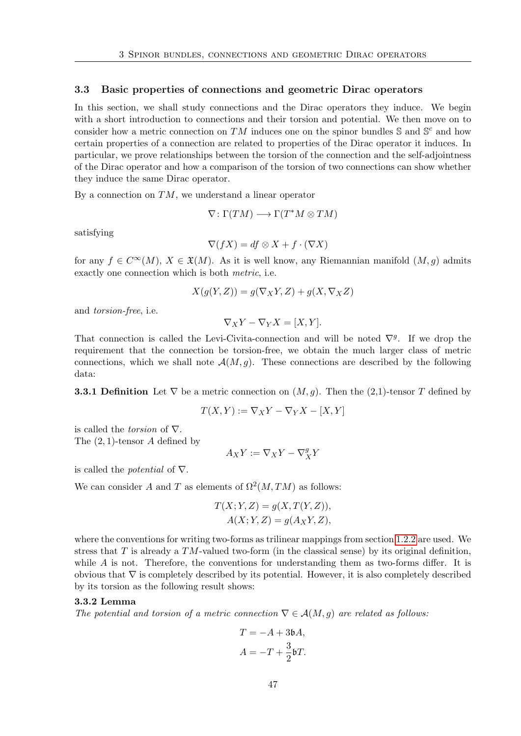#### <span id="page-56-1"></span>3.3 Basic properties of connections and geometric Dirac operators

In this section, we shall study connections and the Dirac operators they induce. We begin with a short introduction to connections and their torsion and potential. We then move on to consider how a metric connection on TM induces one on the spinor bundles  $\mathbb{S}$  and  $\mathbb{S}^c$  and how certain properties of a connection are related to properties of the Dirac operator it induces. In particular, we prove relationships between the torsion of the connection and the self-adjointness of the Dirac operator and how a comparison of the torsion of two connections can show whether they induce the same Dirac operator.

By a connection on  $TM$ , we understand a linear operator

$$
\nabla\colon \Gamma(TM) \longrightarrow \Gamma(T^*M \otimes TM)
$$

satisfying

$$
\nabla(fX) = df \otimes X + f \cdot (\nabla X)
$$

for any  $f \in C^{\infty}(M)$ ,  $X \in \mathfrak{X}(M)$ . As it is well know, any Riemannian manifold  $(M, g)$  admits exactly one connection which is both metric, i.e.

$$
X(g(Y, Z)) = g(\nabla_X Y, Z) + g(X, \nabla_X Z)
$$

and torsion-free, i.e.

 $\nabla_X Y - \nabla_Y X = [X, Y].$ 

That connection is called the Levi-Civita-connection and will be noted  $\nabla^g$ . If we drop the requirement that the connection be torsion-free, we obtain the much larger class of metric connections, which we shall note  $\mathcal{A}(M, q)$ . These connections are described by the following data:

**3.3.1 Definition** Let  $\nabla$  be a metric connection on  $(M, q)$ . Then the (2,1)-tensor T defined by

$$
T(X,Y) := \nabla_X Y - \nabla_Y X - [X,Y]
$$

is called the *torsion* of  $\nabla$ . The (2, 1)-tensor A defined by

$$
A_X Y := \nabla_X Y - \nabla_X^g Y
$$

is called the *potential* of  $\nabla$ .

We can consider A and T as elements of  $\Omega^2(M, TM)$  as follows:

$$
T(X; Y, Z) = g(X, T(Y, Z)),
$$
  

$$
A(X; Y, Z) = g(A_X Y, Z),
$$

where the conventions for writing two-forms as trilinear mappings from section [1.2.2](#page-17-0) are used. We stress that T is already a  $TM$ -valued two-form (in the classical sense) by its original definition, while  $A$  is not. Therefore, the conventions for understanding them as two-forms differ. It is obvious that ∇ is completely described by its potential. However, it is also completely described by its torsion as the following result shows:

#### 3.3.2 Lemma

The potential and torsion of a metric connection  $\nabla \in \mathcal{A}(M,g)$  are related as follows:

<span id="page-56-0"></span>
$$
T = -A + 3bA,
$$
  

$$
A = -T + \frac{3}{2}bT.
$$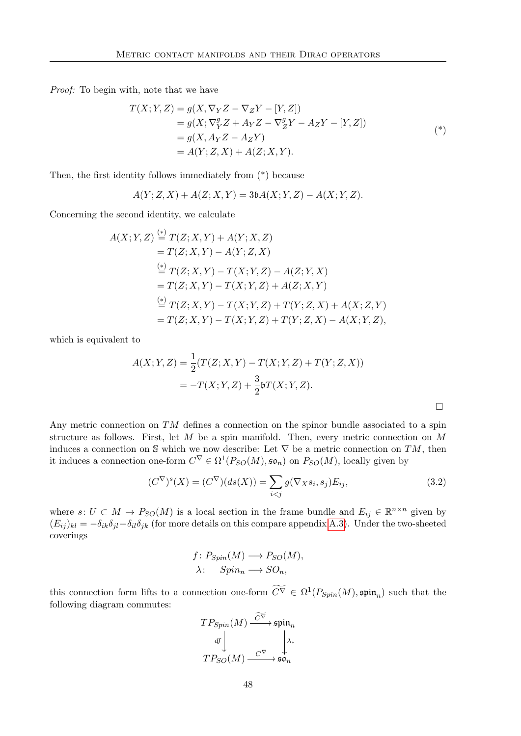Proof: To begin with, note that we have

$$
T(X;Y,Z) = g(X, \nabla_Y Z - \nabla_Z Y - [Y, Z])
$$
  
=  $g(X; \nabla_Y^g Z + A_Y Z - \nabla_Z^g Y - A_Z Y - [Y, Z])$   
=  $g(X, A_Y Z - A_Z Y)$   
=  $A(Y; Z, X) + A(Z; X, Y).$  (\*)

Then, the first identity follows immediately from (\*) because

$$
A(Y; Z, X) + A(Z; X, Y) = 3\mathfrak{b}A(X; Y, Z) - A(X; Y, Z).
$$

Concerning the second identity, we calculate

$$
A(X; Y, Z) \stackrel{(*)}{=} T(Z; X, Y) + A(Y; X, Z)
$$
  
=  $T(Z; X, Y) - A(Y; Z, X)$   

$$
\stackrel{(*)}{=} T(Z; X, Y) - T(X; Y, Z) - A(Z; Y, X)
$$
  
=  $T(Z; X, Y) - T(X; Y, Z) + A(Z; X, Y)$   

$$
\stackrel{(*)}{=} T(Z; X, Y) - T(X; Y, Z) + T(Y; Z, X) + A(X; Z, Y)
$$
  
=  $T(Z; X, Y) - T(X; Y, Z) + T(Y; Z, X) - A(X; Y, Z),$ 

which is equivalent to

$$
A(X; Y, Z) = \frac{1}{2}(T(Z; X, Y) - T(X; Y, Z) + T(Y; Z, X))
$$
  
=  $-T(X; Y, Z) + \frac{3}{2}\mathfrak{b}T(X; Y, Z).$ 

Any metric connection on  $TM$  defines a connection on the spinor bundle associated to a spin structure as follows. First, let  $M$  be a spin manifold. Then, every metric connection on  $M$ induces a connection on S which we now describe: Let  $\nabla$  be a metric connection on TM, then it induces a connection one-form  $C^{\nabla} \in \Omega^1(P_{SO}(M), \mathfrak{so}_n)$  on  $P_{SO}(M)$ , locally given by

$$
(C^{\nabla})^s(X) = (C^{\nabla})(ds(X)) = \sum_{i < j} g(\nabla_X s_i, s_j) E_{ij},\tag{3.2}
$$

where  $s: U \subset M \to P_{SO}(M)$  is a local section in the frame bundle and  $E_{ij} \in \mathbb{R}^{n \times n}$  given by  $(E_{ij})_{kl} = -\delta_{ik}\delta_{jl} + \delta_{il}\delta_{jk}$  (for more details on this compare appendix [A.3\)](#page-113-0). Under the two-sheeted coverings

$$
f: P_{Spin}(M) \longrightarrow P_{SO}(M),
$$
  

$$
\lambda: Spin_n \longrightarrow SO_n,
$$

this connection form lifts to a connection one-form  $C^{\nabla} \in \Omega^1(P_{Spin}(M), \mathfrak{spin}_n)$  such that the following diagram commutes:

$$
TP_{Spin}(M) \xrightarrow{\widetilde{C^{\nabla}}}\mathfrak{spin}_n
$$

$$
df \downarrow \qquad \qquad \downarrow \lambda_*
$$

$$
TP_{SO}(M) \xrightarrow{\widetilde{C^{\nabla}}} \mathfrak{so}_n
$$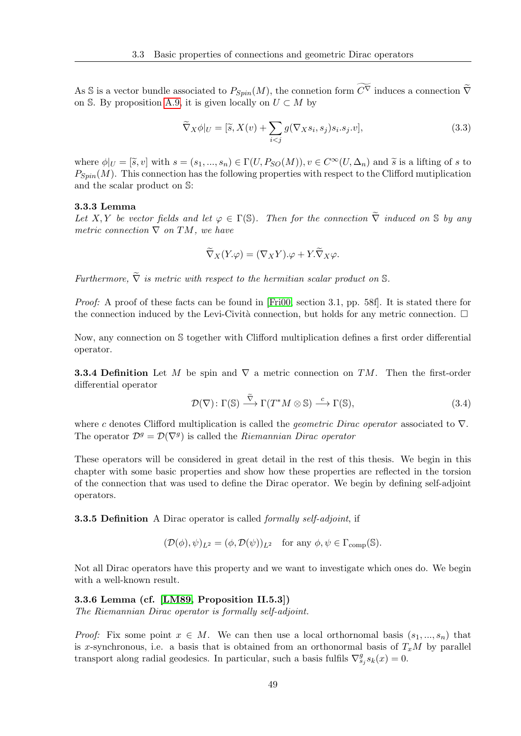As S is a vector bundle associated to  $P_{S_{min}}(M)$ , the connection form  $\widetilde{C}(\nabla)$  induces a connection  $\widetilde{\nabla}$ on S. By proposition [A.9,](#page-111-0) it is given locally on  $U \subset M$  by

$$
\widetilde{\nabla}_X \phi|_U = [\widetilde{s}, X(v) + \sum_{i < j} g(\nabla_X s_i, s_j) s_i . s_j . v],\tag{3.3}
$$

where  $\phi|_U = [\tilde{s}, v]$  with  $s = (s_1, ..., s_n) \in \Gamma(U, P_{SO}(M)), v \in C^{\infty}(U, \Delta_n)$  and  $\tilde{s}$  is a lifting of s to  $P_{Spin}(M)$ . This connection has the following properties with respect to the Clifford mutiplication and the scalar product on S:

#### 3.3.3 Lemma

Let X, Y be vector fields and let  $\varphi \in \Gamma(\mathbb{S})$ . Then for the connection  $\widetilde{\nabla}$  induced on S by any metric connection  $\nabla$  on TM, we have

$$
\widetilde{\nabla}_X(Y.\varphi) = (\nabla_X Y).\varphi + Y.\widetilde{\nabla}_X \varphi.
$$

Furthermore,  $\tilde{\nabla}$  is metric with respect to the hermitian scalar product on S.

Proof: A proof of these facts can be found in [\[Fri00,](#page-116-2) section 3.1, pp. 58f]. It is stated there for the connection induced by the Levi-Cività connection, but holds for any metric connection.  $\Box$ 

Now, any connection on S together with Clifford multiplication defines a first order differential operator.

**3.3.4 Definition** Let M be spin and  $\nabla$  a metric connection on TM. Then the first-order differential operator

$$
\mathcal{D}(\nabla): \Gamma(\mathbb{S}) \stackrel{\tilde{\nabla}}{\longrightarrow} \Gamma(T^*M \otimes \mathbb{S}) \stackrel{c}{\longrightarrow} \Gamma(\mathbb{S}), \tag{3.4}
$$

where c denotes Clifford multiplication is called the *geometric Dirac operator* associated to  $\nabla$ . The operator  $\mathcal{D}^g = \mathcal{D}(\nabla^g)$  is called the *Riemannian Dirac operator* 

These operators will be considered in great detail in the rest of this thesis. We begin in this chapter with some basic properties and show how these properties are reflected in the torsion of the connection that was used to define the Dirac operator. We begin by defining self-adjoint operators.

**3.3.5 Definition** A Dirac operator is called *formally self-adjoint*, if

$$
(\mathcal{D}(\phi), \psi)_{L^2} = (\phi, \mathcal{D}(\psi))_{L^2} \quad \text{for any } \phi, \psi \in \Gamma_{\text{comp}}(\mathbb{S}).
$$

Not all Dirac operators have this property and we want to investigate which ones do. We begin with a well-known result.

### 3.3.6 Lemma (cf. [\[LM89,](#page-117-1) Proposition II.5.3])

The Riemannian Dirac operator is formally self-adjoint.

*Proof:* Fix some point  $x \in M$ . We can then use a local orthornomal basis  $(s_1, ..., s_n)$  that is x-synchronous, i.e. a basis that is obtained from an orthonormal basis of  $T_xM$  by parallel transport along radial geodesics. In particular, such a basis fulfils  $\nabla_{s_j}^g s_k(x) = 0$ .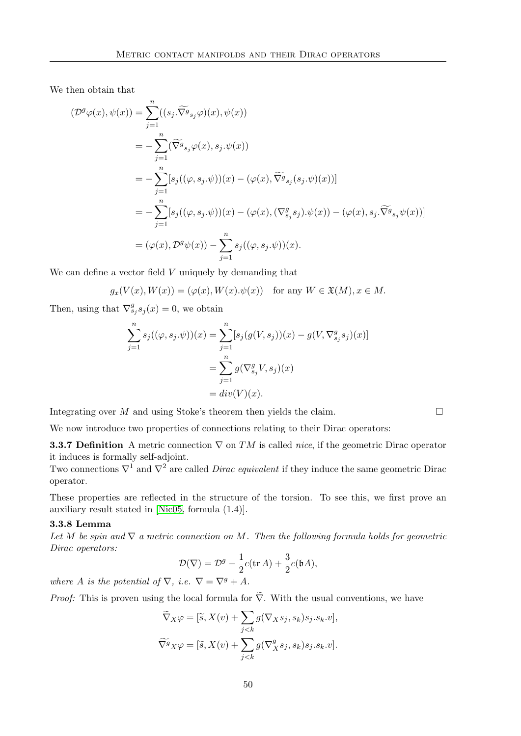We then obtain that

$$
\begin{split}\n(\mathcal{D}^{g}\varphi(x),\psi(x)) &= \sum_{j=1}^{n} ((s_{j}.\widetilde{\nabla^{g}}_{s_{j}}\varphi)(x),\psi(x)) \\
&= -\sum_{j=1}^{n} (\widetilde{\nabla^{g}}_{s_{j}}\varphi(x),s_{j}.\psi(x)) \\
&= -\sum_{j=1}^{n} [s_{j}((\varphi,s_{j}.\psi))(x) - (\varphi(x),\widetilde{\nabla^{g}}_{s_{j}}(s_{j}.\psi)(x))] \\
&= -\sum_{j=1}^{n} [s_{j}((\varphi,s_{j}.\psi))(x) - (\varphi(x),(\nabla^{g}_{s_{j}}s_{j}).\psi(x)) - (\varphi(x),s_{j}.\widetilde{\nabla^{g}}_{s_{j}}\psi(x))] \\
&= (\varphi(x),\mathcal{D}^{g}\psi(x)) - \sum_{j=1}^{n} s_{j}((\varphi,s_{j}.\psi))(x).\n\end{split}
$$

We can define a vector field  $V$  uniquely by demanding that

$$
g_x(V(x), W(x)) = (\varphi(x), W(x).\psi(x)) \text{ for any } W \in \mathfrak{X}(M), x \in M.
$$

Then, using that  $\nabla_{s_j}^g s_j(x) = 0$ , we obtain

$$
\sum_{j=1}^{n} s_j((\varphi, s_j. \psi))(x) = \sum_{j=1}^{n} [s_j(g(V, s_j))(x) - g(V, \nabla_{s_j}^g s_j)(x)]
$$
  
= 
$$
\sum_{j=1}^{n} g(\nabla_{s_j}^g V, s_j)(x)
$$
  
= 
$$
div(V)(x).
$$

Integrating over M and using Stoke's theorem then yields the claim.  $\Box$ 

We now introduce two properties of connections relating to their Dirac operators:

**3.3.7 Definition** A metric connection  $\nabla$  on TM is called nice, if the geometric Dirac operator it induces is formally self-adjoint.

Two connections  $\nabla^1$  and  $\nabla^2$  are called *Dirac equivalent* if they induce the same geometric Dirac operator.

These properties are reflected in the structure of the torsion. To see this, we first prove an auxiliary result stated in [\[Nic05,](#page-117-0) formula (1.4)].

# 3.3.8 Lemma

Let M be spin and  $\nabla$  a metric connection on M. Then the following formula holds for geometric Dirac operators:

<span id="page-59-0"></span>
$$
\mathcal{D}(\nabla) = \mathcal{D}^g - \frac{1}{2}c(\text{tr }A) + \frac{3}{2}c(\text{b}A),
$$

where A is the potential of  $\nabla$ , i.e.  $\nabla = \nabla^g + A$ .

*Proof:* This is proven using the local formula for  $\tilde{\nabla}$ . With the usual conventions, we have

$$
\widetilde{\nabla}_X \varphi = [\widetilde{s}, X(v) + \sum_{j < k} g(\nabla_X s_j, s_k) s_j.s_k.v],
$$
\n
$$
\widetilde{\nabla}^g X \varphi = [\widetilde{s}, X(v) + \sum_{j < k} g(\nabla^g_X s_j, s_k) s_j.s_k.v].
$$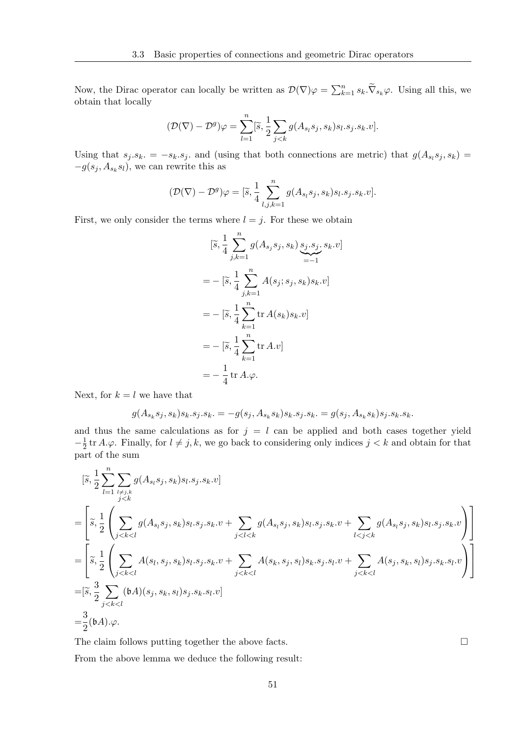Now, the Dirac operator can locally be written as  $\mathcal{D}(\nabla)\varphi = \sum_{k=1}^n s_k \cdot \tilde{\nabla}_{s_k} \varphi$ . Using all this, we obtain that locally

$$
(\mathcal{D}(\nabla) - \mathcal{D}^g)\varphi = \sum_{l=1}^n [\tilde{s}, \frac{1}{2}\sum_{j < k} g(A_{s_l}s_j, s_k) s_l.s_j.s_k.v].
$$

Using that  $s_j.s_k. = -s_k.s_j.$  and (using that both connections are metric) that  $g(A_{s_l}s_j, s_k) =$  $-g(s_j, A_{s_k}s_l)$ , we can rewrite this as

$$
(\mathcal{D}(\nabla) - \mathcal{D}^g)\varphi = [\tilde{s}, \frac{1}{4} \sum_{l,j,k=1}^n g(A_{s_l}s_j, s_k)s_l.s_j.s_k.v].
$$

First, we only consider the terms where  $l = j$ . For these we obtain

$$
[\tilde{s}, \frac{1}{4} \sum_{j,k=1}^{n} g(A_{s_j}s_j, s_k) \underbrace{s_j.s_j}_{=-1}, s_k.v]
$$
  
= - [\tilde{s}, \frac{1}{4} \sum\_{j,k=1}^{n} A(s\_j; s\_j, s\_k) s\_k.v]  
= - [\tilde{s}, \frac{1}{4} \sum\_{k=1}^{n} tr A(s\_k) s\_k.v]  
= - [\tilde{s}, \frac{1}{4} \sum\_{k=1}^{n} tr A.v]  
= - \frac{1}{4} tr A.\varphi.

Next, for  $k = l$  we have that

$$
g(A_{s_k}s_j, s_k)s_k.s_j.s_k. = -g(s_j, A_{s_k}s_k)s_k.s_j.s_k. = g(s_j, A_{s_k}s_k)s_j.s_k.s_k.
$$

and thus the same calculations as for  $j = l$  can be applied and both cases together yield  $-\frac{1}{2}$  $\frac{1}{2}$  tr A. $\varphi$ . Finally, for  $l \neq j, k$ , we go back to considering only indices  $j < k$  and obtain for that part of the sum

$$
\begin{split} & \quad [\widetilde{s},\frac{1}{2}\sum_{l=1}^{n}\sum_{l\neq j,k}g(A_{s_{l}}s_{j},s_{k})s_{l}.s_{j}.s_{k}.v] \\ & = \Bigg[\widetilde{s},\frac{1}{2}\left(\sum_{j
$$

The claim follows putting together the above facts.  $\Box$ 

From the above lemma we deduce the following result: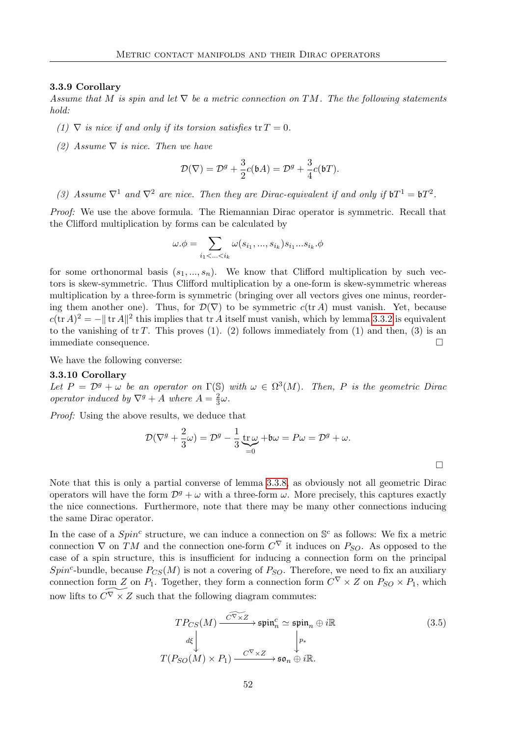#### 3.3.9 Corollary

Assume that M is spin and let  $\nabla$  be a metric connection on TM. The the following statements hold:

- (1)  $\nabla$  is nice if and only if its torsion satisfies  $tr T = 0$ .
- (2) Assume  $\nabla$  is nice. Then we have

$$
\mathcal{D}(\nabla) = \mathcal{D}^g + \frac{3}{2}c(\mathfrak{b}A) = \mathcal{D}^g + \frac{3}{4}c(\mathfrak{b}T).
$$

(3) Assume  $\nabla^1$  and  $\nabla^2$  are nice. Then they are Dirac-equivalent if and only if  $\mathfrak{b}T^1 = \mathfrak{b}T^2$ .

Proof: We use the above formula. The Riemannian Dirac operator is symmetric. Recall that the Clifford multiplication by forms can be calculated by

$$
\omega.\phi = \sum_{i_1 < \ldots < i_k} \omega(s_{i_1}, \ldots, s_{i_k}) s_{i_1} \ldots s_{i_k}.\phi
$$

for some orthonormal basis  $(s_1, ..., s_n)$ . We know that Clifford multiplication by such vectors is skew-symmetric. Thus Clifford multiplication by a one-form is skew-symmetric whereas multiplication by a three-form is symmetric (bringing over all vectors gives one minus, reordering them another one). Thus, for  $\mathcal{D}(\nabla)$  to be symmetric  $c(\text{tr }A)$  must vanish. Yet, because  $c(\text{tr } A)^2 = -\|\text{tr } A\|^2$  this implies that tr A itself must vanish, which by lemma [3.3.2](#page-56-0) is equivalent to the vanishing of  $tr T$ . This proves (1). (2) follows immediately from (1) and then, (3) is an immediate consequence.

We have the following converse:

#### 3.3.10 Corollary

Let  $P = \mathcal{D}^g + \omega$  be an operator on  $\Gamma(\mathbb{S})$  with  $\omega \in \Omega^3(M)$ . Then, P is the geometric Dirac operator induced by  $\nabla^g + A$  where  $A = \frac{2}{3}$  $\frac{2}{3}\omega$ .

Proof: Using the above results, we deduce that

$$
\mathcal{D}(\nabla^g + \frac{2}{3}\omega) = \mathcal{D}^g - \frac{1}{3}\underbrace{\operatorname{tr}\omega}_{=0} + \mathfrak{b}\omega = P\omega = \mathcal{D}^g + \omega.
$$

Note that this is only a partial converse of lemma [3.3.8,](#page-59-0) as obviously not all geometric Dirac operators will have the form  $\mathcal{D}^g + \omega$  with a three-form  $\omega$ . More precisely, this captures exactly the nice connections. Furthermore, note that there may be many other connections inducing the same Dirac operator.

In the case of a  $Spin^c$  structure, we can induce a connection on  $\mathbb{S}^c$  as follows: We fix a metric connection  $\nabla$  on TM and the connection one-form  $C^{\nabla}$  it induces on  $P_{SO}$ . As opposed to the case of a spin structure, this is insufficient for inducing a connection form on the principal Spin<sup>c</sup>-bundle, because  $P_{CS}(M)$  is not a covering of  $P_{SO}$ . Therefore, we need to fix an auxiliary connection form Z on  $P_1$ . Together, they form a connection form  $C^{\nabla} \times Z$  on  $P_{SO} \times P_1$ , which now lifts to  $\widetilde{C^V \times Z}$  such that the following diagram commutes:

<span id="page-61-0"></span>
$$
TP_{CS}(M) \xrightarrow{\widetilde{C^{\nabla} \times Z}} \mathfrak{spin}_n^c \simeq \mathfrak{spin}_n \oplus i\mathbb{R}
$$
\n
$$
\downarrow{d\xi} \qquad \qquad \downarrow{d\xi}
$$
\n
$$
T(P_{SO}(M) \times P_1) \xrightarrow{\widetilde{C^{\nabla} \times Z}} \mathfrak{so}_n \oplus i\mathbb{R}.
$$
\n(3.5)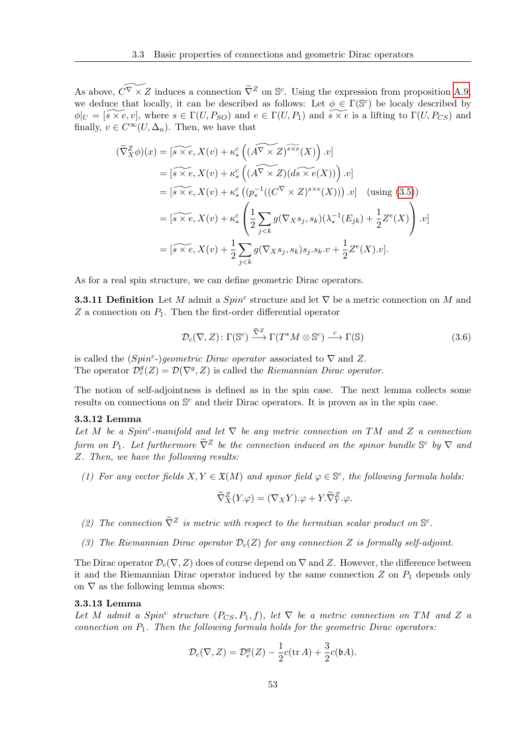As above,  $\widetilde{C}^{\nabla} \times Z$  induces a connection  $\widetilde{\nabla}^Z$  on S<sup>c</sup>. Using the expression from proposition [A.9,](#page-111-0) we deduce that locally, it can be described as follows: Let  $\phi \in \Gamma(\mathbb{S}^c)$  be localy described by  $\phi|_U = [\widetilde{s \times e}, v]$ , where  $s \in \Gamma(U, P_{SO})$  and  $e \in \Gamma(U, P_1)$  and  $\widetilde{s \times e}$  is a lifting to  $\Gamma(U, P_{CS})$  and finally,  $v \in C^{\infty}(U, \Delta_n)$ . Then, we have that

$$
\begin{split}\n(\widetilde{\nabla}_X^Z \phi)(x) &= \left[ \widetilde{s \times e}, X(v) + \kappa_*^c \left( (\widetilde{A^\nabla \times Z})^{\widetilde{s \times e}}(X) \right) . v \right] \\
&= \left[ \widetilde{s \times e}, X(v) + \kappa_*^c \left( (\widetilde{A^\nabla \times Z}) (d\widetilde{s \times e}(X)) \right) . v \right] \\
&= \left[ \widetilde{s \times e}, X(v) + \kappa_*^c \left( (p_*^{-1} ((C^\nabla \times Z)^{s \times e}(X)) \right) . v \right] \quad \text{(using (3.5))} \\
&= \left[ \widetilde{s \times e}, X(v) + \kappa_*^c \left( \frac{1}{2} \sum_{j < k} g(\nabla_X s_j, s_k) (\lambda_*^{-1} (E_{jk}) + \frac{1}{2} Z^e(X) \right) . v \right] \\
&= \left[ \widetilde{s \times e}, X(v) + \frac{1}{2} \sum_{j < k} g(\nabla_X s_j, s_k) s_j . s_k . v + \frac{1}{2} Z^e(X) . v \right].\n\end{split}
$$

As for a real spin structure, we can define geometric Dirac operators.

**3.3.11 Definition** Let M admit a  $Spin<sup>c</sup>$  structure and let  $\nabla$  be a metric connection on M and Z a connection on  $P_1$ . Then the first-order differential operator

$$
\mathcal{D}_c(\nabla, Z) \colon \Gamma(\mathbb{S}^c) \xrightarrow{\tilde{\nabla}^Z} \Gamma(T^*M \otimes \mathbb{S}^c) \xrightarrow{c} \Gamma(\mathbb{S})
$$
\n(3.6)

is called the  $(Spin^c-)geometric Dirac operator$  associated to  $\nabla$  and Z. The operator  $\mathcal{D}_{c}^{g}(Z) = \mathcal{D}(\nabla^{g}, Z)$  is called the *Riemannian Dirac operator*.

The notion of self-adjointness is defined as in the spin case. The next lemma collects some results on connections on  $\mathbb{S}^c$  and their Dirac operators. It is proven as in the spin case.

# 3.3.12 Lemma

Let M be a Spin<sup>c</sup>-manifold and let  $\nabla$  be any metric connection on TM and Z a connection form on  $P_1$ . Let furthermore  $\tilde{\nabla}^Z$  be the connection induced on the spinor bundle  $\mathbb{S}^c$  by  $\nabla$  and Z. Then, we have the following results:

(1) For any vector fields  $X, Y \in \mathfrak{X}(M)$  and spinor field  $\varphi \in \mathbb{S}^c$ , the following formula holds:

$$
\widetilde{\nabla}_X^Z(Y.\varphi) = (\nabla_X Y).\varphi + Y.\widetilde{\nabla}_Y^Z.\varphi.
$$

- (2) The connection  $\tilde{\nabla}^Z$  is metric with respect to the hermitian scalar product on  $\mathbb{S}^c$ .
- (3) The Riemannian Dirac operator  $\mathcal{D}_c(Z)$  for any connection Z is formally self-adjoint.

The Dirac operator  $\mathcal{D}_c(\nabla, Z)$  does of course depend on  $\nabla$  and Z. However, the difference between it and the Riemannian Dirac operator induced by the same connection  $Z$  on  $P_1$  depends only on  $\nabla$  as the following lemma shows:

#### 3.3.13 Lemma

Let M admit a Spin<sup>c</sup> structure  $(P_{CS}, P_1, f)$ , let  $\nabla$  be a metric connection on TM and Z a connection on  $P_1$ . Then the following formula holds for the geometric Dirac operators:

$$
\mathcal{D}_c(\nabla, Z) = \mathcal{D}_c^g(Z) - \frac{1}{2}c(\text{tr } A) + \frac{3}{2}c(\mathfrak{b} A).
$$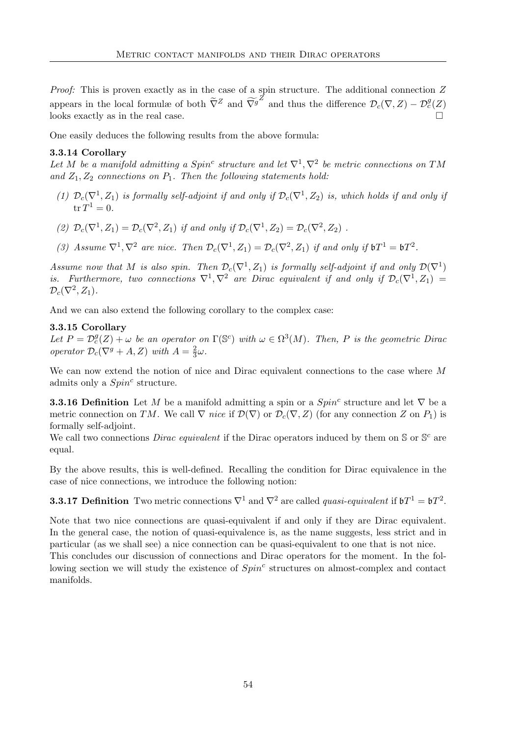Proof: This is proven exactly as in the case of a spin structure. The additional connection Z appears in the local formulæ of both  $\tilde{\nabla}^Z$  and  $\tilde{\nabla}^g$  and thus the difference  $\mathcal{D}_c(\nabla, Z) - \mathcal{D}_c^g(Z)$ looks exactly as in the real case.

One easily deduces the following results from the above formula:

# 3.3.14 Corollary

Let M be a manifold admitting a  $Spin^c$  structure and let  $\nabla^1$ ,  $\nabla^2$  be metric connections on TM and  $Z_1, Z_2$  connections on  $P_1$ . Then the following statements hold:

- (1)  $\mathcal{D}_c(\nabla^1, Z_1)$  is formally self-adjoint if and only if  $\mathcal{D}_c(\nabla^1, Z_2)$  is, which holds if and only if  $tr T^1 = 0.$
- (2)  $\mathcal{D}_c(\nabla^1, Z_1) = \mathcal{D}_c(\nabla^2, Z_1)$  if and only if  $\mathcal{D}_c(\nabla^1, Z_2) = \mathcal{D}_c(\nabla^2, Z_2)$ .
- (3) Assume  $\nabla^1$ ,  $\nabla^2$  are nice. Then  $\mathcal{D}_c(\nabla^1, Z_1) = \mathcal{D}_c(\nabla^2, Z_1)$  if and only if  $\mathfrak{b}T^1 = \mathfrak{b}T^2$ .

Assume now that M is also spin. Then  $\mathcal{D}_c(\nabla^1, Z_1)$  is formally self-adjoint if and only  $\mathcal{D}(\nabla^1)$ is. Furthermore, two connections  $\nabla^1$ ,  $\nabla^2$  are Dirac equivalent if and only if  $\mathcal{D}_c(\nabla^1, Z_1)$  =  $\mathcal{D}_{c}(\nabla^{2},Z_{1}).$ 

And we can also extend the following corollary to the complex case:

# 3.3.15 Corollary

Let  $P = \mathcal{D}_c^g(Z) + \omega$  be an operator on  $\Gamma(\mathbb{S}^c)$  with  $\omega \in \Omega^3(M)$ . Then, P is the geometric Dirac operator  $\mathcal{D}_c(\nabla^g + A, Z)$  with  $A = \frac{2}{3}$  $\frac{2}{3}\omega$ .

We can now extend the notion of nice and Dirac equivalent connections to the case where M admits only a  $Spin<sup>c</sup>$  structure.

**3.3.16 Definition** Let M be a manifold admitting a spin or a  $Spin<sup>c</sup>$  structure and let  $\nabla$  be a metric connection on TM. We call  $\nabla$  nice if  $\mathcal{D}(\nabla)$  or  $\mathcal{D}_c(\nabla, Z)$  (for any connection Z on  $P_1$ ) is formally self-adjoint.

We call two connections *Dirac equivalent* if the Dirac operators induced by them on  $S$  or  $S<sup>c</sup>$  are equal.

By the above results, this is well-defined. Recalling the condition for Dirac equivalence in the case of nice connections, we introduce the following notion:

**3.3.17 Definition** Two metric connections  $\nabla^1$  and  $\nabla^2$  are called *quasi-equivalent* if  $\mathfrak{b}T^1 = \mathfrak{b}T^2$ .

Note that two nice connections are quasi-equivalent if and only if they are Dirac equivalent. In the general case, the notion of quasi-equivalence is, as the name suggests, less strict and in particular (as we shall see) a nice connection can be quasi-equivalent to one that is not nice.

This concludes our discussion of connections and Dirac operators for the moment. In the following section we will study the existence of  $Spin<sup>c</sup>$  structures on almost-complex and contact manifolds.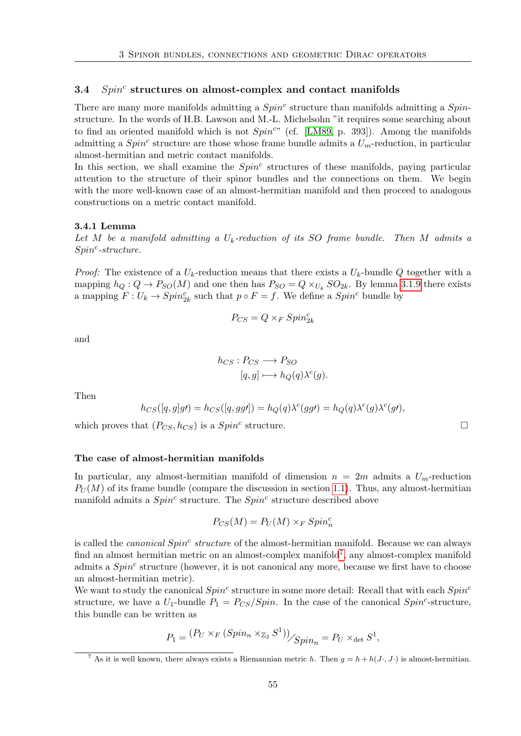# $3.4$   $Spin<sup>c</sup>$  structures on almost-complex and contact manifolds

There are many more manifolds admitting a  $Spin<sup>c</sup>$  structure than manifolds admitting a  $Spin<sup>c</sup>$ structure. In the words of H.B. Lawson and M.-L. Michelsohn "it requires some searching about to find an oriented manifold which is not  $Spin^{c}$ " (cf. [\[LM89,](#page-117-1) p. 393]). Among the manifolds admitting a  $Spin<sup>c</sup>$  structure are those whose frame bundle admits a  $U<sub>m</sub>$ -reduction, in particular almost-hermitian and metric contact manifolds.

In this section, we shall examine the  $Spin<sup>c</sup>$  structures of these manifolds, paying particular attention to the structure of their spinor bundles and the connections on them. We begin with the more well-known case of an almost-hermitian manifold and then proceed to analogous constructions on a metric contact manifold.

#### <span id="page-64-1"></span>3.4.1 Lemma

Let M be a manifold admitting a  $U_k$ -reduction of its SO frame bundle. Then M admits a  $Spin<sup>c</sup>$ -structure.

*Proof:* The existence of a  $U_k$ -reduction means that there exists a  $U_k$ -bundle Q together with a mapping  $h_Q: Q \to P_{SO}(M)$  and one then has  $P_{SO} = Q \times_{U_k} SO_{2k}$ . By lemma [3.1.9](#page-49-0) there exists a mapping  $F: U_k \to Spin_{2k}^c$  such that  $p \circ F = f$ . We define a  $Spin^c$  bundle by

$$
P_{CS}=Q\times_F Spin^c_{2k}
$$

and

$$
h_{CS}: P_{CS} \longrightarrow P_{SO}
$$

$$
[q, g] \longmapsto h_Q(q) \lambda^c(g).
$$

Then

$$
h_{CS}([q,g]g) = h_{CS}([q,gg']) = h_Q(q)\lambda^c(gg) = h_Q(q)\lambda^c(g)\lambda^c(g'),
$$

which proves that  $(P_{CS}, h_{CS})$  is a  $Spin<sup>c</sup>$  structure.

#### The case of almost-hermitian manifolds

In particular, any almost-hermitian manifold of dimension  $n = 2m$  admits a  $U_m$ -reduction  $P_U(M)$  of its frame bundle (compare the discussion in section [1.1\)](#page-10-0). Thus, any almost-hermitian manifold admits a  $Spin<sup>c</sup>$  structure. The  $Spin<sup>c</sup>$  structure described above

$$
P_{CS}(M) = P_U(M) \times_F Spin_n^c
$$

is called the *canonical Spin<sup>c</sup>* structure of the almost-hermitian manifold. Because we can always find an almost hermitian metric on an almost-complex manifold<sup>[7](#page-64-0)</sup>, any almost-complex manifold admits a  $Spin<sup>c</sup>$  structure (however, it is not canonical any more, because we first have to choose an almost-hermitian metric).

We want to study the canonical  $Spin^c$  structure in some more detail: Recall that with each  $Spin^c$ structure, we have a  $U_1$ -bundle  $P_1 = P_{CS}/Spin$ . In the case of the canonical  $Spin^c$ -structure, this bundle can be written as

$$
P_1 = \frac{(P_U \times_F (Spin_n \times_{\mathbb{Z}_2} S^1))}{\mathcal{S}pin_n} = P_U \times_{\det} S^1,
$$

<span id="page-64-0"></span><sup>&</sup>lt;sup>7</sup> As it is well known, there always exists a Riemannian metric h. Then  $g = h + h(J \cdot, J \cdot)$  is almost-hermitian.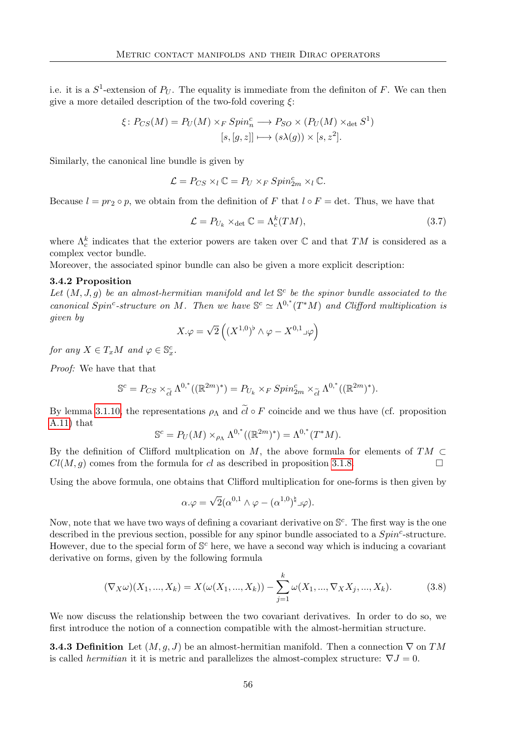i.e. it is a  $S^1$ -extension of  $P_U$ . The equality is immediate from the definiton of F. We can then give a more detailed description of the two-fold covering  $\xi$ :

$$
\xi \colon P_{CS}(M) = P_U(M) \times_F Spin_n^c \longrightarrow P_{SO} \times (P_U(M) \times_{\det} S^1)
$$

$$
[s, [g, z]] \longmapsto (s\lambda(g)) \times [s, z^2].
$$

Similarly, the canonical line bundle is given by

$$
\mathcal{L} = P_{CS} \times_l \mathbb{C} = P_U \times_F Spin_{2m}^c \times_l \mathbb{C}.
$$

Because  $l = pr_2 \circ p$ , we obtain from the definition of F that  $l \circ F = \det$ . Thus, we have that

$$
\mathcal{L} = P_{U_k} \times_{\det} \mathbb{C} = \Lambda_c^k(TM),\tag{3.7}
$$

where  $\Lambda_c^k$  indicates that the exterior powers are taken over  $\mathbb C$  and that  $TM$  is considered as a complex vector bundle.

Moreover, the associated spinor bundle can also be given a more explicit description:

#### 3.4.2 Proposition

Let  $(M, J, g)$  be an almost-hermitian manifold and let  $\mathbb{S}^c$  be the spinor bundle associated to the canonical Spin<sup>c</sup>-structure on M. Then we have  $\mathbb{S}^c \simeq \Lambda^{0,*}(T^*M)$  and Clifford multiplication is given by

$$
X.\varphi = \sqrt{2} \left( (X^{1,0})^{\flat} \wedge \varphi - X^{0,1} \Box \varphi \right)
$$

for any  $X \in T_xM$  and  $\varphi \in \mathbb{S}_x^c$ .

Proof: We have that that

$$
\mathbb{S}^c = P_{CS} \times_{\widetilde{cl}} \Lambda^{0,*}((\mathbb{R}^{2m})^*) = P_{U_k} \times_F Spin_{2m}^c \times_{\widetilde{cl}} \Lambda^{0,*}((\mathbb{R}^{2m})^*).
$$

By lemma [3.1.10,](#page-50-1) the representations  $\rho_{\Lambda}$  and  $\tilde{c}$  of  $F$  coincide and we thus have (cf. proposition [A.11\)](#page-112-0) that

$$
\mathbb{S}^c = P_U(M) \times_{\rho_\Lambda} \Lambda^{0,*}((\mathbb{R}^{2m})^*) = \Lambda^{0,*}(T^*M).
$$

By the definition of Clifford multplication on M, the above formula for elements of  $TM \subset$  $Cl(M, g)$  comes from the formula for cl as described in proposition [3.1.8.](#page-48-0)

Using the above formula, one obtains that Clifford multiplication for one-forms is then given by

$$
\alpha.\varphi = \sqrt{2}(\alpha^{0,1} \wedge \varphi - (\alpha^{1,0})^{\natural} \Box \varphi).
$$

Now, note that we have two ways of defining a covariant derivative on  $\mathbb{S}^c$ . The first way is the one described in the previous section, possible for any spinor bundle associated to a  $Spin<sup>c</sup>$ -structure. However, due to the special form of  $\mathbb{S}^c$  here, we have a second way which is inducing a covariant derivative on forms, given by the following formula

<span id="page-65-0"></span>
$$
(\nabla_X \omega)(X_1, ..., X_k) = X(\omega(X_1, ..., X_k)) - \sum_{j=1}^k \omega(X_1, ..., \nabla_X X_j, ..., X_k).
$$
 (3.8)

We now discuss the relationship between the two covariant derivatives. In order to do so, we first introduce the notion of a connection compatible with the almost-hermitian structure.

**3.4.3 Definition** Let  $(M, g, J)$  be an almost-hermitian manifold. Then a connection  $\nabla$  on TM is called *hermitian* it it is metric and parallelizes the almost-complex structure:  $\nabla J = 0$ .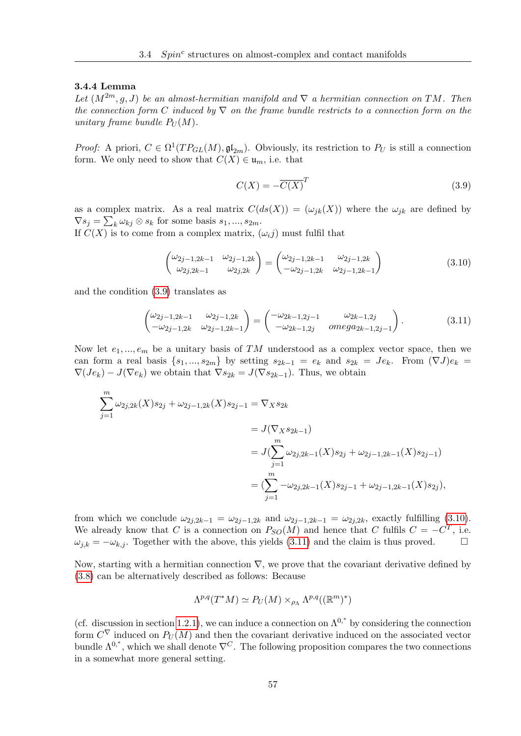# 3.4.4 Lemma

Let  $(M^{2m}, g, J)$  be an almost-hermitian manifold and  $\nabla$  a hermitian connection on TM. Then the connection form C induced by  $\nabla$  on the frame bundle restricts to a connection form on the unitary frame bundle  $P_U(M)$ .

*Proof:* A priori,  $C \in \Omega^1(TP_{GL}(M), \mathfrak{gl}_{2m})$ . Obviously, its restriction to  $P_U$  is still a connection form. We only need to show that  $C(X) \in \mathfrak{u}_m$ , i.e. that

<span id="page-66-0"></span>
$$
C(X) = -\overline{C(X)}^T
$$
\n(3.9)

as a complex matrix. As a real matrix  $C(ds(X)) = (\omega_{ik}(X))$  where the  $\omega_{ik}$  are defined by  $\nabla s_j = \sum_k \omega_{kj} \otimes s_k$  for some basis  $s_1, ..., s_{2m}$ .

If  $C(X)$  is to come from a complex matrix,  $(\omega_i j)$  must fulfil that

<span id="page-66-1"></span>
$$
\begin{pmatrix}\n\omega_{2j-1,2k-1} & \omega_{2j-1,2k} \\
\omega_{2j,2k-1} & \omega_{2j,2k}\n\end{pmatrix} = \begin{pmatrix}\n\omega_{2j-1,2k-1} & \omega_{2j-1,2k} \\
-\omega_{2j-1,2k} & \omega_{2j-1,2k-1}\n\end{pmatrix}
$$
\n(3.10)

and the condition [\(3.9\)](#page-66-0) translates as

<span id="page-66-2"></span>
$$
\begin{pmatrix}\n\omega_{2j-1,2k-1} & \omega_{2j-1,2k} \\
-\omega_{2j-1,2k} & \omega_{2j-1,2k-1}\n\end{pmatrix} = \begin{pmatrix}\n-\omega_{2k-1,2j-1} & \omega_{2k-1,2j} \\
-\omega_{2k-1,2j} & \text{omega}_{2k-1,2j-1}\n\end{pmatrix}.
$$
\n(3.11)

Now let  $e_1, ..., e_m$  be a unitary basis of TM understood as a complex vector space, then we can form a real basis  $\{s_1, ..., s_{2m}\}$  by setting  $s_{2k-1} = e_k$  and  $s_{2k} = Je_k$ . From  $(\nabla J)e_k$  $\nabla(Je_k) - J(\nabla e_k)$  we obtain that  $\nabla s_{2k} = J(\nabla s_{2k-1})$ . Thus, we obtain

$$
\sum_{j=1}^{m} \omega_{2j,2k}(X)s_{2j} + \omega_{2j-1,2k}(X)s_{2j-1} = \nabla_X s_{2k}
$$
\n
$$
= J(\nabla_X s_{2k-1})
$$
\n
$$
= J(\sum_{j=1}^{m} \omega_{2j,2k-1}(X)s_{2j} + \omega_{2j-1,2k-1}(X)s_{2j-1})
$$
\n
$$
= (\sum_{j=1}^{m} -\omega_{2j,2k-1}(X)s_{2j-1} + \omega_{2j-1,2k-1}(X)s_{2j}),
$$

from which we conclude  $\omega_{2j,2k-1} = \omega_{2j-1,2k}$  and  $\omega_{2j-1,2k-1} = \omega_{2j,2k}$ , exactly fulfilling [\(3.10\)](#page-66-1). We already know that C is a connection on  $P_{SO}(M)$  and hence that C fulfils  $C = -C<sup>T</sup>$ , i.e.  $\omega_{j,k} = -\omega_{k,j}$ . Together with the above, this yields [\(3.11\)](#page-66-2) and the claim is thus proved.

Now, starting with a hermitian connection  $\nabla$ , we prove that the covariant derivative defined by [\(3.8\)](#page-65-0) can be alternatively described as follows: Because

$$
\Lambda^{p,q}(T^*M) \simeq P_U(M) \times_{\rho_\Lambda} \Lambda^{p,q}((\mathbb{R}^m)^*)
$$

(cf. discussion in section [1.2.1\)](#page-15-0), we can induce a connection on  $\Lambda^{0,*}$  by considering the connection form  $C^{\nabla}$  induced on  $P_U(M)$  and then the covariant derivative induced on the associated vector bundle  $\Lambda^{0,*}$ , which we shall denote  $\nabla^C$ . The following proposition compares the two connections in a somewhat more general setting.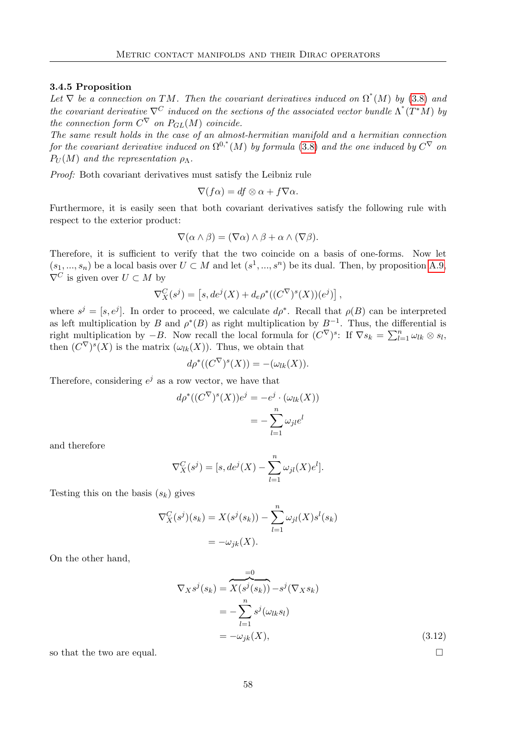# 3.4.5 Proposition

Let  $\nabla$  be a connection on TM. Then the covariant derivatives induced on  $\Omega^*(M)$  by [\(3.8\)](#page-65-0) and the covariant derivative  $\nabla^C$  induced on the sections of the associated vector bundle  $\Lambda^*(T^*M)$  by the connection form  $C^{\nabla}$  on  $P_{GL}(M)$  coincide.

The same result holds in the case of an almost-hermitian manifold and a hermitian connection for the covariant derivative induced on  $\Omega^{0,*}(M)$  by formula [\(3.8\)](#page-65-0) and the one induced by  $C^\nabla$  on  $P_U(M)$  and the representation  $\rho_\Lambda$ .

Proof: Both covariant derivatives must satisfy the Leibniz rule

$$
\nabla(f\alpha) = df \otimes \alpha + f \nabla \alpha.
$$

Furthermore, it is easily seen that both covariant derivatives satisfy the following rule with respect to the exterior product:

$$
\nabla(\alpha \wedge \beta) = (\nabla \alpha) \wedge \beta + \alpha \wedge (\nabla \beta).
$$

Therefore, it is sufficient to verify that the two coincide on a basis of one-forms. Now let  $(s_1, ..., s_n)$  be a local basis over  $U \subset M$  and let  $(s^1, ..., s^n)$  be its dual. Then, by proposition [A.9,](#page-111-0)  $\nabla^C$  is given over  $U \subset M$  by

$$
\nabla^C_X(s^j) = [s, de^j(X) + d_e \rho^*((C^{\nabla})^s(X))(e^j)],
$$

where  $s^j = [s, e^j]$ . In order to proceed, we calculate  $d\rho^*$ . Recall that  $\rho(B)$  can be interpreted as left multiplication by B and  $\rho^*(B)$  as right multiplication by  $B^{-1}$ . Thus, the differential is right multiplication by  $-B$ . Now recall the local formula for  $(C^{\nabla})^s$ : If  $\nabla s_k = \sum_{l=1}^n \omega_{lk} \otimes s_l$ , then  $(C^{\nabla})^s(X)$  is the matrix  $(\omega_{lk}(X))$ . Thus, we obtain that

$$
d\rho^*((C^{\nabla})^s(X)) = -(\omega_{lk}(X)).
$$

Therefore, considering  $e^j$  as a row vector, we have that

$$
d\rho^*((C^{\nabla})^s(X))e^j = -e^j \cdot (\omega_{lk}(X))
$$

$$
= -\sum_{l=1}^n \omega_{jl}e^l
$$

and therefore

$$
\nabla_X^C(s^j) = [s, de^j(X) - \sum_{l=1}^n \omega_{jl}(X)e^l].
$$

Testing this on the basis  $(s_k)$  gives

$$
\nabla_X^C(s^j)(s_k) = X(s^j(s_k)) - \sum_{l=1}^n \omega_{jl}(X)s^l(s_k)
$$

$$
= -\omega_{jk}(X).
$$

On the other hand,

$$
\nabla_X s^j(s_k) = \overbrace{X(s^j(s_k))}^{=0} - s^j(\nabla_X s_k)
$$
  
= 
$$
-\sum_{l=1}^n s^j(\omega_{lk} s_l)
$$
  
= 
$$
-\omega_{jk}(X),
$$
 (3.12)

<span id="page-67-0"></span>

so that the two are equal.  $\Box$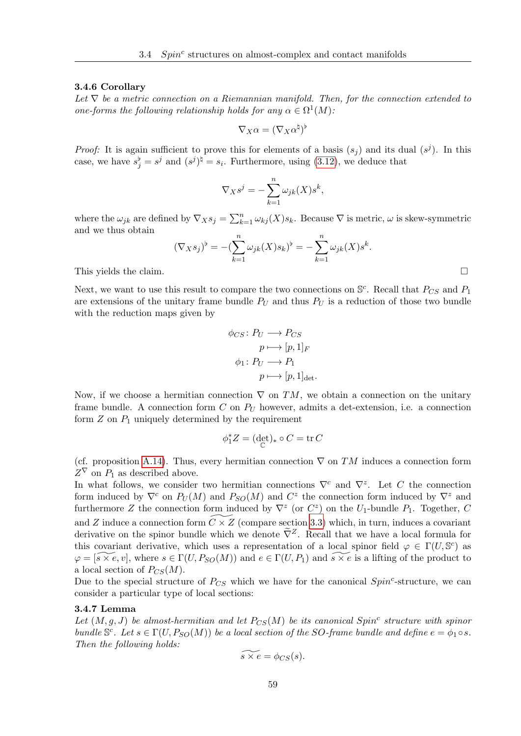#### 3.4.6 Corollary

Let  $\nabla$  be a metric connection on a Riemannian manifold. Then, for the connection extended to one-forms the following relationship holds for any  $\alpha \in \Omega^1(M)$ :

$$
\nabla_X \alpha = (\nabla_X \alpha^{\natural})^{\flat}
$$

*Proof:* It is again sufficient to prove this for elements of a basis  $(s_j)$  and its dual  $(s^j)$ . In this case, we have  $s_j^{\flat} = s^j$  and  $(s^j)^{\sharp} = s_i$ . Furthermore, using [\(3.12\)](#page-67-0), we deduce that

$$
\nabla_X s^j = -\sum_{k=1}^n \omega_{jk}(X) s^k,
$$

where the  $\omega_{jk}$  are defined by  $\nabla_X s_j = \sum_{k=1}^n \omega_{kj}(X) s_k$ . Because  $\nabla$  is metric,  $\omega$  is skew-symmetric and we thus obtain

$$
(\nabla_X s_j)^{\flat} = -(\sum_{k=1}^n \omega_{jk}(X) s_k)^{\flat} = -\sum_{k=1}^n \omega_{jk}(X) s^k.
$$

This yields the claim.

Next, we want to use this result to compare the two connections on  $\mathbb{S}^c$ . Recall that  $P_{CS}$  and  $P_1$ are extensions of the unitary frame bundle  $P_U$  and thus  $P_U$  is a reduction of those two bundle with the reduction maps given by

$$
\phi_{CS} \colon P_U \longrightarrow P_{CS}
$$

$$
p \longmapsto [p, 1]_F
$$

$$
\phi_1 \colon P_U \longrightarrow P_1
$$

$$
p \longmapsto [p, 1]_{\text{det}}.
$$

Now, if we choose a hermitian connection  $\nabla$  on TM, we obtain a connection on the unitary frame bundle. A connection form  $C$  on  $P_U$  however, admits a det-extension, i.e. a connection form  $Z$  on  $P_1$  uniquely determined by the requirement

$$
\phi_1^* Z = (\det_{\mathbb{C}})_* \circ C = \operatorname{tr} C
$$

(cf. proposition [A.14\)](#page-113-1). Thus, every hermitian connection  $\nabla$  on TM induces a connection form  $Z^{\nabla}$  on  $P_1$  as described above.

In what follows, we consider two hermitian connections  $\nabla^c$  and  $\nabla^z$ . Let C the connection form induced by  $\nabla^c$  on  $P_U(M)$  and  $P_{SO}(M)$  and  $C^z$  the connection form induced by  $\nabla^z$  and furthermore Z the connection form induced by  $\nabla^z$  (or  $C^z$ ) on the  $U_1$ -bundle  $P_1$ . Together, C and Z induce a connection form  $C \times Z$  (compare section [3.3\)](#page-56-1) which, in turn, induces a covariant derivative on the spinor bundle which we denote  $\tilde{\nabla}^Z$ . Recall that we have a local formula for this covariant derivative, which uses a representation of a local spinor field  $\varphi \in \Gamma(U, \mathbb{S}^c)$  as  $\varphi = [\widetilde{s \times e}, v]$ , where  $s \in \Gamma(U, P_{SO}(M))$  and  $e \in \Gamma(U, P_1)$  and  $\widetilde{s \times e}$  is a lifting of the product to a local section of  $P_{CS}(M)$ .

Due to the special structure of  $P_{CS}$  which we have for the canonical  $Spin^c$ -structure, we can consider a particular type of local sections:

# 3.4.7 Lemma

Let  $(M, g, J)$  be almost-hermitian and let  $P_{CS}(M)$  be its canonical Spin<sup>c</sup> structure with spinor bundle  $\mathbb{S}^c$ . Let  $s \in \Gamma(U, P_{SO}(M))$  be a local section of the SO-frame bundle and define  $e = \phi_1 \circ s$ . Then the following holds:

$$
\widetilde{s \times e} = \phi_{CS}(s).
$$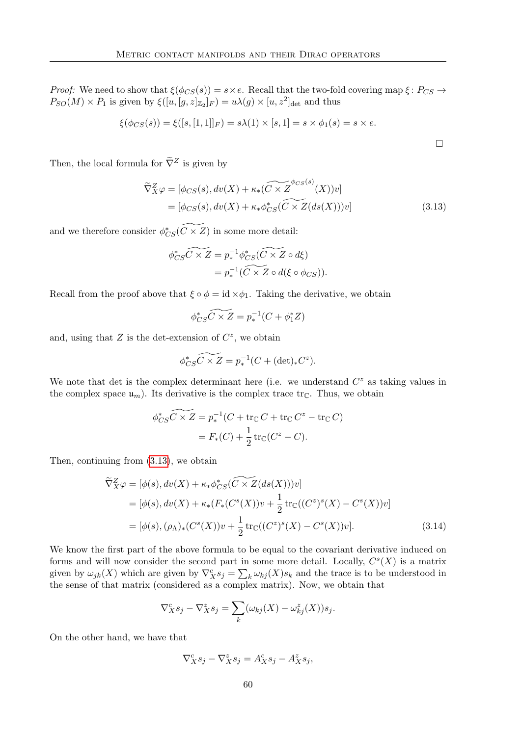*Proof:* We need to show that  $\xi(\phi_{CS}(s)) = s \times e$ . Recall that the two-fold covering map  $\xi \colon P_{CS} \to$  $P_{SO}(M) \times P_1$  is given by  $\xi([u,[g,z]_{\mathbb{Z}_2}]_F) = u\lambda(g) \times [u,z^2]_{\text{det}}$  and thus

$$
\xi(\phi_{CS}(s)) = \xi([s,[1,1]]_F) = s\lambda(1) \times [s,1] = s \times \phi_1(s) = s \times e.
$$

<span id="page-69-0"></span> $\Box$ 

Then, the local formula for  $\tilde{\nabla}^Z$  is given by

$$
\widetilde{\nabla}_X^Z \varphi = [\phi_{CS}(s), dv(X) + \kappa_*(\widetilde{C \times Z}^{\phi_{CS}(s)}(X))v]
$$
  
= [\phi\_{CS}(s), dv(X) + \kappa\_\* \phi\_{CS}^\*(\widetilde{C \times Z}(ds(X)))v] (3.13)

and we therefore consider  $\phi_{CS}^*(\widetilde{C\times Z})$  in some more detail:

$$
\begin{aligned} \phi_{CS}^* \widetilde{C \times Z} &= p_*^{-1} \phi_{CS}^* (\widetilde{C \times Z} \circ d\xi) \\ &= p_*^{-1} (\widetilde{C \times Z} \circ d(\xi \circ \phi_{CS})). \end{aligned}
$$

Recall from the proof above that  $\xi \circ \phi = id \times \phi_1$ . Taking the derivative, we obtain

$$
\phi_{CS}^* \widetilde{C \times Z} = p_*^{-1} (C + \phi_1^* Z)
$$

and, using that  $Z$  is the det-extension of  $C^z$ , we obtain

$$
\phi_{CS}^* \widetilde{C \times Z} = p_*^{-1} (C + (\det)_* C^z).
$$

We note that det is the complex determinant here (i.e. we understand  $C^z$  as taking values in the complex space  $\mathfrak{u}_m$ ). Its derivative is the complex trace  $\text{tr}_{\mathbb{C}}$ . Thus, we obtain

$$
\phi_{CS}^* \widetilde{C \times Z} = p_*^{-1} (C + \text{tr}_{\mathbb{C}} C + \text{tr}_{\mathbb{C}} C^z - \text{tr}_{\mathbb{C}} C)
$$

$$
= F_*(C) + \frac{1}{2} \text{tr}_{\mathbb{C}} (C^z - C).
$$

Then, continuing from [\(3.13\)](#page-69-0), we obtain

$$
\widetilde{\nabla}_X^Z \varphi = [\phi(s), dv(X) + \kappa_* \phi_{CS}^*(\widetilde{C \times Z}(ds(X)))v]
$$
  
=  $[\phi(s), dv(X) + \kappa_* (F_*(C^s(X))v + \frac{1}{2} \text{tr}_{\mathbb{C}}((C^z)^s(X) - C^s(X))v]$   
=  $[\phi(s), (\rho_\Lambda)_*(C^s(X))v + \frac{1}{2} \text{tr}_{\mathbb{C}}((C^z)^s(X) - C^s(X))v].$  (3.14)

We know the first part of the above formula to be equal to the covariant derivative induced on forms and will now consider the second part in some more detail. Locally,  $C<sup>s</sup>(X)$  is a matrix given by  $\omega_{jk}(X)$  which are given by  $\nabla_X^c s_j = \sum_k \omega_{kj}(X) s_k$  and the trace is to be understood in the sense of that matrix (considered as a complex matrix). Now, we obtain that

<span id="page-69-1"></span>
$$
\nabla_X^c s_j - \nabla_X^z s_j = \sum_k (\omega_{kj}(X) - \omega_{kj}^z(X)) s_j.
$$

On the other hand, we have that

$$
\nabla_X^c s_j - \nabla_X^z s_j = A_X^c s_j - A_X^z s_j,
$$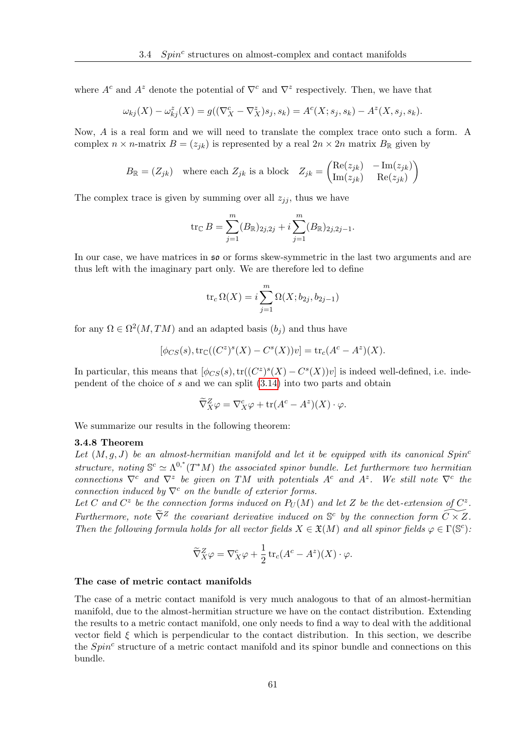where  $A^c$  and  $A^z$  denote the potential of  $\nabla^c$  and  $\nabla^z$  respectively. Then, we have that

$$
\omega_{kj}(X) - \omega_{kj}^z(X) = g((\nabla_X^c - \nabla_X^z)s_j, s_k) = A^c(X; s_j, s_k) - A^z(X, s_j, s_k).
$$

Now, A is a real form and we will need to translate the complex trace onto such a form. A complex  $n \times n$ -matrix  $B = (z_{jk})$  is represented by a real  $2n \times 2n$  matrix  $B_{\mathbb{R}}$  given by

$$
B_{\mathbb{R}} = (Z_{jk}) \quad \text{where each } Z_{jk} \text{ is a block } Z_{jk} = \begin{pmatrix} \text{Re}(z_{jk}) & -\text{Im}(z_{jk}) \\ \text{Im}(z_{jk}) & \text{Re}(z_{jk}) \end{pmatrix}
$$

The complex trace is given by summing over all  $z_{ij}$ , thus we have

$$
\operatorname{tr}_{\mathbb{C}} B = \sum_{j=1}^{m} (B_{\mathbb{R}})_{2j,2j} + i \sum_{j=1}^{m} (B_{\mathbb{R}})_{2j,2j-1}.
$$

In our case, we have matrices in so or forms skew-symmetric in the last two arguments and are thus left with the imaginary part only. We are therefore led to define

$$
\operatorname{tr}_c \Omega(X) = i \sum_{j=1}^m \Omega(X; b_{2j}, b_{2j-1})
$$

for any  $\Omega \in \Omega^2(M,TM)$  and an adapted basis  $(b_j)$  and thus have

$$
[\phi_{CS}(s), {\rm tr}_{\mathbb{C}}((C^z)^s(X) - C^s(X))v] = {\rm tr}_c(A^c - A^z)(X).
$$

In particular, this means that  $[\phi_{CS}(s), \text{tr}((C^z)^s(X) - C^s(X))v]$  is indeed well-defined, i.e. independent of the choice of s and we can split [\(3.14\)](#page-69-1) into two parts and obtain

$$
\widetilde{\nabla}_X^Z \varphi = \nabla_X^c \varphi + \text{tr}(A^c - A^z)(X) \cdot \varphi.
$$

We summarize our results in the following theorem:

#### 3.4.8 Theorem

Let  $(M, q, J)$  be an almost-hermitian manifold and let it be equipped with its canonical  $Spin<sup>c</sup>$ structure, noting  $\mathbb{S}^c \simeq \Lambda^{0,*}(T^*M)$  the associated spinor bundle. Let furthermore two hermitian connections  $\nabla^c$  and  $\nabla^z$  be given on TM with potentials A<sup>c</sup> and A<sup>z</sup>. We still note  $\nabla^c$  the connection induced by  $\nabla^c$  on the bundle of exterior forms.

Let C and  $C^z$  be the connection forms induced on  $P_U(M)$  and let Z be the det-extension of  $C^z$ . Furthermore, note  $\widetilde{\nabla}^Z$  the covariant derivative induced on  $\mathbb{S}^c$  by the connection form  $\widetilde{C \times Z}$ . Then the following formula holds for all vector fields  $X \in \mathfrak{X}(M)$  and all spinor fields  $\varphi \in \Gamma(\mathbb{S}^c)$ .

$$
\widetilde{\nabla}_X^Z \varphi = \nabla_X^c \varphi + \frac{1}{2} \operatorname{tr}_c (A^c - A^z)(X) \cdot \varphi.
$$

#### The case of metric contact manifolds

The case of a metric contact manifold is very much analogous to that of an almost-hermitian manifold, due to the almost-hermitian structure we have on the contact distribution. Extending the results to a metric contact manifold, one only needs to find a way to deal with the additional vector field  $\xi$  which is perpendicular to the contact distribution. In this section, we describe the  $Spin<sup>c</sup>$  structure of a metric contact manifold and its spinor bundle and connections on this bundle.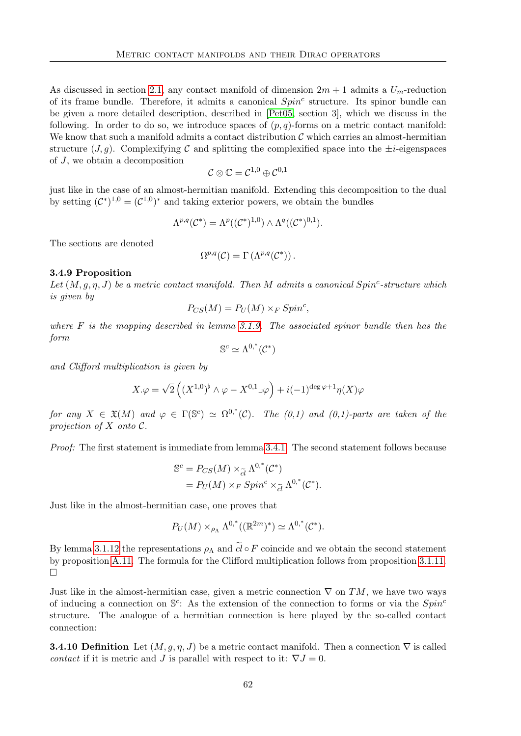As discussed in section [2.1,](#page-32-0) any contact manifold of dimension  $2m + 1$  admits a  $U_m$ -reduction of its frame bundle. Therefore, it admits a canonical  $Spin<sup>c</sup>$  structure. Its spinor bundle can be given a more detailed description, described in [\[Pet05,](#page-117-3) section 3], which we discuss in the following. In order to do so, we introduce spaces of  $(p, q)$ -forms on a metric contact manifold: We know that such a manifold admits a contact distribution  $\mathcal C$  which carries an almost-hermitian structure  $(J, q)$ . Complexifying C and splitting the complexified space into the  $\pm i$ -eigenspaces of J, we obtain a decomposition

$$
\mathcal{C}\otimes\mathbb{C}=\mathcal{C}^{1,0}\oplus\mathcal{C}^{0,1}
$$

just like in the case of an almost-hermitian manifold. Extending this decomposition to the dual by setting  $(C^*)^{1,0} = (C^{1,0})^*$  and taking exterior powers, we obtain the bundles

$$
\Lambda^{p,q}(\mathcal{C}^*)=\Lambda^p((\mathcal{C}^*)^{1,0})\wedge\Lambda^q((\mathcal{C}^*)^{0,1}).
$$

The sections are denoted

$$
\Omega^{p,q}(\mathcal{C}) = \Gamma(\Lambda^{p,q}(\mathcal{C}^*))\,.
$$

# 3.4.9 Proposition

Let  $(M, g, \eta, J)$  be a metric contact manifold. Then M admits a canonical Spin<sup>c</sup>-structure which is given by

$$
P_{CS}(M) = P_U(M) \times_F Spin^c,
$$

where  $F$  is the mapping described in lemma [3.1.9.](#page-49-0) The associated spinor bundle then has the form

$$
\mathbb{S}^c\simeq\Lambda^{0,\mathstrut^*}(\mathcal{C}^*)
$$

and Clifford multiplication is given by

$$
X.\varphi=\sqrt{2}\left((X^{1,0})^\flat\wedge\varphi-X^{0,1}\lrcorner\varphi\right)+i(-1)^{\deg\varphi+1}\eta(X)\varphi
$$

for any  $X \in \mathfrak{X}(M)$  and  $\varphi \in \Gamma(\mathbb{S}^c) \simeq \Omega^{0,*}(\mathcal{C})$ . The  $(0,1)$  and  $(0,1)$ -parts are taken of the projection of  $X$  onto  $\mathcal C$ .

Proof: The first statement is immediate from lemma [3.4.1.](#page-64-1) The second statement follows because

$$
\mathbb{S}^{c} = P_{CS}(M) \times_{\widetilde{cl}} \Lambda^{0,*}(\mathcal{C}^{*})
$$
  
=  $P_{U}(M) \times_{F} Spin^{c} \times_{\widetilde{cl}} \Lambda^{0,*}(\mathcal{C}^{*}).$ 

Just like in the almost-hermitian case, one proves that

$$
P_U(M) \times_{\rho_{\Lambda}} {\Lambda}^{0,*}((\mathbb{R}^{2m})^*) \simeq {\Lambda}^{0,*}(\mathcal{C}^*).
$$

By lemma [3.1.12](#page-52-0) the representations  $\rho_{\Lambda}$  and  $\tilde{cl} \circ F$  coincide and we obtain the second statement by proposition [A.11.](#page-112-0) The formula for the Clifford multiplication follows from proposition [3.1.11.](#page-51-0)  $\Box$ 

Just like in the almost-hermitian case, given a metric connection  $\nabla$  on TM, we have two ways of inducing a connection on  $\mathbb{S}^c$ : As the extension of the connection to forms or via the  $Spin^c$ structure. The analogue of a hermitian connection is here played by the so-called contact connection:

**3.4.10 Definition** Let  $(M, g, \eta, J)$  be a metric contact manifold. Then a connection  $\nabla$  is called contact if it is metric and J is parallel with respect to it:  $\nabla J = 0$ .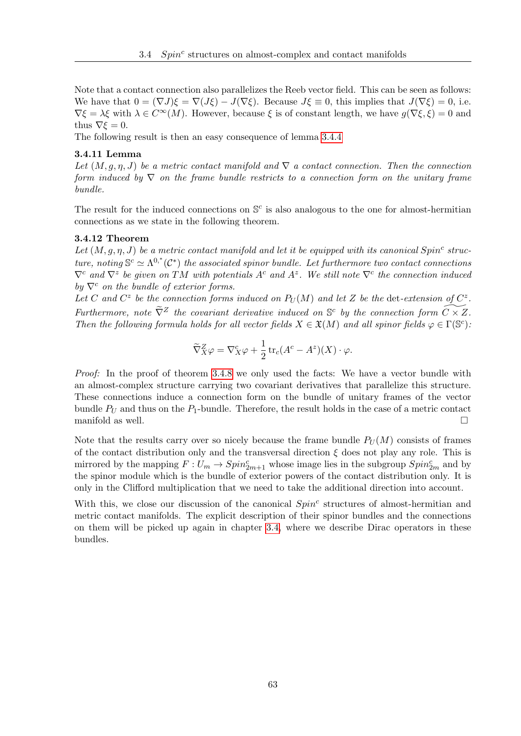Note that a contact connection also parallelizes the Reeb vector field. This can be seen as follows: We have that  $0 = (\nabla J)\xi = \nabla (J\xi) - J(\nabla \xi)$ . Because  $J\xi \equiv 0$ , this implies that  $J(\nabla \xi) = 0$ , i.e.  $\nabla \xi = \lambda \xi$  with  $\lambda \in C^{\infty}(M)$ . However, because  $\xi$  is of constant length, we have  $g(\nabla \xi, \xi) = 0$  and thus  $\nabla \xi = 0$ .

The following result is then an easy consequence of lemma [3.4.4](#page-66-0)

#### 3.4.11 Lemma

Let  $(M, g, \eta, J)$  be a metric contact manifold and  $\nabla$  a contact connection. Then the connection form induced by  $\nabla$  on the frame bundle restricts to a connection form on the unitary frame bundle.

The result for the induced connections on  $\mathbb{S}^c$  is also analogous to the one for almost-hermitian connections as we state in the following theorem.

### 3.4.12 Theorem

Let  $(M, g, \eta, J)$  be a metric contact manifold and let it be equipped with its canonical Spin<sup>c</sup> structure, noting  $\mathbb{S}^c \simeq \Lambda^{0,*}(\mathcal{C}^*)$  the associated spinor bundle. Let furthermore two contact connections  $\nabla^c$  and  $\nabla^z$  be given on TM with potentials A<sup>c</sup> and A<sup>z</sup>. We still note  $\nabla^c$  the connection induced by  $\nabla^c$  on the bundle of exterior forms.

Let C and  $C^z$  be the connection forms induced on  $P_U(M)$  and let Z be the det-extension of  $C^z$ . Furthermore, note  $\widetilde{\nabla}^Z$  the covariant derivative induced on  $\mathbb{S}^c$  by the connection form  $\widetilde{C \times Z}$ . Then the following formula holds for all vector fields  $X \in \mathfrak{X}(M)$  and all spinor fields  $\varphi \in \Gamma(\mathbb{S}^c)$ .

<span id="page-72-0"></span>
$$
\widetilde{\nabla}_X^Z \varphi = \nabla_X^c \varphi + \frac{1}{2} \operatorname{tr}_c (A^c - A^z)(X) \cdot \varphi.
$$

Proof: In the proof of theorem [3.4.8](#page-70-0) we only used the facts: We have a vector bundle with an almost-complex structure carrying two covariant derivatives that parallelize this structure. These connections induce a connection form on the bundle of unitary frames of the vector bundle  $P_U$  and thus on the  $P_1$ -bundle. Therefore, the result holds in the case of a metric contact manifold as well.  $\Box$ 

Note that the results carry over so nicely because the frame bundle  $P_U(M)$  consists of frames of the contact distribution only and the transversal direction  $\xi$  does not play any role. This is mirrored by the mapping  $F: U_m \to Spin_{2m+1}^c$  whose image lies in the subgroup  $Spin_{2m}^c$  and by the spinor module which is the bundle of exterior powers of the contact distribution only. It is only in the Clifford multiplication that we need to take the additional direction into account.

With this, we close our discussion of the canonical  $Spin<sup>c</sup>$  structures of almost-hermitian and metric contact manifolds. The explicit description of their spinor bundles and the connections on them will be picked up again in chapter [3.4,](#page-74-0) where we describe Dirac operators in these bundles.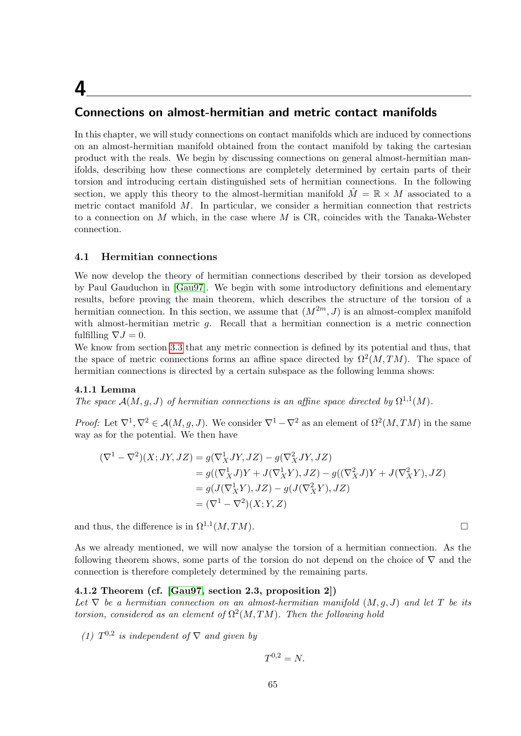## <span id="page-74-0"></span>4

## Connections on almost-hermitian and metric contact manifolds

In this chapter, we will study connections on contact manifolds which are induced by connections on an almost-hermitian manifold obtained from the contact manifold by taking the cartesian product with the reals. We begin by discussing connections on general almost-hermitian manifolds, describing how these connections are completely determined by certain parts of their torsion and introducing certain distinguished sets of hermitian connections. In the following section, we apply this theory to the almost-hermitian manifold  $M = \mathbb{R} \times M$  associated to a metric contact manifold  $M$ . In particular, we consider a hermitian connection that restricts to a connection on  $M$  which, in the case where  $M$  is CR, coincides with the Tanaka-Webster connection.

### <span id="page-74-2"></span>4.1 Hermitian connections

We now develop the theory of hermitian connections described by their torsion as developed by Paul Gauduchon in [\[Gau97\]](#page-116-0). We begin with some introductory definitions and elementary results, before proving the main theorem, which describes the structure of the torsion of a hermitian connection. In this section, we assume that  $(M^{2m}, J)$  is an almost-complex manifold with almost-hermitian metric  $q$ . Recall that a hermitian connection is a metric connection fulfilling  $\nabla J = 0$ .

We know from section [3.3](#page-56-0) that any metric connection is defined by its potential and thus, that the space of metric connections forms an affine space directed by  $\Omega^2(M, TM)$ . The space of hermitian connections is directed by a certain subspace as the following lemma shows:

### 4.1.1 Lemma

The space  $\mathcal{A}(M, g, J)$  of hermitian connections is an affine space directed by  $\Omega^{1,1}(M)$ .

*Proof:* Let  $\nabla^1, \nabla^2 \in \mathcal{A}(M,g,J)$ . We consider  $\nabla^1 - \nabla^2$  as an element of  $\Omega^2(M, TM)$  in the same way as for the potential. We then have

$$
(\nabla^1 - \nabla^2)(X; JY, JZ) = g(\nabla_X^1 JY, JZ) - g(\nabla_X^2 JY, JZ)
$$
  
=  $g((\nabla_X^1 J)Y + J(\nabla_X^1 Y), JZ) - g((\nabla_X^2 J)Y + J(\nabla_X^2 Y), JZ)$   
=  $g(J(\nabla_X^1 Y), JZ) - g(J(\nabla_X^2 Y), JZ)$   
=  $(\nabla^1 - \nabla^2)(X; Y, Z)$ 

and thus, the difference is in  $\Omega^{1,1}(M, TM)$ .

As we already mentioned, we will now analyse the torsion of a hermitian connection. As the following theorem shows, some parts of the torsion do not depend on the choice of  $\nabla$  and the connection is therefore completely determined by the remaining parts.

### 4.1.2 Theorem (cf. [\[Gau97,](#page-116-0) section 2.3, proposition 2])

Let  $\nabla$  be a hermitian connection on an almost-hermitian manifold  $(M, g, J)$  and let T be its torsion, considered as an element of  $\Omega^2(M,TM)$ . Then the following hold

(1)  $T^{0,2}$  is independent of  $\nabla$  and given by

$$
T^{0,2}=N.
$$

<span id="page-74-1"></span>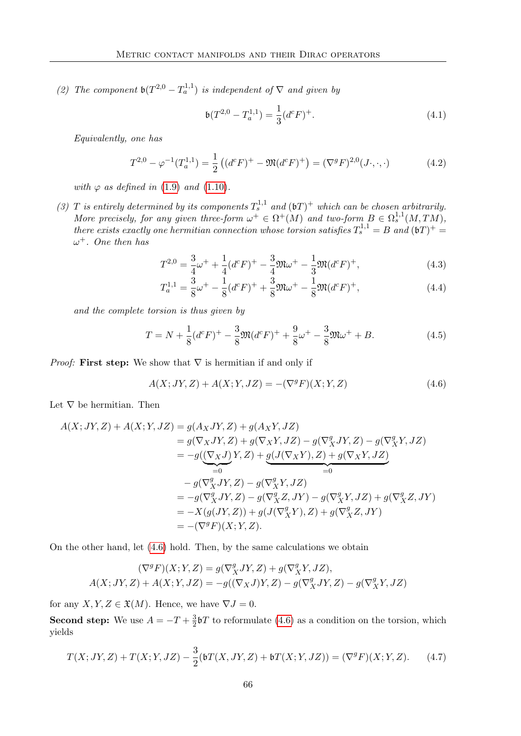(2) The component  $\mathfrak{b}(T^{2,0}-T_a^{1,1})$  is independent of  $\nabla$  and given by

<span id="page-75-3"></span>
$$
\mathfrak{b}(T^{2,0} - T_a^{1,1}) = \frac{1}{3} (d^c F)^+.
$$
\n(4.1)

Equivalently, one has

<span id="page-75-2"></span>
$$
T^{2,0} - \varphi^{-1}(T_a^{1,1}) = \frac{1}{2} \left( (d^c F)^+ - \mathfrak{M}(d^c F)^+ \right) = (\nabla^g F)^{2,0}(J \cdot, \cdot, \cdot) \tag{4.2}
$$

with  $\varphi$  as defined in [\(1.9\)](#page-25-0) and [\(1.10\)](#page-25-1).

(3) T is entirely determined by its components  $T_s^{1,1}$  and  $(\mathfrak{b}T)^+$  which can be chosen arbitrarily. More precisely, for any given three-form  $\omega^+ \in \Omega^+(M)$  and two-form  $B \in \Omega^{1,1}_s(M,TM)$ , there exists exactly one hermitian connection whose torsion satisfies  $T_s^{1,1} = B$  and  $(6T)^+ =$  $\omega^+$ . One then has

$$
T^{2,0} = \frac{3}{4}\omega^{+} + \frac{1}{4}(d^{c}F)^{+} - \frac{3}{4}\mathfrak{M}\omega^{+} - \frac{1}{3}\mathfrak{M}(d^{c}F)^{+},\tag{4.3}
$$

<span id="page-75-4"></span>
$$
T_a^{1,1} = \frac{3}{8}\omega^+ - \frac{1}{8}(d^cF)^+ + \frac{3}{8}\mathfrak{M}\omega^+ - \frac{1}{8}\mathfrak{M}(d^cF)^+, \tag{4.4}
$$

and the complete torsion is thus given by

$$
T = N + \frac{1}{8}(d^{c}F)^{+} - \frac{3}{8}\mathfrak{M}(d^{c}F)^{+} + \frac{9}{8}\omega^{+} - \frac{3}{8}\mathfrak{M}\omega^{+} + B.
$$
 (4.5)

*Proof:* First step: We show that  $\nabla$  is hermitian if and only if

<span id="page-75-0"></span>
$$
A(X;JY,Z) + A(X;Y,JZ) = -(\nabla^g F)(X;Y,Z)
$$
\n(4.6)

Let  $\nabla$  be hermitian. Then

$$
A(X;JY,Z) + A(X;Y,JZ) = g(A_XJY,Z) + g(A_XY,JZ)
$$
  
\n
$$
= g(\nabla_X JY,Z) + g(\nabla_X Y,JZ) - g(\nabla_X^g JY,Z) - g(\nabla_X^g Y,JZ)
$$
  
\n
$$
= -g(\underbrace{(\nabla_X J)}_{=0} Y,Z) + \underbrace{g(J(\nabla_X Y),Z) + g(\nabla_X Y,JZ)}_{=0}
$$
  
\n
$$
- g(\nabla_X^g JY,Z) - g(\nabla_X^g Y,JZ)
$$
  
\n
$$
= -g(\nabla_X^g JY,Z) - g(\nabla_X^g Z,JY) - g(\nabla_X^g Y,JZ) + g(\nabla_X^g Z,JY)
$$
  
\n
$$
= -X(g(JY,Z)) + g(J(\nabla_X^g Y),Z) + g(\nabla_X^g Z,JY)
$$
  
\n
$$
= -(\nabla^g F)(X;Y,Z).
$$

On the other hand, let [\(4.6\)](#page-75-0) hold. Then, by the same calculations we obtain

$$
(\nabla^g F)(X;Y,Z) = g(\nabla^g_X JY,Z) + g(\nabla^g_X Y,JZ),
$$
  

$$
A(X;JY,Z) + A(X;Y,JZ) = -g((\nabla_X J)Y,Z) - g(\nabla^g_X JY,Z) - g(\nabla^g_X Y,JZ)
$$

for any  $X, Y, Z \in \mathfrak{X}(M)$ . Hence, we have  $\nabla J = 0$ .

**Second step:** We use  $A = -T + \frac{3}{2}$  $\frac{3}{2}$ bT to reformulate [\(4.6\)](#page-75-0) as a condition on the torsion, which yields

<span id="page-75-1"></span>
$$
T(X;JY,Z) + T(X;Y,JZ) - \frac{3}{2}(\mathfrak{b}T(X,JY,Z) + \mathfrak{b}T(X;Y,JZ)) = (\nabla^g F)(X;Y,Z). \tag{4.7}
$$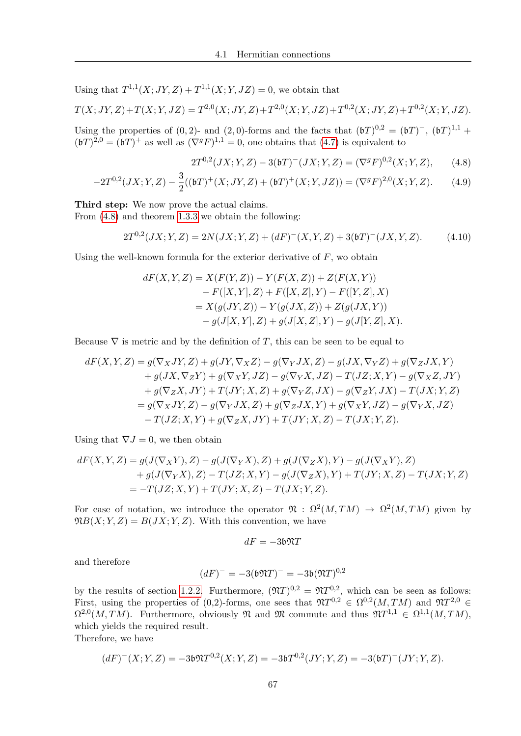Using that  $T^{1,1}(X; JY, Z) + T^{1,1}(X; Y, JZ) = 0$ , we obtain that

$$
T(X; JY, Z) + T(X; Y, JZ) = T^{2,0}(X; JY, Z) + T^{2,0}(X; Y, JZ) + T^{0,2}(X; JY, Z) + T^{0,2}(X; Y, JZ).
$$

Using the properties of  $(0, 2)$ - and  $(2, 0)$ -forms and the facts that  $(bT)^{0,2} = (bT)^{-}$ ,  $(bT)^{1,1}$  +  $(\mathfrak{b} T)^{2,0} = (\mathfrak{b} T)^{+}$  as well as  $(\nabla^{g} F)^{1,1} = 0$ , one obtains that  $(4.7)$  is equivalent to

<span id="page-76-2"></span><span id="page-76-0"></span>
$$
2T^{0,2}(JX;Y,Z) - 3({\mathfrak b}T)^{-}(JX;Y,Z) = (\nabla^{g}F)^{0,2}(X;Y,Z), \qquad (4.8)
$$

$$
-2T^{0,2}(JX;Y,Z) - \frac{3}{2}((\mathfrak{b}T)^{+}(X;JY,Z) + (\mathfrak{b}T)^{+}(X;Y,JZ)) = (\nabla^{g}F)^{2,0}(X;Y,Z). \tag{4.9}
$$

Third step: We now prove the actual claims.

From [\(4.8\)](#page-76-0) and theorem [1.3.3](#page-27-0) we obtain the following:

<span id="page-76-1"></span>
$$
2T^{0,2}(JX;Y,Z) = 2N(JX;Y,Z) + (dF)^{-}(X,Y,Z) + 3(bT)^{-}(JX,Y,Z). \tag{4.10}
$$

Using the well-known formula for the exterior derivative of  $F$ , wo obtain

$$
dF(X, Y, Z) = X(F(Y, Z)) - Y(F(X, Z)) + Z(F(X, Y))
$$
  
- F([X, Y], Z) + F([X, Z], Y) - F([Y, Z], X)  
= X(g(JY, Z)) - Y(g(JX, Z)) + Z(g(JX, Y))  
- g(J[X, Y], Z) + g(J[X, Z], Y) - g(J[Y, Z], X).

Because  $\nabla$  is metric and by the definition of T, this can be seen to be equal to

$$
dF(X,Y,Z) = g(\nabla_X JY, Z) + g(JY, \nabla_X Z) - g(\nabla_Y JX, Z) - g(JX, \nabla_Y Z) + g(\nabla_Z JX, Y)
$$
  
+  $g(JX, \nabla_Z Y) + g(\nabla_X Y, JZ) - g(\nabla_Y X, JZ) - T(JZ; X, Y) - g(\nabla_X Z, JY)$   
+  $g(\nabla_Z X, JY) + T(JY; X, Z) + g(\nabla_Y Z, JX) - g(\nabla_Z Y, JX) - T(JX; Y, Z)$   
=  $g(\nabla_X JY, Z) - g(\nabla_Y JX, Z) + g(\nabla_Z JX, Y) + g(\nabla_X Y, JZ) - g(\nabla_Y X, JZ)$   
-  $T(JZ; X, Y) + g(\nabla_Z X, JY) + T(JY; X, Z) - T(JX; Y, Z).$ 

Using that  $\nabla J = 0$ , we then obtain

$$
dF(X,Y,Z) = g(J(\nabla_X Y), Z) - g(J(\nabla_Y X), Z) + g(J(\nabla_Z X), Y) - g(J(\nabla_X Y), Z) + g(J(\nabla_Y X), Z) - T(JZ; X, Y) - g(J(\nabla_Z X), Y) + T(JY; X, Z) - T(JX; Y, Z) = -T(JZ; X, Y) + T(JY; X, Z) - T(JX; Y, Z).
$$

For ease of notation, we introduce the operator  $\mathfrak{N} : \Omega^2(M, TM) \to \Omega^2(M, TM)$  given by  $\mathfrak{N}B(X;Y,Z) = B(JX;Y,Z)$ . With this convention, we have

$$
dF = -3\mathfrak{b} \mathfrak{N} T
$$

and therefore

$$
(dF)^{-} = -3(\mathfrak{b} \mathfrak{N} T)^{-} = -3\mathfrak{b} (\mathfrak{N} T)^{0,2}
$$

by the results of section [1.2.2.](#page-17-0) Furthermore,  $(\mathfrak{N}T)^{0,2} = \mathfrak{N}T^{0,2}$ , which can be seen as follows: First, using the properties of (0,2)-forms, one sees that  $\mathfrak{N}T^{0,2} \in \Omega^{0,2}(M, TM)$  and  $\mathfrak{N}T^{2,0} \in$  $\Omega^{2,0}(M, TM)$ . Furthermore, obviously  $\mathfrak{N}$  and  $\mathfrak{M}$  commute and thus  $\mathfrak{N}T^{1,1} \in \Omega^{1,1}(M, TM)$ , which yields the required result.

Therefore, we have

$$
(dF)^{-}(X;Y,Z) = -3\mathfrak{b}\mathfrak{N}T^{0,2}(X;Y,Z) = -3\mathfrak{b}T^{0,2}(JY;Y,Z) = -3(\mathfrak{b}T)^{-}(JY;Y,Z).
$$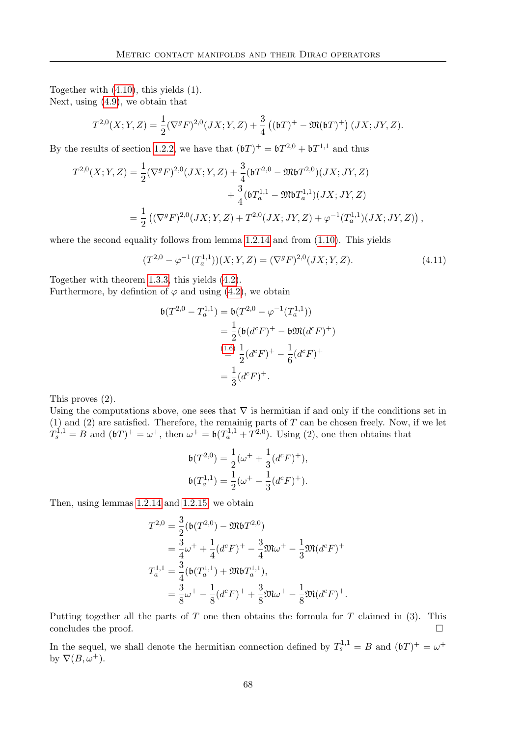Together with [\(4.10\)](#page-76-1), this yields (1). Next, using [\(4.9\)](#page-76-2), we obtain that

$$
T^{2,0}(X;Y,Z) = \frac{1}{2} (\nabla^g F)^{2,0}(JX;Y,Z) + \frac{3}{4} ((\mathfrak{b}T)^+ - \mathfrak{M}(\mathfrak{b}T)^+) (JX;JY,Z).
$$

By the results of section [1.2.2,](#page-17-0) we have that  $(\mathfrak{b}T)^{+} = \mathfrak{b}T^{2,0} + \mathfrak{b}T^{1,1}$  and thus

$$
T^{2,0}(X;Y,Z) = \frac{1}{2} (\nabla^g F)^{2,0}(JX;Y,Z) + \frac{3}{4} (bT^{2,0} - \mathfrak{M}bT^{2,0})(JX;JY,Z) + \frac{3}{4} (bT_a^{1,1} - \mathfrak{M}bT_a^{1,1})(JX;JY,Z) = \frac{1}{2} ((\nabla^g F)^{2,0}(JX;Y,Z) + T^{2,0}(JX;JY,Z) + \varphi^{-1}(T_a^{1,1})(JX;JY,Z)),
$$

where the second equality follows from lemma [1.2.14](#page-22-0) and from  $(1.10)$ . This yields

$$
(T^{2,0} - \varphi^{-1}(T_a^{1,1}))(X;Y,Z) = (\nabla^g F)^{2,0}(JX;Y,Z). \tag{4.11}
$$

Together with theorem [1.3.3,](#page-27-0) this yields [\(4.2\)](#page-75-2).

Furthermore, by defintion of  $\varphi$  and using [\(4.2\)](#page-75-2), we obtain

$$
\mathfrak{b}(T^{2,0} - T_a^{1,1}) = \mathfrak{b}(T^{2,0} - \varphi^{-1}(T_a^{1,1}))
$$
  
=  $\frac{1}{2}(\mathfrak{b}(d^c F)^+ - \mathfrak{b}\mathfrak{M}(d^c F)^+)$   
 $\stackrel{(1.6)}{=} \frac{1}{2}(d^c F)^+ - \frac{1}{6}(d^c F)^+$   
=  $\frac{1}{3}(d^c F)^+.$ 

This proves (2).

Using the computations above, one sees that  $\nabla$  is hermitian if and only if the conditions set in  $(1)$  and  $(2)$  are satisfied. Therefore, the remainig parts of T can be chosen freely. Now, if we let  $T_s^{1,1} = B$  and  $(6T)^+ = \omega^+$ , then  $\omega^+ = 6(T_a^{1,1} + T^{2,0})$ . Using (2), one then obtains that

$$
\mathfrak{b}(T^{2,0}) = \frac{1}{2}(\omega^+ + \frac{1}{3}(d^cF)^+),
$$
  

$$
\mathfrak{b}(T_a^{1,1}) = \frac{1}{2}(\omega^+ - \frac{1}{3}(d^cF)^+).
$$

Then, using lemmas [1.2.14](#page-22-0) and [1.2.15,](#page-24-0) we obtain

$$
T^{2,0} = \frac{3}{2} (\mathfrak{b}(T^{2,0}) - \mathfrak{M} \mathfrak{b} T^{2,0})
$$
  
=  $\frac{3}{4} \omega^+ + \frac{1}{4} (d^c F)^+ - \frac{3}{4} \mathfrak{M} \omega^+ - \frac{1}{3} \mathfrak{M} (d^c F)^+$   

$$
T_a^{1,1} = \frac{3}{4} (\mathfrak{b}(T_a^{1,1}) + \mathfrak{M} \mathfrak{b} T_a^{1,1}),
$$
  
=  $\frac{3}{8} \omega^+ - \frac{1}{8} (d^c F)^+ + \frac{3}{8} \mathfrak{M} \omega^+ - \frac{1}{8} \mathfrak{M} (d^c F)^+.$ 

Putting together all the parts of  $T$  one then obtains the formula for  $T$  claimed in (3). This concludes the proof.  $\Box$ 

In the sequel, we shall denote the hermitian connection defined by  $T_s^{1,1} = B$  and  $(bT)^+ = \omega^+$ by  $\nabla(B,\omega^+).$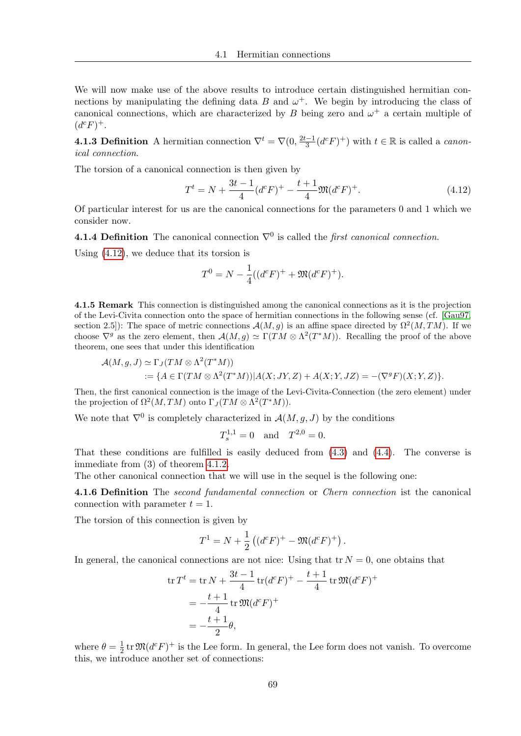We will now make use of the above results to introduce certain distinguished hermitian connections by manipulating the defining data B and  $\omega^+$ . We begin by introducing the class of canonical connections, which are characterized by B being zero and  $\omega^+$  a certain multiple of  $(d^c F)^+$ .

**4.1.3 Definition** A hermitian connection  $\nabla^t = \nabla(0, \frac{2t-1}{3})$  $\frac{d-1}{3}(d^c F)^+$ ) with  $t \in \mathbb{R}$  is called a *canon*ical connection.

The torsion of a canonical connection is then given by

<span id="page-78-0"></span>
$$
T^{t} = N + \frac{3t - 1}{4} (d^{c} F)^{+} - \frac{t + 1}{4} \mathfrak{M} (d^{c} F)^{+}.
$$
\n(4.12)

Of particular interest for us are the canonical connections for the parameters 0 and 1 which we consider now.

**4.1.4 Definition** The canonical connection  $\nabla^0$  is called the *first canonical connection*.

Using [\(4.12\)](#page-78-0), we deduce that its torsion is

$$
T^{0} = N - \frac{1}{4}((d^{c}F)^{+} + \mathfrak{M}(d^{c}F)^{+}).
$$

4.1.5 Remark This connection is distinguished among the canonical connections as it is the projection of the Levi-Civita connection onto the space of hermitian connections in the following sense (cf. [\[Gau97,](#page-116-0) section 2.5): The space of metric connections  $\mathcal{A}(M,g)$  is an affine space directed by  $\Omega^2(M, TM)$ . If we choose  $\nabla^g$  as the zero element, then  $\mathcal{A}(M,g) \simeq \Gamma(TM \otimes \Lambda^2(T^*M)).$  Recalling the proof of the above theorem, one sees that under this identification

$$
\mathcal{A}(M,g,J) \simeq \Gamma_J(TM \otimes \Lambda^2(T^*M))
$$
  
 := { $A \in \Gamma(TM \otimes \Lambda^2(T^*M)) | A(X;JY,Z) + A(X;Y,JZ) = -(\nabla^g F)(X;Y,Z)$  }.

Then, the first canonical connection is the image of the Levi-Civita-Connection (the zero element) under the projection of  $\Omega^2(M,TM)$  onto  $\Gamma_J(TM \otimes \Lambda^2(T^*M)).$ 

We note that  $\nabla^0$  is completely characterized in  $\mathcal{A}(M,g,J)$  by the conditions

$$
T_s^{1,1} = 0
$$
 and  $T^{2,0} = 0$ .

That these conditions are fulfilled is easily deduced from [\(4.3\)](#page-75-3) and [\(4.4\)](#page-75-4). The converse is immediate from (3) of theorem [4.1.2.](#page-74-1)

The other canonical connection that we will use in the sequel is the following one:

4.1.6 Definition The *second fundamental connection* or *Chern connection* ist the canonical connection with parameter  $t = 1$ .

The torsion of this connection is given by

$$
T^{1} = N + \frac{1}{2} ((d^{c} F)^{+} - \mathfrak{M}(d^{c} F)^{+}).
$$

In general, the canonical connections are not nice: Using that  ${\rm tr} N = 0$ , one obtains that

$$
\operatorname{tr} T^t = \operatorname{tr} N + \frac{3t - 1}{4} \operatorname{tr} (d^c F)^+ - \frac{t + 1}{4} \operatorname{tr} \mathfrak{M} (d^c F)^+
$$
  
=  $-\frac{t + 1}{4} \operatorname{tr} \mathfrak{M} (d^c F)^+$   
=  $-\frac{t + 1}{2} \theta$ ,

where  $\theta = \frac{1}{2}$  $\frac{1}{2}$  tr  $\mathfrak{M}(d^c F)^+$  is the Lee form. In general, the Lee form does not vanish. To overcome this, we introduce another set of connections: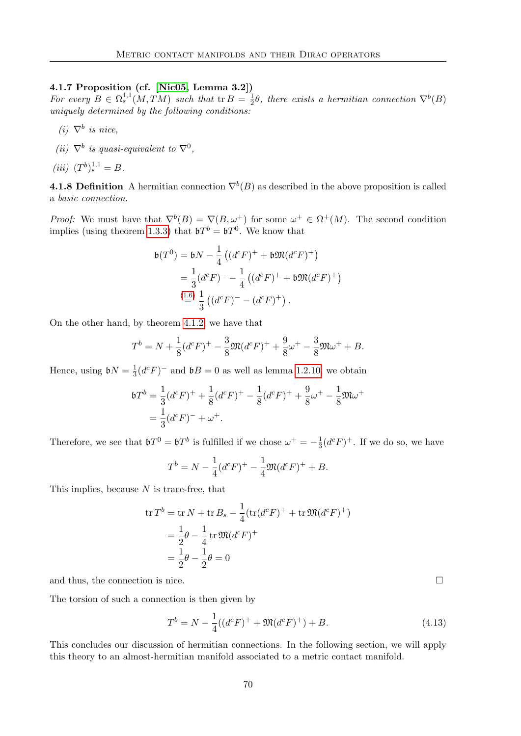### 4.1.7 Proposition (cf. [\[Nic05,](#page-117-0) Lemma 3.2])

For every  $B \in \Omega_s^{1,1}(M,TM)$  such that  ${\rm tr} B = \frac{1}{2}$  $\frac{1}{2}\theta$ , there exists a hermitian connection  $\nabla^b(B)$ uniquely determined by the following conditions:

- $(i)$   $\nabla^b$  is nice,
- (ii)  $\nabla^b$  is quasi-equivalent to  $\nabla^0$ ,
- (*iii*)  $(T^b)^{1,1}_s = B$ .

**4.1.8 Definition** A hermitian connection  $\nabla^{b}(B)$  as described in the above proposition is called a basic connection.

*Proof:* We must have that  $\nabla^{b}(B) = \nabla(B, \omega^{+})$  for some  $\omega^{+} \in \Omega^{+}(M)$ . The second condition implies (using theorem [1.3.3\)](#page-27-0) that  $\mathfrak{b}T^b = \mathfrak{b}T^0$ . We know that

$$
\mathfrak{b}(T^0) = \mathfrak{b}N - \frac{1}{4} ((d^c F)^+ + \mathfrak{b} \mathfrak{M}(d^c F)^+)
$$
  
=  $\frac{1}{3} (d^c F)^- - \frac{1}{4} ((d^c F)^+ + \mathfrak{b} \mathfrak{M}(d^c F)^+)$   
 $\stackrel{(1.6)}{=} \frac{1}{3} ((d^c F)^- - (d^c F)^+).$ 

On the other hand, by theorem [4.1.2,](#page-74-1) we have that

$$
T^{b} = N + \frac{1}{8}(d^{c}F)^{+} - \frac{3}{8}\mathfrak{M}(d^{c}F)^{+} + \frac{9}{8}\omega^{+} - \frac{3}{8}\mathfrak{M}\omega^{+} + B.
$$

Hence, using  $\mathfrak{b}N=\frac{1}{3}$  $\frac{1}{3}(d^cF)^-$  and  $\mathfrak{b}B=0$  as well as lemma [1.2.10,](#page-20-1) we obtain

$$
bT^{b} = \frac{1}{3}(d^{c}F)^{+} + \frac{1}{8}(d^{c}F)^{+} - \frac{1}{8}(d^{c}F)^{+} + \frac{9}{8}\omega^{+} - \frac{1}{8}\mathfrak{M}\omega^{+}
$$

$$
= \frac{1}{3}(d^{c}F)^{-} + \omega^{+}.
$$

Therefore, we see that  $\mathfrak{b}T^0 = \mathfrak{b}T^b$  is fulfilled if we chose  $\omega^+ = -\frac{1}{3}$  $\frac{1}{3}(d^cF)^+$ . If we do so, we have

$$
T^{b} = N - \frac{1}{4}(d^{c}F)^{+} - \frac{1}{4}\mathfrak{M}(d^{c}F)^{+} + B.
$$

This implies, because  $N$  is trace-free, that

$$
\operatorname{tr} T^b = \operatorname{tr} N + \operatorname{tr} B_s - \frac{1}{4} (\operatorname{tr} (d^c F)^+ + \operatorname{tr} \mathfrak{M} (d^c F)^+)
$$
  
=  $\frac{1}{2} \theta - \frac{1}{4} \operatorname{tr} \mathfrak{M} (d^c F)^+$   
=  $\frac{1}{2} \theta - \frac{1}{2} \theta = 0$ 

and thus, the connection is nice.  $\Box$ 

The torsion of such a connection is then given by

$$
T^{b} = N - \frac{1}{4}((d^{c}F)^{+} + \mathfrak{M}(d^{c}F)^{+}) + B.
$$
\n(4.13)

This concludes our discussion of hermitian connections. In the following section, we will apply this theory to an almost-hermitian manifold associated to a metric contact manifold.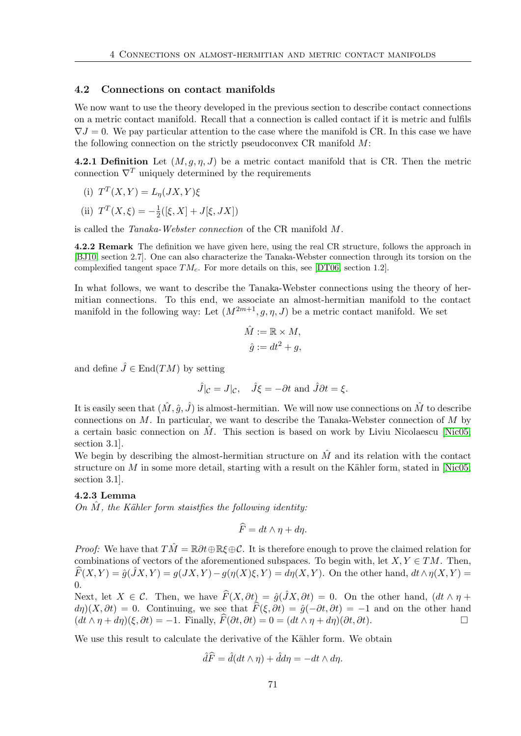### <span id="page-80-0"></span>4.2 Connections on contact manifolds

We now want to use the theory developed in the previous section to describe contact connections on a metric contact manifold. Recall that a connection is called contact if it is metric and fulfils  $\nabla J = 0$ . We pay particular attention to the case where the manifold is CR. In this case we have the following connection on the strictly pseudoconvex  $CR$  manifold  $M$ :

4.2.1 Definition Let  $(M, q, \eta, J)$  be a metric contact manifold that is CR. Then the metric connection  $\nabla^T$  uniquely determined by the requirements

(i) 
$$
T^T(X,Y) = L_{\eta}(JX,Y)\xi
$$

(ii) 
$$
T^T(X, \xi) = -\frac{1}{2}([\xi, X] + J[\xi, JX])
$$

is called the Tanaka-Webster connection of the CR manifold M.

4.2.2 Remark The definition we have given here, using the real CR structure, follows the approach in [\[BJ10,](#page-116-1) section 2.7]. One can also characterize the Tanaka-Webster connection through its torsion on the complexified tangent space  $TM_c$ . For more details on this, see [\[DT06,](#page-116-2) section 1.2].

In what follows, we want to describe the Tanaka-Webster connections using the theory of hermitian connections. To this end, we associate an almost-hermitian manifold to the contact manifold in the following way: Let  $(M^{2m+1}, q, \eta, J)$  be a metric contact manifold. We set

$$
\hat{M} := \mathbb{R} \times M,
$$
  

$$
\hat{g} := dt^2 + g,
$$

and define  $\hat{J} \in \text{End}(TM)$  by setting

$$
\hat{J}|_{\mathcal{C}} = J|\mathcal{C}, \quad \hat{J}\xi = -\partial t \text{ and } \hat{J}\partial t = \xi.
$$

It is easily seen that  $(\hat{M}, \hat{g}, \hat{J})$  is almost-hermitian. We will now use connections on  $\hat{M}$  to describe connections on  $M$ . In particular, we want to describe the Tanaka-Webster connection of  $M$  by a certain basic connection on  $\hat{M}$ . This section is based on work by Liviu Nicolaescu [\[Nic05,](#page-117-0) section 3.1].

We begin by describing the almost-hermitian structure on  $\hat{M}$  and its relation with the contact structure on  $M$  in some more detail, starting with a result on the Kähler form, stated in [\[Nic05,](#page-117-0) section 3.1].

### 4.2.3 Lemma

On  $M$ , the Kähler form staistfies the following identity:

$$
\widehat{F} = dt \wedge \eta + d\eta.
$$

*Proof:* We have that  $T\hat{M} = \mathbb{R}\partial t \oplus \mathbb{R}\xi \oplus \mathcal{C}$ . It is therefore enough to prove the claimed relation for combinations of vectors of the aforementioned subspaces. To begin with, let  $X, Y \in TM$ . Then,  $\widehat{F}(X, Y) = \widehat{g}(\widehat{J}X, Y) = g(JX, Y) - g(\eta(X)\xi, Y) = d\eta(X, Y)$ . On the other hand,  $dt \wedge \eta(X, Y) = g(X, Y)$ 0.

Next, let  $X \in \mathcal{C}$ . Then, we have  $\widehat{F}(X, \partial t) = \widehat{g}(\widehat{J}X, \partial t) = 0$ . On the other hand,  $(dt \wedge \eta +$  $d\eta$ )(X,  $\partial t$ ) = 0. Continuing, we see that  $\hat{F}(\xi, \partial t) = \hat{g}(-\partial t, \partial t) = -1$  and on the other hand  $(dt \wedge n + dn)(\xi, \partial t) = -1$ . Finally,  $\hat{F}(\partial t, \partial t) = 0 = (dt \wedge n + dn)(\partial t, \partial t)$ .  $(dt \wedge \eta + d\eta)(\xi, \partial t) = -1$ . Finally,  $\widehat{F}(\partial t, \partial t) = 0 = (dt \wedge \eta + d\eta)(\partial t, \partial t)$ .

We use this result to calculate the derivative of the Kähler form. We obtain

$$
\hat{d}\widehat{F} = \hat{d}(dt \wedge \eta) + \hat{d}d\eta = -dt \wedge d\eta.
$$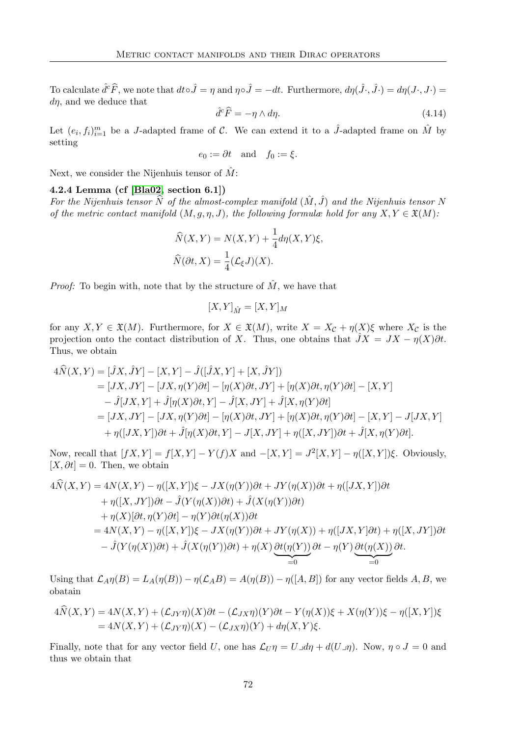To calculate  $\hat{d}^c \hat{F}$ , we note that  $dt \circ \hat{J} = \eta$  and  $\eta \circ \hat{J} = -dt$ . Furthermore,  $d\eta(\hat{J} \cdot, \hat{J} \cdot) = d\eta(J \cdot, J \cdot) =$  $d\eta$ , and we deduce that

$$
\hat{d}^c \hat{F} = -\eta \wedge d\eta. \tag{4.14}
$$

Let  $(e_i, f_i)_{i=1}^m$  be a J-adapted frame of C. We can extend it to a  $\hat{J}$ -adapted frame on  $\hat{M}$  by setting

<span id="page-81-0"></span>
$$
e_0 := \partial t \quad \text{and} \quad f_0 := \xi.
$$

Next, we consider the Nijenhuis tensor of  $\hat{M}$ :

### 4.2.4 Lemma (cf [\[Bla02,](#page-116-3) section 6.1])

For the Nijenhuis tensor  $\widehat{N}$  of the almost-complex manifold  $(\hat{M}, \hat{J})$  and the Nijenhuis tensor N of the metric contact manifold  $(M, g, \eta, J)$ , the following formulæ hold for any  $X, Y \in \mathfrak{X}(M)$ :

$$
\widehat{N}(X,Y) = N(X,Y) + \frac{1}{4}d\eta(X,Y)\xi,
$$
  

$$
\widehat{N}(\partial t, X) = \frac{1}{4}(L_{\xi}J)(X).
$$

*Proof:* To begin with, note that by the structure of  $\hat{M}$ , we have that

$$
[X,Y]_{\hat{M}} = [X,Y]_M
$$

for any  $X, Y \in \mathfrak{X}(M)$ . Furthermore, for  $X \in \mathfrak{X}(M)$ , write  $X = X_{\mathcal{C}} + \eta(X)\xi$  where  $X_{\mathcal{C}}$  is the projection onto the contact distribution of X. Thus, one obtains that  $\hat{J}X = JX - \eta(X)\partial t$ . Thus, we obtain

$$
4\widehat{N}(X,Y) = [\widehat{J}X,\widehat{J}Y] - [X,Y] - \widehat{J}([\widehat{J}X,Y] + [X,\widehat{J}Y])
$$
  
\n
$$
= [JX,JY] - [JX,\eta(Y)\partial t] - [\eta(X)\partial t, JY] + [\eta(X)\partial t, \eta(Y)\partial t] - [X,Y]
$$
  
\n
$$
- \widehat{J}[JX,Y] + \widehat{J}[\eta(X)\partial t, Y] - \widehat{J}[X,JY] + \widehat{J}[X,\eta(Y)\partial t]
$$
  
\n
$$
= [JX,JY] - [JX,\eta(Y)\partial t] - [\eta(X)\partial t, JY] + [\eta(X)\partial t, \eta(Y)\partial t] - [X,Y] - J[JX,Y]
$$
  
\n
$$
+ \eta([JX,Y])\partial t + \widehat{J}[\eta(X)\partial t, Y] - J[X,JY] + \eta([X,JY])\partial t + \widehat{J}[X,\eta(Y)\partial t].
$$

Now, recall that  $[fX, Y] = f[X, Y] - Y(f)X$  and  $-[X, Y] = J^2[X, Y] - \eta([X, Y])\xi$ . Obviously,  $[X, \partial t] = 0$ . Then, we obtain

$$
4\hat{N}(X,Y) = 4N(X,Y) - \eta([X,Y])\xi - JX(\eta(Y))\partial t + JY(\eta(X))\partial t + \eta([JX,Y])\partial t
$$
  
+ 
$$
\eta([X,JY])\partial t - \hat{J}(Y(\eta(X))\partial t) + \hat{J}(X(\eta(Y))\partial t)
$$
  
+ 
$$
\eta(X)[\partial t, \eta(Y)\partial t] - \eta(Y)\partial t(\eta(X))\partial t
$$
  
= 
$$
4N(X,Y) - \eta([X,Y])\xi - JX(\eta(Y))\partial t + JY(\eta(X)) + \eta([JX,Y]\partial t) + \eta([X,JY])\partial t
$$
  
- 
$$
\hat{J}(Y(\eta(X))\partial t) + \hat{J}(X(\eta(Y))\partial t) + \eta(X)\underbrace{\partial t(\eta(Y))}_{=0}\partial t - \eta(Y)\underbrace{\partial t(\eta(X))}_{=0}\partial t.
$$

Using that  $\mathcal{L}_{A}\eta(B) = L_{A}(\eta(B)) - \eta(\mathcal{L}_{A}B) = A(\eta(B)) - \eta([A, B])$  for any vector fields A, B, we obatain

$$
4\dot{N}(X,Y) = 4N(X,Y) + (\mathcal{L}_{JY}\eta)(X)\partial t - (\mathcal{L}_{JX}\eta)(Y)\partial t - Y(\eta(X))\xi + X(\eta(Y))\xi - \eta([X,Y])\xi
$$
  
= 4N(X,Y) + (\mathcal{L}\_{JY}\eta)(X) - (\mathcal{L}\_{JX}\eta)(Y) + d\eta(X,Y)\xi.

Finally, note that for any vector field U, one has  $\mathcal{L}_U \eta = U \mathcal{A} \eta + d(U \mathcal{A})$ . Now,  $\eta \circ J = 0$  and thus we obtain that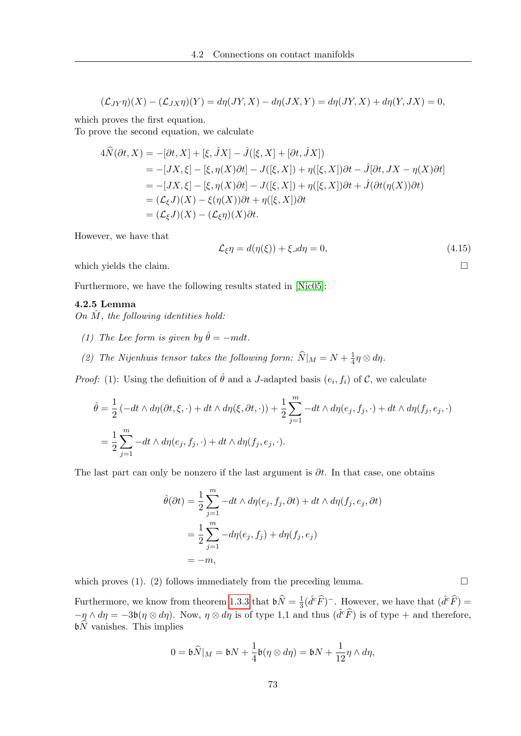$$
(\mathcal{L}_{JY}\eta)(X) - (\mathcal{L}_{JX}\eta)(Y) = d\eta(JY, X) - d\eta(JX, Y) = d\eta(JY, X) + d\eta(Y, JX) = 0,
$$

which proves the first equation.

To prove the second equation, we calculate

$$
4\hat{N}(\partial t, X) = -[\partial t, X] + [\xi, \hat{J}X] - \hat{J}([\xi, X] + [\partial t, \hat{J}X])
$$
  
\n
$$
= -[JX, \xi] - [\xi, \eta(X)\partial t] - J([\xi, X]) + \eta([\xi, X])\partial t - \hat{J}[\partial t, JX - \eta(X)\partial t]
$$
  
\n
$$
= -[JX, \xi] - [\xi, \eta(X)\partial t] - J([\xi, X]) + \eta([\xi, X])\partial t + \hat{J}(\partial t(\eta(X))\partial t)
$$
  
\n
$$
= (\mathcal{L}_{\xi}J)(X) - \xi(\eta(X))\partial t + \eta([\xi, X])\partial t
$$
  
\n
$$
= (\mathcal{L}_{\xi}J)(X) - (\mathcal{L}_{\xi}\eta)(X)\partial t.
$$

However, we have that

$$
\mathcal{L}_{\xi}\eta = d(\eta(\xi)) + \xi \lrcorner d\eta = 0, \tag{4.15}
$$

which yields the claim.  $\Box$ 

Furthermore, we have the following results stated in [\[Nic05\]](#page-117-0):

### 4.2.5 Lemma

On  $\tilde{M}$ , the following identities hold:

- (1) The Lee form is given by  $\hat{\theta} = -m dt$ .
- (2) The Nijenhuis tensor takes the following form:  $\widehat{N}|_M = N + \frac{1}{4}$  $rac{1}{4}\eta \otimes d\eta$ .

*Proof:* (1): Using the definition of  $\hat{\theta}$  and a J-adapted basis  $(e_i, f_i)$  of C, we calculate

$$
\hat{\theta} = \frac{1}{2} \left( -dt \wedge d\eta(\partial t, \xi, \cdot) + dt \wedge d\eta(\xi, \partial t, \cdot) \right) + \frac{1}{2} \sum_{j=1}^{m} -dt \wedge d\eta(e_j, f_j, \cdot) + dt \wedge d\eta(f_j, e_j, \cdot) \n= \frac{1}{2} \sum_{j=1}^{m} -dt \wedge d\eta(e_j, f_j, \cdot) + dt \wedge d\eta(f_j, e_j, \cdot).
$$

The last part can only be nonzero if the last argument is  $\partial t$ . In that case, one obtains

$$
\hat{\theta}(\partial t) = \frac{1}{2} \sum_{j=1}^{m} -dt \wedge d\eta(e_j, f_j, \partial t) + dt \wedge d\eta(f_j, e_j, \partial t)
$$

$$
= \frac{1}{2} \sum_{j=1}^{m} -d\eta(e_j, f_j) + d\eta(f_j, e_j)
$$

$$
= -m,
$$

which proves (1). (2) follows immediately from the preceding lemma.  $\Box$ 

Furthermore, we know from theorem [1.3.3](#page-27-0) that  $\mathfrak{b}\hat{N} = \frac{1}{3}$  $\frac{1}{3}(\hat{d}^c\hat{F})^-$ . However, we have that  $(\hat{d}^c\hat{F}) =$  $-\eta \wedge d\eta = -3b(\eta \otimes d\eta)$ . Now,  $\eta \otimes d\eta$  is of type 1,1 and thus  $(\hat{d}^c \hat{F})$  is of type + and therefore,  $\mathfrak{b}\widehat{N}$  vanishes. This implies

$$
0 = \mathfrak{b}\widehat{N}|_M = \mathfrak{b}N + \frac{1}{4}\mathfrak{b}(\eta \otimes d\eta) = \mathfrak{b}N + \frac{1}{12}\eta \wedge d\eta,
$$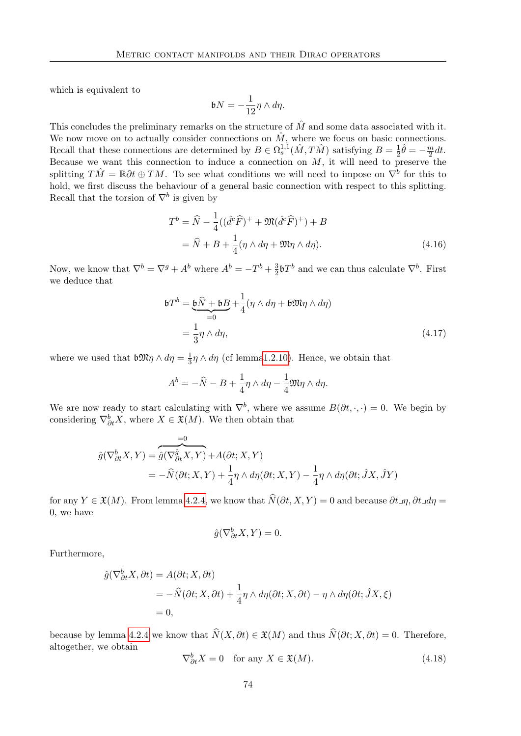which is equivalent to

<span id="page-83-0"></span>
$$
\mathfrak{b} N = -\frac{1}{12}\eta \wedge d\eta.
$$

This concludes the preliminary remarks on the structure of  $\hat{M}$  and some data associated with it. We now move on to actually consider connections on  $\hat{M}$ , where we focus on basic connections. Recall that these connections are determined by  $B \in \Omega_s^{1,1}(\hat{M}, T\hat{M})$  satisfying  $B = \frac{1}{2}$  $\frac{1}{2}\hat{\theta}=-\frac{m}{2}$  $\frac{m}{2}dt$ . Because we want this connection to induce a connection on  $M$ , it will need to preserve the splitting  $T\hat{M} = \mathbb{R}\partial t \oplus TM$ . To see what conditions we will need to impose on  $\overline{\nabla}^b$  for this to hold, we first discuss the behaviour of a general basic connection with respect to this splitting. Recall that the torsion of  $\nabla^b$  is given by

$$
T^{b} = \widehat{N} - \frac{1}{4}((\widehat{d}^{c}\widehat{F})^{+} + \mathfrak{M}(\widehat{d}^{c}\widehat{F})^{+}) + B
$$
  
=  $\widehat{N} + B + \frac{1}{4}(\eta \wedge d\eta + \mathfrak{M}\eta \wedge d\eta).$  (4.16)

Now, we know that  $\nabla^b = \nabla^g + A^b$  where  $A^b = -T^b + \frac{3}{2}$  $\frac{3}{2}$ b $T^b$  and we can thus calculate  $\nabla^b$ . First we deduce that

$$
\begin{aligned} \n\mathfrak{b}T^{b} &= \underbrace{\mathfrak{b}\widehat{N} + \mathfrak{b}B}_{=0} + \frac{1}{4} (\eta \wedge d\eta + \mathfrak{b}\mathfrak{M}\eta \wedge d\eta) \\ \n&= \frac{1}{3}\eta \wedge d\eta, \n\end{aligned} \tag{4.17}
$$

where we used that  $\mathfrak{b} \mathfrak{M} \eta \wedge d\eta = \frac{1}{3}$  $\frac{1}{3}\eta \wedge d\eta$  (cf lemm[a1.2.10\)](#page-20-1). Hence, we obtain that

$$
A^{b} = -\widehat{N} - B + \frac{1}{4}\eta \wedge d\eta - \frac{1}{4}\mathfrak{M}\eta \wedge d\eta.
$$

We are now ready to start calculating with  $\nabla^b$ , where we assume  $B(\partial t, \cdot, \cdot) = 0$ . We begin by considering  $\nabla_{\partial t}^{b} X$ , where  $X \in \mathfrak{X}(M)$ . We then obtain that

$$
\hat{g}(\nabla^b_{\partial t} X, Y) = \underbrace{\hat{g}(\nabla^{\hat{g}}_{\partial t} X, Y)}_{\mathcal{F}} + A(\partial t; X, Y) \\
= -\hat{N}(\partial t; X, Y) + \frac{1}{4}\eta \wedge d\eta(\partial t; X, Y) - \frac{1}{4}\eta \wedge d\eta(\partial t; \hat{J}X, \hat{J}Y)
$$

for any  $Y \in \mathfrak{X}(M)$ . From lemma [4.2.4,](#page-81-0) we know that  $\widehat{N}(\partial t, X, Y) = 0$  and because  $\partial t \Box \eta$ ,  $\partial t \Box d\eta =$ 0, we have

$$
\hat{g}(\nabla^b_{\partial t} X, Y) = 0.
$$

Furthermore,

$$
\hat{g}(\nabla^b_{\partial t} X, \partial t) = A(\partial t; X, \partial t)
$$
  
=  $-\hat{N}(\partial t; X, \partial t) + \frac{1}{4} \eta \wedge d\eta(\partial t; X, \partial t) - \eta \wedge d\eta(\partial t; \hat{J}X, \xi)$   
= 0,

because by lemma [4.2.4](#page-81-0) we know that  $\widehat{N}(X, \partial t) \in \mathfrak{X}(M)$  and thus  $\widehat{N}(\partial t; X, \partial t) = 0$ . Therefore, altogether, we obtain

$$
\nabla_{\partial t}^{b} X = 0 \quad \text{for any } X \in \mathfrak{X}(M). \tag{4.18}
$$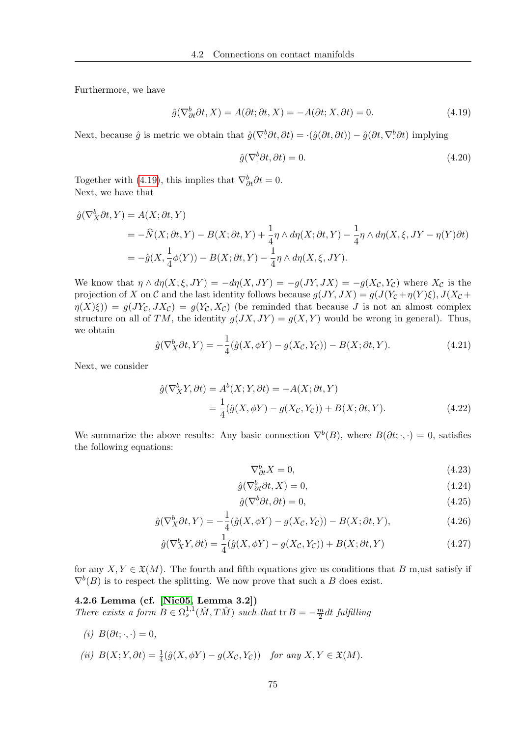Furthermore, we have

<span id="page-84-0"></span>
$$
\hat{g}(\nabla^b_{\partial t}\partial t, X) = A(\partial t; \partial t, X) = -A(\partial t; X, \partial t) = 0.
$$
\n(4.19)

Next, because  $\hat{g}$  is metric we obtain that  $\hat{g}(\nabla^b \partial t, \partial t) = \cdot(\hat{g}(\partial t, \partial t)) - \hat{g}(\partial t, \nabla^b \partial t)$  implying

$$
\hat{g}(\nabla^b \partial t, \partial t) = 0. \tag{4.20}
$$

Together with [\(4.19\)](#page-84-0), this implies that  $\nabla_{\partial t}^{b} \partial t = 0$ . Next, we have that

$$
\hat{g}(\nabla_X^b \partial t, Y) = A(X; \partial t, Y)
$$
  
=  $-\hat{N}(X; \partial t, Y) - B(X; \partial t, Y) + \frac{1}{4}\eta \wedge d\eta(X; \partial t, Y) - \frac{1}{4}\eta \wedge d\eta(X, \xi, JY - \eta(Y)\partial t)$   
=  $-\hat{g}(X, \frac{1}{4}\phi(Y)) - B(X; \partial t, Y) - \frac{1}{4}\eta \wedge d\eta(X, \xi, JY).$ 

We know that  $\eta \wedge d\eta(X;\xi,JY) = -d\eta(X,JY) = -g(JY,JX) = -g(X_{\mathcal{C}},Y_{\mathcal{C}})$  where  $X_{\mathcal{C}}$  is the projection of X on C and the last identity follows because  $g(JY, JX) = g(J(Y_{\mathcal{C}} + \eta(Y)\xi), J(X_{\mathcal{C}} + \eta(Y)\xi))$  $\eta(X|\xi) = g(JY_{\mathcal{C}}, JX_{\mathcal{C}}) = g(Y_{\mathcal{C}}, X_{\mathcal{C}})$  (be reminded that because J is not an almost complex structure on all of TM, the identity  $g(JX, JY) = g(X, Y)$  would be wrong in general). Thus, we obtain

$$
\hat{g}(\nabla_X^b \partial t, Y) = -\frac{1}{4} (\hat{g}(X, \phi Y) - g(X_{\mathcal{C}}, Y_{\mathcal{C}})) - B(X; \partial t, Y). \tag{4.21}
$$

Next, we consider

$$
\hat{g}(\nabla_X^b Y, \partial t) = A^b(X; Y, \partial t) = -A(X; \partial t, Y)
$$
  
= 
$$
\frac{1}{4}(\hat{g}(X, \phi Y) - g(X_{\mathcal{C}}, Y_{\mathcal{C}})) + B(X; \partial t, Y).
$$
 (4.22)

We summarize the above results: Any basic connection  $\nabla^{b}(B)$ , where  $B(\partial t;\cdot,\cdot)=0$ , satisfies the following equations:

<span id="page-84-2"></span><span id="page-84-1"></span>
$$
\nabla_{\partial t}^{b} X = 0,\tag{4.23}
$$

$$
\hat{g}(\nabla^b_{\partial t}\partial t, X) = 0,\tag{4.24}
$$

<span id="page-84-3"></span>
$$
\hat{g}(\nabla^b \partial t, \partial t) = 0,\tag{4.25}
$$

$$
\hat{g}(\nabla_X^b \partial t, Y) = -\frac{1}{4} (\hat{g}(X, \phi Y) - g(X_{\mathcal{C}}, Y_{\mathcal{C}})) - B(X; \partial t, Y), \tag{4.26}
$$

$$
\hat{g}(\nabla_X^b Y, \partial t) = \frac{1}{4} (\hat{g}(X, \phi Y) - g(X_{\mathcal{C}}, Y_{\mathcal{C}})) + B(X; \partial t, Y) \tag{4.27}
$$

for any  $X, Y \in \mathfrak{X}(M)$ . The fourth and fifth equations give us conditions that B m,ust satisfy if  $\nabla^{b}(B)$  is to respect the splitting. We now prove that such a B does exist.

4.2.6 Lemma (cf. [\[Nic05,](#page-117-0) Lemma 3.2]) There exists a form  $B \in \Omega_s^{1,1}(\hat{M}, T\hat{M})$  such that  ${\rm tr} B = -\frac{m}{2}$  $\frac{m}{2}$ dt fulfilling

(i)  $B(\partial t; \cdot, \cdot) = 0$ ,

(ii) 
$$
B(X; Y, \partial t) = \frac{1}{4}(\hat{g}(X, \phi Y) - g(X_{\mathcal{C}}, Y_{\mathcal{C}}))
$$
 for any  $X, Y \in \mathfrak{X}(M)$ .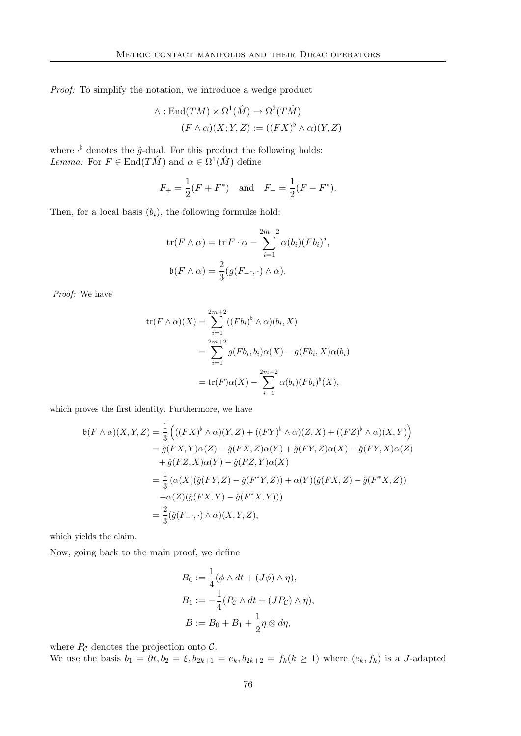Proof: To simplify the notation, we introduce a wedge product

$$
\wedge : \text{End}(TM) \times \Omega^1(\hat{M}) \to \Omega^2(T\hat{M})
$$

$$
(F \wedge \alpha)(X; Y, Z) := ((FX)^{\flat} \wedge \alpha)(Y, Z)
$$

where  $\cdot^{\flat}$  denotes the  $\hat{g}$ -dual. For this product the following holds: *Lemma:* For  $F \in \text{End}(T\hat{M})$  and  $\alpha \in \Omega^1(\hat{M})$  define

$$
F_{+} = \frac{1}{2}(F + F^{*})
$$
 and  $F_{-} = \frac{1}{2}(F - F^{*}).$ 

Then, for a local basis  $(b_i)$ , the following formulæ hold:

$$
\operatorname{tr}(F \wedge \alpha) = \operatorname{tr} F \cdot \alpha - \sum_{i=1}^{2m+2} \alpha(b_i) (F b_i)^{\flat},
$$

$$
\mathfrak{b}(F \wedge \alpha) = \frac{2}{3} (g(F_{-} \cdot, \cdot) \wedge \alpha).
$$

Proof: We have

$$
tr(F \wedge \alpha)(X) = \sum_{i=1}^{2m+2} ((Fb_i)^{\flat} \wedge \alpha)(b_i, X)
$$
  
= 
$$
\sum_{i=1}^{2m+2} g(Fb_i, b_i) \alpha(X) - g(Fb_i, X) \alpha(b_i)
$$
  
= 
$$
tr(F) \alpha(X) - \sum_{i=1}^{2m+2} \alpha(b_i) (Fb_i)^{\flat}(X),
$$

which proves the first identity. Furthermore, we have

$$
\mathfrak{b}(F \wedge \alpha)(X,Y,Z) = \frac{1}{3} \left( ((FX)^{\flat} \wedge \alpha)(Y,Z) + ((FY)^{\flat} \wedge \alpha)(Z,X) + ((FZ)^{\flat} \wedge \alpha)(X,Y) \right)
$$
  
\n
$$
= \hat{g}(FX,Y)\alpha(Z) - \hat{g}(FX,Z)\alpha(Y) + \hat{g}(FY,Z)\alpha(X) - \hat{g}(FY,X)\alpha(Z)
$$
  
\n
$$
+ \hat{g}(FZ,X)\alpha(Y) - \hat{g}(FZ,Y)\alpha(X)
$$
  
\n
$$
= \frac{1}{3} (\alpha(X)(\hat{g}(FY,Z) - \hat{g}(F^*Y,Z)) + \alpha(Y)(\hat{g}(FX,Z) - \hat{g}(F^*X,Z))
$$
  
\n
$$
+ \alpha(Z)(\hat{g}(FX,Y) - \hat{g}(F^*X,Y)))
$$
  
\n
$$
= \frac{2}{3} (\hat{g}(F_{-},\cdot) \wedge \alpha)(X,Y,Z),
$$

which yields the claim.

Now, going back to the main proof, we define

$$
B_0 := \frac{1}{4} (\phi \wedge dt + (J\phi) \wedge \eta),
$$
  
\n
$$
B_1 := -\frac{1}{4} (P_{\mathcal{C}} \wedge dt + (JP_{\mathcal{C}}) \wedge \eta),
$$
  
\n
$$
B := B_0 + B_1 + \frac{1}{2} \eta \otimes d\eta,
$$

where  $P_{\mathcal{C}}$  denotes the projection onto  $\mathcal{C}$ .

We use the basis  $b_1 = \partial t$ ,  $b_2 = \xi$ ,  $b_{2k+1} = e_k$ ,  $b_{2k+2} = f_k (k \ge 1)$  where  $(e_k, f_k)$  is a J-adapted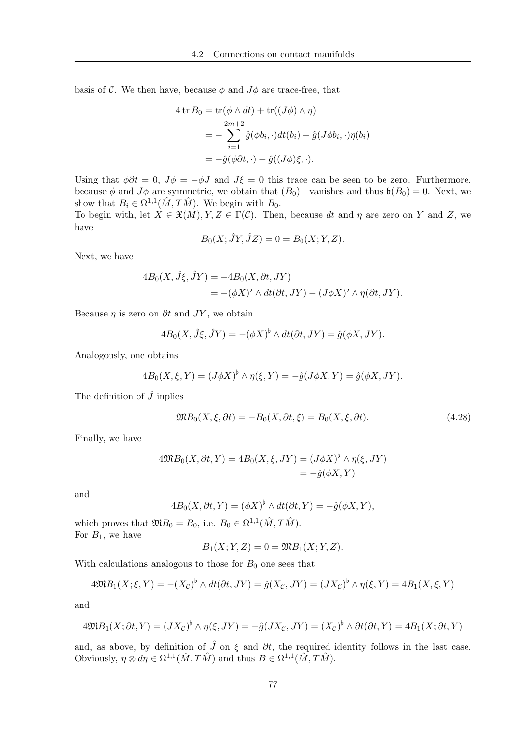basis of C. We then have, because  $\phi$  and  $J\phi$  are trace-free, that

$$
4 \operatorname{tr} B_0 = \operatorname{tr}(\phi \wedge dt) + \operatorname{tr}((J\phi) \wedge \eta)
$$
  
= 
$$
-\sum_{i=1}^{2m+2} \hat{g}(\phi b_i, \cdot) dt(b_i) + \hat{g}(J\phi b_i, \cdot) \eta(b_i)
$$
  
= 
$$
-\hat{g}(\phi \partial t, \cdot) - \hat{g}((J\phi)\xi, \cdot).
$$

Using that  $\phi \partial t = 0$ ,  $J\phi = -\phi J$  and  $J\xi = 0$  this trace can be seen to be zero. Furthermore, because  $\phi$  and  $J\phi$  are symmetric, we obtain that  $(B_0)$ <sub>−</sub> vanishes and thus  $\mathfrak{b}(B_0) = 0$ . Next, we show that  $B_i \in \Omega^{1,1}(\hat{M}, T\hat{M})$ . We begin with  $B_0$ .

To begin with, let  $X \in \mathfrak{X}(M), Y, Z \in \Gamma(\mathcal{C})$ . Then, because dt and  $\eta$  are zero on Y and Z, we have

$$
B_0(X; \hat{J}Y, \hat{J}Z) = 0 = B_0(X; Y, Z).
$$

Next, we have

$$
4B_0(X, \hat{J}\xi, \hat{J}Y) = -4B_0(X, \partial t, JY)
$$
  
= 
$$
-(\phi X)^{\flat} \wedge dt(\partial t, JY) - (J\phi X)^{\flat} \wedge \eta(\partial t, JY).
$$

Because  $\eta$  is zero on  $\partial t$  and  $JY$ , we obtain

$$
4B_0(X, \hat{J}\xi, \hat{J}Y) = -(\phi X)^{\flat} \wedge dt(\partial t, JY) = \hat{g}(\phi X, JY).
$$

Analogously, one obtains

$$
4B_0(X,\xi,Y) = (J\phi X)^{\flat} \wedge \eta(\xi,Y) = -\hat{g}(J\phi X,Y) = \hat{g}(\phi X,JY).
$$

The definition of  $\hat{J}$  inplies

$$
\mathfrak{M}B_0(X,\xi,\partial t) = -B_0(X,\partial t,\xi) = B_0(X,\xi,\partial t). \tag{4.28}
$$

Finally, we have

$$
4\mathfrak{M}B_0(X, \partial t, Y) = 4B_0(X, \xi, JY) = (J\phi X)^{\flat} \wedge \eta(\xi, JY)
$$
  
=  $-\hat{g}(\phi X, Y)$ 

and

$$
4B_0(X, \partial t, Y) = (\phi X)^{\flat} \wedge dt(\partial t, Y) = -\hat{g}(\phi X, Y),
$$

which proves that  $\mathfrak{M}B_0 = B_0$ , i.e.  $B_0 \in \Omega^{1,1}(\hat{M}, T\hat{M})$ . For  $B_1$ , we have

$$
B_1(X;Y,Z) = 0 = \mathfrak{M}B_1(X;Y,Z).
$$

With calculations analogous to those for  $B_0$  one sees that

$$
4\mathfrak{M}B_1(X;\xi,Y) = -(X_{\mathcal{C}})^{\flat} \wedge dt(\partial t, JY) = \hat{g}(X_{\mathcal{C}}, JY) = (JX_{\mathcal{C}})^{\flat} \wedge \eta(\xi,Y) = 4B_1(X,\xi,Y)
$$

and

$$
4\mathfrak{M}B_1(X;\partial t, Y) = (JX_{\mathcal{C}})^{\flat} \wedge \eta(\xi, JY) = -\hat{g}(JX_{\mathcal{C}}, JY) = (X_{\mathcal{C}})^{\flat} \wedge \partial t(\partial t, Y) = 4B_1(X; \partial t, Y)
$$

and, as above, by definition of  $\hat{J}$  on  $\xi$  and  $\partial t$ , the required identity follows in the last case. Obviously,  $\eta \otimes d\eta \in \Omega^{1,1}(\hat{M}, T\hat{M})$  and thus  $B \in \Omega^{1,1}(\hat{M}, T\hat{M})$ .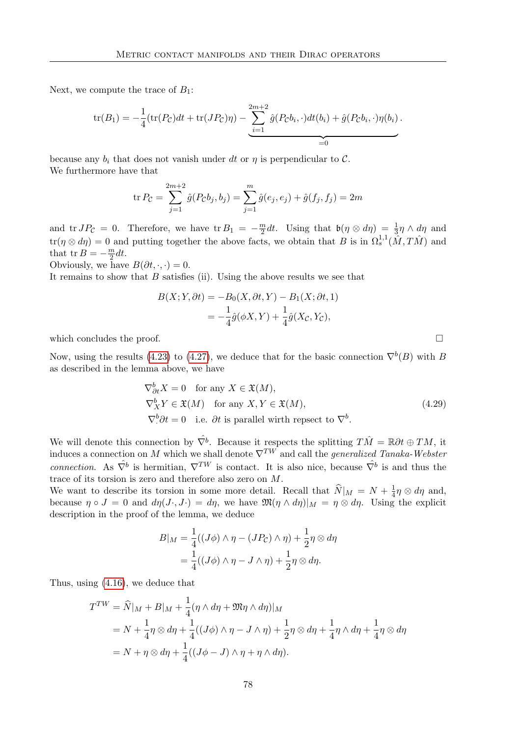Next, we compute the trace of  $B_1$ :

$$
\text{tr}(B_1) = -\frac{1}{4}(\text{tr}(P_{\mathcal{C}})dt + \text{tr}(JP_{\mathcal{C}})\eta) - \underbrace{\sum_{i=1}^{2m+2} \hat{g}(P_{\mathcal{C}}b_i, \cdot)dt(b_i) + \hat{g}(P_{\mathcal{C}}b_i, \cdot)\eta(b_i)}_{=0}.
$$

because any  $b_i$  that does not vanish under dt or  $\eta$  is perpendicular to C. We furthermore have that

$$
\text{tr}\,P_{\mathcal{C}} = \sum_{j=1}^{2m+2} \hat{g}(P_{\mathcal{C}}b_j, b_j) = \sum_{j=1}^{m} \hat{g}(e_j, e_j) + \hat{g}(f_j, f_j) = 2m
$$

and tr  $JP_{\mathcal{C}} = 0$ . Therefore, we have tr  $B_1 = -\frac{m}{2}$  $\frac{m}{2}dt$ . Using that  $\mathfrak{b}(\eta \otimes d\eta) = \frac{1}{3}\eta \wedge d\eta$  and  $\text{tr}(\eta \otimes d\eta) = 0$  and putting together the above facts, we obtain that B is in  $\Omega_s^{1,1}(\hat{M}, T\hat{M})$  and that tr  $B=-\frac{m}{2}$  $\frac{m}{2}dt$ .

Obviously, we have  $B(\partial t, \cdot, \cdot) = 0$ .

It remains to show that  $B$  satisfies (ii). Using the above results we see that

$$
B(X;Y,\partial t) = -B_0(X,\partial t, Y) - B_1(X;\partial t, 1)
$$
  
= 
$$
-\frac{1}{4}\hat{g}(\phi X, Y) + \frac{1}{4}\hat{g}(X_c, Y_c),
$$

which concludes the proof.  $\Box$ 

Now, using the results [\(4.23\)](#page-84-1) to [\(4.27\)](#page-84-2), we deduce that for the basic connection  $\nabla^{b}(B)$  with B as described in the lemma above, we have

$$
\nabla_{\partial t}^{b} X = 0 \quad \text{for any } X \in \mathfrak{X}(M),
$$
  
\n
$$
\nabla_{X}^{b} Y \in \mathfrak{X}(M) \quad \text{for any } X, Y \in \mathfrak{X}(M),
$$
  
\n
$$
\nabla_{\cdot}^{b} \partial t = 0 \quad \text{i.e. } \partial t \text{ is parallel with respect to } \nabla^{b}.
$$
\n(4.29)

<span id="page-87-0"></span>We will denote this connection by  $\hat{\nabla}^b$ . Because it respects the splitting  $T\hat{M} = \mathbb{R}\partial t \oplus TM$ , it induces a connection on M which we shall denote  $\nabla^{TW}$  and call the *generalized Tanaka-Webster* connection. As  $\hat{\nabla}^b$  is hermitian,  $\nabla^{TW}$  is contact. It is also nice, because  $\hat{\nabla}^b$  is and thus the trace of its torsion is zero and therefore also zero on M.

We want to describe its torsion in some more detail. Recall that  $\widehat{N}|_M = N + \frac{1}{4}$  $\frac{1}{4}\eta \otimes d\eta$  and, because  $\eta \circ J = 0$  and  $d\eta(J \cdot, J \cdot) = d\eta$ , we have  $\mathfrak{M}(\eta \wedge d\eta)|_M = \eta \otimes d\eta$ . Using the explicit description in the proof of the lemma, we deduce

$$
B|_M = \frac{1}{4}((J\phi) \wedge \eta - (JP_C) \wedge \eta) + \frac{1}{2}\eta \otimes d\eta
$$
  
= 
$$
\frac{1}{4}((J\phi) \wedge \eta - J \wedge \eta) + \frac{1}{2}\eta \otimes d\eta.
$$

Thus, using [\(4.16\)](#page-83-0), we deduce that

$$
T^{TW} = \widehat{N}|_M + B|_M + \frac{1}{4}(\eta \wedge d\eta + \mathfrak{M}\eta \wedge d\eta)|_M
$$
  
=  $N + \frac{1}{4}\eta \otimes d\eta + \frac{1}{4}((J\phi) \wedge \eta - J \wedge \eta) + \frac{1}{2}\eta \otimes d\eta + \frac{1}{4}\eta \wedge d\eta + \frac{1}{4}\eta \otimes d\eta$   
=  $N + \eta \otimes d\eta + \frac{1}{4}((J\phi - J) \wedge \eta + \eta \wedge d\eta).$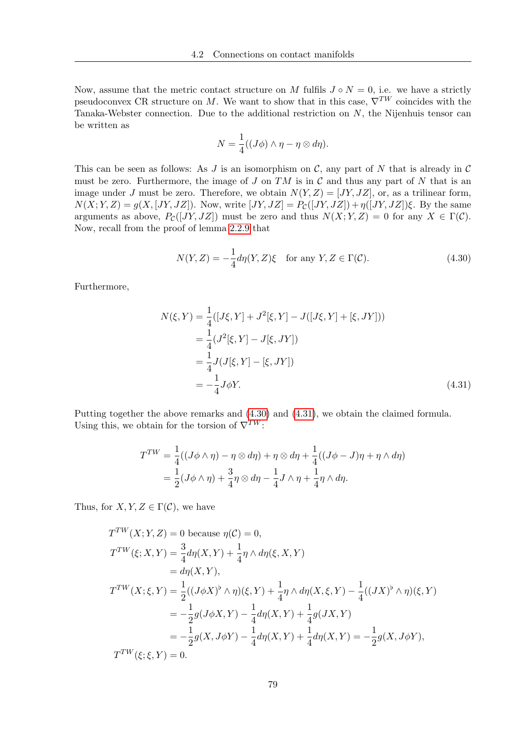Now, assume that the metric contact structure on M fulfils  $J \circ N = 0$ , i.e. we have a strictly pseudoconvex CR structure on M. We want to show that in this case,  $\nabla^{TW}$  coincides with the Tanaka-Webster connection. Due to the additional restriction on N, the Nijenhuis tensor can be written as

$$
N = \frac{1}{4}((J\phi) \wedge \eta - \eta \otimes d\eta).
$$

This can be seen as follows: As J is an isomorphism on C, any part of N that is already in  $\mathcal C$ must be zero. Furthermore, the image of  $J$  on  $TM$  is in  $\mathcal C$  and thus any part of  $N$  that is an image under J must be zero. Therefore, we obtain  $N(Y, Z) = [JY, JZ]$ , or, as a trilinear form,  $N(X; Y, Z) = g(X, [JY, JZ])$ . Now, write  $[JY, JZ] = P_{\mathcal{C}}([JY, JZ]) + \eta([JY, JZ])\xi$ . By the same arguments as above,  $P_{\mathcal{C}}([JY, JZ])$  must be zero and thus  $N(X; Y, Z) = 0$  for any  $X \in \Gamma(\mathcal{C})$ . Now, recall from the proof of lemma [2.2.9](#page-43-0) that

<span id="page-88-0"></span>
$$
N(Y, Z) = -\frac{1}{4}d\eta(Y, Z)\xi \quad \text{for any } Y, Z \in \Gamma(\mathcal{C}).\tag{4.30}
$$

Furthermore,

<span id="page-88-1"></span>
$$
N(\xi, Y) = \frac{1}{4} ([J\xi, Y] + J^2[\xi, Y] - J([J\xi, Y] + [\xi, JY]))
$$
  
=  $\frac{1}{4} (J^2[\xi, Y] - J[\xi, JY])$   
=  $\frac{1}{4} J(J[\xi, Y] - [\xi, JY])$   
=  $-\frac{1}{4} J\phi Y.$  (4.31)

Putting together the above remarks and [\(4.30\)](#page-88-0) and [\(4.31\)](#page-88-1), we obtain the claimed formula. Using this, we obtain for the torsion of  $\nabla^{TW}$ :

$$
T^{TW} = \frac{1}{4}((J\phi \wedge \eta) - \eta \otimes d\eta) + \eta \otimes d\eta + \frac{1}{4}((J\phi - J)\eta + \eta \wedge d\eta)
$$
  
= 
$$
\frac{1}{2}(J\phi \wedge \eta) + \frac{3}{4}\eta \otimes d\eta - \frac{1}{4}J\wedge \eta + \frac{1}{4}\eta \wedge d\eta.
$$

Thus, for  $X, Y, Z \in \Gamma(\mathcal{C})$ , we have

$$
T^{TW}(X;Y,Z) = 0 \text{ because } \eta(C) = 0,
$$
  
\n
$$
T^{TW}(\xi; X, Y) = \frac{3}{4} d\eta(X, Y) + \frac{1}{4} \eta \wedge d\eta(\xi, X, Y)
$$
  
\n
$$
= d\eta(X, Y),
$$
  
\n
$$
T^{TW}(X; \xi, Y) = \frac{1}{2} ((J\phi X)^{\flat} \wedge \eta)(\xi, Y) + \frac{1}{4} \eta \wedge d\eta(X, \xi, Y) - \frac{1}{4} ((JX)^{\flat} \wedge \eta)(\xi, Y)
$$
  
\n
$$
= -\frac{1}{2} g(J\phi X, Y) - \frac{1}{4} d\eta(X, Y) + \frac{1}{4} g(JX, Y)
$$
  
\n
$$
= -\frac{1}{2} g(X, J\phi Y) - \frac{1}{4} d\eta(X, Y) + \frac{1}{4} d\eta(X, Y) = -\frac{1}{2} g(X, J\phi Y),
$$
  
\n
$$
T^{TW}(\xi; \xi, Y) = 0.
$$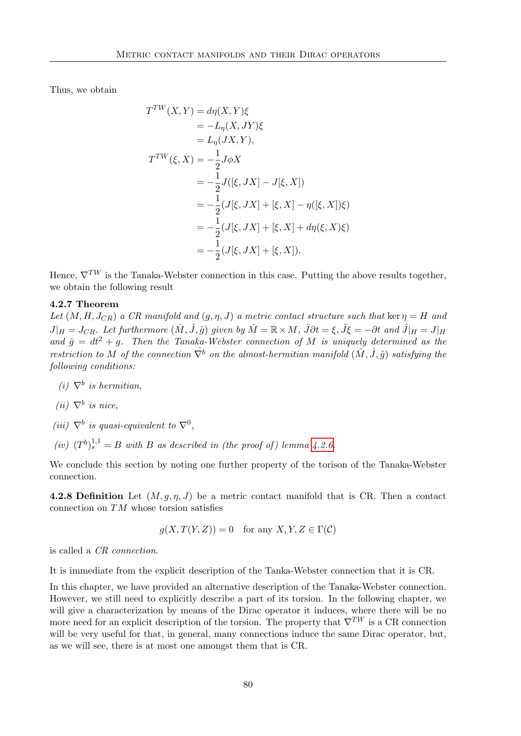Thus, we obtain

$$
T^{TW}(X, Y) = d\eta(X, Y)\xi
$$
  
= -L <sub>$\eta$</sub> (X, JY)\xi  
= L <sub>$\eta$</sub> (JX, Y),  

$$
T^{TW}(\xi, X) = -\frac{1}{2}J\phi X
$$
  
= -\frac{1}{2}J([\xi, JX] - J[\xi, X])  
= -\frac{1}{2}(J[\xi, JX] + [\xi, X] - \eta([\xi, X])\xi)  
= -\frac{1}{2}(J[\xi, JX] + [\xi, X] + d\eta(\xi, X)\xi)  
= -\frac{1}{2}(J[\xi, JX] + [\xi, X]).

Hence,  $\nabla^{TW}$  is the Tanaka-Webster connection in this case. Putting the above results together, we obtain the following result

### 4.2.7 Theorem

Let  $(M, H, J_{CR})$  a CR manifold and  $(g, \eta, J)$  a metric contact structure such that ker  $\eta = H$  and  $J|_H = J_{CR}$ . Let furthermore  $(M, \hat{J}, \hat{g})$  given by  $\hat{M} = \mathbb{R} \times M$ ,  $\hat{J} \partial t = \xi$ ,  $\hat{J} \xi = -\partial t$  and  $\hat{J}|_H = J|_H$ and  $\hat{g} = dt^2 + g$ . Then the Tanaka-Webster connection of M is uniquely determined as the restriction to M of the connection  $\hat{\nabla}^b$  on the almost-hermitian manifold  $(\hat{M}, \hat{J}, \hat{a})$  satisfying the following conditions:

- (i)  $\nabla^b$  is hermitian,
- (ii)  $\nabla^b$  is nice,
- (iii)  $\nabla^b$  is quasi-equivalent to  $\nabla^0$ ,
- (iv)  $(T^b)^{1,1}_s = B$  with B as described in (the proof of) lemma [4.2.6.](#page-84-3)

We conclude this section by noting one further property of the torison of the Tanaka-Webster connection.

4.2.8 Definition Let  $(M, q, \eta, J)$  be a metric contact manifold that is CR. Then a contact connection on TM whose torsion satisfies

$$
g(X, T(Y, Z)) = 0 \quad \text{for any } X, Y, Z \in \Gamma(\mathcal{C})
$$

is called a CR connection.

It is immediate from the explicit description of the Tanka-Webster connection that it is CR.

In this chapter, we have provided an alternative description of the Tanaka-Webster connection. However, we still need to explicitly describe a part of its torsion. In the following chapter, we will give a characterization by means of the Dirac operator it induces, where there will be no more need for an explicit description of the torsion. The property that  $\nabla^{TW}$  is a CR connection will be very useful for that, in general, many connections induce the same Dirac operator, but, as we will see, there is at most one amongst them that is CR.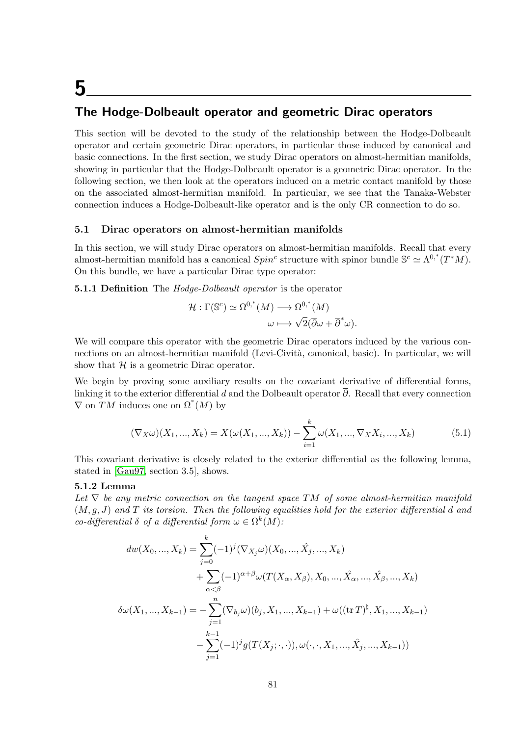# 5

### The Hodge-Dolbeault operator and geometric Dirac operators

This section will be devoted to the study of the relationship between the Hodge-Dolbeault operator and certain geometric Dirac operators, in particular those induced by canonical and basic connections. In the first section, we study Dirac operators on almost-hermitian manifolds, showing in particular that the Hodge-Dolbeault operator is a geometric Dirac operator. In the following section, we then look at the operators induced on a metric contact manifold by those on the associated almost-hermitian manifold. In particular, we see that the Tanaka-Webster connection induces a Hodge-Dolbeault-like operator and is the only CR connection to do so.

### <span id="page-90-1"></span>5.1 Dirac operators on almost-hermitian manifolds

In this section, we will study Dirac operators on almost-hermitian manifolds. Recall that every almost-hermitian manifold has a canonical  $Spin^c$  structure with spinor bundle  $\mathbb{S}^c \simeq \Lambda^{0,*}(T^*M)$ . On this bundle, we have a particular Dirac type operator:

**5.1.1 Definition** The *Hodge-Dolbeault operator* is the operator

$$
\mathcal{H} : \Gamma(\mathbb{S}^c) \simeq \Omega^{0,*}(M) \longrightarrow \Omega^{0,*}(M)
$$

$$
\omega \longmapsto \sqrt{2}(\overline{\partial}\omega + \overline{\partial}^*\omega).
$$

We will compare this operator with the geometric Dirac operators induced by the various connections on an almost-hermitian manifold (Levi-Cività, canonical, basic). In particular, we will show that  $\mathcal H$  is a geometric Dirac operator.

We begin by proving some auxiliary results on the covariant derivative of differential forms, linking it to the exterior differential d and the Dolbeault operator  $\bar{\partial}$ . Recall that every connection  $\nabla$  on  $\overline{T}M$  induces one on  $\Omega^*(M)$  by

<span id="page-90-0"></span>
$$
(\nabla_X \omega)(X_1, ..., X_k) = X(\omega(X_1, ..., X_k)) - \sum_{i=1}^k \omega(X_1, ..., \nabla_X X_i, ..., X_k)
$$
(5.1)

This covariant derivative is closely related to the exterior differential as the following lemma, stated in [\[Gau97,](#page-116-0) section 3.5], shows.

### 5.1.2 Lemma

Let  $\nabla$  be any metric connection on the tangent space TM of some almost-hermitian manifold  $(M, q, J)$  and T its torsion. Then the following equalities hold for the exterior differential d and co-differential  $\delta$  of a differential form  $\omega \in \Omega^k(M)$ :

$$
dw(X_0, ..., X_k) = \sum_{j=0}^k (-1)^j (\nabla_{X_j} \omega)(X_0, ..., \hat{X}_j, ..., X_k)
$$
  
+ 
$$
\sum_{\alpha < \beta} (-1)^{\alpha + \beta} \omega(T(X_\alpha, X_\beta), X_0, ..., \hat{X}_\alpha, ..., \hat{X}_\beta, ..., X_k)
$$
  

$$
\delta \omega(X_1, ..., X_{k-1}) = -\sum_{j=1}^n (\nabla_{b_j} \omega)(b_j, X_1, ..., X_{k-1}) + \omega((\text{tr } T)^{\natural}, X_1, ..., X_{k-1})
$$
  
- 
$$
\sum_{j=1}^{k-1} (-1)^j g(T(X_j; \cdot, \cdot)), \omega(\cdot, \cdot, X_1, ..., \hat{X}_j, ..., X_{k-1}))
$$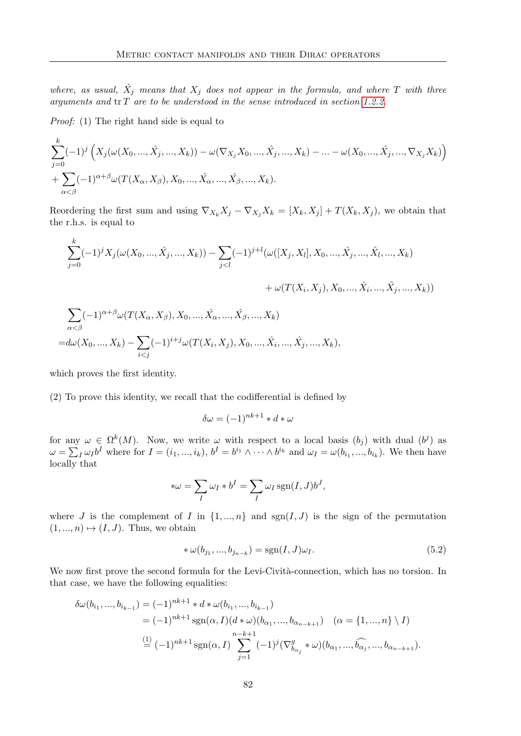where, as usual,  $\hat{X}_j$  means that  $X_j$  does not appear in the formula, and where T with three arguments and  $tr T$  are to be understood in the sense introduced in section [1.2.2.](#page-17-0)

Proof: (1) The right hand side is equal to

$$
\sum_{j=0}^{k}(-1)^{j} \left(X_{j}(\omega(X_{0},..., \hat{X}_{j},..., X_{k})) - \omega(\nabla_{X_{j}} X_{0},..., \hat{X}_{j},..., X_{k}) - ... - \omega(X_{0},..., \hat{X}_{j},..., \nabla_{X_{j}} X_{k})\right) + \sum_{\alpha < \beta}(-1)^{\alpha+\beta} \omega(T(X_{\alpha}, X_{\beta}), X_{0},..., \hat{X}_{\alpha},..., \hat{X}_{\beta},..., X_{k}).
$$

Reordering the first sum and using  $\nabla_{X_k}X_j - \nabla_{X_j}X_k = [X_k, X_j] + T(X_k, X_j)$ , we obtain that the r.h.s. is equal to

$$
\sum_{j=0}^{k}(-1)^{j}X_{j}(\omega(X_{0},..., \hat{X}_{j},..., X_{k})) - \sum_{j
$$
+\omega(T(X_{i}, X_{j}), X_{0},..., \hat{X}_{i},..., \hat{X}_{j},..., X_{k}))
$$
$$

$$
\sum_{\alpha < \beta} (-1)^{\alpha + \beta} \omega(T(X_{\alpha}, X_{\beta}), X_0, ..., \hat{X_{\alpha}}, ..., \hat{X_{\beta}}, ..., X_k)
$$
  
= $d\omega(X_0, ..., X_k) - \sum_{i < j} (-1)^{i+j} \omega(T(X_i, X_j), X_0, ..., \hat{X_i}, ..., \hat{X_j}, ..., X_k),$ 

which proves the first identity.

k

(2) To prove this identity, we recall that the codifferential is defined by

$$
\delta\omega = (-1)^{nk+1} * d * \omega
$$

for any  $\omega \in \Omega^k(M)$ . Now, we write  $\omega$  with respect to a local basis  $(b_j)$  with dual  $(b^j)$  as  $\omega = \sum_I \omega_I b^I$  where for  $I = (i_1, ..., i_k)$ ,  $b^I = b^{i_1} \wedge \cdots \wedge b^{i_k}$  and  $\omega_I = \omega(b_{i_1}, ..., b_{i_k})$ . We then have locally that

$$
*\omega = \sum_{I} \omega_I * b^I = \sum_{I} \omega_I \operatorname{sgn}(I, J) b^J,
$$

where J is the complement of I in  $\{1, ..., n\}$  and  $sgn(I, J)$  is the sign of the permutation  $(1, ..., n) \mapsto (I, J)$ . Thus, we obtain

<span id="page-91-0"></span>
$$
*\omega(b_{j_1},...,b_{j_{n-k}}) = sgn(I,J)\omega_I.
$$
\n(5.2)

We now first prove the second formula for the Levi-Cività-connection, which has no torsion. In that case, we have the following equalities:

$$
\delta\omega(b_{i_1},...,b_{i_{k-1}}) = (-1)^{nk+1} * d * \omega(b_{i_1},...,b_{i_{k-1}})
$$
  
=  $(-1)^{nk+1} \text{sgn}(\alpha, I)(d * \omega)(b_{\alpha_1},...,b_{\alpha_{n-k+1}}) \quad (\alpha = \{1,...,n\} \setminus I)$   

$$
\stackrel{\text{(1)}}{=} (-1)^{nk+1} \text{sgn}(\alpha, I) \sum_{j=1}^{n-k+1} (-1)^j (\nabla^g_{b_{\alpha_j}} * \omega)(b_{\alpha_1},...,b_{\alpha_j},...,b_{\alpha_{n-k+1}}).
$$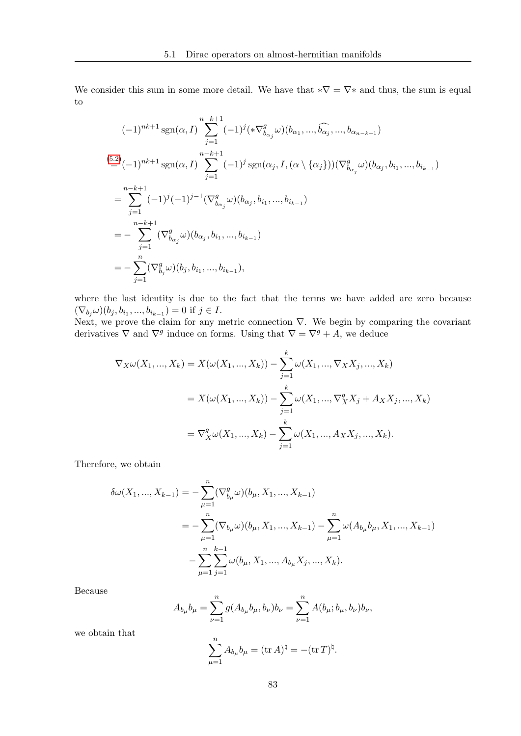We consider this sum in some more detail. We have that  $*\nabla = \nabla *$  and thus, the sum is equal to

$$
(-1)^{nk+1} \operatorname{sgn}(\alpha, I) \sum_{j=1}^{n-k+1} (-1)^{j} (\ast \nabla_{b_{\alpha_{j}}}^{g} \omega) (b_{\alpha_{1}}, ..., \widehat{b_{\alpha_{j}}}, ..., b_{\alpha_{n-k+1}})
$$
  
\n
$$
(\sum_{j=1}^{5} (-1)^{nk+1} \operatorname{sgn}(\alpha, I) \sum_{j=1}^{n-k+1} (-1)^{j} \operatorname{sgn}(\alpha_{j}, I, (\alpha \setminus \{\alpha_{j}\})) (\nabla_{b_{\alpha_{j}}}^{g} \omega) (b_{\alpha_{j}}, b_{i_{1}}, ..., b_{i_{k-1}})
$$
  
\n
$$
= \sum_{j=1}^{n-k+1} (-1)^{j} (-1)^{j-1} (\nabla_{b_{\alpha_{j}}}^{g} \omega) (b_{\alpha_{j}}, b_{i_{1}}, ..., b_{i_{k-1}})
$$
  
\n
$$
= - \sum_{j=1}^{n-k+1} (\nabla_{b_{\alpha_{j}}}^{g} \omega) (b_{\alpha_{j}}, b_{i_{1}}, ..., b_{i_{k-1}})
$$
  
\n
$$
= - \sum_{j=1}^{n} (\nabla_{b_{j}}^{g} \omega) (b_{j}, b_{i_{1}}, ..., b_{i_{k-1}}),
$$

where the last identity is due to the fact that the terms we have added are zero because  $(\nabla_{b_j}\omega)(b_j, b_{i_1},...,b_{i_{k-1}}) = 0$  if  $j \in I$ .

Next, we prove the claim for any metric connection  $\nabla$ . We begin by comparing the covariant derivatives  $\nabla$  and  $\nabla^g$  induce on forms. Using that  $\nabla = \nabla^g + A$ , we deduce

$$
\nabla_X \omega(X_1, ..., X_k) = X(\omega(X_1, ..., X_k)) - \sum_{j=1}^k \omega(X_1, ..., \nabla_X X_j, ..., X_k)
$$
  
=  $X(\omega(X_1, ..., X_k)) - \sum_{j=1}^k \omega(X_1, ..., \nabla_X^g X_j + A_X X_j, ..., X_k)$   
=  $\nabla_X^g \omega(X_1, ..., X_k) - \sum_{j=1}^k \omega(X_1, ..., A_X X_j, ..., X_k).$ 

Therefore, we obtain

$$
\delta\omega(X_1, ..., X_{k-1}) = -\sum_{\mu=1}^n (\nabla_{b_\mu}^g \omega)(b_\mu, X_1, ..., X_{k-1})
$$
  
= 
$$
-\sum_{\mu=1}^n (\nabla_{b_\mu}\omega)(b_\mu, X_1, ..., X_{k-1}) - \sum_{\mu=1}^n \omega(A_{b_\mu}b_\mu, X_1, ..., X_{k-1})
$$
  

$$
-\sum_{\mu=1}^n \sum_{j=1}^{k-1} \omega(b_\mu, X_1, ..., A_{b_\mu}X_j, ..., X_k).
$$

Because

$$
A_{b\mu}b_{\mu} = \sum_{\nu=1}^{n} g(A_{b\mu}b_{\mu}, b_{\nu})b_{\nu} = \sum_{\nu=1}^{n} A(b_{\mu}; b_{\mu}, b_{\nu})b_{\nu},
$$

we obtain that

$$
\sum_{\mu=1}^{n} A_{b_{\mu}} b_{\mu} = (\text{tr } A)^{\natural} = -(\text{tr } T)^{\natural}.
$$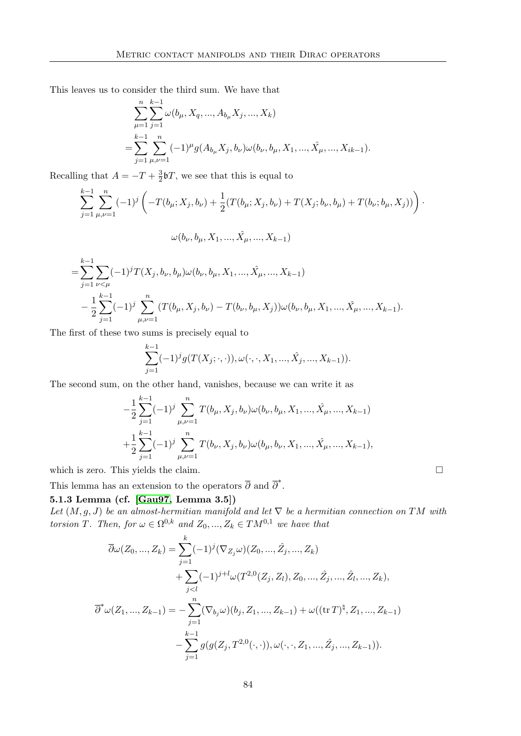This leaves us to consider the third sum. We have that

$$
\sum_{\mu=1}^{n} \sum_{j=1}^{k-1} \omega(b_{\mu}, X_q, ..., A_{b_{\mu}} X_j, ..., X_k)
$$
  
= 
$$
\sum_{j=1}^{k-1} \sum_{\mu,\nu=1}^{n} (-1)^{\mu} g(A_{b_{\mu}} X_j, b_{\nu}) \omega(b_{\nu}, b_{\mu}, X_1, ..., \hat{X}_{\mu}, ..., X_{ik-1}).
$$

Recalling that  $A = -T + \frac{3}{2}$  $\frac{3}{2}$ bT, we see that this is equal to

$$
\sum_{j=1}^{k-1} \sum_{\mu,\nu=1}^{n} (-1)^j \left( -T(b_{\mu}; X_j, b_{\nu}) + \frac{1}{2} (T(b_{\mu}; X_j, b_{\nu}) + T(X_j; b_{\nu}, b_{\mu}) + T(b_{\nu}; b_{\mu}, X_j)) \right) \cdot \omega(b_{\nu}, b_{\mu}, X_1, ..., \hat{X}_{\mu}, ..., X_{k-1})
$$

$$
= \sum_{j=1}^{k-1} \sum_{\nu < \mu} (-1)^j T(X_j, b_\nu, b_\mu) \omega(b_\nu, b_\mu, X_1, \dots, \hat{X_\mu}, \dots, X_{k-1})
$$
  

$$
- \frac{1}{2} \sum_{j=1}^{k-1} (-1)^j \sum_{\mu,\nu=1}^n (T(b_\mu, X_j, b_\nu) - T(b_\nu, b_\mu, X_j)) \omega(b_\nu, b_\mu, X_1, \dots, \hat{X_\mu}, \dots, X_{k-1}).
$$

The first of these two sums is precisely equal to

$$
\sum_{j=1}^{k-1}(-1)^{j}g(T(X_j;\cdot,\cdot)),\omega(\cdot,\cdot,X_1,...,\hat{X}_j,...,X_{k-1})).
$$

The second sum, on the other hand, vanishes, because we can write it as

<span id="page-93-0"></span>
$$
-\frac{1}{2}\sum_{j=1}^{k-1}(-1)^j\sum_{\mu,\nu=1}^nT(b_\mu,X_j,b_\nu)\omega(b_\nu,b_\mu,X_1,...,\hat{X_\mu},...,X_{k-1})
$$
  
+
$$
\frac{1}{2}\sum_{j=1}^{k-1}(-1)^j\sum_{\mu,\nu=1}^nT(b_\nu,X_j,b_\nu)\omega(b_\mu,b_\nu,X_1,...,\hat{X_\mu},...,X_{k-1}),
$$

which is zero. This yields the claim.  $\Box$ 

This lemma has an extension to the operators  $\overline{\partial}$  and  $\overline{\partial}^*$ .

### 5.1.3 Lemma (cf. [\[Gau97,](#page-116-0) Lemma 3.5])

Let  $(M, g, J)$  be an almost-hermitian manifold and let  $\nabla$  be a hermitian connection on TM with torsion T. Then, for  $\omega \in \Omega^{0,k}$  and  $Z_0, ..., Z_k \in TM^{0,1}$  we have that

$$
\overline{\partial}\omega(Z_0, ..., Z_k) = \sum_{j=1}^k (-1)^j (\nabla_{Z_j}\omega)(Z_0, ..., \hat{Z}_j, ..., Z_k) \n+ \sum_{j < l} (-1)^{j+l} \omega(T^{2,0}(Z_j, Z_l), Z_0, ..., \hat{Z}_j, ..., \hat{Z}_l, ..., Z_k), \n\overline{\partial}^*\omega(Z_1, ..., Z_{k-1}) = - \sum_{j=1}^n (\nabla_{b_j}\omega)(b_j, Z_1, ..., Z_{k-1}) + \omega((\text{tr }T)^{\natural}, Z_1, ..., Z_{k-1}) \n- \sum_{j=1}^{k-1} g(g(Z_j, T^{2,0}(\cdot, \cdot)), \omega(\cdot, \cdot, Z_1, ..., \hat{Z}_j, ..., Z_{k-1})).
$$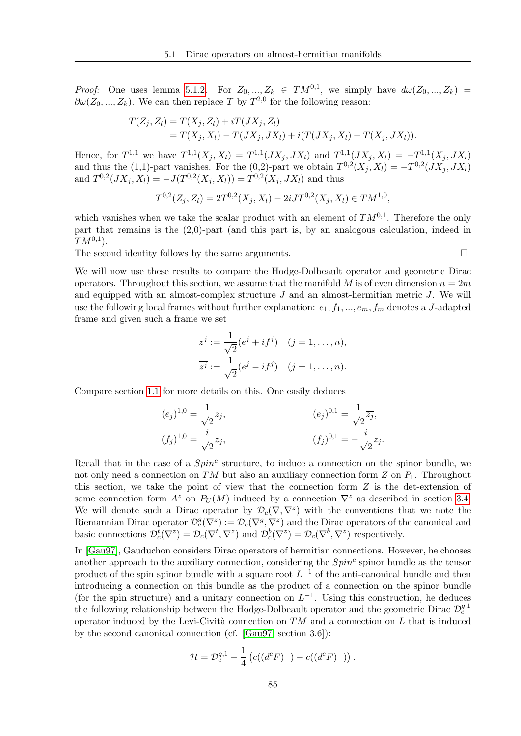*Proof:* One uses lemma [5.1.2.](#page-90-0) For  $Z_0, ..., Z_k \in TM^{0,1}$ , we simply have  $d\omega(Z_0, ..., Z_k)$  $\overline{\partial}\omega(Z_0, ..., Z_k)$ . We can then replace T by  $T^{2,0}$  for the following reason:

$$
T(Z_j, Z_l) = T(X_j, Z_l) + iT(JX_j, Z_l)
$$
  
= 
$$
T(X_j, X_l) - T(JX_j, JX_l) + i(T(JX_j, X_l) + T(X_j, JX_l)).
$$

Hence, for  $T^{1,1}$  we have  $T^{1,1}(X_j, X_l) = T^{1,1}(JX_j, JX_l)$  and  $T^{1,1}(JX_j, X_l) = -T^{1,1}(X_j, JX_l)$ and thus the (1,1)-part vanishes. For the (0,2)-part we obtain  $T^{0,2}(X_j, X_l) = -T^{0,2}(JX_j, JX_l)$ and  $T^{0,2}(JX_j, X_l) = -J(T^{0,2}(X_j, X_l)) = T^{0,2}(X_j, JX_l)$  and thus

$$
T^{0,2}(Z_j, Z_l) = 2T^{0,2}(X_j, X_l) - 2iJT^{0,2}(X_j, X_l) \in TM^{1,0},
$$

which vanishes when we take the scalar product with an element of  $TM^{0,1}$ . Therefore the only part that remains is the (2,0)-part (and this part is, by an analogous calculation, indeed in  $TM^{0,1}).$ 

The second identity follows by the same arguments.

We will now use these results to compare the Hodge-Dolbeault operator and geometric Dirac operators. Throughout this section, we assume that the manifold M is of even dimension  $n = 2m$ and equipped with an almost-complex structure  $J$  and an almost-hermitian metric  $J$ . We will use the following local frames without further explanation:  $e_1, f_1, ..., e_m, f_m$  denotes a J-adapted frame and given such a frame we set

$$
z^{j} := \frac{1}{\sqrt{2}} (e^{j} + if^{j}) \quad (j = 1, ..., n),
$$
  

$$
\overline{z^{j}} := \frac{1}{\sqrt{2}} (e^{j} - if^{j}) \quad (j = 1, ..., n).
$$

Compare section [1.1](#page-10-0) for more details on this. One easily deduces

$$
(e_j)^{1,0} = \frac{1}{\sqrt{2}} z_j,
$$
  
\n
$$
(f_j)^{1,0} = \frac{i}{\sqrt{2}} z_j,
$$
  
\n
$$
(f_j)^{0,1} = -\frac{i}{\sqrt{2}} \overline{z_j}.
$$
  
\n
$$
(f_j)^{0,1} = -\frac{i}{\sqrt{2}} \overline{z_j}.
$$

Recall that in the case of a  $Spin<sup>c</sup>$  structure, to induce a connection on the spinor bundle, we not only need a connection on TM but also an auxiliary connection form  $Z$  on  $P_1$ . Throughout this section, we take the point of view that the connection form  $Z$  is the det-extension of some connection form  $A^z$  on  $P_U(M)$  induced by a connection  $\nabla^z$  as described in section [3.4.](#page-64-0) We will denote such a Dirac operator by  $\mathcal{D}_c(\nabla,\nabla^z)$  with the conventions that we note the Riemannian Dirac operator  $\mathcal{D}_{c}^{g}(\nabla^{z}) := \mathcal{D}_{c}(\nabla^{g}, \nabla^{z})$  and the Dirac operators of the canonical and basic connections  $\mathcal{D}_c^t(\nabla^z) = \mathcal{D}_c(\nabla^t, \nabla^z)$  and  $\mathcal{D}_c^b(\nabla^z) = \mathcal{D}_c(\nabla^b, \nabla^z)$  respectively.

In [\[Gau97\]](#page-116-0), Gauduchon considers Dirac operators of hermitian connections. However, he chooses another approach to the auxiliary connection, considering the  $Spin<sup>c</sup>$  spinor bundle as the tensor product of the spin spinor bundle with a square root  $L^{-1}$  of the anti-canonical bundle and then introducing a connection on this bundle as the product of a connection on the spinor bundle (for the spin structure) and a unitary connection on  $L^{-1}$ . Using this construction, he deduces the following relationship between the Hodge-Dolbeault operator and the geometric Dirac  $\mathcal{D}_c^{g,1}$ operator induced by the Levi-Cività connection on  $TM$  and a connection on L that is induced by the second canonical connection (cf. [\[Gau97,](#page-116-0) section 3.6]):

$$
\mathcal{H} = \mathcal{D}_c^{g,1} - \frac{1}{4} \left( c((d^c F)^+) - c((d^c F)^-) \right).
$$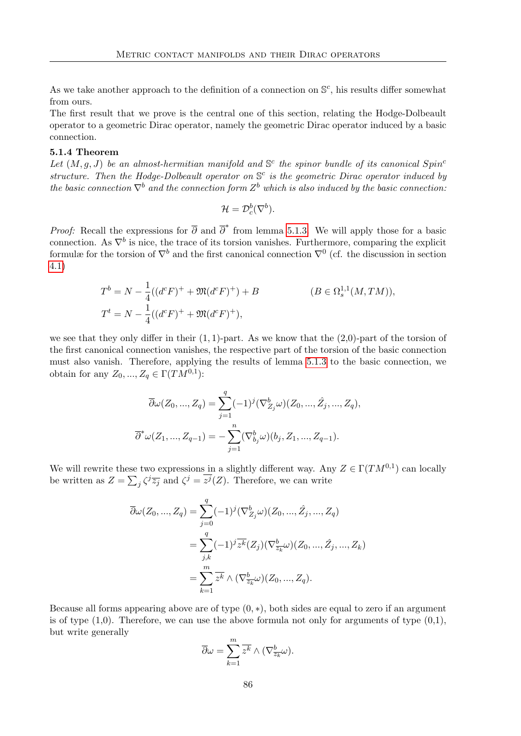As we take another approach to the definition of a connection on  $\mathbb{S}^c$ , his results differ somewhat from ours.

The first result that we prove is the central one of this section, relating the Hodge-Dolbeault operator to a geometric Dirac operator, namely the geometric Dirac operator induced by a basic connection.

### 5.1.4 Theorem

Let  $(M, g, J)$  be an almost-hermitian manifold and  $\mathbb{S}^c$  the spinor bundle of its canonical Spin<sup>c</sup> structure. Then the Hodge-Dolbeault operator on  $\mathbb{S}^c$  is the geometric Dirac operator induced by the basic connection  $\nabla^b$  and the connection form  $Z^b$  which is also induced by the basic connection:

$$
\mathcal{H}=\mathcal{D}_c^b(\nabla^b).
$$

*Proof:* Recall the expressions for  $\overline{\partial}$  and  $\overline{\partial}^*$  from lemma [5.1.3.](#page-93-0) We will apply those for a basic connection. As  $\nabla^b$  is nice, the trace of its torsion vanishes. Furthermore, comparing the explicit formulæ for the torsion of  $\nabla^b$  and the first canonical connection  $\nabla^0$  (cf. the discussion in section [4.1\)](#page-74-2)

$$
T^{b} = N - \frac{1}{4}((d^{c}F)^{+} + \mathfrak{M}(d^{c}F)^{+}) + B
$$
  
\n
$$
T^{t} = N - \frac{1}{4}((d^{c}F)^{+} + \mathfrak{M}(d^{c}F)^{+}),
$$
  
\n
$$
(B \in \Omega_{s}^{1,1}(M, TM)),
$$

we see that they only differ in their  $(1, 1)$ -part. As we know that the  $(2,0)$ -part of the torsion of the first canonical connection vanishes, the respective part of the torsion of the basic connection must also vanish. Therefore, applying the results of lemma [5.1.3](#page-93-0) to the basic connection, we obtain for any  $Z_0, ..., Z_q \in \Gamma(TM^{0,1})$ :

$$
\overline{\partial}\omega(Z_0, ..., Z_q) = \sum_{j=1}^q (-1)^j (\nabla^b_{Z_j}\omega)(Z_0, ..., \hat{Z}_j, ..., Z_q),
$$
  

$$
\overline{\partial}^*\omega(Z_1, ..., Z_{q-1}) = -\sum_{j=1}^n (\nabla^b_{b_j}\omega)(b_j, Z_1, ..., Z_{q-1}).
$$

We will rewrite these two expressions in a slightly different way. Any  $Z \in \Gamma(TM^{0,1})$  can locally be written as  $Z = \sum_j \zeta^j \overline{z_j}$  and  $\zeta^j = \overline{z^j}(Z)$ . Therefore, we can write

$$
\overline{\partial}\omega(Z_0, ..., Z_q) = \sum_{j=0}^q (-1)^j (\nabla^b_{Z_j}\omega)(Z_0, ..., \hat{Z}_j, ..., Z_q)
$$
  
= 
$$
\sum_{j,k}^q (-1)^j \overline{z^k}(Z_j) (\nabla^b_{\overline{z_k}}\omega)(Z_0, ..., \hat{Z}_j, ..., Z_k)
$$
  
= 
$$
\sum_{k=1}^m \overline{z^k} \wedge (\nabla^b_{\overline{z_k}}\omega)(Z_0, ..., Z_q).
$$

Because all forms appearing above are of type  $(0, *)$ , both sides are equal to zero if an argument is of type  $(1,0)$ . Therefore, we can use the above formula not only for arguments of type  $(0,1)$ , but write generally

$$
\overline{\partial}\omega = \sum_{k=1}^m \overline{z^k} \wedge (\nabla^b_{\overline{z_k}}\omega).
$$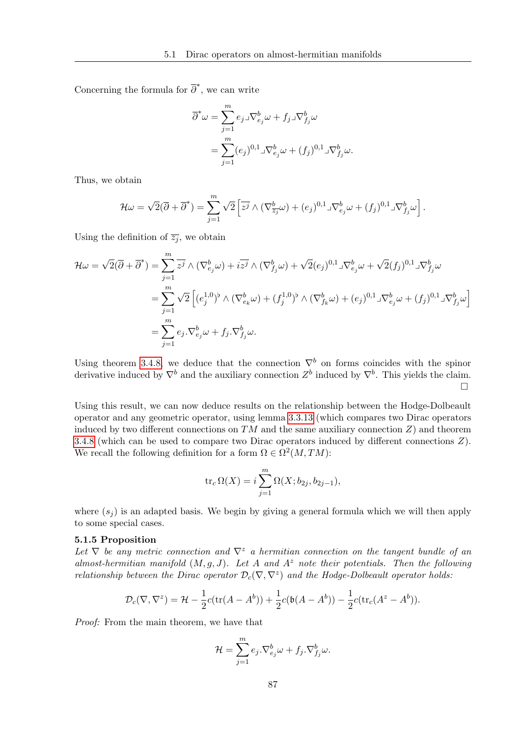Concerning the formula for  $\overline{\partial}^*$ , we can write

$$
\overline{\partial}^*\omega = \sum_{j=1}^m e_j \Im \nabla_{e_j}^b \omega + f_j \Im \nabla_{f_j}^b \omega
$$
  
= 
$$
\sum_{j=1}^m (e_j)^{0,1} \Im \nabla_{e_j}^b \omega + (f_j)^{0,1} \Im \nabla_{f_j}^b \omega.
$$

Thus, we obtain

$$
\mathcal{H}\omega=\sqrt{2}(\overline{\partial}+\overline{\partial}^*)=\sum_{j=1}^m\sqrt{2}\left[\overline{z^j}\wedge(\nabla_{\overline{z_j}}^b\omega)+(e_j)^{0,1}\mathbf{J}\nabla_{e_j}^b\omega+(f_j)^{0,1}\mathbf{J}\nabla_{f_j}^b\omega\right].
$$

Using the definition of  $\overline{z_j}$ , we obtain

$$
\mathcal{H}\omega = \sqrt{2}(\overline{\partial} + \overline{\partial}^*) = \sum_{j=1}^m \overline{z^j} \wedge (\nabla_{e_j}^b \omega) + i\overline{z^j} \wedge (\nabla_{f_j}^b \omega) + \sqrt{2}(e_j)^{0,1} \mathbb{J} \nabla_{e_j}^b \omega + \sqrt{2}(f_j)^{0,1} \mathbb{J} \nabla_{f_j}^b \omega
$$
  
\n
$$
= \sum_{j=1}^m \sqrt{2} \left[ (e_j^{1,0})^b \wedge (\nabla_{e_k}^b \omega) + (f_j^{1,0})^b \wedge (\nabla_{f_k}^b \omega) + (e_j)^{0,1} \mathbb{J} \nabla_{e_j}^b \omega + (f_j)^{0,1} \mathbb{J} \nabla_{f_j}^b \omega \right]
$$
  
\n
$$
= \sum_{j=1}^m e_j \cdot \nabla_{e_j}^b \omega + f_j \cdot \nabla_{f_j}^b \omega.
$$

Using theorem [3.4.8,](#page-70-0) we deduce that the connection  $\nabla^b$  on forms coincides with the spinor derivative induced by  $\nabla^b$  and the auxiliary connection  $Z^b$  induced by  $\nabla^b$ . This yields the claim.  $\Box$ 

Using this result, we can now deduce results on the relationship between the Hodge-Dolbeault operator and any geometric operator, using lemma [3.3.13](#page-62-0) (which compares two Dirac operators induced by two different connections on  $TM$  and the same auxiliary connection  $Z$ ) and theorem [3.4.8](#page-70-0) (which can be used to compare two Dirac operators induced by different connections Z). We recall the following definition for a form  $\Omega \in \Omega^2(M, TM)$ :

<span id="page-96-0"></span>
$$
\text{tr}_c \Omega(X) = i \sum_{j=1}^m \Omega(X; b_{2j}, b_{2j-1}),
$$

where  $(s_i)$  is an adapted basis. We begin by giving a general formula which we will then apply to some special cases.

### 5.1.5 Proposition

Let  $\nabla$  be any metric connection and  $\nabla^z$  a hermitian connection on the tangent bundle of an almost-hermitian manifold  $(M, g, J)$ . Let A and  $A^z$  note their potentials. Then the following relationship between the Dirac operator  $\mathcal{D}_c(\nabla,\nabla^z)$  and the Hodge-Dolbeault operator holds:

$$
\mathcal{D}_c(\nabla, \nabla^z) = \mathcal{H} - \frac{1}{2}c(\text{tr}(A - A^b)) + \frac{1}{2}c(\mathfrak{b}(A - A^b)) - \frac{1}{2}c(\text{tr}_c(A^z - A^b)).
$$

Proof: From the main theorem, we have that

$$
\mathcal{H} = \sum_{j=1}^{m} e_j \cdot \nabla_{e_j}^{b} \omega + f_j \cdot \nabla_{f_j}^{b} \omega.
$$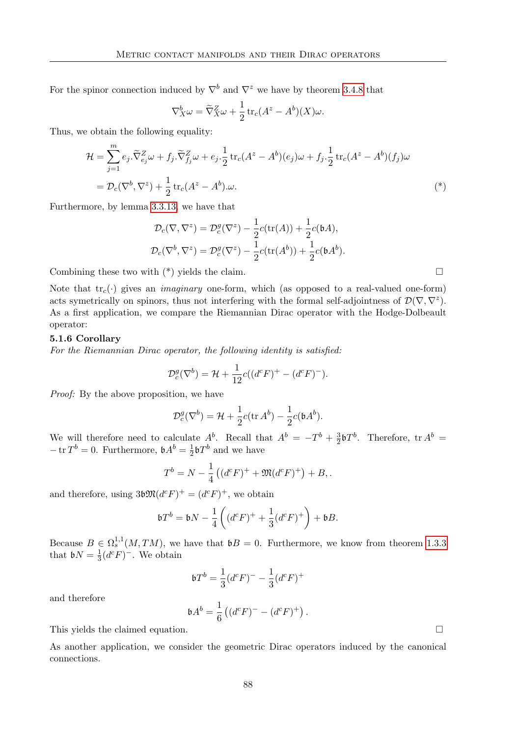For the spinor connection induced by  $\nabla^b$  and  $\nabla^z$  we have by theorem [3.4.8](#page-70-0) that

$$
\nabla_X^b \omega = \widetilde{\nabla}_X^Z \omega + \frac{1}{2} \operatorname{tr}_c (A^z - A^b)(X) \omega.
$$

Thus, we obtain the following equality:

$$
\mathcal{H} = \sum_{j=1}^{m} e_j \cdot \widetilde{\nabla}^Z_{e_j} \omega + f_j \cdot \widetilde{\nabla}^Z_{f_j} \omega + e_j \cdot \frac{1}{2} \operatorname{tr}_c (A^z - A^b)(e_j) \omega + f_j \cdot \frac{1}{2} \operatorname{tr}_c (A^z - A^b)(f_j) \omega \n= \mathcal{D}_c (\nabla^b, \nabla^z) + \frac{1}{2} \operatorname{tr}_c (A^z - A^b) \omega.
$$
\n
$$
(*)
$$

Furthermore, by lemma [3.3.13,](#page-62-0) we have that

$$
\mathcal{D}_c(\nabla, \nabla^z) = \mathcal{D}_c^g(\nabla^z) - \frac{1}{2}c(\text{tr}(A)) + \frac{1}{2}c(\mathfrak{b}A),
$$
  

$$
\mathcal{D}_c(\nabla^b, \nabla^z) = \mathcal{D}_c^g(\nabla^z) - \frac{1}{2}c(\text{tr}(A^b)) + \frac{1}{2}c(\mathfrak{b}A^b).
$$

Combining these two with  $(*)$  yields the claim.

Note that  $\text{tr}_c(\cdot)$  gives an *imaginary* one-form, which (as opposed to a real-valued one-form) acts symetrically on spinors, thus not interfering with the formal self-adjointness of  $\mathcal{D}(\nabla,\nabla^z)$ . As a first application, we compare the Riemannian Dirac operator with the Hodge-Dolbeault operator:

### 5.1.6 Corollary

For the Riemannian Dirac operator, the following identity is satisfied:

$$
\mathcal{D}_c^g(\nabla^b) = \mathcal{H} + \frac{1}{12}c((d^cF)^+ - (d^cF)^-).
$$

Proof: By the above proposition, we have

$$
\mathcal{D}_c^g(\nabla^b) = \mathcal{H} + \frac{1}{2}c(\operatorname{tr} A^b) - \frac{1}{2}c(\mathfrak{b} A^b).
$$

We will therefore need to calculate  $A^b$ . Recall that  $A^b = -T^b + \frac{3}{2}$  $\frac{3}{2}$ b $T^b$ . Therefore, tr  $A^b$  =  $-\operatorname{tr} T^b = 0$ . Furthermore,  $\mathfrak{b} A^b = \frac{1}{2}$  $\frac{1}{2}\mathfrak{b}T^b$  and we have

$$
T^{b} = N - \frac{1}{4} ((d^{c} F)^{+} + \mathfrak{M}(d^{c} F)^{+}) + B,
$$

and therefore, using  $3b\mathfrak{M}(d^cF)^+ = (d^cF)^+$ , we obtain

$$
\mathfrak{b}T^{b} = \mathfrak{b}N - \frac{1}{4}\left( (d^{c}F)^{+} + \frac{1}{3}(d^{c}F)^{+} \right) + \mathfrak{b}B.
$$

Because  $B \in \Omega_s^{1,1}(M, TM)$ , we have that  $\mathfrak{b}B = 0$ . Furthermore, we know from theorem [1.3.3](#page-27-0) that  $\mathfrak{b}N=\frac{1}{3}$  $\frac{1}{3}(d^cF)^-$ . We obtain

$$
\mathfrak{b}T^{b} = \frac{1}{3}(d^{c}F)^{-} - \frac{1}{3}(d^{c}F)^{+}
$$

and therefore

$$
\mathfrak{b} A^b = \frac{1}{6} \left( (d^c F)^- - (d^c F)^+ \right).
$$

This yields the claimed equation.

As another application, we consider the geometric Dirac operators induced by the canonical connections.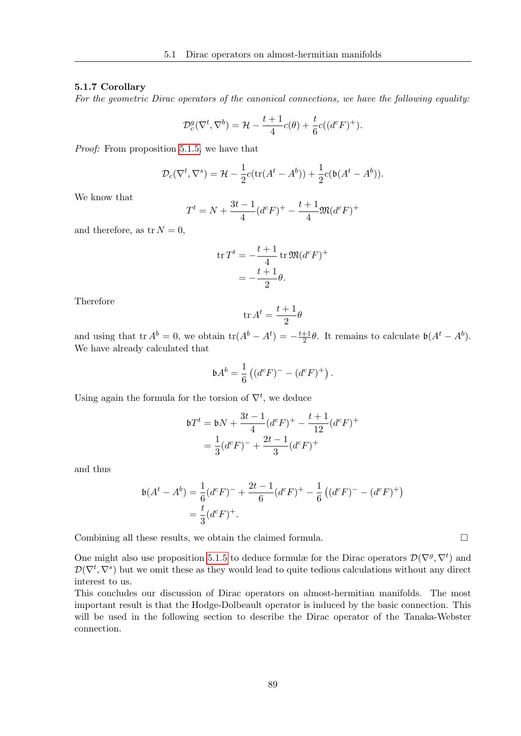### 5.1.7 Corollary

For the geometric Dirac operators of the canonical connections, we have the following equality:

$$
\mathcal{D}_{c}^{g}(\nabla^{t}, \nabla^{b}) = \mathcal{H} - \frac{t+1}{4}c(\theta) + \frac{t}{6}c((d^{c}F)^{+}).
$$

Proof: From proposition [5.1.5,](#page-96-0) we have that

$$
\mathcal{D}_c(\nabla^t, \nabla^s) = \mathcal{H} - \frac{1}{2}c(\text{tr}(A^t - A^b)) + \frac{1}{2}c(\mathfrak{b}(A^t - A^b)).
$$

We know that

$$
T^{t} = N + \frac{3t - 1}{4} (d^{c} F)^{+} - \frac{t + 1}{4} \mathfrak{M} (d^{c} F)^{+}
$$

and therefore, as  $tr N = 0$ ,

$$
\operatorname{tr} T^t = -\frac{t+1}{4} \operatorname{tr} \mathfrak{M} (d^c F)^+
$$

$$
= -\frac{t+1}{2} \theta.
$$

Therefore

$$
\operatorname{tr} A^t = \frac{t+1}{2}\theta
$$

and using that tr  $A^b = 0$ , we obtain tr $(A^b - A^t) = -\frac{t+1}{2}$  $\frac{+1}{2}\theta$ . It remains to calculate  $\mathfrak{b}(A^t - A^b)$ . We have already calculated that

$$
\mathfrak{b}A^{b} = \frac{1}{6} ((d^{c}F)^{-} - (d^{c}F)^{+}).
$$

Using again the formula for the torsion of  $\nabla^t$ , we deduce

$$
\begin{aligned} \n\mathfrak{b}T^t &= \mathfrak{b}N + \frac{3t-1}{4}(d^cF)^+ - \frac{t+1}{12}(d^cF)^+ \\ \n&= \frac{1}{3}(d^cF)^- + \frac{2t-1}{3}(d^cF)^+ \n\end{aligned}
$$

and thus

$$
\mathfrak{b}(A^t - A^b) = \frac{1}{6}(d^c F)^- + \frac{2t - 1}{6}(d^c F)^+ - \frac{1}{6}\left((d^c F)^- - (d^c F)^+\right)
$$
  
=  $\frac{t}{3}(d^c F)^+$ .

Combining all these results, we obtain the claimed formula.  $\Box$ 

One might also use proposition [5.1.5](#page-96-0) to deduce formulæ for the Dirac operators  $\mathcal{D}(\nabla^g, \nabla^t)$  and  $\mathcal{D}(\nabla^t, \nabla^s)$  but we omit these as they would lead to quite tedious calculations without any direct interest to us.

This concludes our discussion of Dirac operators on almost-hermitian manifolds. The most important result is that the Hodge-Dolbeault operator is induced by the basic connection. This will be used in the following section to describe the Dirac operator of the Tanaka-Webster connection.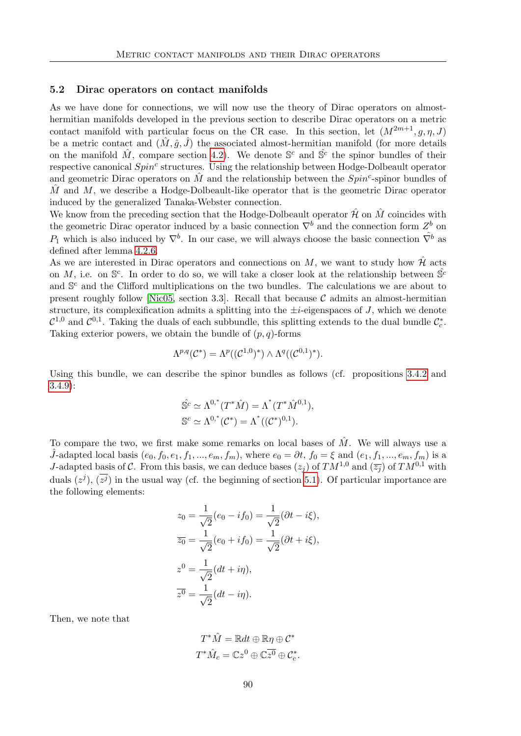### 5.2 Dirac operators on contact manifolds

As we have done for connections, we will now use the theory of Dirac operators on almosthermitian manifolds developed in the previous section to describe Dirac operators on a metric contact manifold with particular focus on the CR case. In this section, let  $(M^{2m+1}, q, \eta, J)$ be a metric contact and  $(\hat{M}, \hat{g}, \hat{J})$  the associated almost-hermitian manifold (for more details on the manifold  $\hat{M}$ , compare section [4.2\)](#page-80-0). We denote  $\mathbb{S}^c$  and  $\hat{\mathbb{S}}^c$  the spinor bundles of their respective canonical  $Spin<sup>c</sup>$  structures. Using the relationship between Hodge-Dolbeault operator and geometric Dirac operators on  $\hat{M}$  and the relationship between the  $Spin^c$ -spinor bundles of M and M, we describe a Hodge-Dolbeault-like operator that is the geometric Dirac operator induced by the generalized Tanaka-Webster connection.

We know from the preceding section that the Hodge-Dolbeault operator  $\hat{\mathcal{H}}$  on  $\hat{M}$  coincides with the geometric Dirac operator induced by a basic connection  $\nabla^b$  and the connection form  $Z^b$  on  $P_1$  which is also induced by  $\nabla^b$ . In our case, we will always choose the basic connection  $\hat{\nabla}^b$  as defined after lemma [4.2.6.](#page-84-3)

As we are interested in Dirac operators and connections on M, we want to study how  $\hat{\mathcal{H}}$  acts on M, i.e. on  $\mathbb{S}^c$ . In order to do so, we will take a closer look at the relationship between  $\hat{\mathbb{S}}^c$ and  $\mathbb{S}^c$  and the Clifford multiplications on the two bundles. The calculations we are about to present roughly follow [\[Nic05,](#page-117-0) section 3.3]. Recall that because  $\mathcal C$  admits an almost-hermitian structure, its complexification admits a splitting into the  $\pm i$ -eigenspaces of J, which we denote  $\mathcal{C}^{1,0}$  and  $\mathcal{C}^{0,1}$ . Taking the duals of each subbundle, this splitting extends to the dual bundle  $\mathcal{C}_c^*$ . Taking exterior powers, we obtain the bundle of  $(p, q)$ -forms

$$
\Lambda^{p,q}(\mathcal{C}^*)=\Lambda^p((\mathcal{C}^{1,0})^*)\wedge\Lambda^q((\mathcal{C}^{0,1})^*).
$$

Using this bundle, we can describe the spinor bundles as follows (cf. propositions [3.4.2](#page-65-0) and [3.4.9\)](#page-71-0):

$$
\hat{\mathbb{S}}^c \simeq \Lambda^{0,*}(T^*\hat{M}) = \Lambda^*(T^*\hat{M}^{0,1}),
$$
  

$$
\mathbb{S}^c \simeq \Lambda^{0,*}(\mathcal{C}^*) = \Lambda^*((\mathcal{C}^*)^{0,1}).
$$

To compare the two, we first make some remarks on local bases of  $\tilde{M}$ . We will always use a  $\hat{J}$ -adapted local basis  $(e_0, f_0, e_1, f_1, ..., e_m, f_m)$ , where  $e_0 = \partial t$ ,  $f_0 = \xi$  and  $(e_1, f_1, ..., e_m, f_m)$  is a J-adapted basis of C. From this basis, we can deduce bases  $(z_i)$  of  $TM^{1,0}$  and  $(\overline{z_i})$  of  $TM^{0,1}$  with duals  $(z^{j}), (\overline{z^{j}})$  in the usual way (cf. the beginning of section [5.1\)](#page-90-1). Of particular importance are the following elements:

$$
z_0 = \frac{1}{\sqrt{2}}(e_0 - if_0) = \frac{1}{\sqrt{2}}(\partial t - i\xi),
$$
  
\n
$$
\overline{z_0} = \frac{1}{\sqrt{2}}(e_0 + if_0) = \frac{1}{\sqrt{2}}(\partial t + i\xi),
$$
  
\n
$$
z^0 = \frac{1}{\sqrt{2}}(dt + i\eta),
$$
  
\n
$$
\overline{z^0} = \frac{1}{\sqrt{2}}(dt - i\eta).
$$

Then, we note that

$$
T^*\hat{M} = \mathbb{R}dt \oplus \mathbb{R}\eta \oplus C^*
$$
  

$$
T^*\hat{M}_c = \mathbb{C}z^0 \oplus \mathbb{C}\overline{z^0} \oplus C_c^*.
$$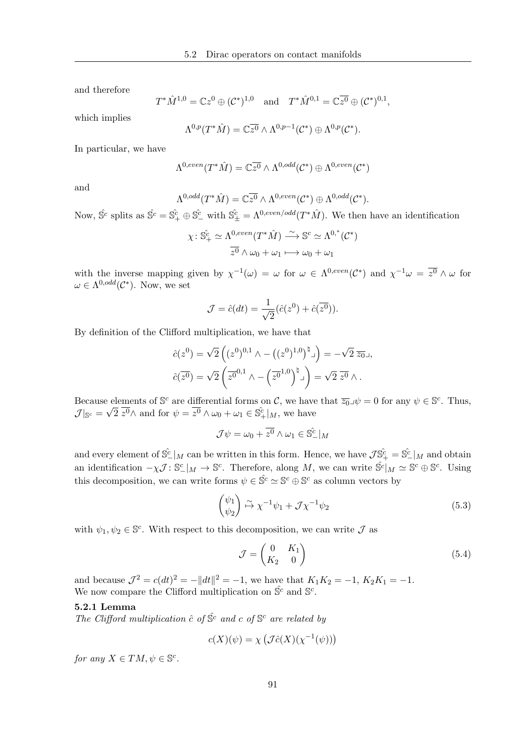and therefore

$$
T^*\hat{M}^{1,0} = \mathbb{C}z^0 \oplus (\mathcal{C}^*)^{1,0}
$$
 and  $T^*\hat{M}^{0,1} = \mathbb{C}\overline{z^0} \oplus (\mathcal{C}^*)^{0,1}$ ,

which implies

$$
\Lambda^{0,p}(T^*\hat{M})=\mathbb{C}\overline{z^0}\wedge\Lambda^{0,p-1}(\mathcal{C}^*)\oplus\Lambda^{0,p}(\mathcal{C}^*).
$$

In particular, we have

$$
\Lambda^{0,even}(T^*\hat{M})=\mathbb{C}\overline{z^0}\wedge\Lambda^{0,odd}(\mathcal{C}^*)\oplus\Lambda^{0,even}(\mathcal{C}^*)
$$

and

$$
\Lambda^{0,odd}(T^*\hat{M})=\mathbb{C}\overline{z^0}\wedge\Lambda^{0,even}(\mathcal{C}^*)\oplus\Lambda^{0,odd}(\mathcal{C}^*).
$$

Now,  $\hat{S}^c$  splits as  $\hat{S}^c = \hat{S}^c_+ \oplus \hat{S}^c_-$  with  $\hat{S}^c_+ = \Lambda^{0,even/odd}(T^*\hat{M})$ . We then have an identification

$$
\chi: \hat{\mathbb{S}}_{+}^{c} \simeq \Lambda^{0,even}(T^*\hat{M}) \stackrel{\sim}{\longrightarrow} \mathbb{S}^{c} \simeq \Lambda^{0,*}(\mathcal{C}^*)
$$

$$
\overline{z^0} \wedge \omega_0 + \omega_1 \longmapsto \omega_0 + \omega_1
$$

with the inverse mapping given by  $\chi^{-1}(\omega) = \omega$  for  $\omega \in \Lambda^{0,even}(\mathcal{C}^*)$  and  $\chi^{-1}\omega = \overline{z^0} \wedge \omega$  for  $\omega \in \Lambda^{0,odd}(\mathcal{C}^*)$ . Now, we set

$$
\mathcal{J} = \hat{c}(dt) = \frac{1}{\sqrt{2}} (\hat{c}(z^0) + \hat{c}(\overline{z^0})).
$$

By definition of the Clifford multiplication, we have that

$$
\hat{c}(z^0) = \sqrt{2} \left( (z^0)^{0,1} \wedge - ((z^0)^{1,0})^{\dagger} \right) = -\sqrt{2} \overline{z_0}.
$$

$$
\hat{c}(\overline{z^0}) = \sqrt{2} \left( \overline{z^0}^{0,1} \wedge - (\overline{z^0}^{1,0})^{\dagger} \right) = \sqrt{2} \overline{z^0} \wedge .
$$

Because elements of  $\mathbb{S}^c$  are differential forms on C, we have that  $\overline{z_0} \mathcal{A} \neq 0$  for any  $\psi \in \mathbb{S}^c$ . Thus,  $\mathcal{J}|_{\mathbb{S}^c} = \sqrt{2} \overline{z^0} \wedge \text{ and for } \psi = \overline{z^0} \wedge \omega_0 + \omega_1 \in \hat{\mathbb{S}}_+^c |_M$ , we have

$$
\mathcal{J}\psi = \omega_0 + \overline{z^0} \wedge \omega_1 \in \hat{\mathbb{S}}^{\hat{c}}_-|_M
$$

and every element of  $\hat{S}_{-}^c|_M$  can be written in this form. Hence, we have  $\mathcal{J}\hat{S}_{+}^c=\hat{S}_{-}^c|_M$  and obtain an identification  $-\chi \mathcal{J}: \mathbb{S}_{-}^{c} \vert_M \to \mathbb{S}^{c}$ . Therefore, along M, we can write  $\hat{\mathbb{S}}^{c} \vert_M \simeq \mathbb{S}^{c} \oplus \mathbb{S}^{c}$ . Using this decomposition, we can write forms  $\psi \in \hat{\mathbb{S}}^c \simeq \mathbb{S}^c \oplus \mathbb{S}^c$  as column vectors by

<span id="page-100-0"></span>
$$
\begin{pmatrix} \psi_1 \\ \psi_2 \end{pmatrix} \stackrel{\sim}{\mapsto} \chi^{-1} \psi_1 + \mathcal{J} \chi^{-1} \psi_2 \tag{5.3}
$$

with  $\psi_1, \psi_2 \in \mathbb{S}^c$ . With respect to this decomposition, we can write  $\mathcal J$  as

$$
\mathcal{J} = \begin{pmatrix} 0 & K_1 \\ K_2 & 0 \end{pmatrix} \tag{5.4}
$$

and because  $\mathcal{J}^2 = c(dt)^2 = -||dt||^2 = -1$ , we have that  $K_1K_2 = -1$ ,  $K_2K_1 = -1$ . We now compare the Clifford multiplication on  $\hat{\mathbb{S}}^c$  and  $\mathbb{S}^c$ .

### 5.2.1 Lemma

The Clifford multiplication  $\hat{c}$  of  $\hat{S}^c$  and c of  $\mathbb{S}^c$  are related by

$$
c(X)(\psi) = \chi \left( \mathcal{J}\hat{c}(X)(\chi^{-1}(\psi)) \right)
$$

for any  $X \in TM, \psi \in \mathbb{S}^c$ .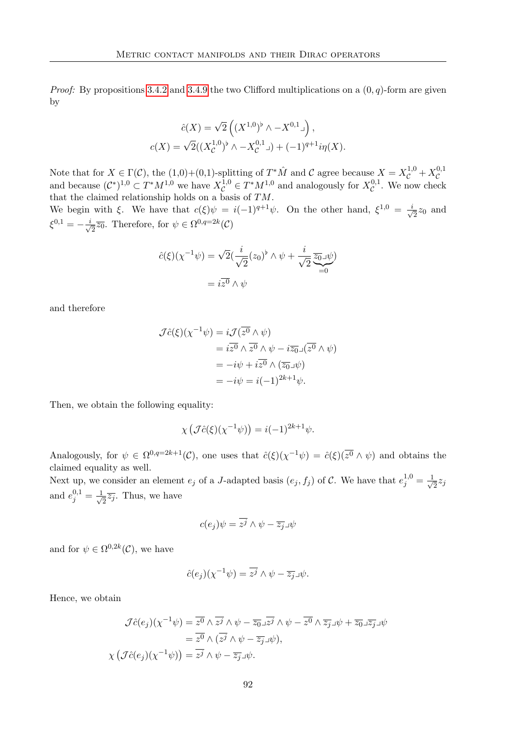*Proof:* By propositions [3.4.2](#page-65-0) and [3.4.9](#page-71-0) the two Clifford multiplications on a  $(0, q)$ -form are given by

$$
\hat{c}(X) = \sqrt{2} \left( (X^{1,0})^{\flat} \wedge -X^{0,1} \lrcorner \right),
$$
  

$$
c(X) = \sqrt{2}((X^{1,0})^{\flat} \wedge -X^{0,1} \lrcorner) + (-1)^{q+1} i\eta(X).
$$

Note that for  $X \in \Gamma(\mathcal{C})$ , the  $(1,0)+(0,1)$ -splitting of  $T^*\hat{M}$  and  $\mathcal{C}$  agree because  $X = X_C^{1,0} + X_C^{0,1}$  $\mathcal{C}_{0}^{(n)}$ and because  $(C^*)^{1,0} \subset T^*M^{1,0}$  we have  $X_C^{1,0} \in T^*M^{1,0}$  and analogously for  $X_C^{0,1}$  $\mathcal{C}^{0,1}$ . We now check that the claimed relationship holds on a basis of TM.

We begin with  $\xi$ . We have that  $c(\xi)\psi = i(-1)^{q+1}\psi$ . On the other hand,  $\xi^{1,0} = \frac{i}{\sqrt{q}}$  $\overline{z}z_0$  and  $\xi^{0,1} = -\frac{i}{4}$  $\overline{z} \overline{z_0}$ . Therefore, for  $\psi \in \Omega^{0,q=2k}(\mathcal{C})$ 

$$
\hat{c}(\xi)(\chi^{-1}\psi) = \sqrt{2}(\frac{i}{\sqrt{2}}(z_0)^{\flat} \wedge \psi + \frac{i}{\sqrt{2}}\underbrace{\overline{z_0} \mathcal{A} \psi}_{=0})
$$

$$
= i\overline{z^0} \wedge \psi
$$

and therefore

$$
\mathcal{J}\hat{c}(\xi)(\chi^{-1}\psi) = i\mathcal{J}(\overline{z^0} \wedge \psi)
$$
  
=  $i\overline{z^0} \wedge \overline{z^0} \wedge \psi - i\overline{z_0} \mathbf{I}(\overline{z^0} \wedge \psi)$   
=  $-i\psi + i\overline{z^0} \wedge (\overline{z_0} \mathbf{I}\psi)$   
=  $-i\psi = i(-1)^{2k+1}\psi$ .

Then, we obtain the following equality:

$$
\chi\left(\mathcal{J}\hat{c}(\xi)(\chi^{-1}\psi)\right) = i(-1)^{2k+1}\psi.
$$

Analogously, for  $\psi \in \Omega^{0,q=2k+1}(\mathcal{C})$ , one uses that  $\hat{c}(\xi)(\chi^{-1}\psi) = \hat{c}(\xi)(\overline{\chi^0} \wedge \psi)$  and obtains the claimed equality as well.

Next up, we consider an element  $e_j$  of a J-adapted basis  $(e_j, f_j)$  of C. We have that  $e_j^{1,0} = \frac{1}{\sqrt{2\pi}}$  $\overline{2}^{z_j}$ and  $e_j^{0,1} = \frac{1}{\sqrt{2}}$  $\frac{1}{2}\overline{z_j}$ . Thus, we have

$$
c(e_j)\psi = \overline{z^j} \wedge \psi - \overline{z_j} \Box \psi
$$

and for  $\psi \in \Omega^{0,2k}(\mathcal{C})$ , we have

$$
\hat{c}(e_j)(\chi^{-1}\psi) = \overline{z^j} \wedge \psi - \overline{z_j} \mathbb{1}\psi.
$$

Hence, we obtain

$$
\mathcal{J}\hat{c}(e_j)(\chi^{-1}\psi) = \overline{z^0} \wedge \overline{z^j} \wedge \psi - \overline{z_0} \square \overline{z^j} \wedge \psi - \overline{z^0} \wedge \overline{z_j} \square \psi + \overline{z_0} \square \overline{z_j} \square \psi
$$

$$
= \overline{z^0} \wedge (\overline{z^j} \wedge \psi - \overline{z_j} \square \psi),
$$

$$
\chi\left(\mathcal{J}\hat{c}(e_j)(\chi^{-1}\psi)\right) = \overline{z^j} \wedge \psi - \overline{z_j} \square \psi.
$$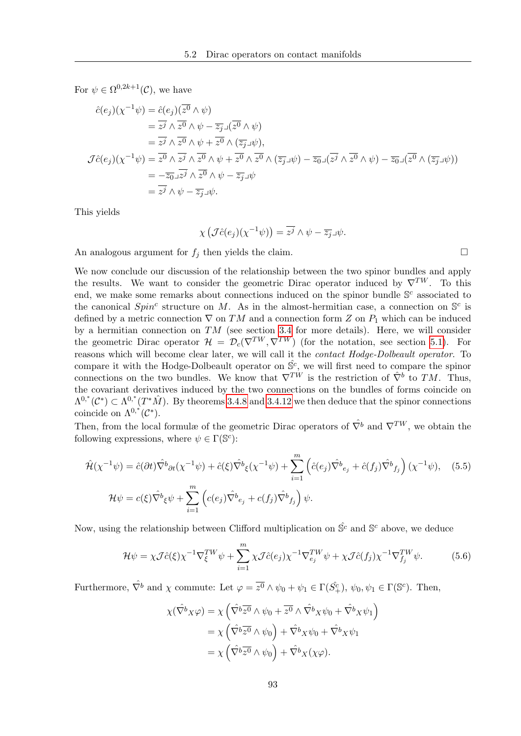For  $\psi \in \Omega^{0,2k+1}(\mathcal{C})$ , we have

$$
\begin{split}\n\hat{c}(e_j)(\chi^{-1}\psi) &= \hat{c}(e_j)(\overline{z^0} \wedge \psi) \\
&= \overline{z^j} \wedge \overline{z^0} \wedge \psi - \overline{z_j} \mathbf{1}(\overline{z^0} \wedge \psi) \\
&= \overline{z^j} \wedge \overline{z^0} \wedge \psi + \overline{z^0} \wedge (\overline{z_j} \mathbf{1}\psi), \\
\mathcal{J}\hat{c}(e_j)(\chi^{-1}\psi) &= \overline{z^0} \wedge \overline{z^j} \wedge \overline{z^0} \wedge \psi + \overline{z^0} \wedge \overline{z^0} \wedge (\overline{z_j} \mathbf{1}\psi) - \overline{z_0} \mathbf{1}(\overline{z^j} \wedge \overline{z^0} \wedge \psi) - \overline{z_0} \mathbf{1}(\overline{z^0} \wedge (\overline{z_j} \mathbf{1}\psi)) \\
&= -\overline{z_0} \mathbf{1} \overline{z^j} \wedge \overline{z^0} \wedge \psi - \overline{z_j} \mathbf{1}\psi \\
&= \overline{z^j} \wedge \psi - \overline{z_j} \mathbf{1}\psi.\n\end{split}
$$

This yields

$$
\chi\left(\mathcal{J}\hat{c}(e_j)(\chi^{-1}\psi)\right) = \overline{z^j} \wedge \psi - \overline{z_j} \mathcal{J}\psi.
$$

An analogous argument for  $f_i$  then yields the claim.

We now conclude our discussion of the relationship between the two spinor bundles and apply the results. We want to consider the geometric Dirac operator induced by  $\nabla^{TW}$ . To this end, we make some remarks about connections induced on the spinor bundle  $\mathbb{S}^c$  associated to the canonical  $Spin<sup>c</sup>$  structure on M. As in the almost-hermitian case, a connection on  $\mathbb{S}^c$  is defined by a metric connection  $\nabla$  on TM and a connection form Z on  $P_1$  which can be induced by a hermitian connection on  $TM$  (see section [3.4](#page-64-0) for more details). Here, we will consider the geometric Dirac operator  $\mathcal{H} = \mathcal{D}_c(\nabla^{TW}, \nabla^{TW})$  (for the notation, see section [5.1\)](#page-90-1). For reasons which will become clear later, we will call it the contact Hodge-Dolbeault operator. To compare it with the Hodge-Dolbeault operator on  $\hat{S}^c$ , we will first need to compare the spinor connections on the two bundles. We know that  $\nabla^{TW}$  is the restriction of  $\hat{\nabla}^b$  to TM. Thus, the covariant derivatives induced by the two connections on the bundles of forms coincide on  $\Lambda^{0,*}(\mathcal{C}^*)\subset \Lambda^{0,*}(T^*\hat{M})$ . By theorems [3.4.8](#page-70-0) and [3.4.12](#page-72-0) we then deduce that the spinor connections coincide on  $\Lambda^{0,*}(\mathcal{C}^*).$ 

Then, from the local formulæ of the geometric Dirac operators of  $\hat{\nabla}^b$  and  $\nabla^{TW}$ , we obtain the following expressions, where  $\psi \in \Gamma(\mathbb{S}^c)$ :

$$
\hat{\mathcal{H}}(\chi^{-1}\psi) = \hat{c}(\partial t)\hat{\nabla}^b{}_{\partial t}(\chi^{-1}\psi) + \hat{c}(\xi)\hat{\nabla}^b{}_{\xi}(\chi^{-1}\psi) + \sum_{i=1}^m \left(\hat{c}(e_j)\hat{\nabla}^b{}_{e_j} + \hat{c}(f_j)\hat{\nabla}^b{}_{f_j}\right)(\chi^{-1}\psi), \quad (5.5)
$$
\n
$$
\mathcal{H}\psi = c(\xi)\hat{\nabla}^b{}_{\xi}\psi + \sum_{i=1}^m \left(c(e_j)\hat{\nabla}^b{}_{e_j} + c(f_j)\hat{\nabla}^b{}_{f_j}\right)\psi.
$$

Now, using the relationship between Clifford multiplication on  $\hat{S}^c$  and  $\mathbb{S}^c$  above, we deduce

<span id="page-102-0"></span>
$$
\mathcal{H}\psi = \chi \mathcal{J}\hat{c}(\xi)\chi^{-1}\nabla_{\xi}^{TW}\psi + \sum_{i=1}^{m} \chi \mathcal{J}\hat{c}(e_j)\chi^{-1}\nabla_{e_j}^{TW}\psi + \chi \mathcal{J}\hat{c}(f_j)\chi^{-1}\nabla_{f_j}^{TW}\psi.
$$
 (5.6)

<span id="page-102-1"></span> $\setminus$ 

Furthermore,  $\hat{\nabla}^b$  and  $\chi$  commute: Let  $\varphi = \overline{z^0} \wedge \psi_0 + \psi_1 \in \Gamma(\hat{S}_+^c)$ ,  $\psi_0, \psi_1 \in \Gamma(\mathbb{S}^c)$ . Then,

$$
\chi(\hat{\nabla}^b x \varphi) = \chi \left( \hat{\nabla}^b \overline{z^0} \wedge \psi_0 + \overline{z^0} \wedge \hat{\nabla}^b x \psi_0 + \hat{\nabla}^b x \psi_1 \right)
$$
  
=  $\chi \left( \hat{\nabla}^b \overline{z^0} \wedge \psi_0 \right) + \hat{\nabla}^b x \psi_0 + \hat{\nabla}^b x \psi_1$   
=  $\chi \left( \hat{\nabla}^b \overline{z^0} \wedge \psi_0 \right) + \hat{\nabla}^b x (\chi \varphi).$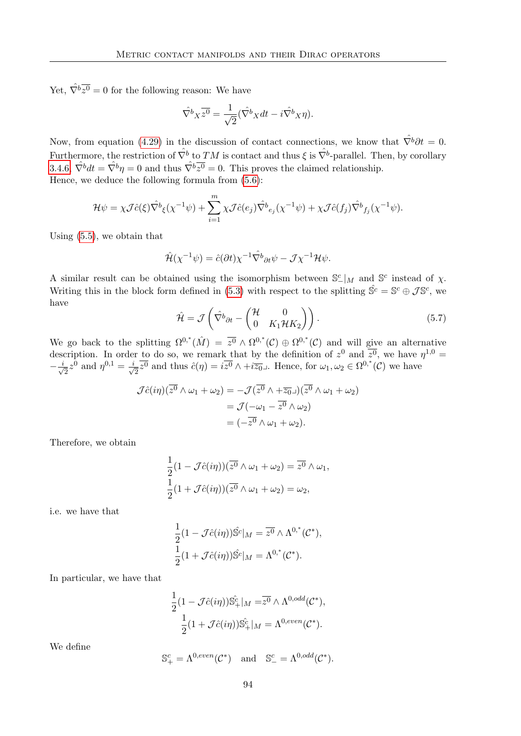Yet,  $\hat{\nabla}^b \overline{z^0} = 0$  for the following reason: We have

$$
\hat{\nabla}^b X \overline{z^0} = \frac{1}{\sqrt{2}} (\hat{\nabla}^b X dt - i \hat{\nabla}^b X \eta).
$$

Now, from equation [\(4.29\)](#page-87-0) in the discussion of contact connections, we know that  $\hat{\nabla}^b \partial t = 0$ . Furthermore, the restriction of  $\hat{\nabla}^b$  to  $TM$  is contact and thus  $\xi$  is  $\hat{\nabla}^b$ -parallel. Then, by corollary [3.4.6,](#page-67-0)  $\hat{\nabla}^b dt = \hat{\nabla}^b \eta = 0$  and thus  $\hat{\nabla}^b \overline{z^0} = 0$ . This proves the claimed relationship. Hence, we deduce the following formula from [\(5.6\)](#page-102-0):

$$
\mathcal{H}\psi = \chi \mathcal{J}\hat{c}(\xi)\hat{\nabla}^b \xi(\chi^{-1}\psi) + \sum_{i=1}^m \chi \mathcal{J}\hat{c}(e_j)\hat{\nabla}^b e_j(\chi^{-1}\psi) + \chi \mathcal{J}\hat{c}(f_j)\hat{\nabla}^b f_j(\chi^{-1}\psi).
$$

Using [\(5.5\)](#page-102-1), we obtain that

$$
\hat{\mathcal{H}}(\chi^{-1}\psi) = \hat{c}(\partial t)\chi^{-1}\hat{\nabla}^b{}_{\partial t}\psi - \mathcal{J}\chi^{-1}\mathcal{H}\psi.
$$

A similar result can be obtained using the isomorphism between  $\mathbb{S}^c_-|_M$  and  $\mathbb{S}^c$  instead of  $\chi$ . Writing this in the block form defined in [\(5.3\)](#page-100-0) with respect to the splitting  $\hat{S}^c = S^c \oplus \mathcal{J} S^c$ , we have

<span id="page-103-0"></span>
$$
\hat{\mathcal{H}} = \mathcal{J} \left( \hat{\nabla}^b \partial t - \begin{pmatrix} \mathcal{H} & 0 \\ 0 & K_1 \mathcal{H} K_2 \end{pmatrix} \right). \tag{5.7}
$$

We go back to the splitting  $\Omega^{0,*}(\hat{M}) = \overline{z^0} \wedge \Omega^{0,*}(\mathcal{C}) \oplus \Omega^{0,*}(\mathcal{C})$  and will give an alternative description. In order to do so, we remark that by the definition of  $z^0$  and  $\overline{z^0}$ , we have  $\eta^{1,0} =$  $-\frac{i}{\sqrt{2}}$  $\overline{z}z^0$  and  $\eta^{0,1} = \frac{i}{\sqrt{2}}$  $\frac{1}{2}\overline{z^0}$  and thus  $\hat{c}(\eta) = i\overline{z^0} \wedge + i\overline{z_0}$ . Hence, for  $\omega_1, \omega_2 \in \Omega^{0,*}(\mathcal{C})$  we have

$$
\mathcal{J}\hat{c}(i\eta)(\overline{z^0} \wedge \omega_1 + \omega_2) = -\mathcal{J}(\overline{z^0} \wedge +\overline{z_0}\square)(\overline{z^0} \wedge \omega_1 + \omega_2)
$$

$$
= \mathcal{J}(-\omega_1 - \overline{z^0} \wedge \omega_2)
$$

$$
= (-\overline{z^0} \wedge \omega_1 + \omega_2).
$$

Therefore, we obtain

$$
\frac{1}{2}(1 - \mathcal{J}\hat{c}(i\eta))(\overline{z^0} \wedge \omega_1 + \omega_2) = \overline{z^0} \wedge \omega_1,
$$
  

$$
\frac{1}{2}(1 + \mathcal{J}\hat{c}(i\eta))(\overline{z^0} \wedge \omega_1 + \omega_2) = \omega_2,
$$

i.e. we have that

$$
\frac{1}{2}(1 - \mathcal{J}\hat{c}(i\eta))\hat{S}^c|_M = \overline{z^0} \wedge \Lambda^{0,*}(\mathcal{C}^*),
$$
  

$$
\frac{1}{2}(1 + \mathcal{J}\hat{c}(i\eta))\hat{S}^c|_M = \Lambda^{0,*}(\mathcal{C}^*).
$$

In particular, we have that

$$
\frac{1}{2}(1 - \mathcal{J}\hat{c}(i\eta))\hat{S}_{+}^{\hat{c}}|_{M} = \overline{z^{0}} \wedge \Lambda^{0,odd}(\mathcal{C}^{*}),
$$
  

$$
\frac{1}{2}(1 + \mathcal{J}\hat{c}(i\eta))\hat{S}_{+}^{\hat{c}}|_{M} = \Lambda^{0,even}(\mathcal{C}^{*}).
$$

We define

$$
\mathbb{S}^c_+ = \Lambda^{0,even}(\mathcal{C}^*) \quad \text{and} \quad \mathbb{S}^c_- = \Lambda^{0,odd}(\mathcal{C}^*).
$$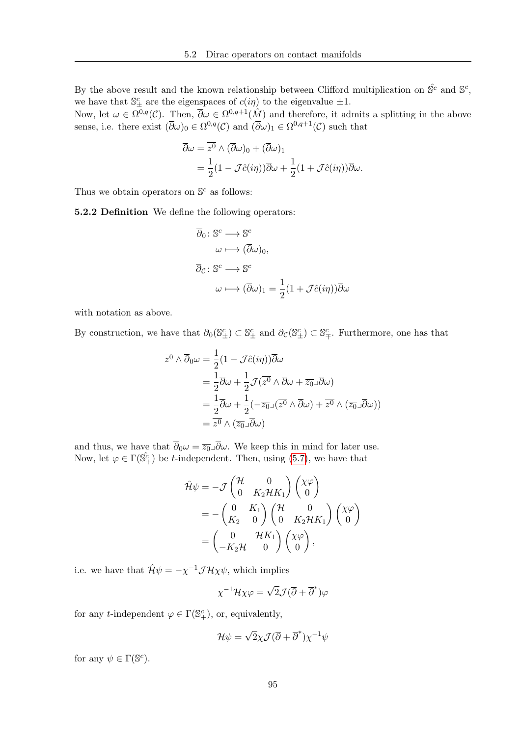By the above result and the known relationship between Clifford multiplication on  $\hat{\mathbb{S}}^c$  and  $\mathbb{S}^c$ , we have that  $\mathbb{S}^c_{\pm}$  are the eigenspaces of  $c(i\eta)$  to the eigenvalue  $\pm 1$ .

Now, let  $\omega \in \Omega^{0,q}(\mathcal{C})$ . Then,  $\overline{\partial}\omega \in \Omega^{0,q+1}(\hat{M})$  and therefore, it admits a splitting in the above sense, i.e. there exist  $(\overline{\partial}\omega)_0 \in \Omega^{0,q}(\mathcal{C})$  and  $(\overline{\partial}\omega)_1 \in \Omega^{0,q+1}(\mathcal{C})$  such that

$$
\overline{\partial}\omega = \overline{z^0} \wedge (\overline{\partial}\omega)_0 + (\overline{\partial}\omega)_1
$$
  
=  $\frac{1}{2}(1 - \mathcal{J}\hat{c}(i\eta))\overline{\partial}\omega + \frac{1}{2}(1 + \mathcal{J}\hat{c}(i\eta))\overline{\partial}\omega.$ 

Thus we obtain operators on  $\mathbb{S}^c$  as follows:

5.2.2 Definition We define the following operators:

<span id="page-104-0"></span>
$$
\overline{\partial}_0 \colon \mathbb{S}^c \longrightarrow \mathbb{S}^c
$$

$$
\omega \longmapsto (\overline{\partial}\omega)_0,
$$

$$
\overline{\partial}_c \colon \mathbb{S}^c \longrightarrow \mathbb{S}^c
$$

$$
\omega \longmapsto (\overline{\partial}\omega)_1 = \frac{1}{2}(1 + \mathcal{J}\hat{c}(i\eta))\overline{\partial}\omega
$$

with notation as above.

By construction, we have that  $\overline{\partial}_0(\mathbb{S}_{\pm}^c) \subset \mathbb{S}_{\pm}^c$  and  $\overline{\partial}_{\mathcal{C}}(\mathbb{S}_{\pm}^c) \subset \mathbb{S}_{\mp}^c$ . Furthermore, one has that

$$
\overline{z^0} \wedge \overline{\partial}_0 \omega = \frac{1}{2} (1 - \mathcal{J}\hat{c}(i\eta)) \overline{\partial} \omega \n= \frac{1}{2} \overline{\partial} \omega + \frac{1}{2} \mathcal{J}(\overline{z^0} \wedge \overline{\partial} \omega + \overline{z_0} \Box \overline{\partial} \omega) \n= \frac{1}{2} \overline{\partial} \omega + \frac{1}{2} (-\overline{z_0} \Box (\overline{z^0} \wedge \overline{\partial} \omega) + \overline{z^0} \wedge (\overline{z_0} \Box \overline{\partial} \omega)) \n= \overline{z^0} \wedge (\overline{z_0} \Box \overline{\partial} \omega)
$$

and thus, we have that  $\overline{\partial}_0 \omega = \overline{z_0} \Box \overline{\partial} \omega$ . We keep this in mind for later use. Now, let  $\varphi \in \Gamma(\hat{\mathbb{S}}_+^c)$  be *t*-independent. Then, using [\(5.7\)](#page-103-0), we have that

$$
\hat{\mathcal{H}}\psi = -\mathcal{J} \begin{pmatrix} \mathcal{H} & 0 \\ 0 & K_2 \mathcal{H} K_1 \end{pmatrix} \begin{pmatrix} \chi \varphi \\ 0 \end{pmatrix}
$$
  
=  $-\begin{pmatrix} 0 & K_1 \\ K_2 & 0 \end{pmatrix} \begin{pmatrix} \mathcal{H} & 0 \\ 0 & K_2 \mathcal{H} K_1 \end{pmatrix} \begin{pmatrix} \chi \varphi \\ 0 \end{pmatrix}$   
=  $\begin{pmatrix} 0 & \mathcal{H} K_1 \\ -K_2 \mathcal{H} & 0 \end{pmatrix} \begin{pmatrix} \chi \varphi \\ 0 \end{pmatrix},$ 

i.e. we have that  $\hat{\mathcal{H}}\psi = -\chi^{-1}\mathcal{J}\mathcal{H}\chi\psi$ , which implies

$$
\chi^{-1}\mathcal{H}\chi\varphi = \sqrt{2}\mathcal{J}(\overline{\partial} + \overline{\partial}^*)\varphi
$$

for any *t*-independent  $\varphi \in \Gamma(\mathbb{S}^c_+)$ , or, equivalently,

$$
\mathcal{H}\psi = \sqrt{2}\chi \mathcal{J}(\overline{\partial} + \overline{\partial}^*)\chi^{-1}\psi
$$

for any  $\psi \in \Gamma(\mathbb{S}^c)$ .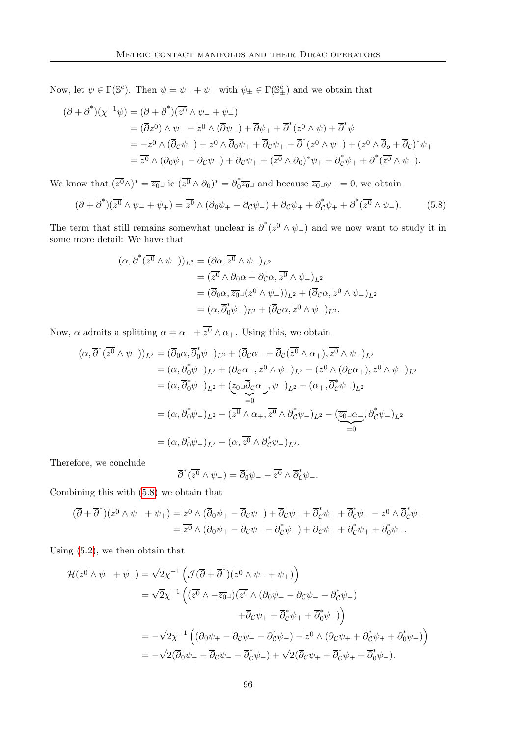Now, let  $\psi \in \Gamma(\mathbb{S}^c)$ . Then  $\psi = \psi_- + \psi_-$  with  $\psi_{\pm} \in \Gamma(\mathbb{S}^c_{\pm})$  and we obtain that

$$
(\overline{\partial} + \overline{\partial}^*)(\chi^{-1}\psi) = (\overline{\partial} + \overline{\partial}^*)(\overline{z^0} \wedge \psi_- + \psi_+)
$$
  
\n
$$
= (\overline{\partial}z^0) \wedge \psi_- - \overline{z^0} \wedge (\overline{\partial}\psi_-) + \overline{\partial}\psi_+ + \overline{\partial}^*(\overline{z^0} \wedge \psi) + \overline{\partial}^*\psi
$$
  
\n
$$
= -\overline{z^0} \wedge (\overline{\partial}c\psi_-) + \overline{z^0} \wedge \overline{\partial}0\psi_+ + \overline{\partial}c\psi_+ + \overline{\partial}^*(\overline{z^0} \wedge \psi_-) + (\overline{z^0} \wedge \overline{\partial}0 + \overline{\partial}c)^*\psi_+
$$
  
\n
$$
= \overline{z^0} \wedge (\overline{\partial}0\psi_+ - \overline{\partial}c\psi_-) + \overline{\partial}c\psi_+ + (\overline{z^0} \wedge \overline{\partial}0)^*\psi_+ + \overline{\partial}^*c\psi_+ + \overline{\partial}^*(\overline{z^0} \wedge \psi_-).
$$

We know that  $(\overline{z^0} \wedge)^* = \overline{z_0}$  ie  $(\overline{z^0} \wedge \overline{\partial}_0)^* = \overline{\partial}_0^*$  $\sqrt[*]{20}$  and because  $\overline{z_0} \lrcorner \psi_+ = 0$ , we obtain

$$
(\overline{\partial} + \overline{\partial}^*)(\overline{z^0} \wedge \psi_- + \psi_+) = \overline{z^0} \wedge (\overline{\partial}_0 \psi_+ - \overline{\partial}_c \psi_-) + \overline{\partial}_c \psi_+ + \overline{\partial}_c^* \psi_+ + \overline{\partial}^* (\overline{z^0} \wedge \psi_-). \tag{5.8}
$$

The term that still remains somewhat unclear is  $\overline{\partial}^* (\overline{z^0} \wedge \psi_-)$  and we now want to study it in some more detail: We have that

<span id="page-105-0"></span>
$$
(\alpha, \overline{\partial}^* (\overline{z^0} \wedge \psi_-))_{L^2} = (\overline{\partial} \alpha, \overline{z^0} \wedge \psi_-)_{L^2}
$$
  
\n
$$
= (\overline{z^0} \wedge \overline{\partial}_0 \alpha + \overline{\partial}_c \alpha, \overline{z^0} \wedge \psi_-)_{L^2}
$$
  
\n
$$
= (\overline{\partial}_0 \alpha, \overline{z_0} \vee (z^0 \wedge \psi_-))_{L^2} + (\overline{\partial}_c \alpha, \overline{z^0} \wedge \psi_-)_{L^2}
$$
  
\n
$$
= (\alpha, \overline{\partial}_0^* \psi_-)_{L^2} + (\overline{\partial}_c \alpha, \overline{z^0} \wedge \psi_-)_{L^2}.
$$

Now,  $\alpha$  admits a splitting  $\alpha = \alpha_- + \overline{z^0} \wedge \alpha_+$ . Using this, we obtain

$$
(\alpha, \overline{\partial}^*(\overline{z^0} \wedge \psi_-))_{L^2} = (\overline{\partial}_0 \alpha, \overline{\partial}_0^* \psi_-)_{L^2} + (\overline{\partial}_c \alpha_- + \overline{\partial}_c (\overline{z^0} \wedge \alpha_+), \overline{z^0} \wedge \psi_-)_{L^2}
$$
  
\n
$$
= (\alpha, \overline{\partial}_0^* \psi_-)_{L^2} + (\overline{\partial}_c \alpha_-, \overline{z^0} \wedge \psi_-)_{L^2} - (\overline{z^0} \wedge (\overline{\partial}_c \alpha_+), \overline{z^0} \wedge \psi_-)_{L^2}
$$
  
\n
$$
= (\alpha, \overline{\partial}_0^* \psi_-)_{L^2} + (\overline{z_0} \Box \overline{\partial}_c \alpha_-, \psi_-)_{L^2} - (\alpha_+, \overline{\partial}_c^* \psi_-)_{L^2}
$$
  
\n
$$
= (\alpha, \overline{\partial}_0^* \psi_-)_{L^2} - (\overline{z^0} \wedge \alpha_+, \overline{z^0} \wedge \overline{\partial}_c^* \psi_-)_{L^2} - (\overline{z_0} \Box \alpha_-, \overline{\partial}_c^* \psi_-)_{L^2}
$$
  
\n
$$
= (\alpha, \overline{\partial}_0^* \psi_-)_{L^2} - (\alpha, \overline{z^0} \wedge \overline{\partial}_c^* \psi_-)_{L^2}.
$$

Therefore, we conclude

$$
\overline{\partial}^* (\overline{z^0} \wedge \psi_-) = \overline{\partial}^*_{0} \psi_- - \overline{z^0} \wedge \overline{\partial}^*_{\mathcal{C}} \psi_-.
$$

Combining this with [\(5.8\)](#page-105-0) we obtain that

$$
(\overline{\partial} + \overline{\partial}^*) (\overline{z^0} \wedge \psi_- + \psi_+) = \overline{z^0} \wedge (\overline{\partial}_0 \psi_+ - \overline{\partial}_c \psi_-) + \overline{\partial}_c \psi_+ + \overline{\partial}_c^* \psi_+ + \overline{\partial}_0^* \psi_- - \overline{z^0} \wedge \overline{\partial}_c^* \psi_- = \overline{z^0} \wedge (\overline{\partial}_0 \psi_+ - \overline{\partial}_c \psi_- - \overline{\partial}_c^* \psi_-) + \overline{\partial}_c \psi_+ + \overline{\partial}_c^* \psi_+ + \overline{\partial}_0^* \psi_-.
$$

Using [\(5.2\)](#page-104-0), we then obtain that

$$
\mathcal{H}(\overline{z^{0}} \wedge \psi_{-} + \psi_{+}) = \sqrt{2} \chi^{-1} \left( \mathcal{J}(\overline{\partial} + \overline{\partial}^{*})(\overline{z^{0}} \wedge \psi_{-} + \psi_{+}) \right)
$$
  
\n
$$
= \sqrt{2} \chi^{-1} \left( (\overline{z^{0}} \wedge -\overline{z_{0}}) (\overline{z^{0}} \wedge (\overline{\partial}_{0} \psi_{+} - \overline{\partial}_{c} \psi_{-} - \overline{\partial}_{c}^{*} \psi_{-}) \right)
$$
  
\n
$$
+ \overline{\partial}_{c} \psi_{+} + \overline{\partial}_{c}^{*} \psi_{+} + \overline{\partial}_{0}^{*} \psi_{-}) \right)
$$
  
\n
$$
= -\sqrt{2} \chi^{-1} \left( (\overline{\partial}_{0} \psi_{+} - \overline{\partial}_{c} \psi_{-} - \overline{\partial}_{c}^{*} \psi_{-}) - \overline{z^{0}} \wedge (\overline{\partial}_{c} \psi_{+} + \overline{\partial}_{c}^{*} \psi_{+} + \overline{\partial}_{0}^{*} \psi_{-}) \right)
$$
  
\n
$$
= -\sqrt{2} (\overline{\partial}_{0} \psi_{+} - \overline{\partial}_{c} \psi_{-} - \overline{\partial}_{c}^{*} \psi_{-}) + \sqrt{2} (\overline{\partial}_{c} \psi_{+} + \overline{\partial}_{c}^{*} \psi_{+} + \overline{\partial}_{0}^{*} \psi_{-}).
$$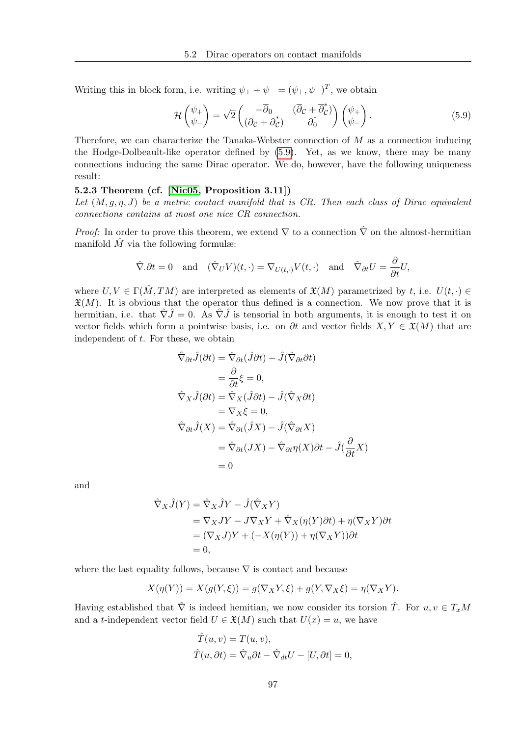Writing this in block form, i.e. writing  $\psi_+ + \psi_- = (\psi_+, \psi_-)^T$ , we obtain

<span id="page-106-0"></span>
$$
\mathcal{H}\begin{pmatrix} \psi_+ \\ \psi_- \end{pmatrix} = \sqrt{2} \begin{pmatrix} -\overline{\partial}_0 & (\overline{\partial}_\mathcal{C} + \overline{\partial}_\mathcal{C}^*) \\ (\overline{\partial}_\mathcal{C} + \overline{\partial}_\mathcal{C}^*) & \overline{\partial}_0^* \end{pmatrix} \begin{pmatrix} \psi_+ \\ \psi_- \end{pmatrix}.
$$
 (5.9)

Therefore, we can characterize the Tanaka-Webster connection of  $M$  as a connection inducing the Hodge-Dolbeault-like operator defined by [\(5.9\)](#page-106-0). Yet, as we know, there may be many connections inducing the same Dirac operator. We do, however, have the following uniqueness result:

### 5.2.3 Theorem (cf. [\[Nic05,](#page-117-0) Proposition 3.11])

Let  $(M, q, \eta, J)$  be a metric contact manifold that is CR. Then each class of Dirac equivalent connections contains at most one nice CR connection.

*Proof:* In order to prove this theorem, we extend  $\nabla$  to a connection  $\hat{\nabla}$  on the almost-hermitian manifold  $\hat{M}$  via the following formulæ:

$$
\hat{\nabla}.\partial t = 0
$$
 and  $(\hat{\nabla}_U V)(t, \cdot) = \nabla_{U(t, \cdot)} V(t, \cdot)$  and  $\hat{\nabla}_{\partial t} U = \frac{\partial}{\partial t} U$ ,

where  $U, V \in \Gamma(\hat{M}, TM)$  are interpreted as elements of  $\mathfrak{X}(M)$  parametrized by t, i.e.  $U(t, \cdot) \in$  $\mathfrak{X}(M)$ . It is obvious that the operator thus defined is a connection. We now prove that it is hermitian, i.e. that  $\hat{\nabla} \hat{J} = 0$ . As  $\hat{\nabla} \hat{J}$  is tensorial in both arguments, it is enough to test it on vector fields which form a pointwise basis, i.e. on  $\partial t$  and vector fields  $X, Y \in \mathfrak{X}(M)$  that are independent of t. For these, we obtain

$$
\hat{\nabla}_{\partial t}\hat{J}(\partial t) = \hat{\nabla}_{\partial t}(\hat{J}\partial t) - \hat{J}(\hat{\nabla}_{\partial t}\partial t)
$$
\n
$$
= \frac{\partial}{\partial t}\xi = 0,
$$
\n
$$
\hat{\nabla}_{X}\hat{J}(\partial t) = \hat{\nabla}_{X}(\hat{J}\partial t) - \hat{J}(\hat{\nabla}_{X}\partial t)
$$
\n
$$
= \nabla_{X}\xi = 0,
$$
\n
$$
\hat{\nabla}_{\partial t}\hat{J}(X) = \hat{\nabla}_{\partial t}(\hat{J}X) - \hat{J}(\hat{\nabla}_{\partial t}X)
$$
\n
$$
= \hat{\nabla}_{\partial t}(JX) - \hat{\nabla}_{\partial t}\eta(X)\partial t - \hat{J}(\frac{\partial}{\partial t}X)
$$
\n
$$
= 0
$$

and

$$
\hat{\nabla}_X \hat{J}(Y) = \hat{\nabla}_X \hat{J}Y - \hat{J}(\hat{\nabla}_X Y)
$$
  
=  $\nabla_X JY - J\nabla_X Y + \hat{\nabla}_X (\eta(Y)\partial t) + \eta(\nabla_X Y)\partial t$   
=  $(\nabla_X J)Y + (-X(\eta(Y)) + \eta(\nabla_X Y))\partial t$   
= 0,

where the last equality follows, because  $\nabla$  is contact and because

$$
X(\eta(Y)) = X(g(Y, \xi)) = g(\nabla_X Y, \xi) + g(Y, \nabla_X \xi) = \eta(\nabla_X Y).
$$

Having established that  $\hat{\nabla}$  is indeed hemitian, we now consider its torsion  $\hat{T}$ . For  $u, v \in T_xM$ and a t-independent vector field  $U \in \mathfrak{X}(M)$  such that  $U(x) = u$ , we have

$$
\hat{T}(u, v) = T(u, v), \n\hat{T}(u, \partial t) = \hat{\nabla}_u \partial t - \hat{\nabla}_{dt} U - [U, \partial t] = 0,
$$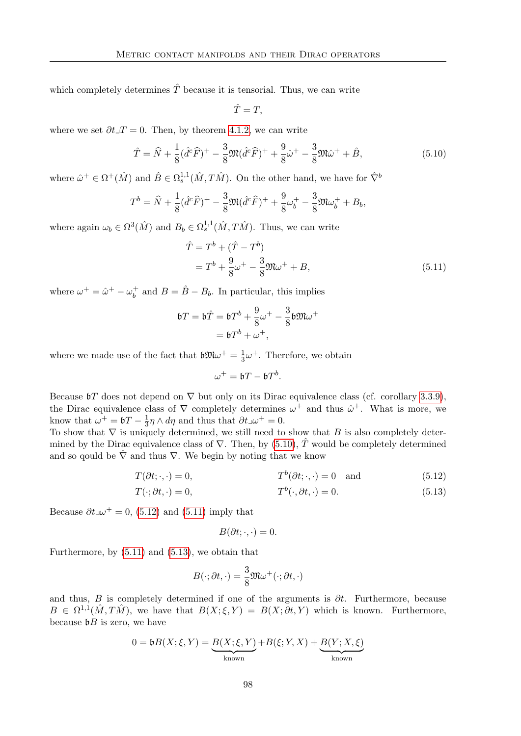which completely determines  $\hat{T}$  because it is tensorial. Thus, we can write

$$
\hat{T}=T,
$$

where we set  $\partial t \lrcorner T = 0$ . Then, by theorem [4.1.2,](#page-74-1) we can write

<span id="page-107-0"></span>
$$
\hat{T} = \hat{N} + \frac{1}{8}(\hat{d}^c\hat{F})^+ - \frac{3}{8}\mathfrak{M}(\hat{d}^c\hat{F})^+ + \frac{9}{8}\hat{\omega}^+ - \frac{3}{8}\mathfrak{M}\hat{\omega}^+ + \hat{B},\tag{5.10}
$$

where  $\hat{\omega}^+ \in \Omega^+(\hat{M})$  and  $\hat{B} \in \Omega_s^{1,1}(\hat{M}, T\hat{M})$ . On the other hand, we have for  $\hat{\nabla}^b$ 

$$
T^{b} = \hat{N} + \frac{1}{8}(\hat{d}^{c}\hat{F})^{+} - \frac{3}{8}\mathfrak{M}(\hat{d}^{c}\hat{F})^{+} + \frac{9}{8}\omega_{b}^{+} - \frac{3}{8}\mathfrak{M}\omega_{b}^{+} + B_{b},
$$

where again  $\omega_b \in \Omega^3(\hat{M})$  and  $B_b \in \Omega_s^{1,1}(\hat{M}, T\hat{M})$ . Thus, we can write

<span id="page-107-2"></span>
$$
\hat{T} = T^{b} + (\hat{T} - T^{b})
$$
  
=  $T^{b} + \frac{9}{8}\omega^{+} - \frac{3}{8}\mathfrak{M}\omega^{+} + B,$  (5.11)

where  $\omega^+ = \hat{\omega}^+ - \omega_b^+$  $\hat{b}$  and  $B = \hat{B} - B_b$ . In particular, this implies

$$
\begin{aligned} \mathfrak{b}T &= \mathfrak{b}\hat{T} = \mathfrak{b}T^b + \frac{9}{8}\omega^+ - \frac{3}{8}\mathfrak{b}\mathfrak{M}\omega^+ \\ &= \mathfrak{b}T^b + \omega^+, \end{aligned}
$$

where we made use of the fact that  $\mathfrak{b} \mathfrak{M} \omega^+ = \frac{1}{3}$  $\frac{1}{3}\omega^+$ . Therefore, we obtain

$$
\omega^+ = \mathfrak{b} T - \mathfrak{b} T^b.
$$

Because  $\mathfrak{b}T$  does not depend on  $\nabla$  but only on its Dirac equivalence class (cf. corollary [3.3.9\)](#page-60-0), the Dirac equivalence class of  $\nabla$  completely determines  $\omega^+$  and thus  $\hat{\omega}^+$ . What is more, we know that  $\omega^+ = \mathfrak{b}T - \frac{1}{3}$  $\frac{1}{3}\eta \wedge d\eta$  and thus that  $\partial t \mathcal{A}^+ = 0$ .

To show that  $\nabla$  is uniquely determined, we still need to show that B is also completely determined by the Dirac equivalence class of  $\nabla$ . Then, by [\(5.10\)](#page-107-0),  $\hat{T}$  would be completely determined and so gould be  $\hat{\nabla}$  and thus  $\nabla$ . We begin by noting that we know

$$
T(\partial t; \cdot, \cdot) = 0, \qquad T^{b}(\partial t; \cdot, \cdot) = 0 \quad \text{and} \tag{5.12}
$$

$$
T(\cdot; \partial t, \cdot) = 0,\qquad T^b(\cdot, \partial t, \cdot) = 0.
$$
\n
$$
(5.13)
$$

Because  $\partial t \lrcorner \omega^+ = 0$ , [\(5.12\)](#page-107-1) and [\(5.11\)](#page-107-2) imply that

<span id="page-107-3"></span><span id="page-107-1"></span>
$$
B(\partial t; \cdot, \cdot) = 0.
$$

Furthermore, by  $(5.11)$  and  $(5.13)$ , we obtain that

$$
B(\cdot; \partial t, \cdot) = \frac{3}{8} \mathfrak{M} \omega^+(\cdot; \partial t, \cdot)
$$

and thus, B is completely determined if one of the arguments is  $\partial t$ . Furthermore, because  $B \in \Omega^{1,1}(\hat{M}, T\hat{M})$ , we have that  $B(X;\xi, Y) = B(X;\partial t, Y)$  which is known. Furthermore, because  $\mathfrak{b}B$  is zero, we have

$$
0 = \mathfrak{b}B(X; \xi, Y) = \underbrace{B(X; \xi, Y)}_{\text{known}} + B(\xi; Y, X) + \underbrace{B(Y; X, \xi)}_{\text{known}}
$$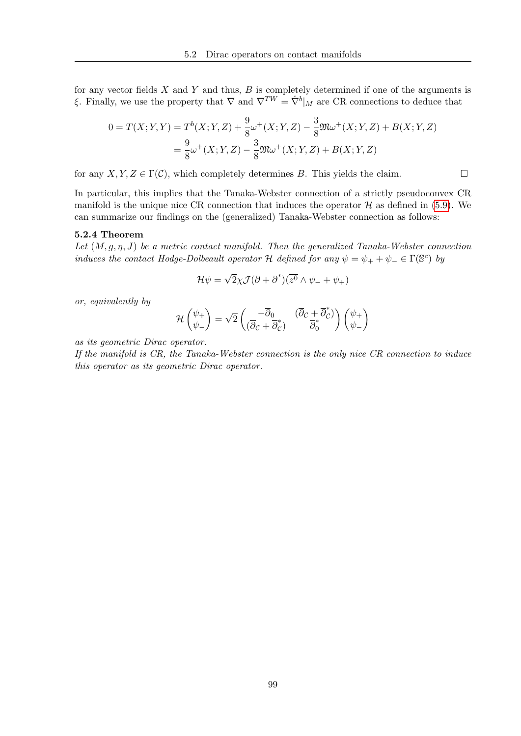for any vector fields  $X$  and  $Y$  and thus,  $B$  is completely determined if one of the arguments is ξ. Finally, we use the property that  $\nabla$  and  $\nabla^{TW} = \hat{\nabla}^b|_M$  are CR connections to deduce that

$$
0 = T(X; Y, Y) = T^{b}(X; Y, Z) + \frac{9}{8}\omega^{+}(X; Y, Z) - \frac{3}{8}\mathfrak{M}\omega^{+}(X; Y, Z) + B(X; Y, Z)
$$

$$
= \frac{9}{8}\omega^{+}(X; Y, Z) - \frac{3}{8}\mathfrak{M}\omega^{+}(X; Y, Z) + B(X; Y, Z)
$$

for any  $X, Y, Z \in \Gamma(\mathcal{C})$ , which completely determines B. This yields the claim.

In particular, this implies that the Tanaka-Webster connection of a strictly pseudoconvex CR manifold is the unique nice CR connection that induces the operator  $\mathcal H$  as defined in [\(5.9\)](#page-106-0). We can summarize our findings on the (generalized) Tanaka-Webster connection as follows:

### 5.2.4 Theorem

Let  $(M, q, \eta, J)$  be a metric contact manifold. Then the generalized Tanaka-Webster connection induces the contact Hodge-Dolbeault operator H defined for any  $\psi = \psi_+ + \psi_- \in \Gamma(\mathbb{S}^c)$  by

$$
\mathcal{H}\psi = \sqrt{2}\chi \mathcal{J}(\overline{\partial} + \overline{\partial}^*)(\overline{z^0} \wedge \psi_- + \psi_+)
$$

or, equivalently by

$$
\mathcal{H}\begin{pmatrix} \psi_+ \\ \psi_- \end{pmatrix} = \sqrt{2} \begin{pmatrix} -\overline{\partial}_0 & (\overline{\partial}_\mathcal{C} + \overline{\partial}_\mathcal{C}^*) \\ (\overline{\partial}_\mathcal{C} + \overline{\partial}_\mathcal{C}^*) & \overline{\partial}_0^* \end{pmatrix} \begin{pmatrix} \psi_+ \\ \psi_- \end{pmatrix}
$$

as its geometric Dirac operator.

If the manifold is CR, the Tanaka-Webster connection is the only nice CR connection to induce this operator as its geometric Dirac operator.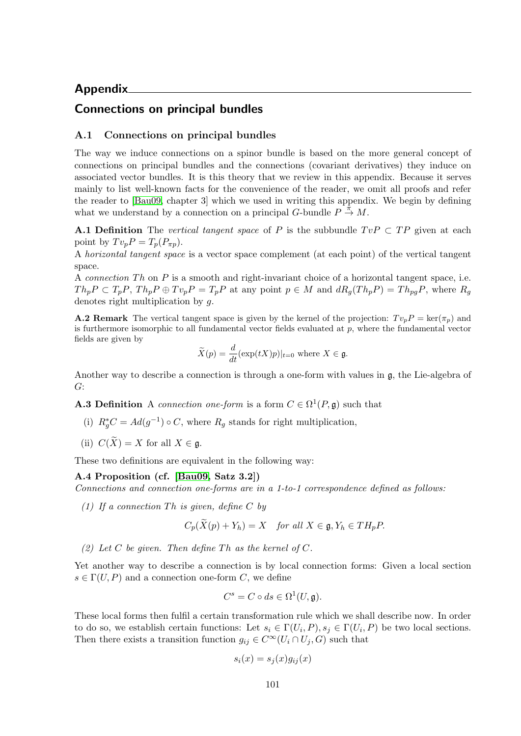# Appendix

# Connections on principal bundles

### A.1 Connections on principal bundles

The way we induce connections on a spinor bundle is based on the more general concept of connections on principal bundles and the connections (covariant derivatives) they induce on associated vector bundles. It is this theory that we review in this appendix. Because it serves mainly to list well-known facts for the convenience of the reader, we omit all proofs and refer the reader to [\[Bau09,](#page-116-0) chapter 3] which we used in writing this appendix. We begin by defining what we understand by a connection on a principal G-bundle  $P \stackrel{\hat{\pi}}{\rightarrow} M$ .

**A.1 Definition** The vertical tangent space of P is the subbundle  $TvP \subset TP$  given at each point by  $Tv_pP=T_p(P_{\pi p}).$ 

A *horizontal tangent space* is a vector space complement (at each point) of the vertical tangent space.

A connection  $Th$  on  $P$  is a smooth and right-invariant choice of a horizontal tangent space, i.e.  $Th_pP \subset T_pP$ ,  $Th_pP \oplus Tv_pP = T_pP$  at any point  $p \in M$  and  $dR_g(Th_pP) = Th_{pg}P$ , where  $R_g$ denotes right multiplication by g.

**A.2 Remark** The vertical tangent space is given by the kernel of the projection:  $Tv_pP = \text{ker}(\pi_p)$  and is furthermore isomorphic to all fundamental vector fields evaluated at  $p$ , where the fundamental vector fields are given by

$$
\widetilde{X}(p) = \frac{d}{dt}(\exp(tX)p)|_{t=0} \text{ where } X \in \mathfrak{g}.
$$

Another way to describe a connection is through a one-form with values in g, the Lie-algebra of G:

**A.3 Definition** A connection one-form is a form  $C \in \Omega^1(P, \mathfrak{g})$  such that

- (i)  $R_g^*C = Ad(g^{-1}) \circ C$ , where  $R_g$  stands for right multiplication,
- (ii)  $C(\widetilde{X}) = X$  for all  $X \in \mathfrak{g}$ .

These two definitions are equivalent in the following way:

# A.4 Proposition (cf. [\[Bau09,](#page-116-0) Satz 3.2])

Connections and connection one-forms are in a 1-to-1 correspondence defined as follows:

(1) If a connection Th is given, define C by

$$
C_p(X(p) + Y_h) = X \quad \text{for all } X \in \mathfrak{g}, Y_h \in TH_pP.
$$

(2) Let C be given. Then define Th as the kernel of C.

Yet another way to describe a connection is by local connection forms: Given a local section  $s \in \Gamma(U, P)$  and a connection one-form C, we define

$$
C^s = C \circ ds \in \Omega^1(U, \mathfrak{g}).
$$

These local forms then fulfil a certain transformation rule which we shall describe now. In order to do so, we establish certain functions: Let  $s_i \in \Gamma(U_i, P), s_j \in \Gamma(U_i, P)$  be two local sections. Then there exists a transition function  $g_{ij} \in C^{\infty}(U_i \cap U_j, G)$  such that

$$
s_i(x) = s_j(x)g_{ij}(x)
$$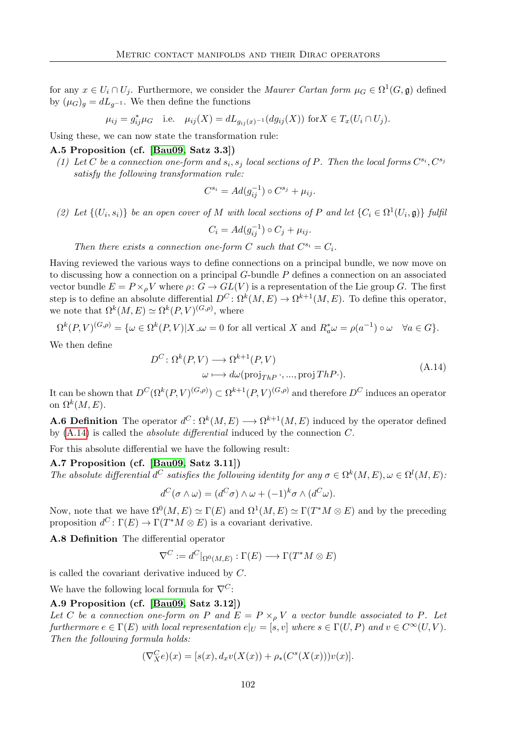for any  $x \in U_i \cap U_j$ . Furthermore, we consider the *Maurer Cartan form*  $\mu_G \in \Omega^1(G, \mathfrak{g})$  defined by  $(\mu_G)_q = dL_{q^{-1}}$ . We then define the functions

$$
\mu_{ij} = g_{ij}^* \mu_G
$$
 i.e.  $\mu_{ij}(X) = dL_{g_{ij}(x)^{-1}}(dg_{ij}(X))$  for  $X \in T_x(U_i \cap U_j)$ .

Using these, we can now state the transformation rule:

### A.5 Proposition (cf. [\[Bau09,](#page-116-0) Satz 3.3])

(1) Let C be a connection one-form and  $s_i, s_j$  local sections of P. Then the local forms  $C^{s_i}, C^{s_j}$ satisfy the following transformation rule:

$$
C^{s_i} = Ad(g_{ij}^{-1}) \circ C^{s_j} + \mu_{ij}.
$$

(2) Let  $\{(U_i, s_i)\}\)$  be an open cover of M with local sections of P and let  $\{C_i \in \Omega^1(U_i, \mathfrak{g})\}\)$  fulfilly

$$
C_i = Ad(g_{ij}^{-1}) \circ C_j + \mu_{ij}.
$$

Then there exists a connection one-form C such that  $C^{s_i} = C_i$ .

Having reviewed the various ways to define connections on a principal bundle, we now move on to discussing how a connection on a principal  $G$ -bundle  $P$  defines a connection on an associated vector bundle  $E = P \times_{\rho} V$  where  $\rho: G \to GL(V)$  is a representation of the Lie group G. The first step is to define an absolute differential  $D^C \colon \Omega^k(M, E) \to \Omega^{k+1}(M, E)$ . To define this operator, we note that  $\Omega^k(M, E) \simeq \Omega^k(P, V)^{(G, \rho)},$  where

$$
\Omega^k(P,V)^{(G,\rho)} = \{ \omega \in \Omega^k(P,V) | X \lrcorner \omega = 0 \text{ for all vertical } X \text{ and } R_a^* \omega = \rho(a^{-1}) \circ \omega \quad \forall a \in G \}.
$$

<span id="page-111-0"></span>We then define

$$
D^{C}: \Omega^{k}(P, V) \longrightarrow \Omega^{k+1}(P, V)
$$
  

$$
\omega \longmapsto d\omega(\text{proj}_{ThP}, ..., \text{proj} ThP).
$$
 (A.14)

It can be shown that  $D^C(\Omega^k(P, V)^{(G,\rho)}) \subset \Omega^{k+1}(P, V)^{(G,\rho)}$  and therefore  $D^C$  induces an operator on  $\Omega^k(M,E)$ .

**A.6 Definition** The operator  $d^C: \Omega^k(M, E) \longrightarrow \Omega^{k+1}(M, E)$  induced by the operator defined by [\(A.14\)](#page-111-0) is called the absolute differential induced by the connection C.

For this absolute differential we have the following result:

### A.7 Proposition (cf. [\[Bau09,](#page-116-0) Satz 3.11])

The absolute differential  $d^C$  satisfies the following identity for any  $\sigma \in \Omega^k(M, E), \omega \in \Omega^l(M, E)$ .

$$
d^C(\sigma \wedge \omega) = (d^C \sigma) \wedge \omega + (-1)^k \sigma \wedge (d^C \omega).
$$

Now, note that we have  $\Omega^0(M, E) \simeq \Gamma(E)$  and  $\Omega^1(M, E) \simeq \Gamma(T^*M \otimes E)$  and by the preceding proposition  $d^C \colon \Gamma(E) \to \Gamma(T^*M \otimes E)$  is a covariant derivative.

A.8 Definition The differential operator

<span id="page-111-1"></span>
$$
\nabla^C:=d^C|_{\Omega^0(M,E)}:\Gamma(E)\longrightarrow \Gamma(T^*M\otimes E)
$$

is called the covariant derivative induced by C.

We have the following local formula for  $\nabla^C$ :

### A.9 Proposition (cf. [\[Bau09,](#page-116-0) Satz 3.12])

Let C be a connection one-form on P and  $E = P \times_{\rho} V$  a vector bundle associated to P. Let furthermore  $e \in \Gamma(E)$  with local representation  $e|_U = [s, v]$  where  $s \in \Gamma(U, P)$  and  $v \in C^{\infty}(U, V)$ . Then the following formula holds:

$$
(\nabla_X^C e)(x) = [s(x), d_x v(X(x)) + \rho_*(C^s(X(x)))v(x)].
$$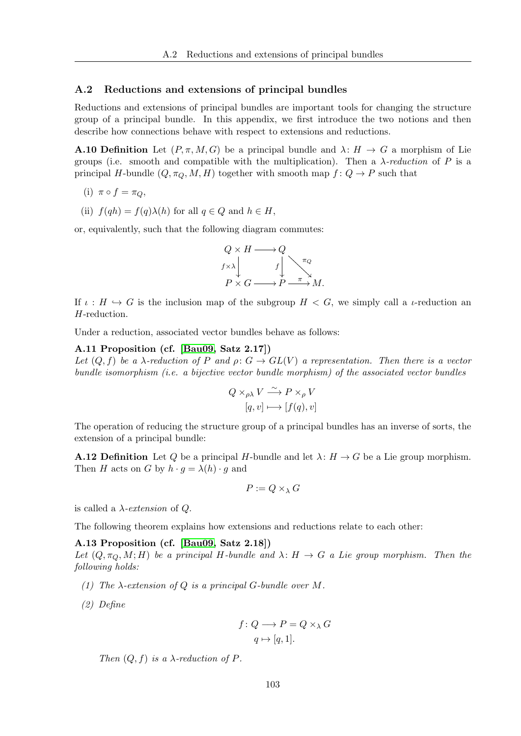### A.2 Reductions and extensions of principal bundles

Reductions and extensions of principal bundles are important tools for changing the structure group of a principal bundle. In this appendix, we first introduce the two notions and then describe how connections behave with respect to extensions and reductions.

**A.10 Definition** Let  $(P, \pi, M, G)$  be a principal bundle and  $\lambda: H \to G$  a morphism of Lie groups (i.e. smooth and compatible with the multiplication). Then a  $\lambda$ -reduction of P is a principal H-bundle  $(Q, \pi_Q, M, H)$  together with smooth map  $f: Q \to P$  such that

(i) 
$$
\pi \circ f = \pi_Q
$$
,

(ii)  $f(qh) = f(q)\lambda(h)$  for all  $q \in Q$  and  $h \in H$ ,

or, equivalently, such that the following diagram commutes:



If  $\iota : H \hookrightarrow G$  is the inclusion map of the subgroup  $H < G$ , we simply call a *ι*-reduction an H-reduction.

Under a reduction, associated vector bundles behave as follows:

### A.11 Proposition (cf. [\[Bau09,](#page-116-0) Satz 2.17])

Let  $(Q, f)$  be a  $\lambda$ -reduction of P and  $\rho: G \to GL(V)$  a representation. Then there is a vector bundle isomorphism (i.e. a bijective vector bundle morphism) of the associated vector bundles

$$
Q \times_{\rho\lambda} V \xrightarrow{\sim} P \times_{\rho} V
$$

$$
[q, v] \longmapsto [f(q), v]
$$

The operation of reducing the structure group of a principal bundles has an inverse of sorts, the extension of a principal bundle:

**A.12 Definition** Let Q be a principal H-bundle and let  $\lambda: H \to G$  be a Lie group morphism. Then H acts on G by  $h \cdot g = \lambda(h) \cdot g$  and

$$
P:=Q\times_{\lambda}G
$$

is called a  $\lambda$ -extension of Q.

The following theorem explains how extensions and reductions relate to each other:

### A.13 Proposition (cf. [\[Bau09,](#page-116-0) Satz 2.18])

Let  $(Q, \pi_Q, M; H)$  be a principal H-bundle and  $\lambda: H \to G$  a Lie group morphism. Then the following holds:

- (1) The  $\lambda$ -extension of Q is a principal G-bundle over M.
- (2) Define

$$
f \colon Q \longrightarrow P = Q \times_{\lambda} G
$$

$$
q \mapsto [q, 1].
$$

Then  $(Q, f)$  is a  $\lambda$ -reduction of P.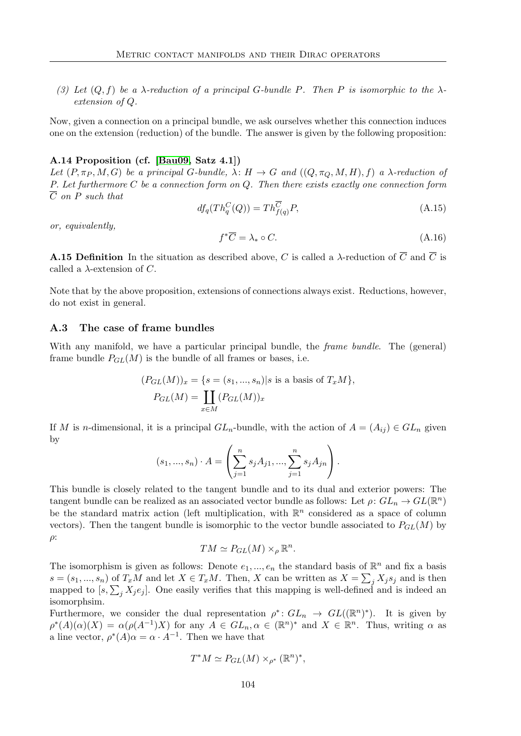(3) Let  $(Q, f)$  be a  $\lambda$ -reduction of a principal G-bundle P. Then P is isomorphic to the  $\lambda$ extension of Q.

Now, given a connection on a principal bundle, we ask ourselves whether this connection induces one on the extension (reduction) of the bundle. The answer is given by the following proposition:

### A.14 Proposition (cf. [\[Bau09,](#page-116-0) Satz 4.1])

Let  $(P, \pi_P, M, G)$  be a principal G-bundle,  $\lambda: H \to G$  and  $((Q, \pi_Q, M, H), f)$  a  $\lambda$ -reduction of P. Let furthermore C be a connection form on Q. Then there exists exactly one connection form  $\overline{C}$  on P such that

$$
df_q(Th_q^C(Q)) = Th_{f(q)}^C P,\tag{A.15}
$$

or, equivalently,

$$
f^*\overline{C} = \lambda_* \circ C. \tag{A.16}
$$

**A.15 Definition** In the situation as described above, C is called a  $\lambda$ -reduction of  $\overline{C}$  and  $\overline{C}$  is called a  $\lambda$ -extension of C.

Note that by the above proposition, extensions of connections always exist. Reductions, however, do not exist in general.

### A.3 The case of frame bundles

With any manifold, we have a particular principal bundle, the *frame bundle*. The (general) frame bundle  $P_{GL}(M)$  is the bundle of all frames or bases, i.e.

$$
(P_{GL}(M))_x = \{s = (s_1, ..., s_n)|s \text{ is a basis of } T_xM\},\
$$

$$
P_{GL}(M) = \coprod_{x \in M} (P_{GL}(M))_x
$$

If M is n-dimensional, it is a principal  $GL_n$ -bundle, with the action of  $A = (A_{ij}) \in GL_n$  given by

$$
(s_1, ..., s_n) \cdot A = \left(\sum_{j=1}^n s_j A_{j1}, ..., \sum_{j=1}^n s_j A_{jn}\right).
$$

This bundle is closely related to the tangent bundle and to its dual and exterior powers: The tangent bundle can be realized as an associated vector bundle as follows: Let  $\rho: GL_n \to GL(\mathbb{R}^n)$ be the standard matrix action (left multiplication, with  $\mathbb{R}^n$  considered as a space of column vectors). Then the tangent bundle is isomorphic to the vector bundle associated to  $P_{GL}(M)$  by  $\rho$ :

$$
TM \simeq P_{GL}(M) \times_{\rho} \mathbb{R}^n.
$$

The isomorphism is given as follows: Denote  $e_1, ..., e_n$  the standard basis of  $\mathbb{R}^n$  and fix a basis  $s = (s_1, ..., s_n)$  of  $T_xM$  and let  $X \in T_xM$ . Then, X can be written as  $X = \sum_j X_j s_j$  and is then mapped to  $[s, \sum_j X_j e_j]$ . One easily verifies that this mapping is well-defined and is indeed an isomorphsim.

Furthermore, we consider the dual representation  $\rho^* \colon GL_n \to GL((\mathbb{R}^n)^*)$ . It is given by  $\rho^*(A)(\alpha)(X) = \alpha(\rho(A^{-1})X)$  for any  $A \in GL_n, \alpha \in (\mathbb{R}^n)^*$  and  $X \in \mathbb{R}^n$ . Thus, writing  $\alpha$  as a line vector,  $\rho^*(A)\alpha = \alpha \cdot A^{-1}$ . Then we have that

$$
T^*M \simeq P_{GL}(M) \times_{\rho^*} (\mathbb{R}^n)^*,
$$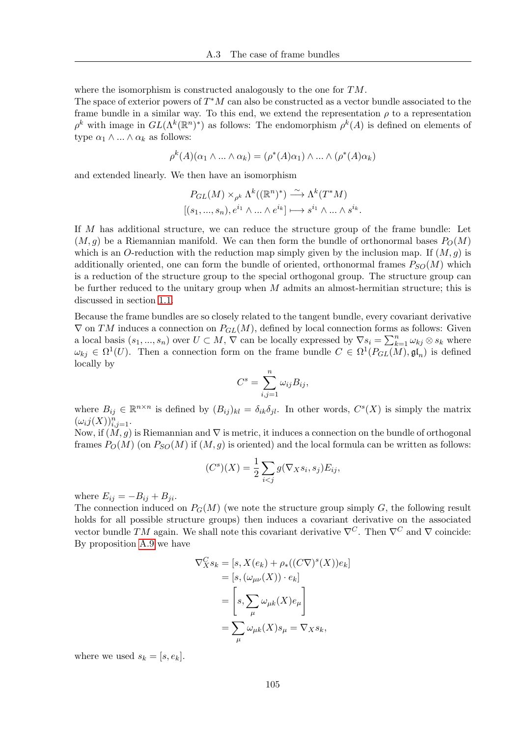where the isomorphism is constructed analogously to the one for  $TM$ .

The space of exterior powers of  $T^*M$  can also be constructed as a vector bundle associated to the frame bundle in a similar way. To this end, we extend the representation  $\rho$  to a representation  $\rho^k$  with image in  $GL(\Lambda^k(\mathbb{R}^n)^*)$  as follows: The endomorphism  $\rho^k(A)$  is defined on elements of type  $\alpha_1 \wedge ... \wedge \alpha_k$  as follows:

$$
\rho^k(A)(\alpha_1 \wedge \ldots \wedge \alpha_k) = (\rho^*(A)\alpha_1) \wedge \ldots \wedge (\rho^*(A)\alpha_k)
$$

and extended linearly. We then have an isomorphism

$$
P_{GL}(M) \times_{\rho^k} \Lambda^k((\mathbb{R}^n)^*) \xrightarrow{\sim} \Lambda^k(T^*M)
$$
  

$$
[(s_1, ..., s_n), e^{i_1} \wedge ... \wedge e^{i_k}] \longmapsto s^{i_1} \wedge ... \wedge s^{i_k}.
$$

If M has additional structure, we can reduce the structure group of the frame bundle: Let  $(M, g)$  be a Riemannian manifold. We can then form the bundle of orthonormal bases  $P_O(M)$ which is an O-reduction with the reduction map simply given by the inclusion map. If  $(M, g)$  is additionally oriented, one can form the bundle of oriented, orthonormal frames  $P_{SO}(M)$  which is a reduction of the structure group to the special orthogonal group. The structure group can be further reduced to the unitary group when M admits an almost-hermitian structure; this is discussed in section [1.1.](#page-10-0)

Because the frame bundles are so closely related to the tangent bundle, every covariant derivative  $\nabla$  on TM induces a connection on  $P_{GL}(M)$ , defined by local connection forms as follows: Given a local basis  $(s_1, ..., s_n)$  over  $U \subset M$ ,  $\nabla$  can be locally expressed by  $\nabla s_i = \sum_{k=1}^n \omega_{kj} \otimes s_k$  where  $\omega_{kj} \in \Omega^1(U)$ . Then a connection form on the frame bundle  $C \in \Omega^1(P_{GL}(M), \mathfrak{gl}_n)$  is defined locally by

$$
C^s = \sum_{i,j=1}^n \omega_{ij} B_{ij},
$$

where  $B_{ij} \in \mathbb{R}^{n \times n}$  is defined by  $(B_{ij})_{kl} = \delta_{ik}\delta_{jl}$ . In other words,  $C^{s}(X)$  is simply the matrix  $(\omega_i j(X))_{i,j=1}^n$ .

Now, if  $(M, g)$  is Riemannian and  $\nabla$  is metric, it induces a connection on the bundle of orthogonal frames  $P_O(M)$  (on  $P_{SO}(M)$  if  $(M, q)$  is oriented) and the local formula can be written as follows:

$$
(Cs)(X) = \frac{1}{2} \sum_{i < j} g(\nabla_X s_i, s_j) E_{ij},
$$

where  $E_{ij} = -B_{ij} + B_{ji}$ .

The connection induced on  $P_G(M)$  (we note the structure group simply G, the following result holds for all possible structure groups) then induces a covariant derivative on the associated vector bundle TM again. We shall note this covariant derivative  $\nabla^C$ . Then  $\nabla^C$  and  $\nabla$  coincide: By proposition [A.9](#page-111-1) we have

$$
\nabla_X^C s_k = [s, X(e_k) + \rho_*((C\nabla)^s(X))e_k]
$$
  
= [s, (\omega\_{\mu\nu}(X)) \cdot e\_k]  
=  $\left[ s, \sum_{\mu} \omega_{\mu k}(X)e_{\mu} \right]$   
=  $\sum_{\mu} \omega_{\mu k}(X)s_{\mu} = \nabla_X s_k,$ 

where we used  $s_k = [s, e_k]$ .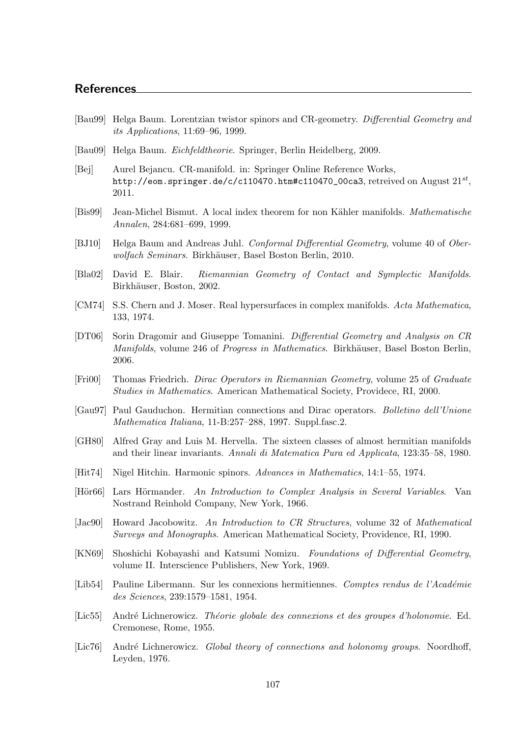## References

- [Bau99] Helga Baum. Lorentzian twistor spinors and CR-geometry. Differential Geometry and its Applications, 11:69–96, 1999.
- <span id="page-116-0"></span>[Bau09] Helga Baum. Eichfeldtheorie. Springer, Berlin Heidelberg, 2009.
- [Bej] Aurel Bejancu. CR-manifold. in: Springer Online Reference Works, <code>http://eom.springer.de/c/c110470.htm#c110470\_00ca3</code>, retreived on  $\mathrm{August}~21^{st} ,$ 2011.
- [Bis99] Jean-Michel Bismut. A local index theorem for non Kähler manifolds. *Mathematische* Annalen, 284:681–699, 1999.
- [BJ10] Helga Baum and Andreas Juhl. Conformal Differential Geometry, volume 40 of Oberwolfach Seminars. Birkhäuser, Basel Boston Berlin, 2010.
- [Bla02] David E. Blair. Riemannian Geometry of Contact and Symplectic Manifolds. Birkhäuser, Boston, 2002.
- [CM74] S.S. Chern and J. Moser. Real hypersurfaces in complex manifolds. Acta Mathematica, 133, 1974.
- [DT06] Sorin Dragomir and Giuseppe Tomanini. Differential Geometry and Analysis on CR Manifolds, volume 246 of Progress in Mathematics. Birkhäuser, Basel Boston Berlin, 2006.
- [Fri00] Thomas Friedrich. Dirac Operators in Riemannian Geometry, volume 25 of Graduate Studies in Mathematics. American Mathematical Society, Providece, RI, 2000.
- [Gau97] Paul Gauduchon. Hermitian connections and Dirac operators. Bolletino dell'Unione Mathematica Italiana, 11-B:257–288, 1997. Suppl.fasc.2.
- [GH80] Alfred Gray and Luis M. Hervella. The sixteen classes of almost hermitian manifolds and their linear invariants. Annali di Matematica Pura ed Applicata, 123:35–58, 1980.
- [Hit74] Nigel Hitchin. Harmonic spinors. Advances in Mathematics, 14:1–55, 1974.
- [Hör66] Lars Hörmander. An Introduction to Complex Analysis in Several Variables. Van Nostrand Reinhold Company, New York, 1966.
- [Jac90] Howard Jacobowitz. An Introduction to CR Structures, volume 32 of Mathematical Surveys and Monographs. American Mathematical Society, Providence, RI, 1990.
- [KN69] Shoshichi Kobayashi and Katsumi Nomizu. Foundations of Differential Geometry, volume II. Interscience Publishers, New York, 1969.
- [Lib54] Pauline Libermann. Sur les connexions hermitiennes. Comptes rendus de l'Académie des Sciences, 239:1579–1581, 1954.
- [Lic55] André Lichnerowicz. Théorie globale des connexions et des groupes d'holonomie. Ed. Cremonese, Rome, 1955.
- [Lic76] André Lichnerowicz. Global theory of connections and holonomy groups. Noordhoff, Leyden, 1976.